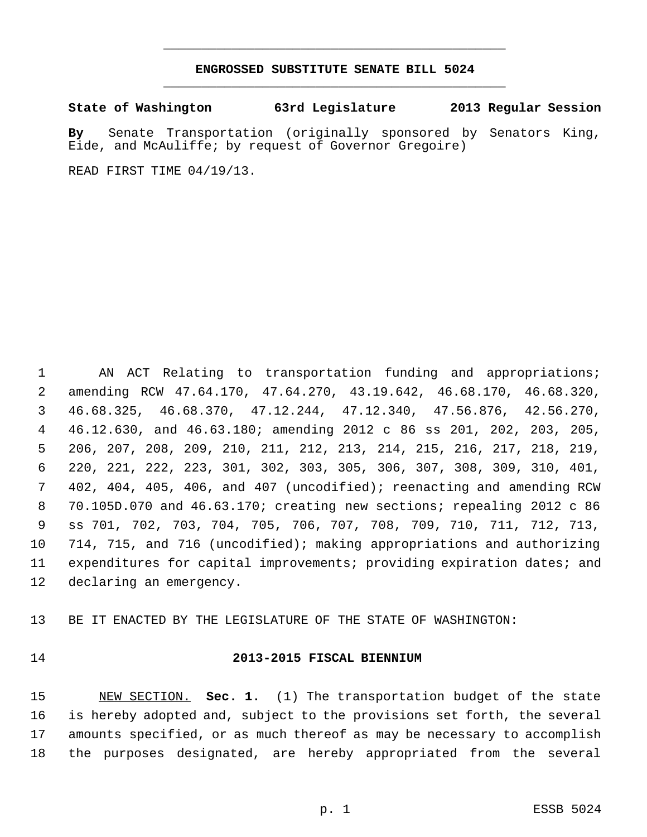#### **ENGROSSED SUBSTITUTE SENATE BILL 5024** \_\_\_\_\_\_\_\_\_\_\_\_\_\_\_\_\_\_\_\_\_\_\_\_\_\_\_\_\_\_\_\_\_\_\_\_\_\_\_\_\_\_\_\_\_

\_\_\_\_\_\_\_\_\_\_\_\_\_\_\_\_\_\_\_\_\_\_\_\_\_\_\_\_\_\_\_\_\_\_\_\_\_\_\_\_\_\_\_\_\_

**State of Washington 63rd Legislature 2013 Regular Session**

**By** Senate Transportation (originally sponsored by Senators King, Eide, and McAuliffe; by request of Governor Gregoire)

READ FIRST TIME 04/19/13.

 AN ACT Relating to transportation funding and appropriations; amending RCW 47.64.170, 47.64.270, 43.19.642, 46.68.170, 46.68.320, 46.68.325, 46.68.370, 47.12.244, 47.12.340, 47.56.876, 42.56.270, 46.12.630, and 46.63.180; amending 2012 c 86 ss 201, 202, 203, 205, 206, 207, 208, 209, 210, 211, 212, 213, 214, 215, 216, 217, 218, 219, 220, 221, 222, 223, 301, 302, 303, 305, 306, 307, 308, 309, 310, 401, 402, 404, 405, 406, and 407 (uncodified); reenacting and amending RCW 70.105D.070 and 46.63.170; creating new sections; repealing 2012 c 86 ss 701, 702, 703, 704, 705, 706, 707, 708, 709, 710, 711, 712, 713, 714, 715, and 716 (uncodified); making appropriations and authorizing expenditures for capital improvements; providing expiration dates; and declaring an emergency.

BE IT ENACTED BY THE LEGISLATURE OF THE STATE OF WASHINGTON:

#### **2013-2015 FISCAL BIENNIUM**

 NEW SECTION. **Sec. 1.** (1) The transportation budget of the state is hereby adopted and, subject to the provisions set forth, the several amounts specified, or as much thereof as may be necessary to accomplish the purposes designated, are hereby appropriated from the several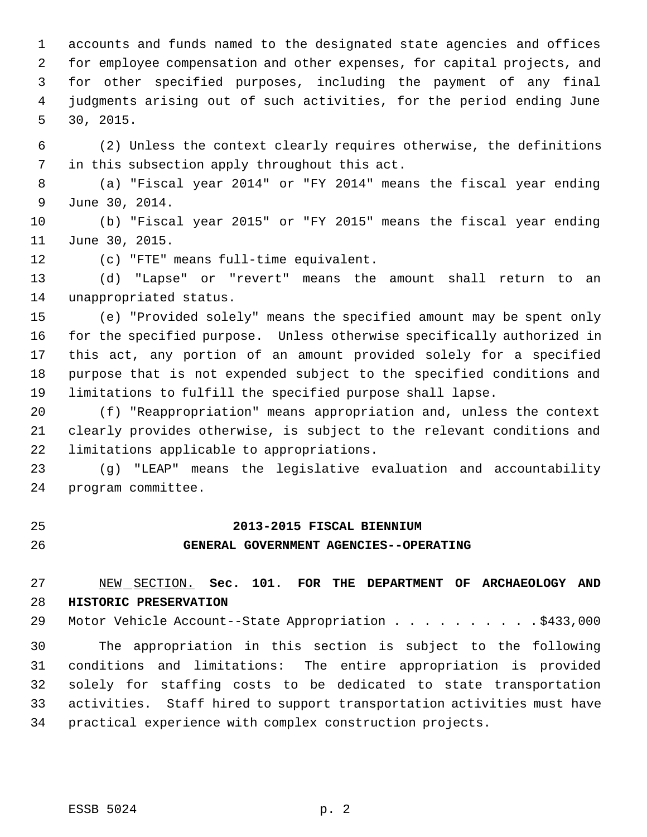accounts and funds named to the designated state agencies and offices for employee compensation and other expenses, for capital projects, and for other specified purposes, including the payment of any final judgments arising out of such activities, for the period ending June 30, 2015.

 (2) Unless the context clearly requires otherwise, the definitions in this subsection apply throughout this act.

 (a) "Fiscal year 2014" or "FY 2014" means the fiscal year ending June 30, 2014.

 (b) "Fiscal year 2015" or "FY 2015" means the fiscal year ending June 30, 2015.

(c) "FTE" means full-time equivalent.

 (d) "Lapse" or "revert" means the amount shall return to an unappropriated status.

 (e) "Provided solely" means the specified amount may be spent only for the specified purpose. Unless otherwise specifically authorized in this act, any portion of an amount provided solely for a specified purpose that is not expended subject to the specified conditions and limitations to fulfill the specified purpose shall lapse.

 (f) "Reappropriation" means appropriation and, unless the context clearly provides otherwise, is subject to the relevant conditions and limitations applicable to appropriations.

 (g) "LEAP" means the legislative evaluation and accountability program committee.

#### **2013-2015 FISCAL BIENNIUM**

#### **GENERAL GOVERNMENT AGENCIES--OPERATING**

 NEW SECTION. **Sec. 101. FOR THE DEPARTMENT OF ARCHAEOLOGY AND HISTORIC PRESERVATION**

29 Motor Vehicle Account--State Appropriation . . . . . . . . . . \$433,000

 The appropriation in this section is subject to the following conditions and limitations: The entire appropriation is provided solely for staffing costs to be dedicated to state transportation activities. Staff hired to support transportation activities must have practical experience with complex construction projects.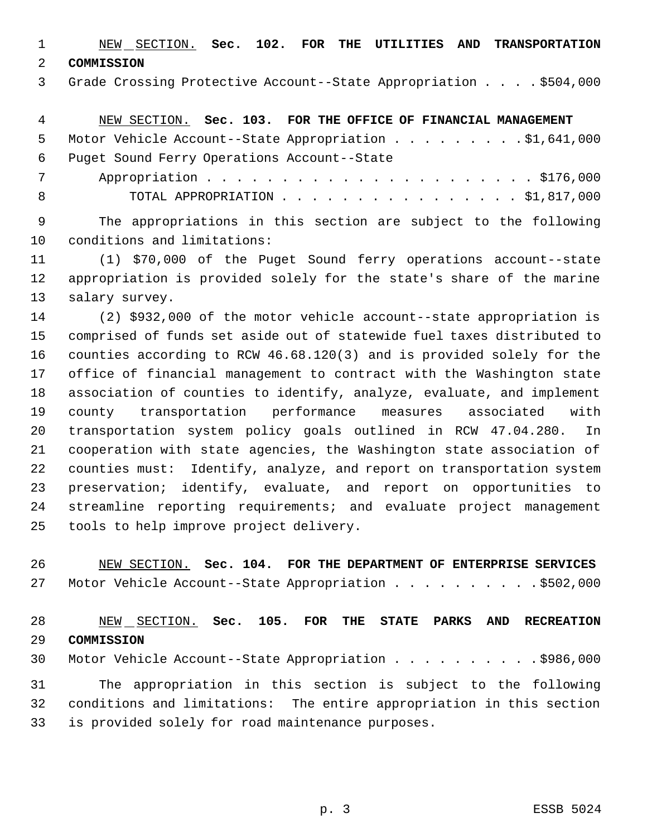NEW SECTION. **Sec. 102. FOR THE UTILITIES AND TRANSPORTATION COMMISSION**

Grade Crossing Protective Account--State Appropriation . . . . \$504,000

 NEW SECTION. **Sec. 103. FOR THE OFFICE OF FINANCIAL MANAGEMENT** 5 Motor Vehicle Account--State Appropriation . . . . . . . . . \$1,641,000 Puget Sound Ferry Operations Account--State Appropriation . . . . . . . . . . . . . . . . . . . . . . \$176,000 TOTAL APPROPRIATION . . . . . . . . . . . . . . . . \$1,817,000

 The appropriations in this section are subject to the following conditions and limitations:

 (1) \$70,000 of the Puget Sound ferry operations account--state appropriation is provided solely for the state's share of the marine salary survey.

 (2) \$932,000 of the motor vehicle account--state appropriation is comprised of funds set aside out of statewide fuel taxes distributed to counties according to RCW 46.68.120(3) and is provided solely for the office of financial management to contract with the Washington state association of counties to identify, analyze, evaluate, and implement county transportation performance measures associated with transportation system policy goals outlined in RCW 47.04.280. In cooperation with state agencies, the Washington state association of counties must: Identify, analyze, and report on transportation system preservation; identify, evaluate, and report on opportunities to streamline reporting requirements; and evaluate project management tools to help improve project delivery.

 NEW SECTION. **Sec. 104. FOR THE DEPARTMENT OF ENTERPRISE SERVICES** 27 Motor Vehicle Account--State Appropriation . . . . . . . . . . \$502,000

 NEW SECTION. **Sec. 105. FOR THE STATE PARKS AND RECREATION COMMISSION**

30 Motor Vehicle Account--State Appropriation . . . . . . . . . . \$986,000 The appropriation in this section is subject to the following conditions and limitations: The entire appropriation in this section is provided solely for road maintenance purposes.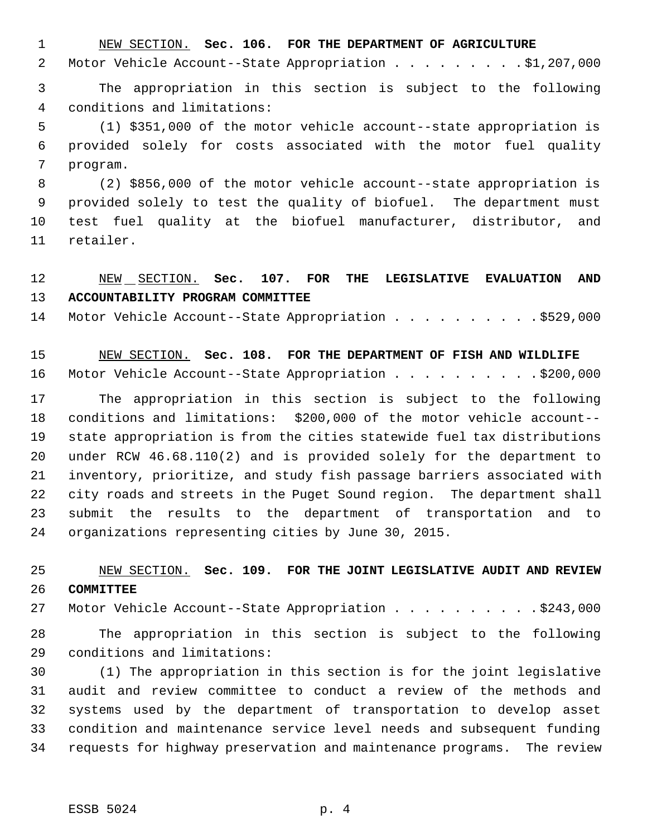NEW SECTION. **Sec. 106. FOR THE DEPARTMENT OF AGRICULTURE**

2 Motor Vehicle Account--State Appropriation . . . . . . . . . \$1,207,000

 The appropriation in this section is subject to the following conditions and limitations:

 (1) \$351,000 of the motor vehicle account--state appropriation is provided solely for costs associated with the motor fuel quality program.

 (2) \$856,000 of the motor vehicle account--state appropriation is provided solely to test the quality of biofuel. The department must test fuel quality at the biofuel manufacturer, distributor, and retailer.

## NEW SECTION. **Sec. 107. FOR THE LEGISLATIVE EVALUATION AND ACCOUNTABILITY PROGRAM COMMITTEE**

14 Motor Vehicle Account--State Appropriation . . . . . . . . . \$529,000

 NEW SECTION. **Sec. 108. FOR THE DEPARTMENT OF FISH AND WILDLIFE** 16 Motor Vehicle Account--State Appropriation . . . . . . . . . \$200,000

 The appropriation in this section is subject to the following conditions and limitations: \$200,000 of the motor vehicle account-- state appropriation is from the cities statewide fuel tax distributions under RCW 46.68.110(2) and is provided solely for the department to inventory, prioritize, and study fish passage barriers associated with city roads and streets in the Puget Sound region. The department shall submit the results to the department of transportation and to organizations representing cities by June 30, 2015.

## NEW SECTION. **Sec. 109. FOR THE JOINT LEGISLATIVE AUDIT AND REVIEW COMMITTEE**

27 Motor Vehicle Account--State Appropriation . . . . . . . . . . \$243,000

 The appropriation in this section is subject to the following conditions and limitations:

 (1) The appropriation in this section is for the joint legislative audit and review committee to conduct a review of the methods and systems used by the department of transportation to develop asset condition and maintenance service level needs and subsequent funding requests for highway preservation and maintenance programs. The review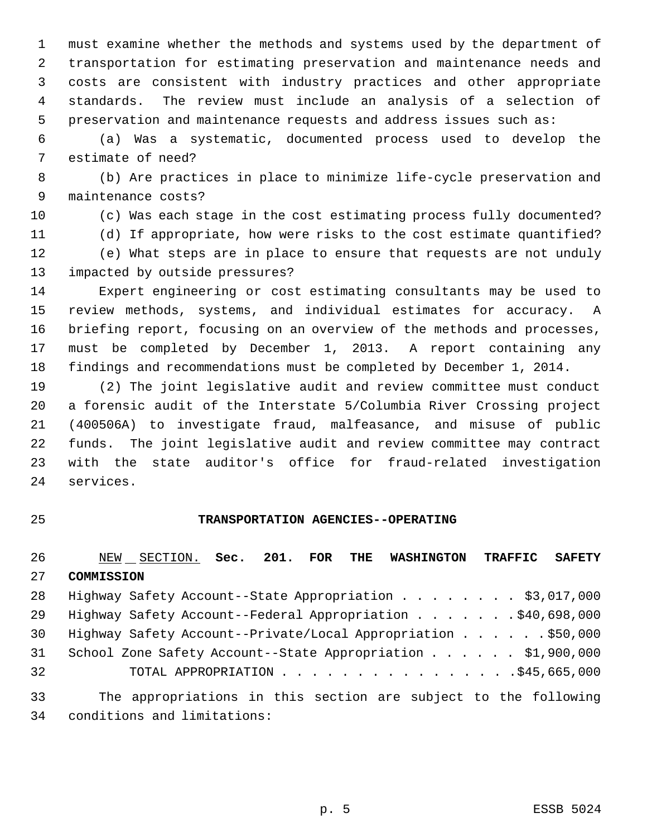must examine whether the methods and systems used by the department of transportation for estimating preservation and maintenance needs and costs are consistent with industry practices and other appropriate standards. The review must include an analysis of a selection of preservation and maintenance requests and address issues such as:

 (a) Was a systematic, documented process used to develop the estimate of need?

 (b) Are practices in place to minimize life-cycle preservation and maintenance costs?

(c) Was each stage in the cost estimating process fully documented?

(d) If appropriate, how were risks to the cost estimate quantified?

 (e) What steps are in place to ensure that requests are not unduly impacted by outside pressures?

 Expert engineering or cost estimating consultants may be used to review methods, systems, and individual estimates for accuracy. A briefing report, focusing on an overview of the methods and processes, must be completed by December 1, 2013. A report containing any findings and recommendations must be completed by December 1, 2014.

 (2) The joint legislative audit and review committee must conduct a forensic audit of the Interstate 5/Columbia River Crossing project (400506A) to investigate fraud, malfeasance, and misuse of public funds. The joint legislative audit and review committee may contract with the state auditor's office for fraud-related investigation services.

#### **TRANSPORTATION AGENCIES--OPERATING**

 NEW SECTION. **Sec. 201. FOR THE WASHINGTON TRAFFIC SAFETY COMMISSION** 28 Highway Safety Account--State Appropriation . . . . . . . \$3,017,000 Highway Safety Account--Federal Appropriation . . . . . . . \$40,698,000 30 Highway Safety Account--Private/Local Appropriation . . . . . \$50,000 School Zone Safety Account--State Appropriation . . . . . . \$1,900,000 TOTAL APPROPRIATION . . . . . . . . . . . . . . . .\$45,665,000 The appropriations in this section are subject to the following

conditions and limitations: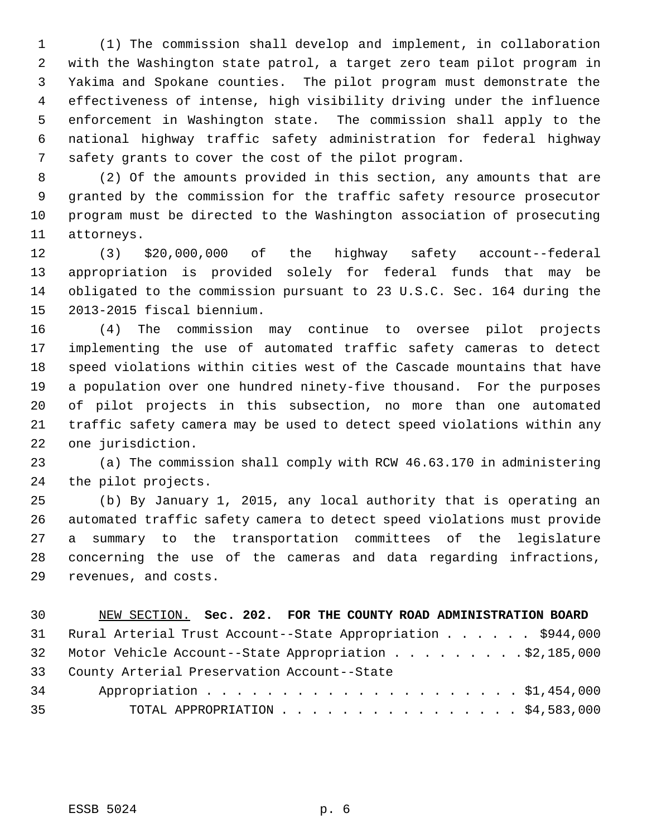(1) The commission shall develop and implement, in collaboration with the Washington state patrol, a target zero team pilot program in Yakima and Spokane counties. The pilot program must demonstrate the effectiveness of intense, high visibility driving under the influence enforcement in Washington state. The commission shall apply to the national highway traffic safety administration for federal highway safety grants to cover the cost of the pilot program.

 (2) Of the amounts provided in this section, any amounts that are granted by the commission for the traffic safety resource prosecutor program must be directed to the Washington association of prosecuting attorneys.

 (3) \$20,000,000 of the highway safety account--federal appropriation is provided solely for federal funds that may be obligated to the commission pursuant to 23 U.S.C. Sec. 164 during the 2013-2015 fiscal biennium.

 (4) The commission may continue to oversee pilot projects implementing the use of automated traffic safety cameras to detect speed violations within cities west of the Cascade mountains that have a population over one hundred ninety-five thousand. For the purposes of pilot projects in this subsection, no more than one automated traffic safety camera may be used to detect speed violations within any one jurisdiction.

 (a) The commission shall comply with RCW 46.63.170 in administering the pilot projects.

 (b) By January 1, 2015, any local authority that is operating an automated traffic safety camera to detect speed violations must provide a summary to the transportation committees of the legislature concerning the use of the cameras and data regarding infractions, revenues, and costs.

| 30 | NEW SECTION. Sec. 202. FOR THE COUNTY ROAD ADMINISTRATION BOARD |
|----|-----------------------------------------------------------------|
|    | 31 Rural Arterial Trust Account--State Appropriation \$944,000  |
|    | 32 Motor Vehicle Account--State Appropriation \$2,185,000       |
|    | 33 County Arterial Preservation Account--State                  |
| 34 |                                                                 |
| 35 | TOTAL APPROPRIATION $\frac{54}{583,000}$                        |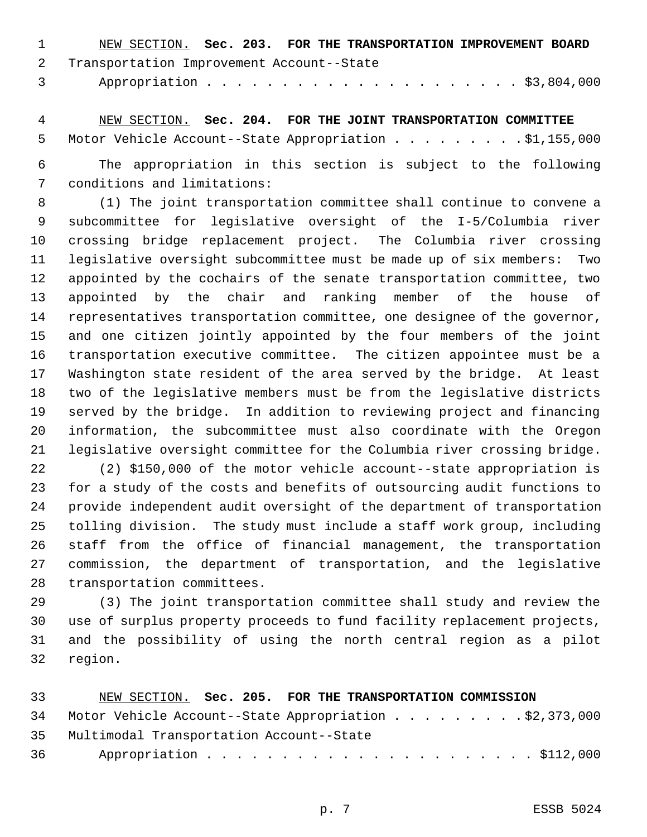| $\sim$ 1 | NEW SECTION. Sec. 203. FOR THE TRANSPORTATION IMPROVEMENT BOARD |  |  |  |
|----------|-----------------------------------------------------------------|--|--|--|
|          | 2 Transportation Improvement Account--State                     |  |  |  |
|          |                                                                 |  |  |  |

 NEW SECTION. **Sec. 204. FOR THE JOINT TRANSPORTATION COMMITTEE** 5 Motor Vehicle Account--State Appropriation . . . . . . . . . \$1,155,000

 The appropriation in this section is subject to the following conditions and limitations:

 (1) The joint transportation committee shall continue to convene a subcommittee for legislative oversight of the I-5/Columbia river crossing bridge replacement project. The Columbia river crossing legislative oversight subcommittee must be made up of six members: Two appointed by the cochairs of the senate transportation committee, two appointed by the chair and ranking member of the house of representatives transportation committee, one designee of the governor, and one citizen jointly appointed by the four members of the joint transportation executive committee. The citizen appointee must be a Washington state resident of the area served by the bridge. At least two of the legislative members must be from the legislative districts served by the bridge. In addition to reviewing project and financing information, the subcommittee must also coordinate with the Oregon legislative oversight committee for the Columbia river crossing bridge.

 (2) \$150,000 of the motor vehicle account--state appropriation is for a study of the costs and benefits of outsourcing audit functions to provide independent audit oversight of the department of transportation tolling division. The study must include a staff work group, including staff from the office of financial management, the transportation commission, the department of transportation, and the legislative transportation committees.

 (3) The joint transportation committee shall study and review the use of surplus property proceeds to fund facility replacement projects, and the possibility of using the north central region as a pilot region.

| 33 | NEW SECTION. Sec. 205. FOR THE TRANSPORTATION COMMISSION  |
|----|-----------------------------------------------------------|
|    | 34 Motor Vehicle Account--State Appropriation \$2,373,000 |
|    | 35 Multimodal Transportation Account--State               |
|    |                                                           |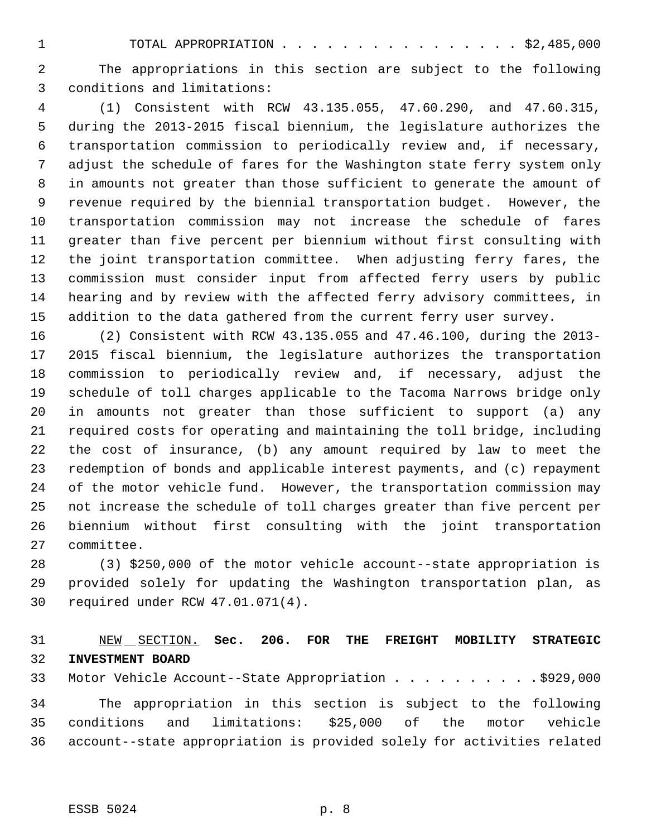TOTAL APPROPRIATION . . . . . . . . . . . . . . . . \$2,485,000

 The appropriations in this section are subject to the following conditions and limitations:

 (1) Consistent with RCW 43.135.055, 47.60.290, and 47.60.315, during the 2013-2015 fiscal biennium, the legislature authorizes the transportation commission to periodically review and, if necessary, adjust the schedule of fares for the Washington state ferry system only in amounts not greater than those sufficient to generate the amount of revenue required by the biennial transportation budget. However, the transportation commission may not increase the schedule of fares greater than five percent per biennium without first consulting with the joint transportation committee. When adjusting ferry fares, the commission must consider input from affected ferry users by public hearing and by review with the affected ferry advisory committees, in addition to the data gathered from the current ferry user survey.

 (2) Consistent with RCW 43.135.055 and 47.46.100, during the 2013- 2015 fiscal biennium, the legislature authorizes the transportation commission to periodically review and, if necessary, adjust the schedule of toll charges applicable to the Tacoma Narrows bridge only in amounts not greater than those sufficient to support (a) any required costs for operating and maintaining the toll bridge, including the cost of insurance, (b) any amount required by law to meet the redemption of bonds and applicable interest payments, and (c) repayment of the motor vehicle fund. However, the transportation commission may not increase the schedule of toll charges greater than five percent per biennium without first consulting with the joint transportation committee.

 (3) \$250,000 of the motor vehicle account--state appropriation is provided solely for updating the Washington transportation plan, as required under RCW 47.01.071(4).

## NEW SECTION. **Sec. 206. FOR THE FREIGHT MOBILITY STRATEGIC INVESTMENT BOARD**

33 Motor Vehicle Account--State Appropriation . . . . . . . . . . \$929,000

 The appropriation in this section is subject to the following conditions and limitations: \$25,000 of the motor vehicle account--state appropriation is provided solely for activities related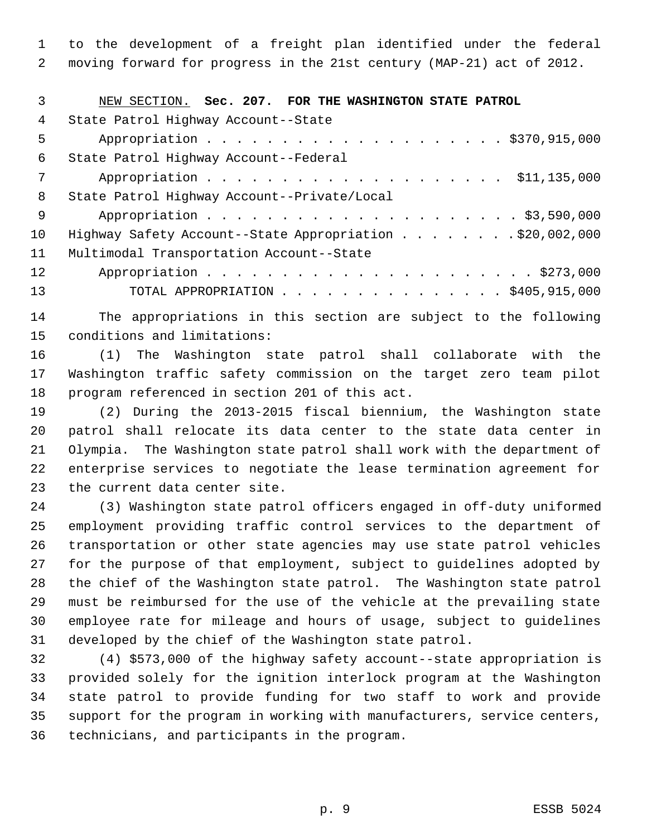to the development of a freight plan identified under the federal moving forward for progress in the 21st century (MAP-21) act of 2012.

| 3   | NEW SECTION. Sec. 207. FOR THE WASHINGTON STATE PATROL   |
|-----|----------------------------------------------------------|
| 4   | State Patrol Highway Account--State                      |
| 5   | Appropriation \$370,915,000                              |
| 6   | State Patrol Highway Account--Federal                    |
| 7   |                                                          |
| 8   | State Patrol Highway Account--Private/Local              |
| - 9 |                                                          |
| 10  | Highway Safety Account--State Appropriation \$20,002,000 |
| 11  | Multimodal Transportation Account--State                 |
| 12  |                                                          |
| 13  | TOTAL APPROPRIATION \$405,915,000                        |

 The appropriations in this section are subject to the following conditions and limitations:

 (1) The Washington state patrol shall collaborate with the Washington traffic safety commission on the target zero team pilot program referenced in section 201 of this act.

 (2) During the 2013-2015 fiscal biennium, the Washington state patrol shall relocate its data center to the state data center in Olympia. The Washington state patrol shall work with the department of enterprise services to negotiate the lease termination agreement for the current data center site.

 (3) Washington state patrol officers engaged in off-duty uniformed employment providing traffic control services to the department of transportation or other state agencies may use state patrol vehicles for the purpose of that employment, subject to guidelines adopted by the chief of the Washington state patrol. The Washington state patrol must be reimbursed for the use of the vehicle at the prevailing state employee rate for mileage and hours of usage, subject to guidelines developed by the chief of the Washington state patrol.

 (4) \$573,000 of the highway safety account--state appropriation is provided solely for the ignition interlock program at the Washington state patrol to provide funding for two staff to work and provide support for the program in working with manufacturers, service centers, technicians, and participants in the program.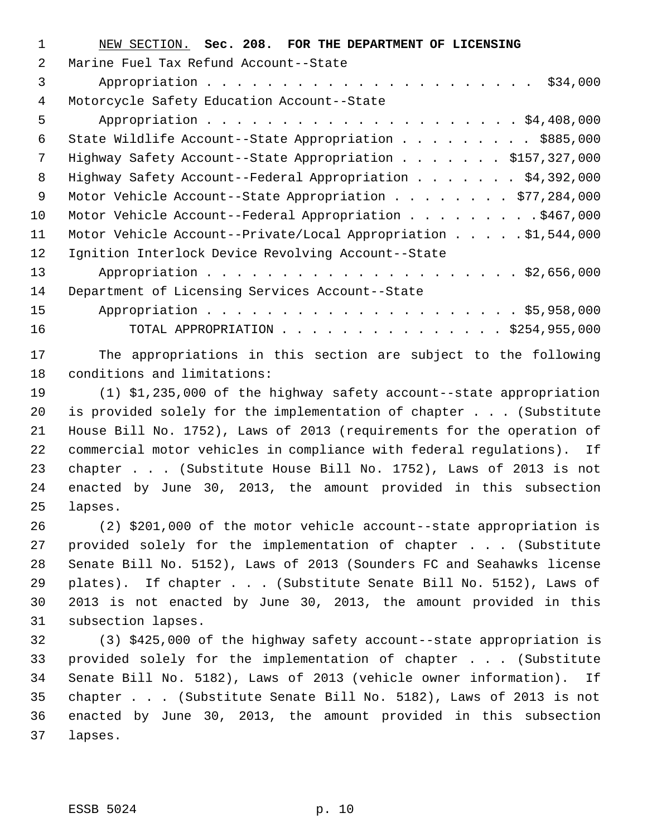| 1  | NEW SECTION. Sec. 208. FOR THE DEPARTMENT OF LICENSING         |
|----|----------------------------------------------------------------|
| 2  | Marine Fuel Tax Refund Account--State                          |
| 3  |                                                                |
| 4  | Motorcycle Safety Education Account--State                     |
| 5  |                                                                |
| 6  | State Wildlife Account--State Appropriation \$885,000          |
| 7  | Highway Safety Account--State Appropriation \$157,327,000      |
| 8  | Highway Safety Account--Federal Appropriation \$4,392,000      |
| 9  | Motor Vehicle Account--State Appropriation \$77,284,000        |
| 10 | Motor Vehicle Account--Federal Appropriation \$467,000         |
| 11 | Motor Vehicle Account--Private/Local Appropriation \$1,544,000 |
| 12 | Ignition Interlock Device Revolving Account--State             |
| 13 |                                                                |
| 14 | Department of Licensing Services Account--State                |
| 15 |                                                                |
| 16 | TOTAL APPROPRIATION \$254,955,000                              |
|    |                                                                |

 The appropriations in this section are subject to the following conditions and limitations:

 (1) \$1,235,000 of the highway safety account--state appropriation is provided solely for the implementation of chapter . . . (Substitute House Bill No. 1752), Laws of 2013 (requirements for the operation of commercial motor vehicles in compliance with federal regulations). If chapter . . . (Substitute House Bill No. 1752), Laws of 2013 is not enacted by June 30, 2013, the amount provided in this subsection lapses.

 (2) \$201,000 of the motor vehicle account--state appropriation is provided solely for the implementation of chapter . . . (Substitute Senate Bill No. 5152), Laws of 2013 (Sounders FC and Seahawks license plates). If chapter . . . (Substitute Senate Bill No. 5152), Laws of 2013 is not enacted by June 30, 2013, the amount provided in this subsection lapses.

 (3) \$425,000 of the highway safety account--state appropriation is provided solely for the implementation of chapter . . . (Substitute Senate Bill No. 5182), Laws of 2013 (vehicle owner information). If chapter . . . (Substitute Senate Bill No. 5182), Laws of 2013 is not enacted by June 30, 2013, the amount provided in this subsection lapses.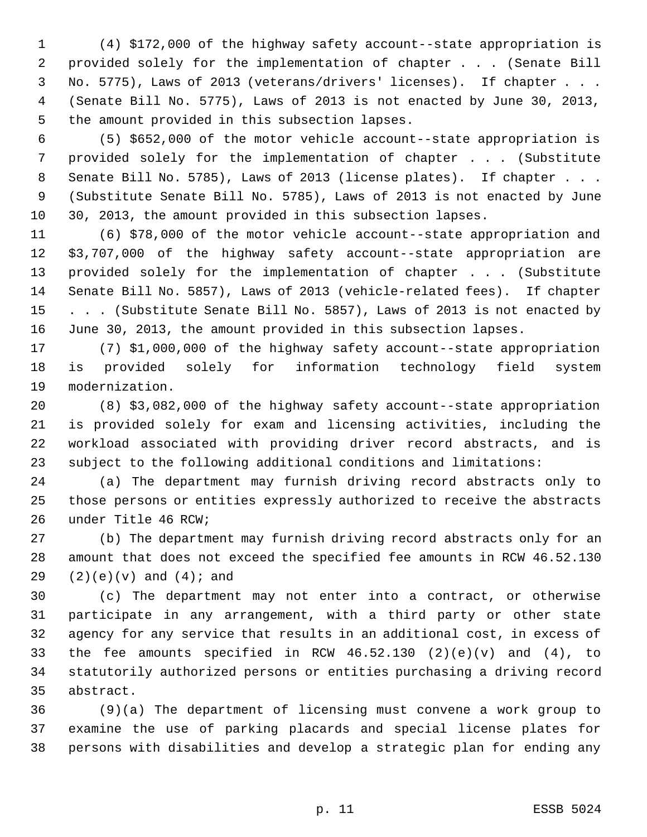(4) \$172,000 of the highway safety account--state appropriation is provided solely for the implementation of chapter . . . (Senate Bill No. 5775), Laws of 2013 (veterans/drivers' licenses). If chapter . . . (Senate Bill No. 5775), Laws of 2013 is not enacted by June 30, 2013, the amount provided in this subsection lapses.

 (5) \$652,000 of the motor vehicle account--state appropriation is provided solely for the implementation of chapter . . . (Substitute 8 Senate Bill No. 5785), Laws of 2013 (license plates). If chapter . . . (Substitute Senate Bill No. 5785), Laws of 2013 is not enacted by June 30, 2013, the amount provided in this subsection lapses.

 (6) \$78,000 of the motor vehicle account--state appropriation and \$3,707,000 of the highway safety account--state appropriation are provided solely for the implementation of chapter . . . (Substitute Senate Bill No. 5857), Laws of 2013 (vehicle-related fees). If chapter 15 . . . (Substitute Senate Bill No. 5857), Laws of 2013 is not enacted by June 30, 2013, the amount provided in this subsection lapses.

 (7) \$1,000,000 of the highway safety account--state appropriation is provided solely for information technology field system modernization.

 (8) \$3,082,000 of the highway safety account--state appropriation is provided solely for exam and licensing activities, including the workload associated with providing driver record abstracts, and is subject to the following additional conditions and limitations:

 (a) The department may furnish driving record abstracts only to those persons or entities expressly authorized to receive the abstracts under Title 46 RCW;

 (b) The department may furnish driving record abstracts only for an amount that does not exceed the specified fee amounts in RCW 46.52.130 (2)(e)(v) and (4); and

 (c) The department may not enter into a contract, or otherwise participate in any arrangement, with a third party or other state agency for any service that results in an additional cost, in excess of the fee amounts specified in RCW 46.52.130 (2)(e)(v) and (4), to statutorily authorized persons or entities purchasing a driving record abstract.

 (9)(a) The department of licensing must convene a work group to examine the use of parking placards and special license plates for persons with disabilities and develop a strategic plan for ending any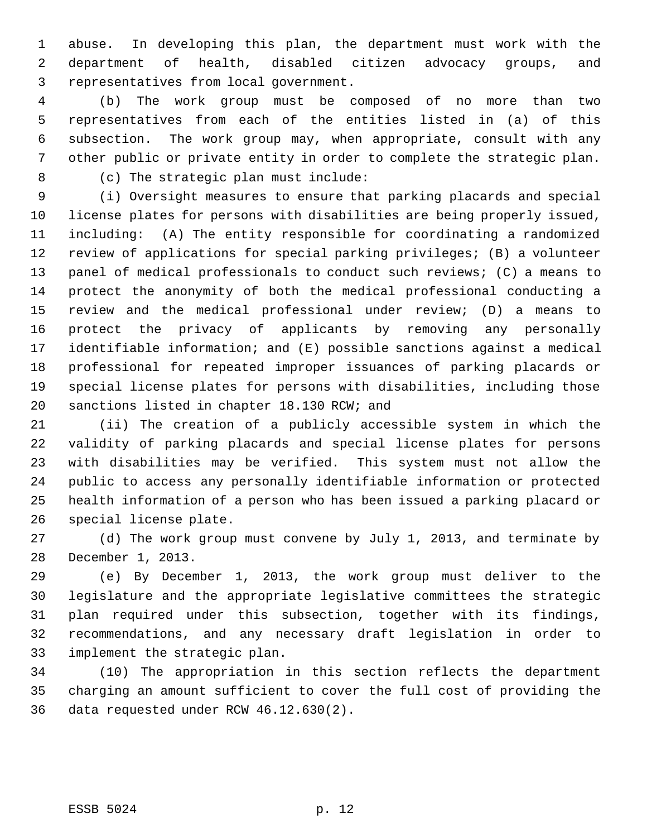abuse. In developing this plan, the department must work with the department of health, disabled citizen advocacy groups, and representatives from local government.

 (b) The work group must be composed of no more than two representatives from each of the entities listed in (a) of this subsection. The work group may, when appropriate, consult with any other public or private entity in order to complete the strategic plan. (c) The strategic plan must include:

 (i) Oversight measures to ensure that parking placards and special license plates for persons with disabilities are being properly issued, including: (A) The entity responsible for coordinating a randomized review of applications for special parking privileges; (B) a volunteer panel of medical professionals to conduct such reviews; (C) a means to protect the anonymity of both the medical professional conducting a review and the medical professional under review; (D) a means to protect the privacy of applicants by removing any personally identifiable information; and (E) possible sanctions against a medical professional for repeated improper issuances of parking placards or special license plates for persons with disabilities, including those sanctions listed in chapter 18.130 RCW; and

 (ii) The creation of a publicly accessible system in which the validity of parking placards and special license plates for persons with disabilities may be verified. This system must not allow the public to access any personally identifiable information or protected health information of a person who has been issued a parking placard or special license plate.

 (d) The work group must convene by July 1, 2013, and terminate by December 1, 2013.

 (e) By December 1, 2013, the work group must deliver to the legislature and the appropriate legislative committees the strategic plan required under this subsection, together with its findings, recommendations, and any necessary draft legislation in order to implement the strategic plan.

 (10) The appropriation in this section reflects the department charging an amount sufficient to cover the full cost of providing the data requested under RCW 46.12.630(2).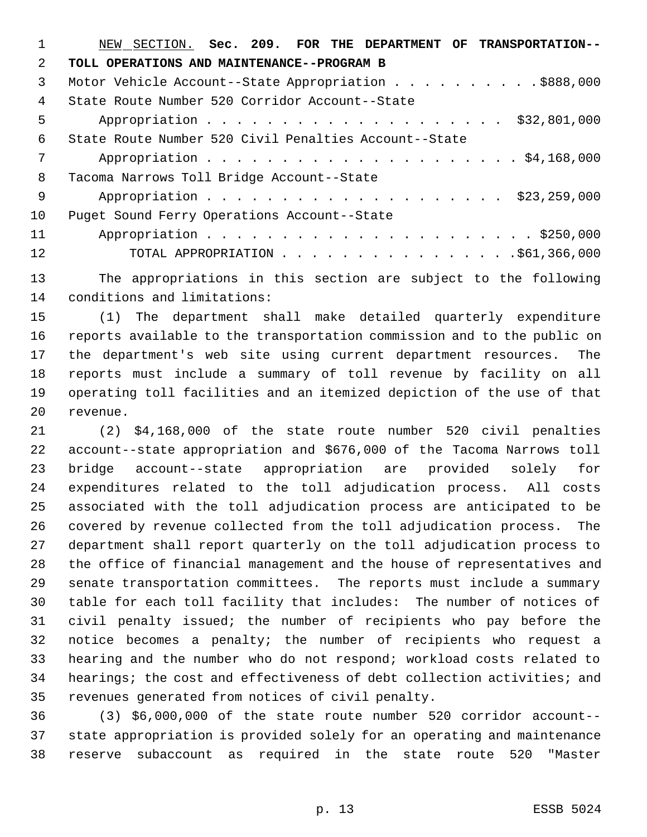| 1             | NEW SECTION. Sec. 209. FOR THE DEPARTMENT OF TRANSPORTATION-- |
|---------------|---------------------------------------------------------------|
| $\mathcal{L}$ | TOLL OPERATIONS AND MAINTENANCE--PROGRAM B                    |
| 3             | Motor Vehicle Account--State Appropriation \$888,000          |
| 4             | State Route Number 520 Corridor Account--State                |
| 5             | \$32,801,000                                                  |
| 6             | State Route Number 520 Civil Penalties Account--State         |
| 7             |                                                               |
| 8             | Tacoma Narrows Toll Bridge Account--State                     |
| -9            | Appropriation \$23,259,000                                    |
| 10            | Puget Sound Ferry Operations Account--State                   |
| 11            |                                                               |
| 12            |                                                               |
|               |                                                               |

 The appropriations in this section are subject to the following conditions and limitations:

 (1) The department shall make detailed quarterly expenditure reports available to the transportation commission and to the public on the department's web site using current department resources. The reports must include a summary of toll revenue by facility on all operating toll facilities and an itemized depiction of the use of that revenue.

 (2) \$4,168,000 of the state route number 520 civil penalties account--state appropriation and \$676,000 of the Tacoma Narrows toll bridge account--state appropriation are provided solely for expenditures related to the toll adjudication process. All costs associated with the toll adjudication process are anticipated to be covered by revenue collected from the toll adjudication process. The department shall report quarterly on the toll adjudication process to the office of financial management and the house of representatives and senate transportation committees. The reports must include a summary table for each toll facility that includes: The number of notices of civil penalty issued; the number of recipients who pay before the notice becomes a penalty; the number of recipients who request a hearing and the number who do not respond; workload costs related to hearings; the cost and effectiveness of debt collection activities; and revenues generated from notices of civil penalty.

 (3) \$6,000,000 of the state route number 520 corridor account-- state appropriation is provided solely for an operating and maintenance reserve subaccount as required in the state route 520 "Master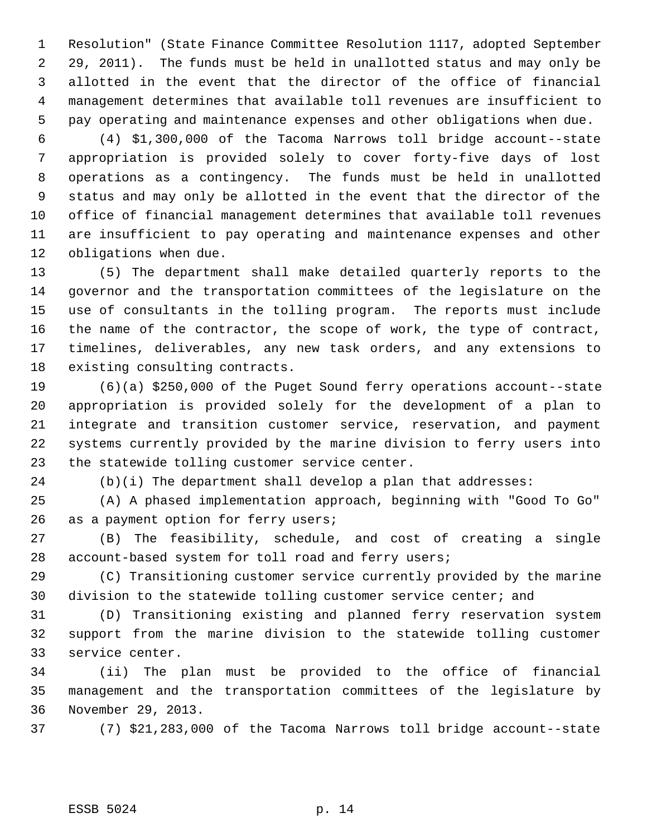Resolution" (State Finance Committee Resolution 1117, adopted September 29, 2011). The funds must be held in unallotted status and may only be allotted in the event that the director of the office of financial management determines that available toll revenues are insufficient to pay operating and maintenance expenses and other obligations when due.

 (4) \$1,300,000 of the Tacoma Narrows toll bridge account--state appropriation is provided solely to cover forty-five days of lost operations as a contingency. The funds must be held in unallotted status and may only be allotted in the event that the director of the office of financial management determines that available toll revenues are insufficient to pay operating and maintenance expenses and other obligations when due.

 (5) The department shall make detailed quarterly reports to the governor and the transportation committees of the legislature on the use of consultants in the tolling program. The reports must include the name of the contractor, the scope of work, the type of contract, timelines, deliverables, any new task orders, and any extensions to existing consulting contracts.

 (6)(a) \$250,000 of the Puget Sound ferry operations account--state appropriation is provided solely for the development of a plan to integrate and transition customer service, reservation, and payment systems currently provided by the marine division to ferry users into the statewide tolling customer service center.

(b)(i) The department shall develop a plan that addresses:

 (A) A phased implementation approach, beginning with "Good To Go" 26 as a payment option for ferry users;

 (B) The feasibility, schedule, and cost of creating a single account-based system for toll road and ferry users;

 (C) Transitioning customer service currently provided by the marine division to the statewide tolling customer service center; and

 (D) Transitioning existing and planned ferry reservation system support from the marine division to the statewide tolling customer service center.

 (ii) The plan must be provided to the office of financial management and the transportation committees of the legislature by November 29, 2013.

(7) \$21,283,000 of the Tacoma Narrows toll bridge account--state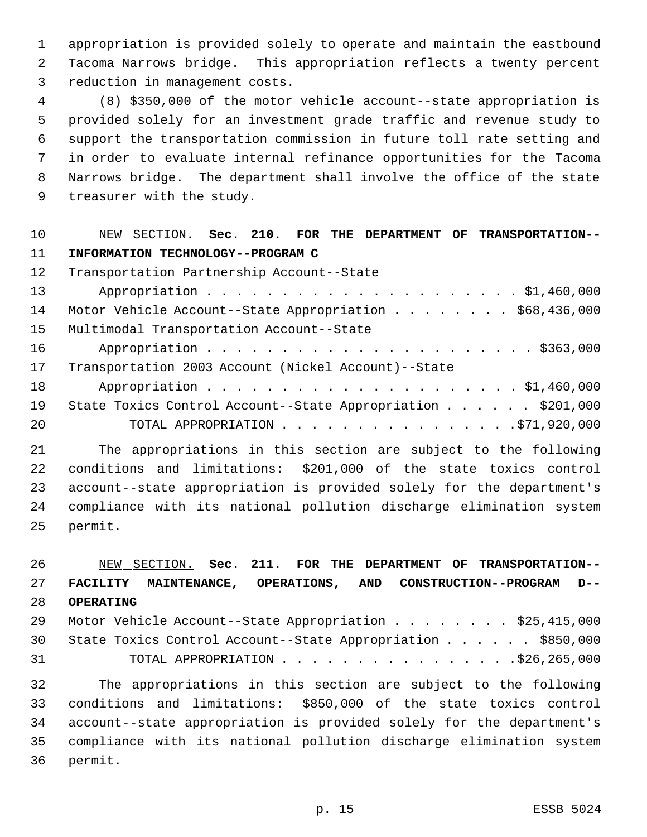appropriation is provided solely to operate and maintain the eastbound Tacoma Narrows bridge. This appropriation reflects a twenty percent reduction in management costs.

 (8) \$350,000 of the motor vehicle account--state appropriation is provided solely for an investment grade traffic and revenue study to support the transportation commission in future toll rate setting and in order to evaluate internal refinance opportunities for the Tacoma Narrows bridge. The department shall involve the office of the state treasurer with the study.

## NEW SECTION. **Sec. 210. FOR THE DEPARTMENT OF TRANSPORTATION-- INFORMATION TECHNOLOGY--PROGRAM C**

| 12 <sup>°</sup> | Transportation Partnership Account--State                   |
|-----------------|-------------------------------------------------------------|
| 13              |                                                             |
| 14              | Motor Vehicle Account--State Appropriation \$68,436,000     |
| 15 <sub>1</sub> | Multimodal Transportation Account--State                    |
| 16              |                                                             |
| 17              | Transportation 2003 Account (Nickel Account)--State         |
| 18              |                                                             |
| 19              | State Toxics Control Account--State Appropriation \$201,000 |
| 20              | TOTAL APPROPRIATION 571,920,000                             |

 The appropriations in this section are subject to the following conditions and limitations: \$201,000 of the state toxics control account--state appropriation is provided solely for the department's compliance with its national pollution discharge elimination system permit.

 NEW SECTION. **Sec. 211. FOR THE DEPARTMENT OF TRANSPORTATION-- FACILITY MAINTENANCE, OPERATIONS, AND CONSTRUCTION--PROGRAM D-- OPERATING** 29 Motor Vehicle Account--State Appropriation . . . . . . . \$25,415,000 State Toxics Control Account--State Appropriation . . . . . . \$850,000 TOTAL APPROPRIATION . . . . . . . . . . . . . . . .\$26,265,000 The appropriations in this section are subject to the following conditions and limitations: \$850,000 of the state toxics control account--state appropriation is provided solely for the department's compliance with its national pollution discharge elimination system permit.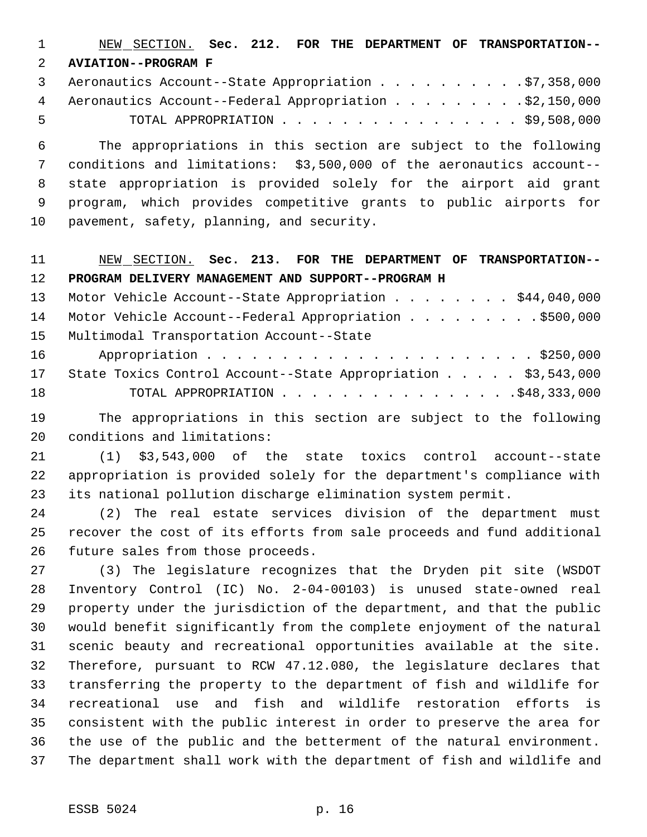NEW SECTION. **Sec. 212. FOR THE DEPARTMENT OF TRANSPORTATION-- AVIATION--PROGRAM F**

|      | 3 Aeronautics Account--State Appropriation \$7,358,000   |
|------|----------------------------------------------------------|
|      | 4 Aeronautics Account--Federal Appropriation \$2,150,000 |
| $-5$ | TOTAL APPROPRIATION $\ldots$ , \$9,508,000               |

 The appropriations in this section are subject to the following conditions and limitations: \$3,500,000 of the aeronautics account-- state appropriation is provided solely for the airport aid grant program, which provides competitive grants to public airports for pavement, safety, planning, and security.

 NEW SECTION. **Sec. 213. FOR THE DEPARTMENT OF TRANSPORTATION-- PROGRAM DELIVERY MANAGEMENT AND SUPPORT--PROGRAM H**

13 Motor Vehicle Account--State Appropriation . . . . . . . \$44,040,000 14 Motor Vehicle Account--Federal Appropriation . . . . . . . . . \$500,000 Multimodal Transportation Account--State Appropriation . . . . . . . . . . . . . . . . . . . . . . \$250,000 State Toxics Control Account--State Appropriation . . . . . \$3,543,000

- TOTAL APPROPRIATION . . . . . . . . . . . . . . . .\$48,333,000
- The appropriations in this section are subject to the following conditions and limitations:

 (1) \$3,543,000 of the state toxics control account--state appropriation is provided solely for the department's compliance with its national pollution discharge elimination system permit.

 (2) The real estate services division of the department must recover the cost of its efforts from sale proceeds and fund additional future sales from those proceeds.

 (3) The legislature recognizes that the Dryden pit site (WSDOT Inventory Control (IC) No. 2-04-00103) is unused state-owned real property under the jurisdiction of the department, and that the public would benefit significantly from the complete enjoyment of the natural scenic beauty and recreational opportunities available at the site. Therefore, pursuant to RCW 47.12.080, the legislature declares that transferring the property to the department of fish and wildlife for recreational use and fish and wildlife restoration efforts is consistent with the public interest in order to preserve the area for the use of the public and the betterment of the natural environment. The department shall work with the department of fish and wildlife and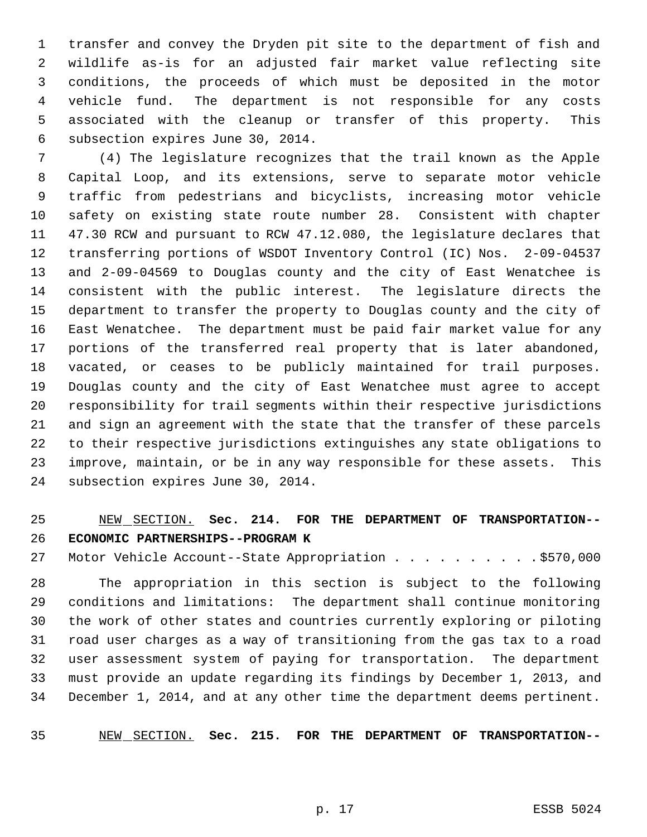transfer and convey the Dryden pit site to the department of fish and wildlife as-is for an adjusted fair market value reflecting site conditions, the proceeds of which must be deposited in the motor vehicle fund. The department is not responsible for any costs associated with the cleanup or transfer of this property. This subsection expires June 30, 2014.

 (4) The legislature recognizes that the trail known as the Apple Capital Loop, and its extensions, serve to separate motor vehicle traffic from pedestrians and bicyclists, increasing motor vehicle safety on existing state route number 28. Consistent with chapter 47.30 RCW and pursuant to RCW 47.12.080, the legislature declares that transferring portions of WSDOT Inventory Control (IC) Nos. 2-09-04537 and 2-09-04569 to Douglas county and the city of East Wenatchee is consistent with the public interest. The legislature directs the department to transfer the property to Douglas county and the city of East Wenatchee. The department must be paid fair market value for any portions of the transferred real property that is later abandoned, vacated, or ceases to be publicly maintained for trail purposes. Douglas county and the city of East Wenatchee must agree to accept responsibility for trail segments within their respective jurisdictions and sign an agreement with the state that the transfer of these parcels to their respective jurisdictions extinguishes any state obligations to improve, maintain, or be in any way responsible for these assets. This subsection expires June 30, 2014.

 NEW SECTION. **Sec. 214. FOR THE DEPARTMENT OF TRANSPORTATION-- ECONOMIC PARTNERSHIPS--PROGRAM K**

27 Motor Vehicle Account--State Appropriation . . . . . . . . . . \$570,000

 The appropriation in this section is subject to the following conditions and limitations: The department shall continue monitoring the work of other states and countries currently exploring or piloting road user charges as a way of transitioning from the gas tax to a road user assessment system of paying for transportation. The department must provide an update regarding its findings by December 1, 2013, and December 1, 2014, and at any other time the department deems pertinent.

NEW SECTION. **Sec. 215. FOR THE DEPARTMENT OF TRANSPORTATION--**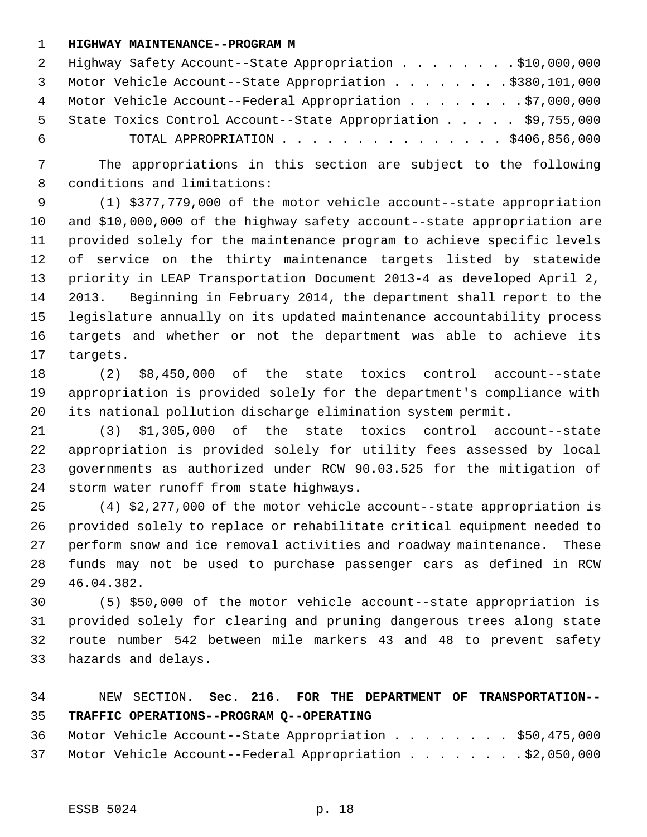#### **HIGHWAY MAINTENANCE--PROGRAM M**

|     | 2 Highway Safety Account--State Appropriation \$10,000,000      |
|-----|-----------------------------------------------------------------|
|     | 3 Motor Vehicle Account--State Appropriation \$380,101,000      |
|     | 4 Motor Vehicle Account--Federal Appropriation \$7,000,000      |
|     | 5 State Toxics Control Account--State Appropriation \$9,755,000 |
| - 6 | TOTAL APPROPRIATION \$406,856,000                               |

 The appropriations in this section are subject to the following conditions and limitations:

 (1) \$377,779,000 of the motor vehicle account--state appropriation and \$10,000,000 of the highway safety account--state appropriation are provided solely for the maintenance program to achieve specific levels of service on the thirty maintenance targets listed by statewide priority in LEAP Transportation Document 2013-4 as developed April 2, 2013. Beginning in February 2014, the department shall report to the legislature annually on its updated maintenance accountability process targets and whether or not the department was able to achieve its targets.

 (2) \$8,450,000 of the state toxics control account--state appropriation is provided solely for the department's compliance with its national pollution discharge elimination system permit.

 (3) \$1,305,000 of the state toxics control account--state appropriation is provided solely for utility fees assessed by local governments as authorized under RCW 90.03.525 for the mitigation of storm water runoff from state highways.

 (4) \$2,277,000 of the motor vehicle account--state appropriation is provided solely to replace or rehabilitate critical equipment needed to perform snow and ice removal activities and roadway maintenance. These funds may not be used to purchase passenger cars as defined in RCW 46.04.382.

 (5) \$50,000 of the motor vehicle account--state appropriation is provided solely for clearing and pruning dangerous trees along state route number 542 between mile markers 43 and 48 to prevent safety hazards and delays.

## NEW SECTION. **Sec. 216. FOR THE DEPARTMENT OF TRANSPORTATION-- TRAFFIC OPERATIONS--PROGRAM Q--OPERATING**

|  | 36 Motor Vehicle Account--State Appropriation \$50,475,000  |  |  |  |  |
|--|-------------------------------------------------------------|--|--|--|--|
|  | 37 Motor Vehicle Account--Federal Appropriation \$2,050,000 |  |  |  |  |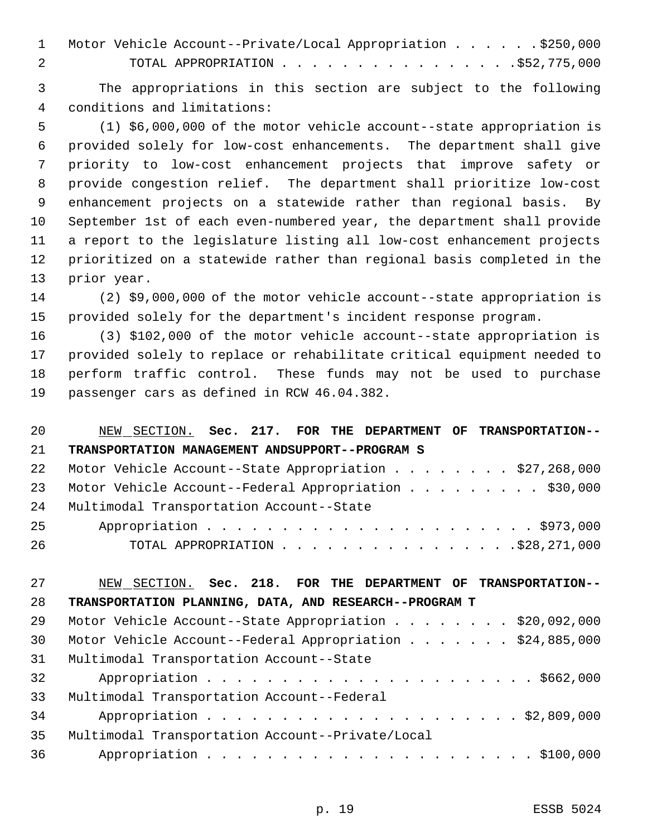| 1 Motor Vehicle Account--Private/Local Appropriation \$250,000 |
|----------------------------------------------------------------|
| TOTAL APPROPRIATION \$52,775,000                               |

 The appropriations in this section are subject to the following conditions and limitations:

 (1) \$6,000,000 of the motor vehicle account--state appropriation is provided solely for low-cost enhancements. The department shall give priority to low-cost enhancement projects that improve safety or provide congestion relief. The department shall prioritize low-cost enhancement projects on a statewide rather than regional basis. By September 1st of each even-numbered year, the department shall provide a report to the legislature listing all low-cost enhancement projects prioritized on a statewide rather than regional basis completed in the prior year.

 (2) \$9,000,000 of the motor vehicle account--state appropriation is provided solely for the department's incident response program.

 (3) \$102,000 of the motor vehicle account--state appropriation is provided solely to replace or rehabilitate critical equipment needed to perform traffic control. These funds may not be used to purchase passenger cars as defined in RCW 46.04.382.

| 20 | NEW SECTION. Sec. 217. FOR THE DEPARTMENT OF TRANSPORTATION-- |
|----|---------------------------------------------------------------|
| 21 | TRANSPORTATION MANAGEMENT ANDSUPPORT--PROGRAM S               |
| 22 | Motor Vehicle Account--State Appropriation \$27,268,000       |
| 23 | Motor Vehicle Account--Federal Appropriation \$30,000         |
| 24 | Multimodal Transportation Account--State                      |
| 25 |                                                               |
| 26 |                                                               |

 NEW SECTION. **Sec. 218. FOR THE DEPARTMENT OF TRANSPORTATION-- TRANSPORTATION PLANNING, DATA, AND RESEARCH--PROGRAM T** 29 Motor Vehicle Account--State Appropriation . . . . . . . \$20,092,000 Motor Vehicle Account--Federal Appropriation . . . . . . . \$24,885,000 Multimodal Transportation Account--State Appropriation . . . . . . . . . . . . . . . . . . . . . . \$662,000 Multimodal Transportation Account--Federal Appropriation . . . . . . . . . . . . . . . . . . . . . \$2,809,000 Multimodal Transportation Account--Private/Local Appropriation . . . . . . . . . . . . . . . . . . . . . . \$100,000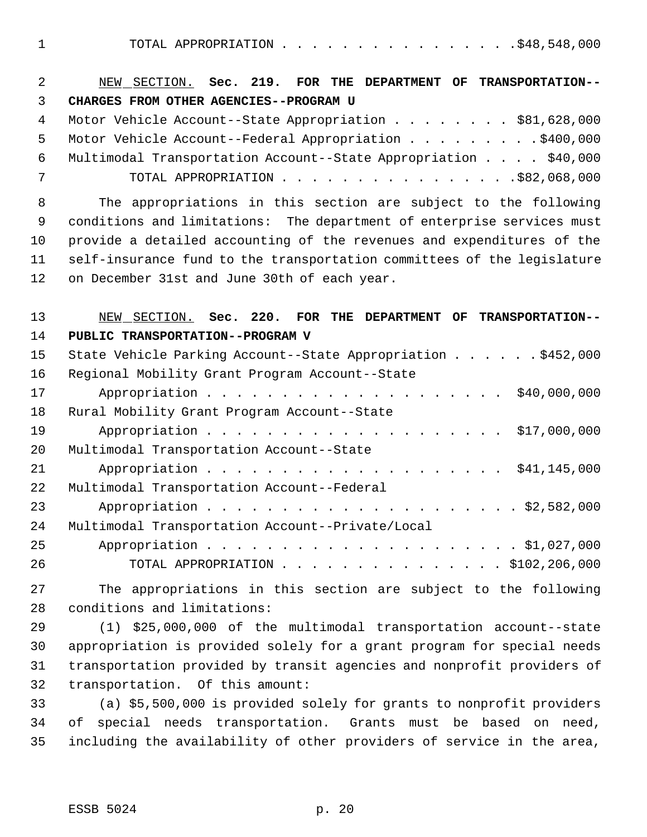1 TOTAL APPROPRIATION . . . . . . . . . . . . . . . . \$48,548,000

| $\overline{2}$ | NEW SECTION. Sec. 219. FOR THE DEPARTMENT OF TRANSPORTATION--           |
|----------------|-------------------------------------------------------------------------|
| 3              | CHARGES FROM OTHER AGENCIES--PROGRAM U                                  |
| $\overline{4}$ | Motor Vehicle Account--State Appropriation \$81,628,000                 |
| 5              | Motor Vehicle Account--Federal Appropriation \$400,000                  |
| 6              | Multimodal Transportation Account--State Appropriation \$40,000         |
| 7              | TOTAL APPROPRIATION $\ldots$ \$82,068,000                               |
| 8              | The appropriations in this section are subject to the following         |
| 9              | conditions and limitations: The department of enterprise services must  |
| 10             | provide a detailed accounting of the revenues and expenditures of the   |
| 11             | self-insurance fund to the transportation committees of the legislature |
| 12             | on December 31st and June 30th of each year.                            |
| 13             | NEW SECTION. Sec. 220. FOR THE DEPARTMENT OF TRANSPORTATION--           |
| 14             | PUBLIC TRANSPORTATION--PROGRAM V                                        |
| 15             | State Vehicle Parking Account--State Appropriation \$452,000            |
| 16             | Regional Mobility Grant Program Account--State                          |
| 17             | \$40,000,000                                                            |
| 18             | Rural Mobility Grant Program Account--State                             |
| 19             |                                                                         |
| 20             | Multimodal Transportation Account--State                                |
| 21             |                                                                         |
| 22             | Multimodal Transportation Account--Federal                              |
| 23             |                                                                         |
| 24             | Multimodal Transportation Account--Private/Local                        |
| 25             |                                                                         |
| 26             | TOTAL APPROPRIATION \$102,206,000                                       |
| 27             | The appropriations in this section are subject to the following         |
| 28             | conditions and limitations:                                             |
| 29             | (1) \$25,000,000 of the multimodal transportation account--state        |
| 30             | appropriation is provided solely for a grant program for special needs  |
| 31             | transportation provided by transit agencies and nonprofit providers of  |
| 32             | transportation. Of this amount:                                         |
| 33             | (a) \$5,500,000 is provided solely for grants to nonprofit providers    |
| 34             | special needs transportation. Grants must be based on need,<br>оf       |

including the availability of other providers of service in the area,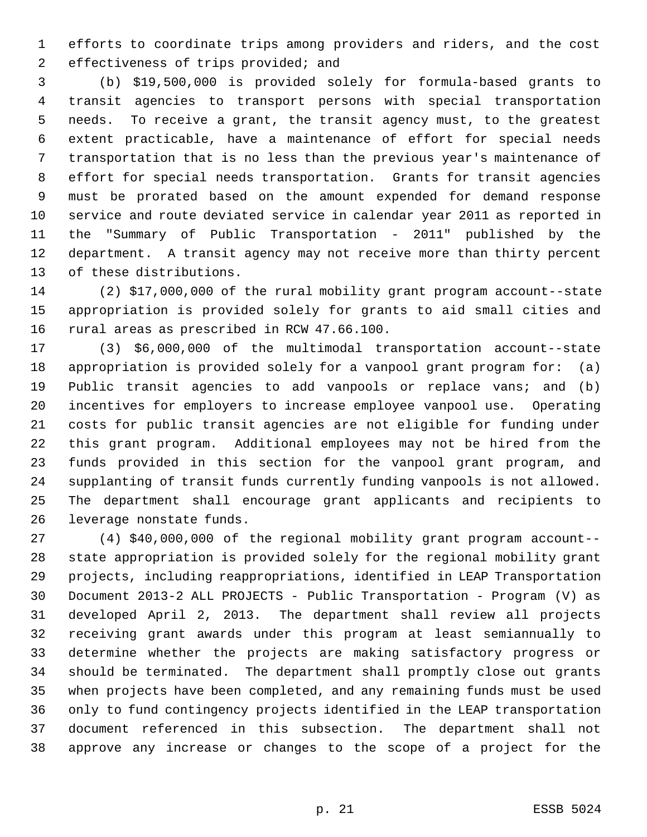efforts to coordinate trips among providers and riders, and the cost effectiveness of trips provided; and

 (b) \$19,500,000 is provided solely for formula-based grants to transit agencies to transport persons with special transportation needs. To receive a grant, the transit agency must, to the greatest extent practicable, have a maintenance of effort for special needs transportation that is no less than the previous year's maintenance of effort for special needs transportation. Grants for transit agencies must be prorated based on the amount expended for demand response service and route deviated service in calendar year 2011 as reported in the "Summary of Public Transportation - 2011" published by the department. A transit agency may not receive more than thirty percent of these distributions.

 (2) \$17,000,000 of the rural mobility grant program account--state appropriation is provided solely for grants to aid small cities and rural areas as prescribed in RCW 47.66.100.

 (3) \$6,000,000 of the multimodal transportation account--state appropriation is provided solely for a vanpool grant program for: (a) Public transit agencies to add vanpools or replace vans; and (b) incentives for employers to increase employee vanpool use. Operating costs for public transit agencies are not eligible for funding under this grant program. Additional employees may not be hired from the funds provided in this section for the vanpool grant program, and supplanting of transit funds currently funding vanpools is not allowed. The department shall encourage grant applicants and recipients to leverage nonstate funds.

 (4) \$40,000,000 of the regional mobility grant program account-- state appropriation is provided solely for the regional mobility grant projects, including reappropriations, identified in LEAP Transportation Document 2013-2 ALL PROJECTS - Public Transportation - Program (V) as developed April 2, 2013. The department shall review all projects receiving grant awards under this program at least semiannually to determine whether the projects are making satisfactory progress or should be terminated. The department shall promptly close out grants when projects have been completed, and any remaining funds must be used only to fund contingency projects identified in the LEAP transportation document referenced in this subsection. The department shall not approve any increase or changes to the scope of a project for the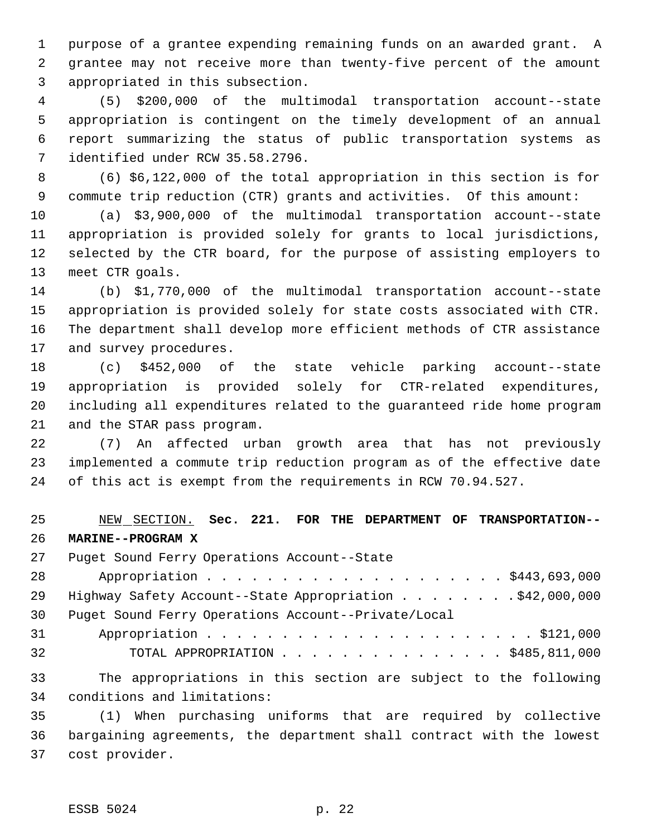purpose of a grantee expending remaining funds on an awarded grant. A grantee may not receive more than twenty-five percent of the amount appropriated in this subsection.

 (5) \$200,000 of the multimodal transportation account--state appropriation is contingent on the timely development of an annual report summarizing the status of public transportation systems as identified under RCW 35.58.2796.

 (6) \$6,122,000 of the total appropriation in this section is for commute trip reduction (CTR) grants and activities. Of this amount:

 (a) \$3,900,000 of the multimodal transportation account--state appropriation is provided solely for grants to local jurisdictions, selected by the CTR board, for the purpose of assisting employers to meet CTR goals.

 (b) \$1,770,000 of the multimodal transportation account--state appropriation is provided solely for state costs associated with CTR. The department shall develop more efficient methods of CTR assistance and survey procedures.

 (c) \$452,000 of the state vehicle parking account--state appropriation is provided solely for CTR-related expenditures, including all expenditures related to the guaranteed ride home program and the STAR pass program.

 (7) An affected urban growth area that has not previously implemented a commute trip reduction program as of the effective date of this act is exempt from the requirements in RCW 70.94.527.

 NEW SECTION. **Sec. 221. FOR THE DEPARTMENT OF TRANSPORTATION-- MARINE--PROGRAM X**

Puget Sound Ferry Operations Account--State

 Appropriation . . . . . . . . . . . . . . . . . . . . \$443,693,000 29 Highway Safety Account--State Appropriation . . . . . . . . \$42,000,000 Puget Sound Ferry Operations Account--Private/Local Appropriation . . . . . . . . . . . . . . . . . . . . . . \$121,000 TOTAL APPROPRIATION . . . . . . . . . . . . . . . \$485,811,000

 The appropriations in this section are subject to the following conditions and limitations:

 (1) When purchasing uniforms that are required by collective bargaining agreements, the department shall contract with the lowest cost provider.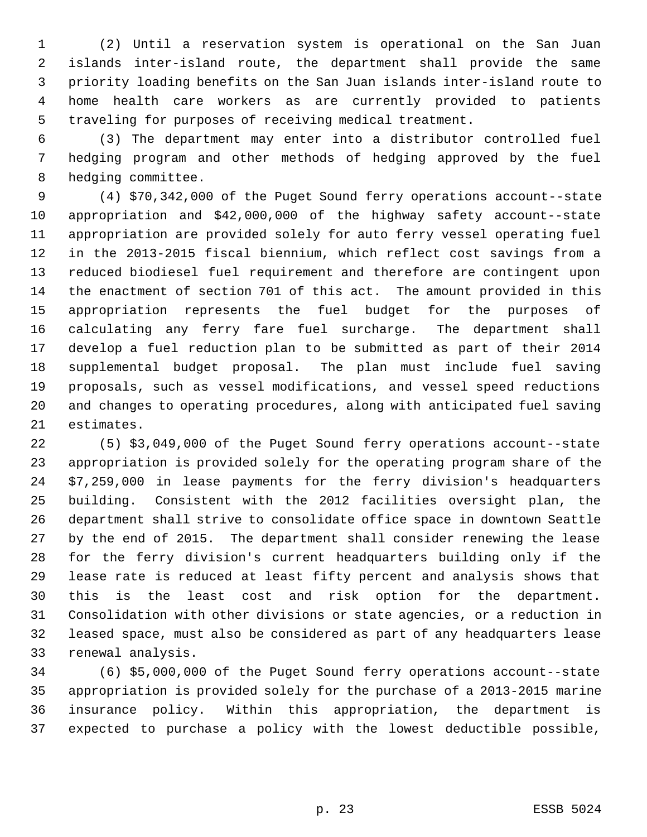(2) Until a reservation system is operational on the San Juan islands inter-island route, the department shall provide the same priority loading benefits on the San Juan islands inter-island route to home health care workers as are currently provided to patients traveling for purposes of receiving medical treatment.

 (3) The department may enter into a distributor controlled fuel hedging program and other methods of hedging approved by the fuel hedging committee.

 (4) \$70,342,000 of the Puget Sound ferry operations account--state appropriation and \$42,000,000 of the highway safety account--state appropriation are provided solely for auto ferry vessel operating fuel in the 2013-2015 fiscal biennium, which reflect cost savings from a reduced biodiesel fuel requirement and therefore are contingent upon the enactment of section 701 of this act. The amount provided in this appropriation represents the fuel budget for the purposes of calculating any ferry fare fuel surcharge. The department shall develop a fuel reduction plan to be submitted as part of their 2014 supplemental budget proposal. The plan must include fuel saving proposals, such as vessel modifications, and vessel speed reductions and changes to operating procedures, along with anticipated fuel saving estimates.

 (5) \$3,049,000 of the Puget Sound ferry operations account--state appropriation is provided solely for the operating program share of the \$7,259,000 in lease payments for the ferry division's headquarters building. Consistent with the 2012 facilities oversight plan, the department shall strive to consolidate office space in downtown Seattle by the end of 2015. The department shall consider renewing the lease for the ferry division's current headquarters building only if the lease rate is reduced at least fifty percent and analysis shows that this is the least cost and risk option for the department. Consolidation with other divisions or state agencies, or a reduction in leased space, must also be considered as part of any headquarters lease renewal analysis.

 (6) \$5,000,000 of the Puget Sound ferry operations account--state appropriation is provided solely for the purchase of a 2013-2015 marine insurance policy. Within this appropriation, the department is expected to purchase a policy with the lowest deductible possible,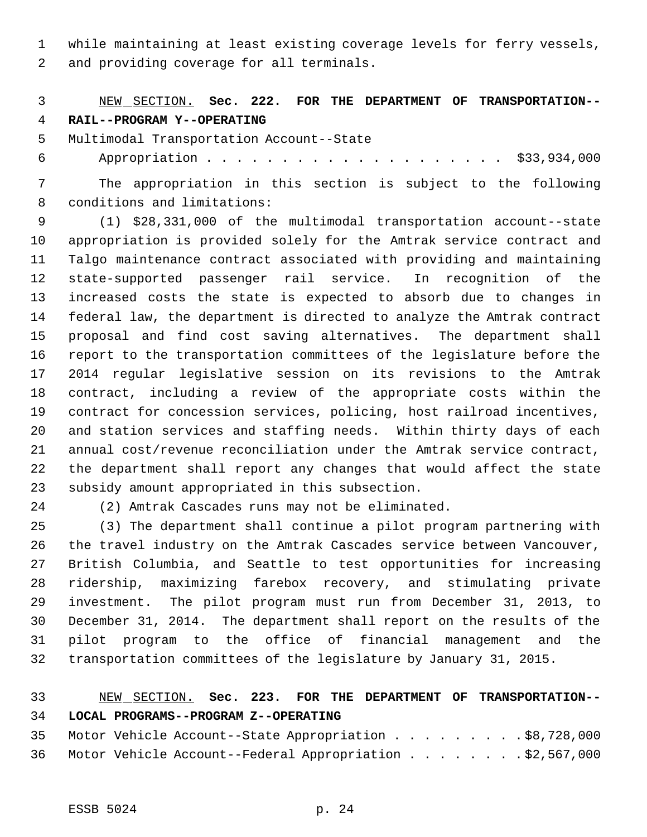while maintaining at least existing coverage levels for ferry vessels,

and providing coverage for all terminals.

## NEW SECTION. **Sec. 222. FOR THE DEPARTMENT OF TRANSPORTATION-- RAIL--PROGRAM Y--OPERATING**

Multimodal Transportation Account--State

Appropriation . . . . . . . . . . . . . . . . . . . . \$33,934,000

 The appropriation in this section is subject to the following conditions and limitations:

 (1) \$28,331,000 of the multimodal transportation account--state appropriation is provided solely for the Amtrak service contract and Talgo maintenance contract associated with providing and maintaining state-supported passenger rail service. In recognition of the increased costs the state is expected to absorb due to changes in federal law, the department is directed to analyze the Amtrak contract proposal and find cost saving alternatives. The department shall report to the transportation committees of the legislature before the 2014 regular legislative session on its revisions to the Amtrak contract, including a review of the appropriate costs within the contract for concession services, policing, host railroad incentives, and station services and staffing needs. Within thirty days of each annual cost/revenue reconciliation under the Amtrak service contract, the department shall report any changes that would affect the state subsidy amount appropriated in this subsection.

(2) Amtrak Cascades runs may not be eliminated.

 (3) The department shall continue a pilot program partnering with the travel industry on the Amtrak Cascades service between Vancouver, British Columbia, and Seattle to test opportunities for increasing ridership, maximizing farebox recovery, and stimulating private investment. The pilot program must run from December 31, 2013, to December 31, 2014. The department shall report on the results of the pilot program to the office of financial management and the transportation committees of the legislature by January 31, 2015.

## NEW SECTION. **Sec. 223. FOR THE DEPARTMENT OF TRANSPORTATION-- LOCAL PROGRAMS--PROGRAM Z--OPERATING**

|  |  | 35 Motor Vehicle Account--State Appropriation \$8,728,000   |  |  |  |  |
|--|--|-------------------------------------------------------------|--|--|--|--|
|  |  | 36 Motor Vehicle Account--Federal Appropriation \$2,567,000 |  |  |  |  |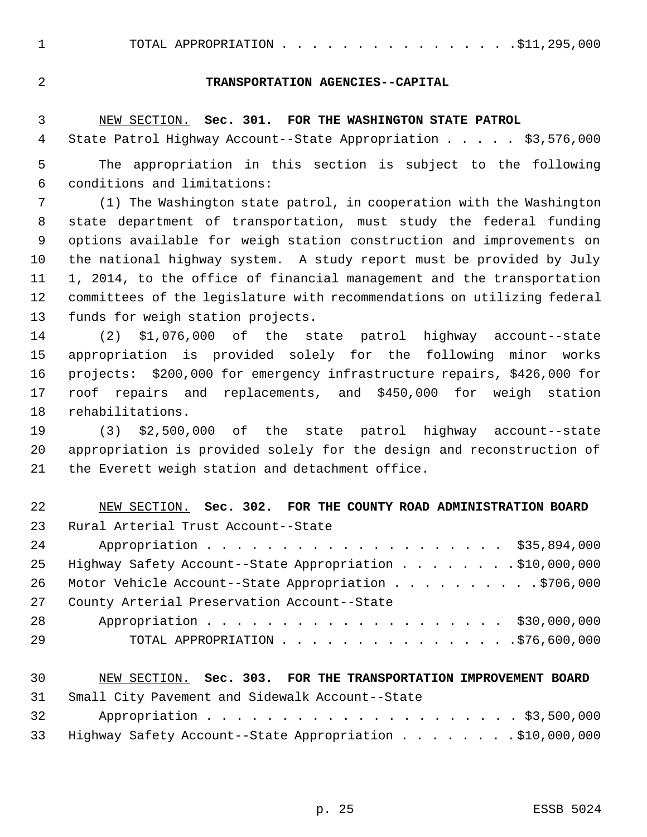#### **TRANSPORTATION AGENCIES--CAPITAL**

#### NEW SECTION. **Sec. 301. FOR THE WASHINGTON STATE PATROL**

4 State Patrol Highway Account--State Appropriation . . . . \$3,576,000

 The appropriation in this section is subject to the following conditions and limitations:

 (1) The Washington state patrol, in cooperation with the Washington state department of transportation, must study the federal funding options available for weigh station construction and improvements on the national highway system. A study report must be provided by July 1, 2014, to the office of financial management and the transportation committees of the legislature with recommendations on utilizing federal funds for weigh station projects.

 (2) \$1,076,000 of the state patrol highway account--state appropriation is provided solely for the following minor works projects: \$200,000 for emergency infrastructure repairs, \$426,000 for roof repairs and replacements, and \$450,000 for weigh station rehabilitations.

 (3) \$2,500,000 of the state patrol highway account--state appropriation is provided solely for the design and reconstruction of the Everett weigh station and detachment office.

| 22 | NEW SECTION. Sec. 302. FOR THE COUNTY ROAD ADMINISTRATION BOARD |
|----|-----------------------------------------------------------------|
| 23 | Rural Arterial Trust Account--State                             |
| 24 | Appropriation \$35,894,000                                      |
| 25 | Highway Safety Account--State Appropriation \$10,000,000        |
| 26 | Motor Vehicle Account--State Appropriation \$706,000            |
| 27 | County Arterial Preservation Account--State                     |
| 28 | Appropriation \$30,000,000                                      |
| 29 | TOTAL APPROPRIATION $\ldots$ 576,600,000                        |
|    |                                                                 |

#### NEW SECTION. **Sec. 303. FOR THE TRANSPORTATION IMPROVEMENT BOARD**

Small City Pavement and Sidewalk Account--State

| 32 |                                                             |  |  |  |  |
|----|-------------------------------------------------------------|--|--|--|--|
|    | 33 Highway Safety Account--State Appropriation \$10,000,000 |  |  |  |  |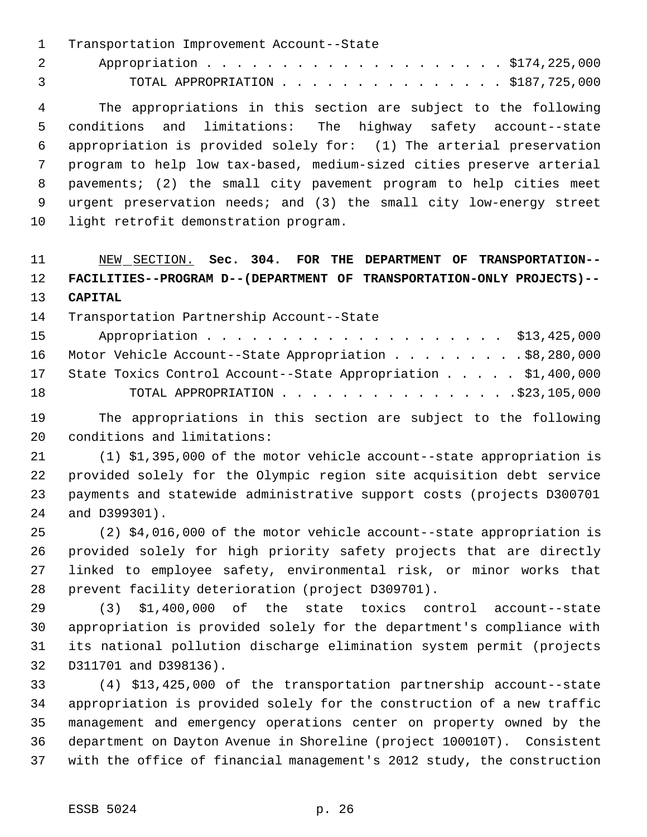Transportation Improvement Account--State

2 Appropriation . . . . . . . . . . . . . . . . . . \$174,225,000 TOTAL APPROPRIATION . . . . . . . . . . . . . . . \$187,725,000

 The appropriations in this section are subject to the following conditions and limitations: The highway safety account--state appropriation is provided solely for: (1) The arterial preservation program to help low tax-based, medium-sized cities preserve arterial pavements; (2) the small city pavement program to help cities meet urgent preservation needs; and (3) the small city low-energy street light retrofit demonstration program.

 NEW SECTION. **Sec. 304. FOR THE DEPARTMENT OF TRANSPORTATION-- FACILITIES--PROGRAM D--(DEPARTMENT OF TRANSPORTATION-ONLY PROJECTS)-- CAPITAL**

### Transportation Partnership Account--State

| 15 | Appropriation \$13,425,000                                       |
|----|------------------------------------------------------------------|
|    | 16 Motor Vehicle Account--State Appropriation \$8,280,000        |
|    | 17 State Toxics Control Account--State Appropriation \$1,400,000 |
| 18 |                                                                  |

 The appropriations in this section are subject to the following conditions and limitations:

 (1) \$1,395,000 of the motor vehicle account--state appropriation is provided solely for the Olympic region site acquisition debt service payments and statewide administrative support costs (projects D300701 and D399301).

 (2) \$4,016,000 of the motor vehicle account--state appropriation is provided solely for high priority safety projects that are directly linked to employee safety, environmental risk, or minor works that prevent facility deterioration (project D309701).

 (3) \$1,400,000 of the state toxics control account--state appropriation is provided solely for the department's compliance with its national pollution discharge elimination system permit (projects D311701 and D398136).

 (4) \$13,425,000 of the transportation partnership account--state appropriation is provided solely for the construction of a new traffic management and emergency operations center on property owned by the department on Dayton Avenue in Shoreline (project 100010T). Consistent with the office of financial management's 2012 study, the construction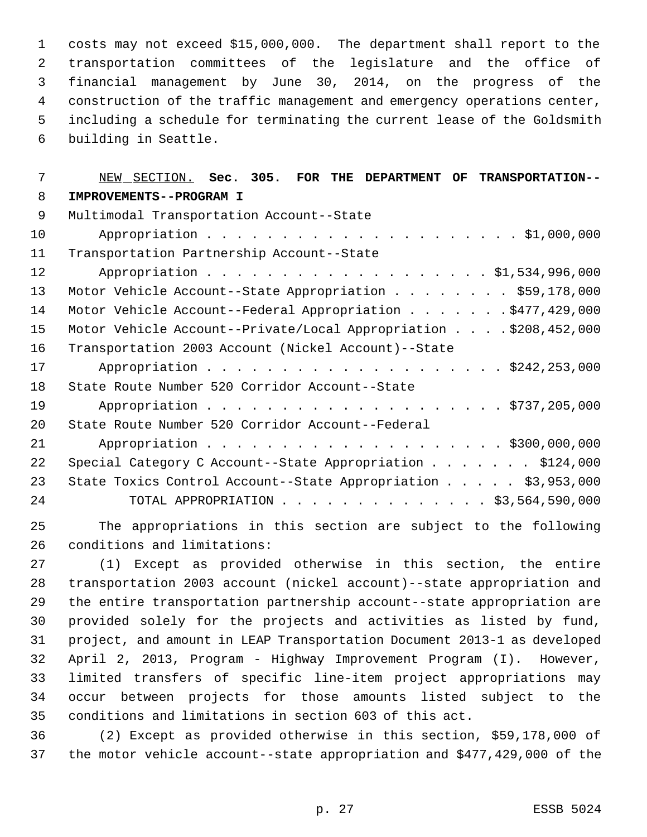costs may not exceed \$15,000,000. The department shall report to the transportation committees of the legislature and the office of financial management by June 30, 2014, on the progress of the construction of the traffic management and emergency operations center, including a schedule for terminating the current lease of the Goldsmith building in Seattle.

# NEW SECTION. **Sec. 305. FOR THE DEPARTMENT OF TRANSPORTATION-- IMPROVEMENTS--PROGRAM I** Multimodal Transportation Account--State Appropriation . . . . . . . . . . . . . . . . . . . . . \$1,000,000 Transportation Partnership Account--State 12 Appropriation . . . . . . . . . . . . . . . . . \$1,534,996,000 Motor Vehicle Account--State Appropriation . . . . . . . . \$59,178,000 14 Motor Vehicle Account--Federal Appropriation . . . . . . \$477,429,000 Motor Vehicle Account--Private/Local Appropriation . . . . \$208,452,000 Transportation 2003 Account (Nickel Account)--State 17 Appropriation . . . . . . . . . . . . . . . . . . \$242,253,000 State Route Number 520 Corridor Account--State 19 Appropriation . . . . . . . . . . . . . . . . . . \$737,205,000 State Route Number 520 Corridor Account--Federal 21 Appropriation . . . . . . . . . . . . . . . . . . \$300,000,000 22 Special Category C Account--State Appropriation . . . . . . \$124,000 23 State Toxics Control Account--State Appropriation . . . . \$3,953,000 TOTAL APPROPRIATION . . . . . . . . . . . . . . \$3,564,590,000

 The appropriations in this section are subject to the following conditions and limitations:

 (1) Except as provided otherwise in this section, the entire transportation 2003 account (nickel account)--state appropriation and the entire transportation partnership account--state appropriation are provided solely for the projects and activities as listed by fund, project, and amount in LEAP Transportation Document 2013-1 as developed April 2, 2013, Program - Highway Improvement Program (I). However, limited transfers of specific line-item project appropriations may occur between projects for those amounts listed subject to the conditions and limitations in section 603 of this act.

 (2) Except as provided otherwise in this section, \$59,178,000 of the motor vehicle account--state appropriation and \$477,429,000 of the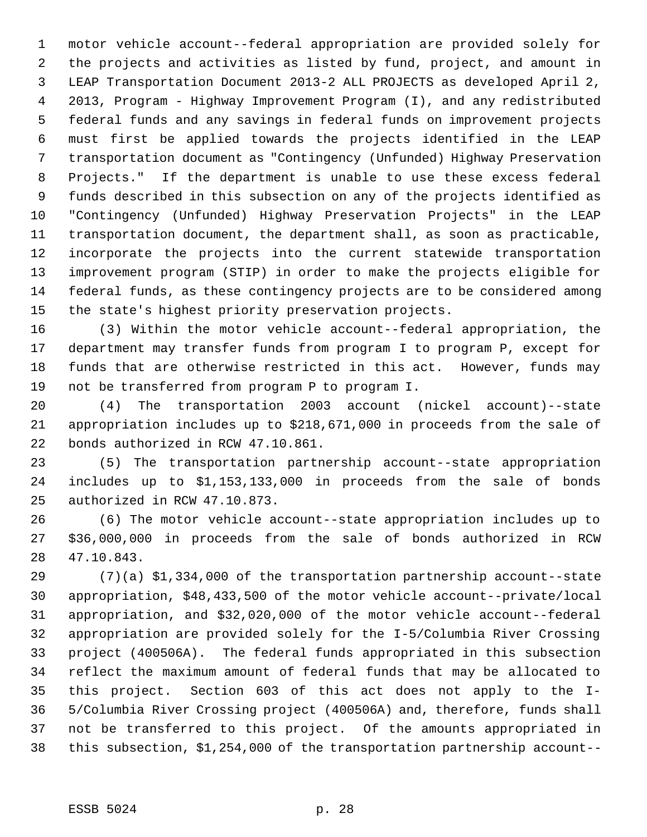motor vehicle account--federal appropriation are provided solely for the projects and activities as listed by fund, project, and amount in LEAP Transportation Document 2013-2 ALL PROJECTS as developed April 2, 2013, Program - Highway Improvement Program (I), and any redistributed federal funds and any savings in federal funds on improvement projects must first be applied towards the projects identified in the LEAP transportation document as "Contingency (Unfunded) Highway Preservation Projects." If the department is unable to use these excess federal funds described in this subsection on any of the projects identified as "Contingency (Unfunded) Highway Preservation Projects" in the LEAP transportation document, the department shall, as soon as practicable, incorporate the projects into the current statewide transportation improvement program (STIP) in order to make the projects eligible for federal funds, as these contingency projects are to be considered among the state's highest priority preservation projects.

 (3) Within the motor vehicle account--federal appropriation, the department may transfer funds from program I to program P, except for funds that are otherwise restricted in this act. However, funds may not be transferred from program P to program I.

 (4) The transportation 2003 account (nickel account)--state appropriation includes up to \$218,671,000 in proceeds from the sale of bonds authorized in RCW 47.10.861.

 (5) The transportation partnership account--state appropriation includes up to \$1,153,133,000 in proceeds from the sale of bonds authorized in RCW 47.10.873.

 (6) The motor vehicle account--state appropriation includes up to \$36,000,000 in proceeds from the sale of bonds authorized in RCW 47.10.843.

 (7)(a) \$1,334,000 of the transportation partnership account--state appropriation, \$48,433,500 of the motor vehicle account--private/local appropriation, and \$32,020,000 of the motor vehicle account--federal appropriation are provided solely for the I-5/Columbia River Crossing project (400506A). The federal funds appropriated in this subsection reflect the maximum amount of federal funds that may be allocated to this project. Section 603 of this act does not apply to the I- 5/Columbia River Crossing project (400506A) and, therefore, funds shall not be transferred to this project. Of the amounts appropriated in this subsection, \$1,254,000 of the transportation partnership account--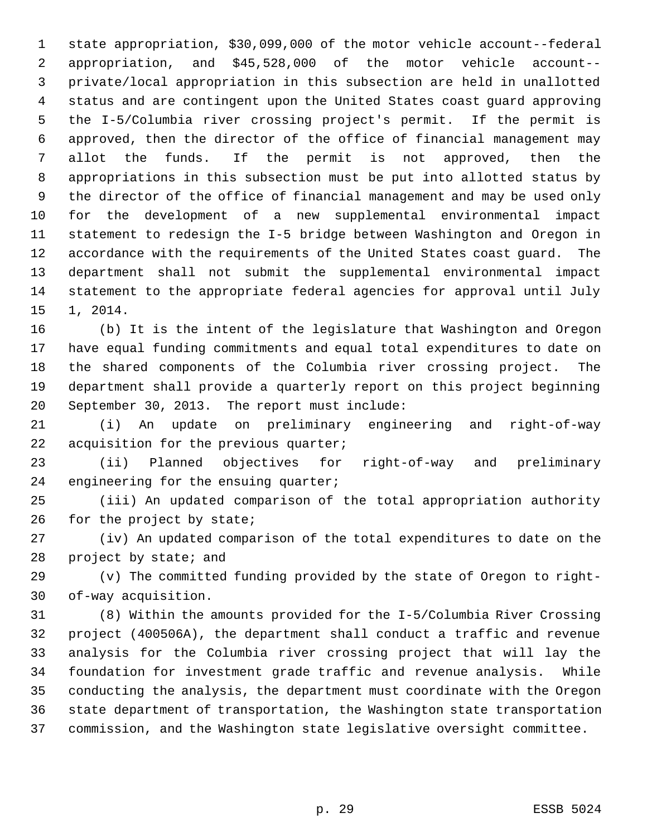state appropriation, \$30,099,000 of the motor vehicle account--federal appropriation, and \$45,528,000 of the motor vehicle account-- private/local appropriation in this subsection are held in unallotted status and are contingent upon the United States coast guard approving the I-5/Columbia river crossing project's permit. If the permit is approved, then the director of the office of financial management may allot the funds. If the permit is not approved, then the appropriations in this subsection must be put into allotted status by the director of the office of financial management and may be used only for the development of a new supplemental environmental impact statement to redesign the I-5 bridge between Washington and Oregon in accordance with the requirements of the United States coast guard. The department shall not submit the supplemental environmental impact statement to the appropriate federal agencies for approval until July 1, 2014.

 (b) It is the intent of the legislature that Washington and Oregon have equal funding commitments and equal total expenditures to date on the shared components of the Columbia river crossing project. The department shall provide a quarterly report on this project beginning September 30, 2013. The report must include:

 (i) An update on preliminary engineering and right-of-way 22 acquisition for the previous quarter;

 (ii) Planned objectives for right-of-way and preliminary 24 engineering for the ensuing quarter;

 (iii) An updated comparison of the total appropriation authority 26 for the project by state;

 (iv) An updated comparison of the total expenditures to date on the 28 project by state; and

 (v) The committed funding provided by the state of Oregon to right-of-way acquisition.

 (8) Within the amounts provided for the I-5/Columbia River Crossing project (400506A), the department shall conduct a traffic and revenue analysis for the Columbia river crossing project that will lay the foundation for investment grade traffic and revenue analysis. While conducting the analysis, the department must coordinate with the Oregon state department of transportation, the Washington state transportation commission, and the Washington state legislative oversight committee.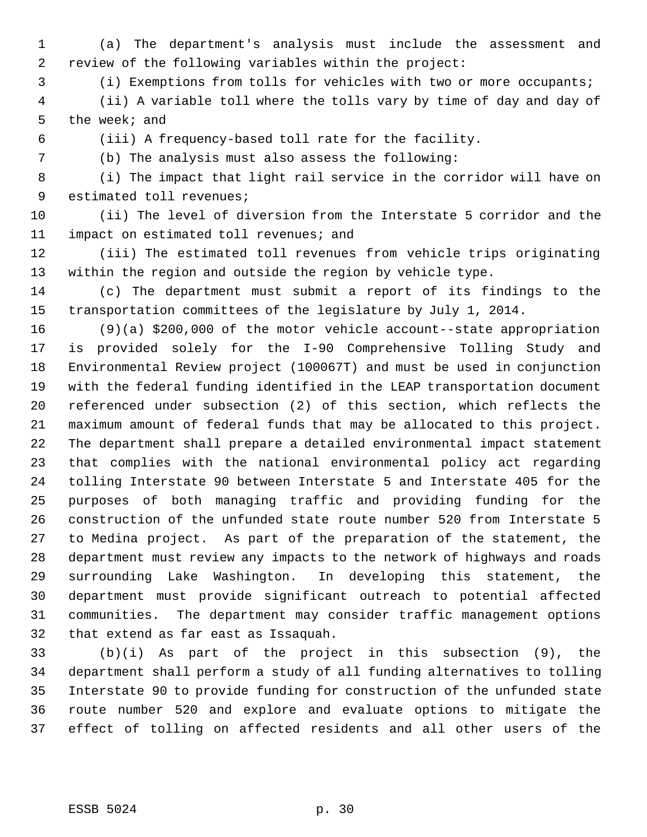(a) The department's analysis must include the assessment and review of the following variables within the project:

(i) Exemptions from tolls for vehicles with two or more occupants;

 (ii) A variable toll where the tolls vary by time of day and day of the week; and

(iii) A frequency-based toll rate for the facility.

(b) The analysis must also assess the following:

 (i) The impact that light rail service in the corridor will have on estimated toll revenues;

 (ii) The level of diversion from the Interstate 5 corridor and the 11 impact on estimated toll revenues; and

 (iii) The estimated toll revenues from vehicle trips originating within the region and outside the region by vehicle type.

 (c) The department must submit a report of its findings to the transportation committees of the legislature by July 1, 2014.

 (9)(a) \$200,000 of the motor vehicle account--state appropriation is provided solely for the I-90 Comprehensive Tolling Study and Environmental Review project (100067T) and must be used in conjunction with the federal funding identified in the LEAP transportation document referenced under subsection (2) of this section, which reflects the maximum amount of federal funds that may be allocated to this project. The department shall prepare a detailed environmental impact statement that complies with the national environmental policy act regarding tolling Interstate 90 between Interstate 5 and Interstate 405 for the purposes of both managing traffic and providing funding for the construction of the unfunded state route number 520 from Interstate 5 to Medina project. As part of the preparation of the statement, the department must review any impacts to the network of highways and roads surrounding Lake Washington. In developing this statement, the department must provide significant outreach to potential affected communities. The department may consider traffic management options that extend as far east as Issaquah.

 (b)(i) As part of the project in this subsection (9), the department shall perform a study of all funding alternatives to tolling Interstate 90 to provide funding for construction of the unfunded state route number 520 and explore and evaluate options to mitigate the effect of tolling on affected residents and all other users of the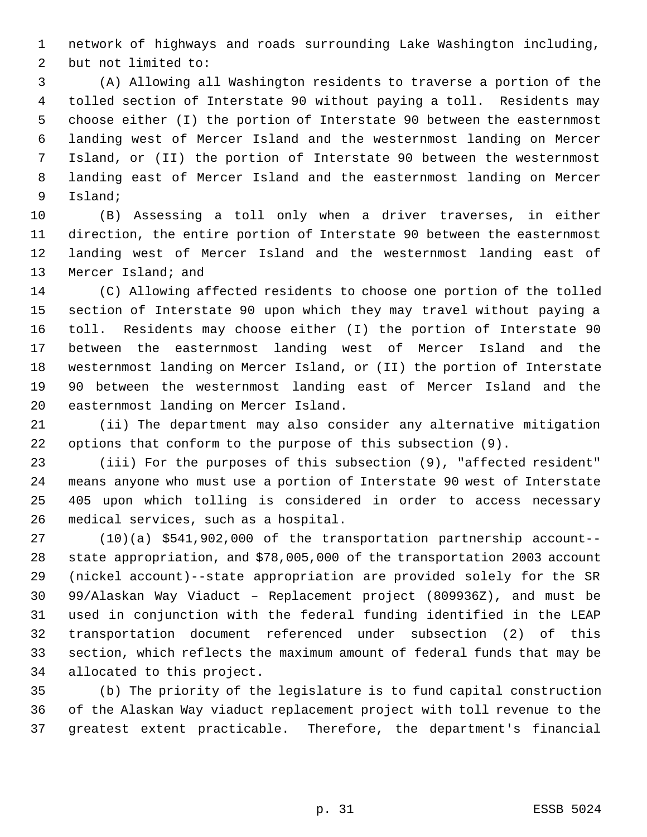network of highways and roads surrounding Lake Washington including, but not limited to:

 (A) Allowing all Washington residents to traverse a portion of the tolled section of Interstate 90 without paying a toll. Residents may choose either (I) the portion of Interstate 90 between the easternmost landing west of Mercer Island and the westernmost landing on Mercer Island, or (II) the portion of Interstate 90 between the westernmost landing east of Mercer Island and the easternmost landing on Mercer Island;

 (B) Assessing a toll only when a driver traverses, in either direction, the entire portion of Interstate 90 between the easternmost landing west of Mercer Island and the westernmost landing east of Mercer Island; and

 (C) Allowing affected residents to choose one portion of the tolled section of Interstate 90 upon which they may travel without paying a toll. Residents may choose either (I) the portion of Interstate 90 between the easternmost landing west of Mercer Island and the westernmost landing on Mercer Island, or (II) the portion of Interstate 90 between the westernmost landing east of Mercer Island and the easternmost landing on Mercer Island.

 (ii) The department may also consider any alternative mitigation options that conform to the purpose of this subsection (9).

 (iii) For the purposes of this subsection (9), "affected resident" means anyone who must use a portion of Interstate 90 west of Interstate 405 upon which tolling is considered in order to access necessary medical services, such as a hospital.

 (10)(a) \$541,902,000 of the transportation partnership account-- state appropriation, and \$78,005,000 of the transportation 2003 account (nickel account)--state appropriation are provided solely for the SR 99/Alaskan Way Viaduct – Replacement project (809936Z), and must be used in conjunction with the federal funding identified in the LEAP transportation document referenced under subsection (2) of this section, which reflects the maximum amount of federal funds that may be allocated to this project.

 (b) The priority of the legislature is to fund capital construction of the Alaskan Way viaduct replacement project with toll revenue to the greatest extent practicable. Therefore, the department's financial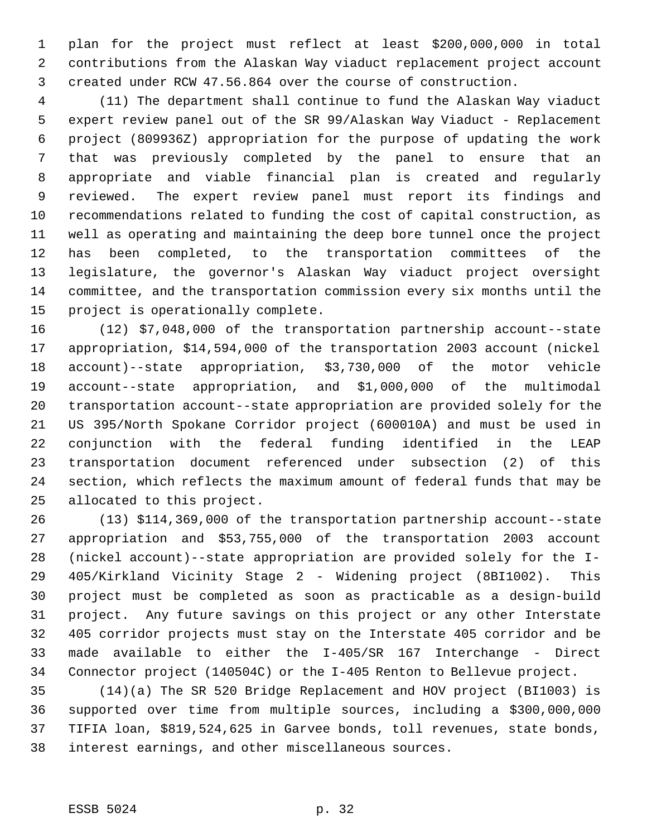plan for the project must reflect at least \$200,000,000 in total contributions from the Alaskan Way viaduct replacement project account created under RCW 47.56.864 over the course of construction.

 (11) The department shall continue to fund the Alaskan Way viaduct expert review panel out of the SR 99/Alaskan Way Viaduct - Replacement project (809936Z) appropriation for the purpose of updating the work that was previously completed by the panel to ensure that an appropriate and viable financial plan is created and regularly reviewed. The expert review panel must report its findings and recommendations related to funding the cost of capital construction, as well as operating and maintaining the deep bore tunnel once the project has been completed, to the transportation committees of the legislature, the governor's Alaskan Way viaduct project oversight committee, and the transportation commission every six months until the project is operationally complete.

 (12) \$7,048,000 of the transportation partnership account--state appropriation, \$14,594,000 of the transportation 2003 account (nickel account)--state appropriation, \$3,730,000 of the motor vehicle account--state appropriation, and \$1,000,000 of the multimodal transportation account--state appropriation are provided solely for the US 395/North Spokane Corridor project (600010A) and must be used in conjunction with the federal funding identified in the LEAP transportation document referenced under subsection (2) of this section, which reflects the maximum amount of federal funds that may be allocated to this project.

 (13) \$114,369,000 of the transportation partnership account--state appropriation and \$53,755,000 of the transportation 2003 account (nickel account)--state appropriation are provided solely for the I- 405/Kirkland Vicinity Stage 2 - Widening project (8BI1002). This project must be completed as soon as practicable as a design-build project. Any future savings on this project or any other Interstate 405 corridor projects must stay on the Interstate 405 corridor and be made available to either the I-405/SR 167 Interchange - Direct Connector project (140504C) or the I-405 Renton to Bellevue project.

 (14)(a) The SR 520 Bridge Replacement and HOV project (BI1003) is supported over time from multiple sources, including a \$300,000,000 TIFIA loan, \$819,524,625 in Garvee bonds, toll revenues, state bonds, interest earnings, and other miscellaneous sources.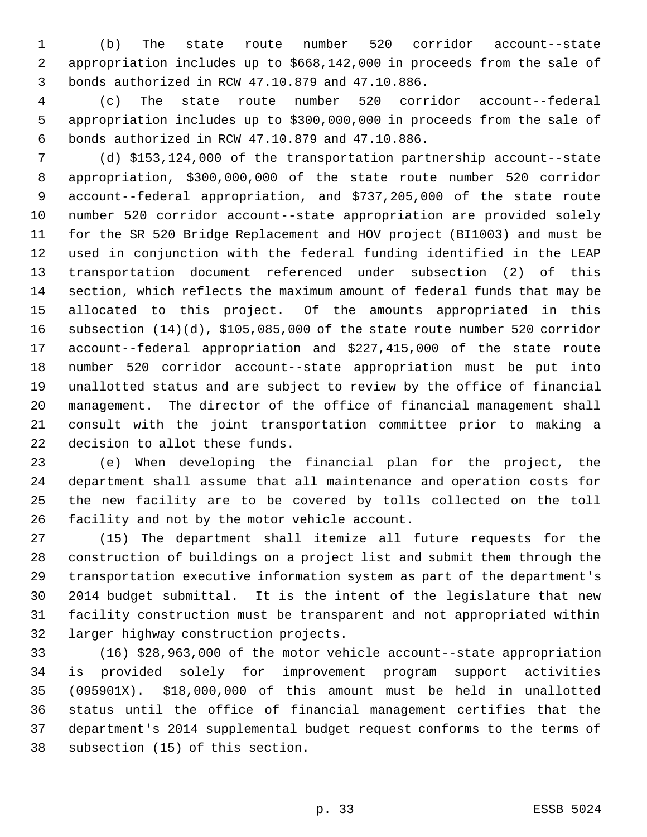(b) The state route number 520 corridor account--state appropriation includes up to \$668,142,000 in proceeds from the sale of bonds authorized in RCW 47.10.879 and 47.10.886.

 (c) The state route number 520 corridor account--federal appropriation includes up to \$300,000,000 in proceeds from the sale of bonds authorized in RCW 47.10.879 and 47.10.886.

 (d) \$153,124,000 of the transportation partnership account--state appropriation, \$300,000,000 of the state route number 520 corridor account--federal appropriation, and \$737,205,000 of the state route number 520 corridor account--state appropriation are provided solely for the SR 520 Bridge Replacement and HOV project (BI1003) and must be used in conjunction with the federal funding identified in the LEAP transportation document referenced under subsection (2) of this section, which reflects the maximum amount of federal funds that may be allocated to this project. Of the amounts appropriated in this subsection (14)(d), \$105,085,000 of the state route number 520 corridor account--federal appropriation and \$227,415,000 of the state route number 520 corridor account--state appropriation must be put into unallotted status and are subject to review by the office of financial management. The director of the office of financial management shall consult with the joint transportation committee prior to making a decision to allot these funds.

 (e) When developing the financial plan for the project, the department shall assume that all maintenance and operation costs for the new facility are to be covered by tolls collected on the toll facility and not by the motor vehicle account.

 (15) The department shall itemize all future requests for the construction of buildings on a project list and submit them through the transportation executive information system as part of the department's 2014 budget submittal. It is the intent of the legislature that new facility construction must be transparent and not appropriated within larger highway construction projects.

 (16) \$28,963,000 of the motor vehicle account--state appropriation is provided solely for improvement program support activities (095901X). \$18,000,000 of this amount must be held in unallotted status until the office of financial management certifies that the department's 2014 supplemental budget request conforms to the terms of subsection (15) of this section.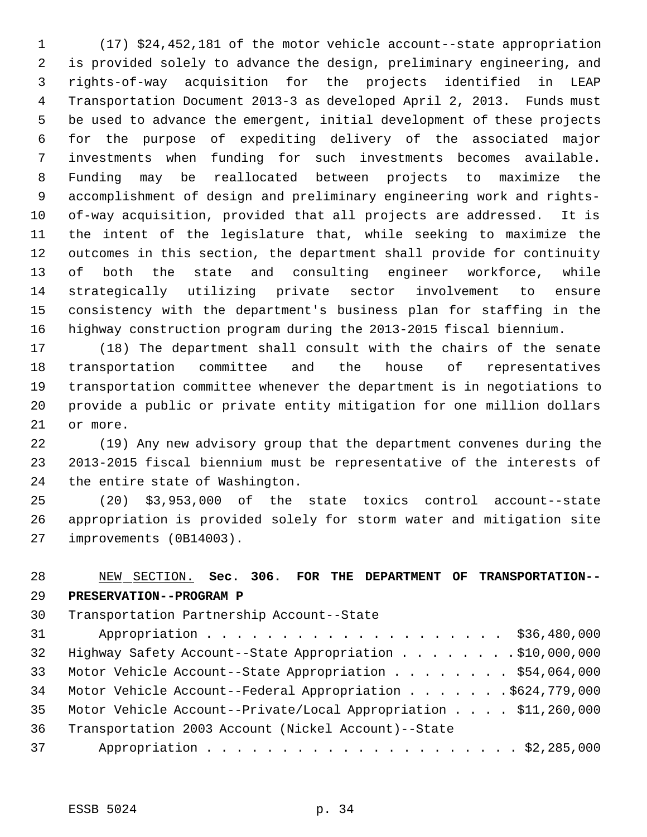(17) \$24,452,181 of the motor vehicle account--state appropriation is provided solely to advance the design, preliminary engineering, and rights-of-way acquisition for the projects identified in LEAP Transportation Document 2013-3 as developed April 2, 2013. Funds must be used to advance the emergent, initial development of these projects for the purpose of expediting delivery of the associated major investments when funding for such investments becomes available. Funding may be reallocated between projects to maximize the accomplishment of design and preliminary engineering work and rights- of-way acquisition, provided that all projects are addressed. It is the intent of the legislature that, while seeking to maximize the outcomes in this section, the department shall provide for continuity of both the state and consulting engineer workforce, while strategically utilizing private sector involvement to ensure consistency with the department's business plan for staffing in the highway construction program during the 2013-2015 fiscal biennium.

 (18) The department shall consult with the chairs of the senate transportation committee and the house of representatives transportation committee whenever the department is in negotiations to provide a public or private entity mitigation for one million dollars or more.

 (19) Any new advisory group that the department convenes during the 2013-2015 fiscal biennium must be representative of the interests of the entire state of Washington.

 (20) \$3,953,000 of the state toxics control account--state appropriation is provided solely for storm water and mitigation site improvements (0B14003).

# NEW SECTION. **Sec. 306. FOR THE DEPARTMENT OF TRANSPORTATION-- PRESERVATION--PROGRAM P** Transportation Partnership Account--State 31 Appropriation . . . . . . . . . . . . . . . . . . \$36,480,000 Highway Safety Account--State Appropriation . . . . . . . . \$10,000,000 33 Motor Vehicle Account--State Appropriation . . . . . . . \$54,064,000 Motor Vehicle Account--Federal Appropriation . . . . . . . \$624,779,000 Motor Vehicle Account--Private/Local Appropriation . . . . \$11,260,000 Transportation 2003 Account (Nickel Account)--State Appropriation . . . . . . . . . . . . . . . . . . . . . \$2,285,000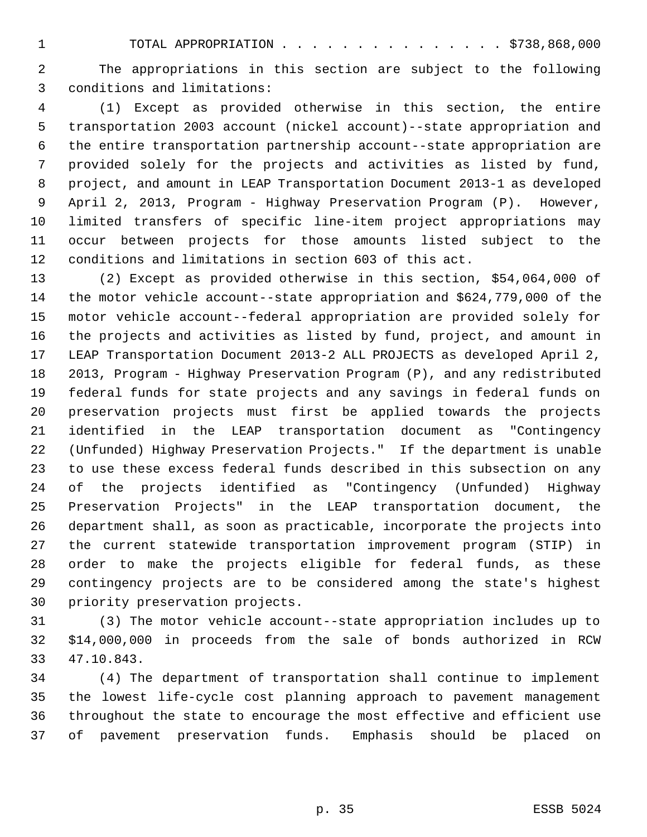TOTAL APPROPRIATION . . . . . . . . . . . . . . . \$738,868,000

 The appropriations in this section are subject to the following conditions and limitations:

 (1) Except as provided otherwise in this section, the entire transportation 2003 account (nickel account)--state appropriation and the entire transportation partnership account--state appropriation are provided solely for the projects and activities as listed by fund, project, and amount in LEAP Transportation Document 2013-1 as developed April 2, 2013, Program - Highway Preservation Program (P). However, limited transfers of specific line-item project appropriations may occur between projects for those amounts listed subject to the conditions and limitations in section 603 of this act.

 (2) Except as provided otherwise in this section, \$54,064,000 of the motor vehicle account--state appropriation and \$624,779,000 of the motor vehicle account--federal appropriation are provided solely for the projects and activities as listed by fund, project, and amount in LEAP Transportation Document 2013-2 ALL PROJECTS as developed April 2, 2013, Program - Highway Preservation Program (P), and any redistributed federal funds for state projects and any savings in federal funds on preservation projects must first be applied towards the projects identified in the LEAP transportation document as "Contingency (Unfunded) Highway Preservation Projects." If the department is unable to use these excess federal funds described in this subsection on any of the projects identified as "Contingency (Unfunded) Highway Preservation Projects" in the LEAP transportation document, the department shall, as soon as practicable, incorporate the projects into the current statewide transportation improvement program (STIP) in order to make the projects eligible for federal funds, as these contingency projects are to be considered among the state's highest priority preservation projects.

 (3) The motor vehicle account--state appropriation includes up to \$14,000,000 in proceeds from the sale of bonds authorized in RCW 47.10.843.

 (4) The department of transportation shall continue to implement the lowest life-cycle cost planning approach to pavement management throughout the state to encourage the most effective and efficient use of pavement preservation funds. Emphasis should be placed on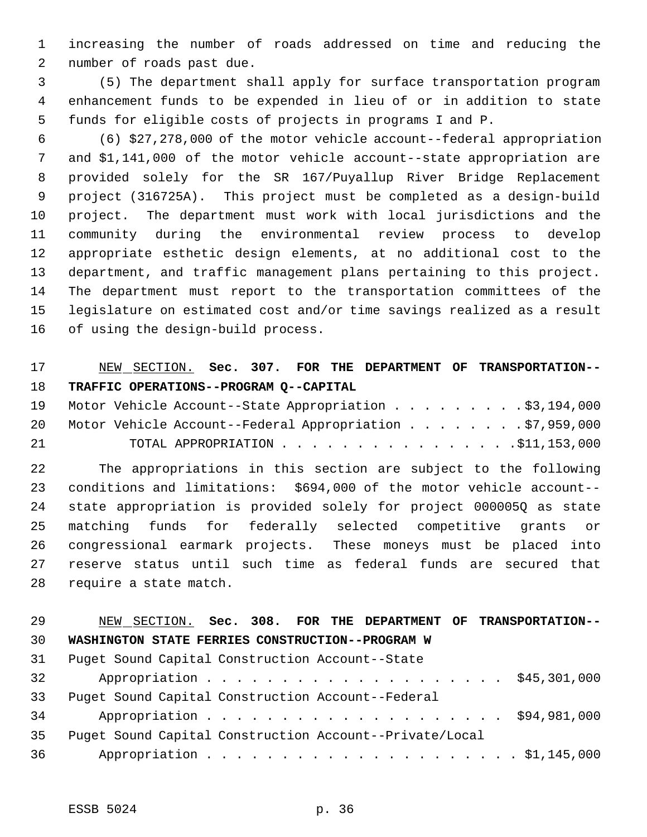increasing the number of roads addressed on time and reducing the number of roads past due.

 (5) The department shall apply for surface transportation program enhancement funds to be expended in lieu of or in addition to state funds for eligible costs of projects in programs I and P.

 (6) \$27,278,000 of the motor vehicle account--federal appropriation and \$1,141,000 of the motor vehicle account--state appropriation are provided solely for the SR 167/Puyallup River Bridge Replacement project (316725A). This project must be completed as a design-build project. The department must work with local jurisdictions and the community during the environmental review process to develop appropriate esthetic design elements, at no additional cost to the department, and traffic management plans pertaining to this project. The department must report to the transportation committees of the legislature on estimated cost and/or time savings realized as a result of using the design-build process.

## NEW SECTION. **Sec. 307. FOR THE DEPARTMENT OF TRANSPORTATION-- TRAFFIC OPERATIONS--PROGRAM Q--CAPITAL**

|    |  | 19 Motor Vehicle Account--State Appropriation \$3,194,000   |  |
|----|--|-------------------------------------------------------------|--|
|    |  | 20 Motor Vehicle Account--Federal Appropriation \$7,959,000 |  |
| 21 |  | TOTAL APPROPRIATION $\ldots$ , 511, 153, 000                |  |

 The appropriations in this section are subject to the following conditions and limitations: \$694,000 of the motor vehicle account-- state appropriation is provided solely for project 000005Q as state matching funds for federally selected competitive grants or congressional earmark projects. These moneys must be placed into reserve status until such time as federal funds are secured that require a state match.

## NEW SECTION. **Sec. 308. FOR THE DEPARTMENT OF TRANSPORTATION-- WASHINGTON STATE FERRIES CONSTRUCTION--PROGRAM W**

| 31 | Puget Sound Capital Construction Account--State |                                                         |  |
|----|-------------------------------------------------|---------------------------------------------------------|--|
| 32 |                                                 | Appropriation \$45,301,000                              |  |
| 33 |                                                 | Puget Sound Capital Construction Account--Federal       |  |
| 34 |                                                 | Appropriation \$94,981,000                              |  |
| 35 |                                                 | Puget Sound Capital Construction Account--Private/Local |  |
| 36 |                                                 |                                                         |  |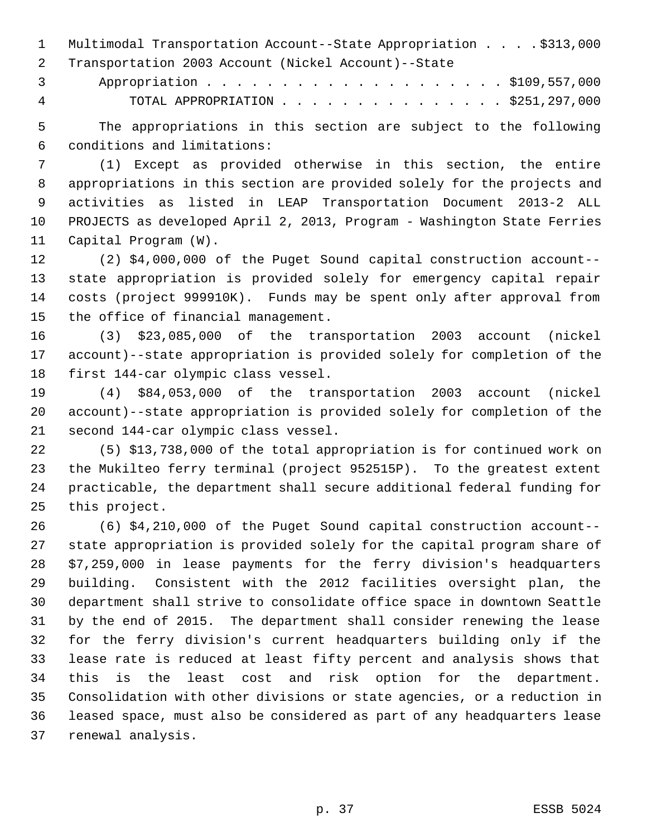Multimodal Transportation Account--State Appropriation . . . . \$313,000 Transportation 2003 Account (Nickel Account)--State

 Appropriation . . . . . . . . . . . . . . . . . . . . \$109,557,000 TOTAL APPROPRIATION . . . . . . . . . . . . . . . \$251,297,000

 The appropriations in this section are subject to the following conditions and limitations:

 (1) Except as provided otherwise in this section, the entire appropriations in this section are provided solely for the projects and activities as listed in LEAP Transportation Document 2013-2 ALL PROJECTS as developed April 2, 2013, Program - Washington State Ferries Capital Program (W).

 (2) \$4,000,000 of the Puget Sound capital construction account-- state appropriation is provided solely for emergency capital repair costs (project 999910K). Funds may be spent only after approval from the office of financial management.

 (3) \$23,085,000 of the transportation 2003 account (nickel account)--state appropriation is provided solely for completion of the first 144-car olympic class vessel.

 (4) \$84,053,000 of the transportation 2003 account (nickel account)--state appropriation is provided solely for completion of the second 144-car olympic class vessel.

 (5) \$13,738,000 of the total appropriation is for continued work on the Mukilteo ferry terminal (project 952515P). To the greatest extent practicable, the department shall secure additional federal funding for this project.

 (6) \$4,210,000 of the Puget Sound capital construction account-- state appropriation is provided solely for the capital program share of \$7,259,000 in lease payments for the ferry division's headquarters building. Consistent with the 2012 facilities oversight plan, the department shall strive to consolidate office space in downtown Seattle by the end of 2015. The department shall consider renewing the lease for the ferry division's current headquarters building only if the lease rate is reduced at least fifty percent and analysis shows that this is the least cost and risk option for the department. Consolidation with other divisions or state agencies, or a reduction in leased space, must also be considered as part of any headquarters lease renewal analysis.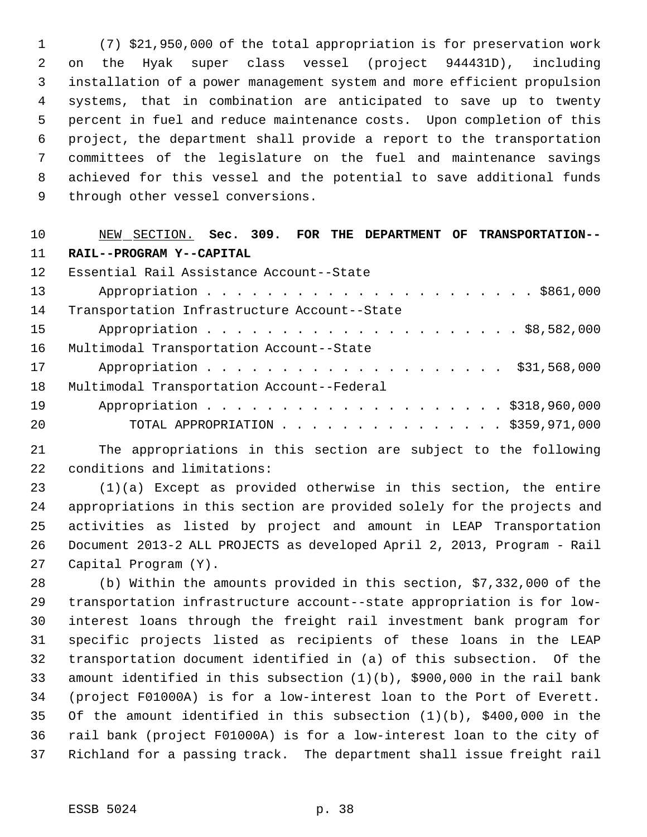(7) \$21,950,000 of the total appropriation is for preservation work on the Hyak super class vessel (project 944431D), including installation of a power management system and more efficient propulsion systems, that in combination are anticipated to save up to twenty percent in fuel and reduce maintenance costs. Upon completion of this project, the department shall provide a report to the transportation committees of the legislature on the fuel and maintenance savings achieved for this vessel and the potential to save additional funds through other vessel conversions.

#### NEW SECTION. **Sec. 309. FOR THE DEPARTMENT OF TRANSPORTATION-- RAIL--PROGRAM Y--CAPITAL**

| 12 <sup>°</sup> | Essential Rail Assistance Account--State     |
|-----------------|----------------------------------------------|
| 13              |                                              |
| 14              | Transportation Infrastructure Account--State |
| 15 <sup>1</sup> |                                              |
| 16              | Multimodal Transportation Account--State     |
| 17              | Appropriation \$31,568,000                   |
| 18              | Multimodal Transportation Account--Federal   |
| 19              | Appropriation \$318,960,000                  |
| 20              | TOTAL APPROPRIATION \$359,971,000            |

 The appropriations in this section are subject to the following conditions and limitations:

 (1)(a) Except as provided otherwise in this section, the entire appropriations in this section are provided solely for the projects and activities as listed by project and amount in LEAP Transportation Document 2013-2 ALL PROJECTS as developed April 2, 2013, Program - Rail Capital Program (Y).

 (b) Within the amounts provided in this section, \$7,332,000 of the transportation infrastructure account--state appropriation is for low- interest loans through the freight rail investment bank program for specific projects listed as recipients of these loans in the LEAP transportation document identified in (a) of this subsection. Of the amount identified in this subsection (1)(b), \$900,000 in the rail bank (project F01000A) is for a low-interest loan to the Port of Everett. Of the amount identified in this subsection (1)(b), \$400,000 in the rail bank (project F01000A) is for a low-interest loan to the city of Richland for a passing track. The department shall issue freight rail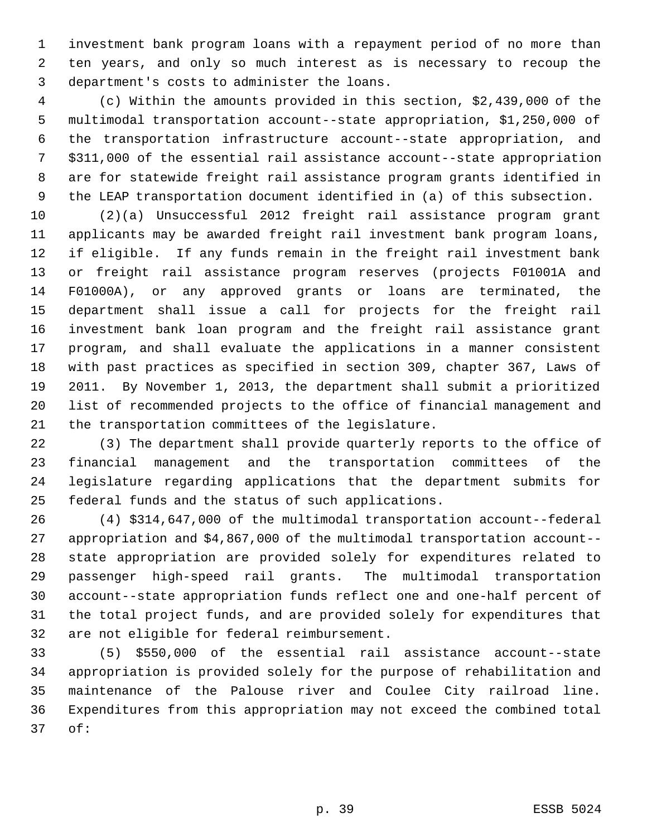investment bank program loans with a repayment period of no more than ten years, and only so much interest as is necessary to recoup the department's costs to administer the loans.

 (c) Within the amounts provided in this section, \$2,439,000 of the multimodal transportation account--state appropriation, \$1,250,000 of the transportation infrastructure account--state appropriation, and \$311,000 of the essential rail assistance account--state appropriation are for statewide freight rail assistance program grants identified in the LEAP transportation document identified in (a) of this subsection.

 (2)(a) Unsuccessful 2012 freight rail assistance program grant applicants may be awarded freight rail investment bank program loans, if eligible. If any funds remain in the freight rail investment bank or freight rail assistance program reserves (projects F01001A and F01000A), or any approved grants or loans are terminated, the department shall issue a call for projects for the freight rail investment bank loan program and the freight rail assistance grant program, and shall evaluate the applications in a manner consistent with past practices as specified in section 309, chapter 367, Laws of 2011. By November 1, 2013, the department shall submit a prioritized list of recommended projects to the office of financial management and the transportation committees of the legislature.

 (3) The department shall provide quarterly reports to the office of financial management and the transportation committees of the legislature regarding applications that the department submits for federal funds and the status of such applications.

 (4) \$314,647,000 of the multimodal transportation account--federal appropriation and \$4,867,000 of the multimodal transportation account-- state appropriation are provided solely for expenditures related to passenger high-speed rail grants. The multimodal transportation account--state appropriation funds reflect one and one-half percent of the total project funds, and are provided solely for expenditures that are not eligible for federal reimbursement.

 (5) \$550,000 of the essential rail assistance account--state appropriation is provided solely for the purpose of rehabilitation and maintenance of the Palouse river and Coulee City railroad line. Expenditures from this appropriation may not exceed the combined total of: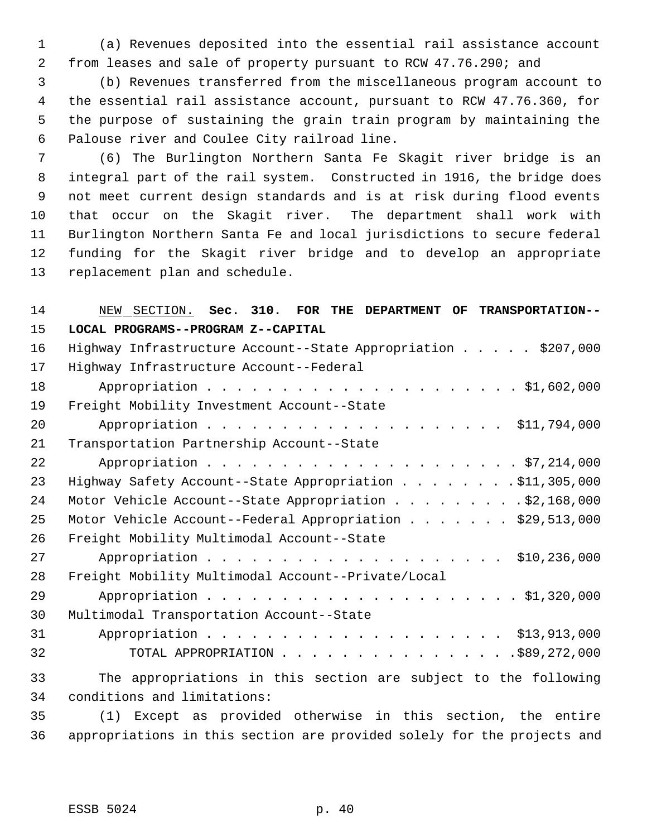(a) Revenues deposited into the essential rail assistance account from leases and sale of property pursuant to RCW 47.76.290; and

 (b) Revenues transferred from the miscellaneous program account to the essential rail assistance account, pursuant to RCW 47.76.360, for the purpose of sustaining the grain train program by maintaining the Palouse river and Coulee City railroad line.

 (6) The Burlington Northern Santa Fe Skagit river bridge is an integral part of the rail system. Constructed in 1916, the bridge does not meet current design standards and is at risk during flood events that occur on the Skagit river. The department shall work with Burlington Northern Santa Fe and local jurisdictions to secure federal funding for the Skagit river bridge and to develop an appropriate replacement plan and schedule.

| 14 | NEW SECTION. Sec. 310. FOR THE DEPARTMENT OF TRANSPORTATION--   |
|----|-----------------------------------------------------------------|
| 15 | LOCAL PROGRAMS--PROGRAM Z--CAPITAL                              |
| 16 | Highway Infrastructure Account--State Appropriation \$207,000   |
| 17 | Highway Infrastructure Account--Federal                         |
| 18 |                                                                 |
| 19 | Freight Mobility Investment Account--State                      |
| 20 | Appropriation \$11,794,000                                      |
| 21 | Transportation Partnership Account--State                       |
| 22 |                                                                 |
| 23 | Highway Safety Account--State Appropriation \$11,305,000        |
| 24 | Motor Vehicle Account--State Appropriation \$2,168,000          |
| 25 | Motor Vehicle Account--Federal Appropriation \$29,513,000       |
| 26 | Freight Mobility Multimodal Account--State                      |
| 27 |                                                                 |
| 28 | Freight Mobility Multimodal Account--Private/Local              |
| 29 |                                                                 |
| 30 | Multimodal Transportation Account--State                        |
| 31 |                                                                 |
| 32 | TOTAL APPROPRIATION \$89,272,000                                |
| 33 | The appropriations in this section are subject to the following |
| 34 | conditions and limitations:                                     |
| 35 | (1) Except as provided otherwise in this section, the entire    |

appropriations in this section are provided solely for the projects and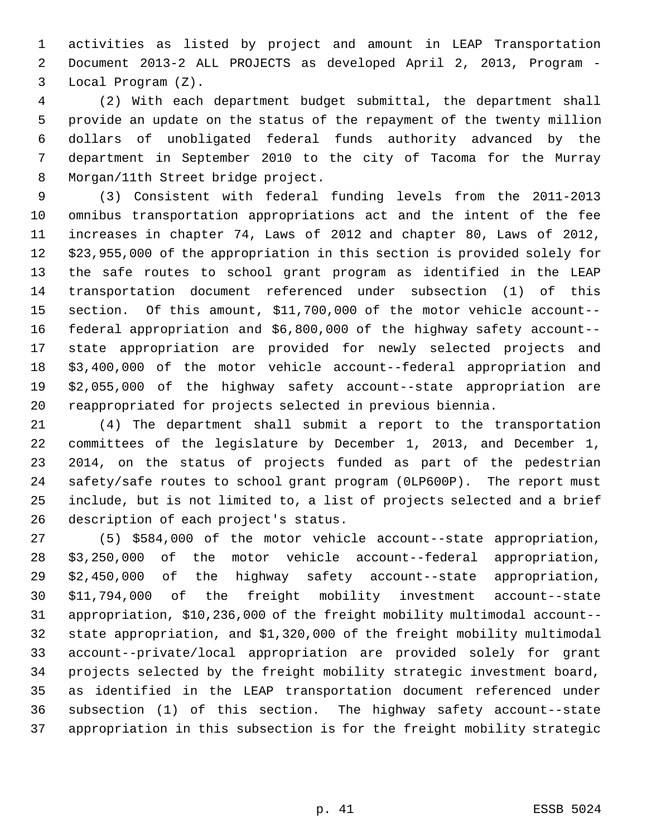activities as listed by project and amount in LEAP Transportation Document 2013-2 ALL PROJECTS as developed April 2, 2013, Program - Local Program (Z).

 (2) With each department budget submittal, the department shall provide an update on the status of the repayment of the twenty million dollars of unobligated federal funds authority advanced by the department in September 2010 to the city of Tacoma for the Murray Morgan/11th Street bridge project.

 (3) Consistent with federal funding levels from the 2011-2013 omnibus transportation appropriations act and the intent of the fee increases in chapter 74, Laws of 2012 and chapter 80, Laws of 2012, \$23,955,000 of the appropriation in this section is provided solely for the safe routes to school grant program as identified in the LEAP transportation document referenced under subsection (1) of this section. Of this amount, \$11,700,000 of the motor vehicle account-- federal appropriation and \$6,800,000 of the highway safety account-- state appropriation are provided for newly selected projects and \$3,400,000 of the motor vehicle account--federal appropriation and \$2,055,000 of the highway safety account--state appropriation are reappropriated for projects selected in previous biennia.

 (4) The department shall submit a report to the transportation committees of the legislature by December 1, 2013, and December 1, 2014, on the status of projects funded as part of the pedestrian safety/safe routes to school grant program (0LP600P). The report must include, but is not limited to, a list of projects selected and a brief description of each project's status.

 (5) \$584,000 of the motor vehicle account--state appropriation, \$3,250,000 of the motor vehicle account--federal appropriation, \$2,450,000 of the highway safety account--state appropriation, \$11,794,000 of the freight mobility investment account--state appropriation, \$10,236,000 of the freight mobility multimodal account-- state appropriation, and \$1,320,000 of the freight mobility multimodal account--private/local appropriation are provided solely for grant projects selected by the freight mobility strategic investment board, as identified in the LEAP transportation document referenced under subsection (1) of this section. The highway safety account--state appropriation in this subsection is for the freight mobility strategic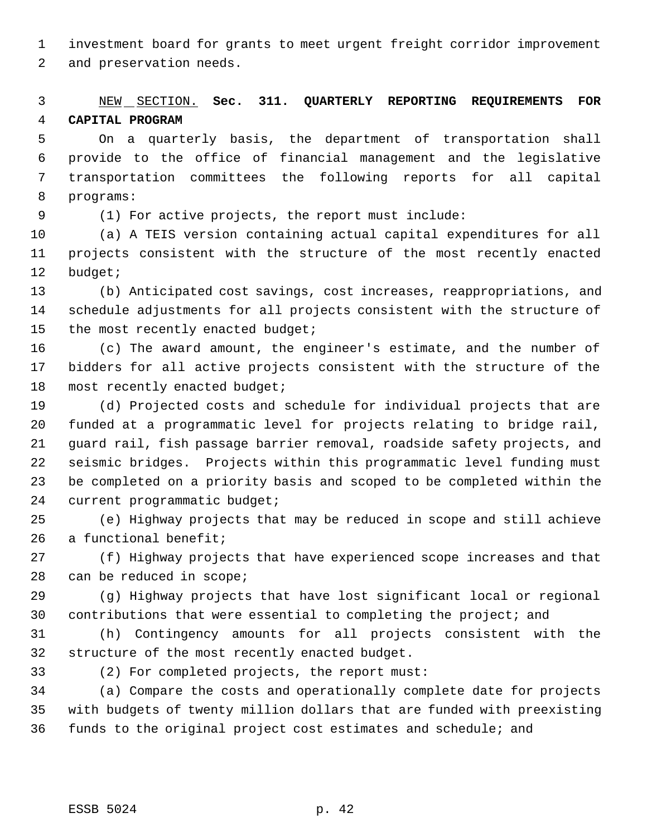investment board for grants to meet urgent freight corridor improvement

and preservation needs.

# NEW SECTION. **Sec. 311. QUARTERLY REPORTING REQUIREMENTS FOR CAPITAL PROGRAM**

 On a quarterly basis, the department of transportation shall provide to the office of financial management and the legislative transportation committees the following reports for all capital programs:

(1) For active projects, the report must include:

 (a) A TEIS version containing actual capital expenditures for all projects consistent with the structure of the most recently enacted budget;

 (b) Anticipated cost savings, cost increases, reappropriations, and schedule adjustments for all projects consistent with the structure of 15 the most recently enacted budget;

 (c) The award amount, the engineer's estimate, and the number of bidders for all active projects consistent with the structure of the most recently enacted budget;

 (d) Projected costs and schedule for individual projects that are funded at a programmatic level for projects relating to bridge rail, guard rail, fish passage barrier removal, roadside safety projects, and seismic bridges. Projects within this programmatic level funding must be completed on a priority basis and scoped to be completed within the current programmatic budget;

 (e) Highway projects that may be reduced in scope and still achieve a functional benefit;

 (f) Highway projects that have experienced scope increases and that can be reduced in scope;

 (g) Highway projects that have lost significant local or regional contributions that were essential to completing the project; and

 (h) Contingency amounts for all projects consistent with the structure of the most recently enacted budget.

(2) For completed projects, the report must:

 (a) Compare the costs and operationally complete date for projects with budgets of twenty million dollars that are funded with preexisting funds to the original project cost estimates and schedule; and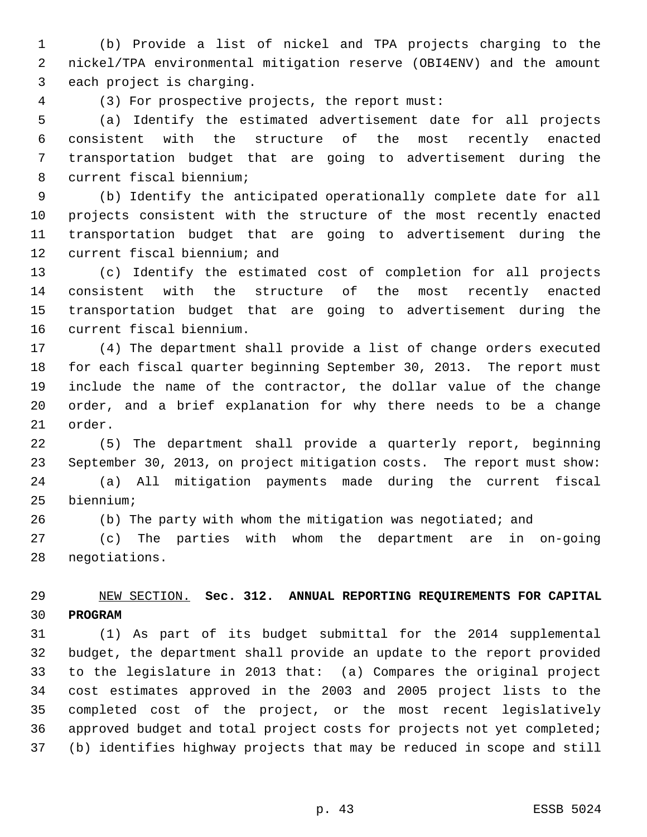(b) Provide a list of nickel and TPA projects charging to the nickel/TPA environmental mitigation reserve (OBI4ENV) and the amount each project is charging.

(3) For prospective projects, the report must:

 (a) Identify the estimated advertisement date for all projects consistent with the structure of the most recently enacted transportation budget that are going to advertisement during the current fiscal biennium;

 (b) Identify the anticipated operationally complete date for all projects consistent with the structure of the most recently enacted transportation budget that are going to advertisement during the current fiscal biennium; and

 (c) Identify the estimated cost of completion for all projects consistent with the structure of the most recently enacted transportation budget that are going to advertisement during the current fiscal biennium.

 (4) The department shall provide a list of change orders executed for each fiscal quarter beginning September 30, 2013. The report must include the name of the contractor, the dollar value of the change order, and a brief explanation for why there needs to be a change order.

 (5) The department shall provide a quarterly report, beginning September 30, 2013, on project mitigation costs. The report must show:

 (a) All mitigation payments made during the current fiscal biennium;

(b) The party with whom the mitigation was negotiated; and

 (c) The parties with whom the department are in on-going negotiations.

#### NEW SECTION. **Sec. 312. ANNUAL REPORTING REQUIREMENTS FOR CAPITAL PROGRAM**

 (1) As part of its budget submittal for the 2014 supplemental budget, the department shall provide an update to the report provided to the legislature in 2013 that: (a) Compares the original project cost estimates approved in the 2003 and 2005 project lists to the completed cost of the project, or the most recent legislatively approved budget and total project costs for projects not yet completed; (b) identifies highway projects that may be reduced in scope and still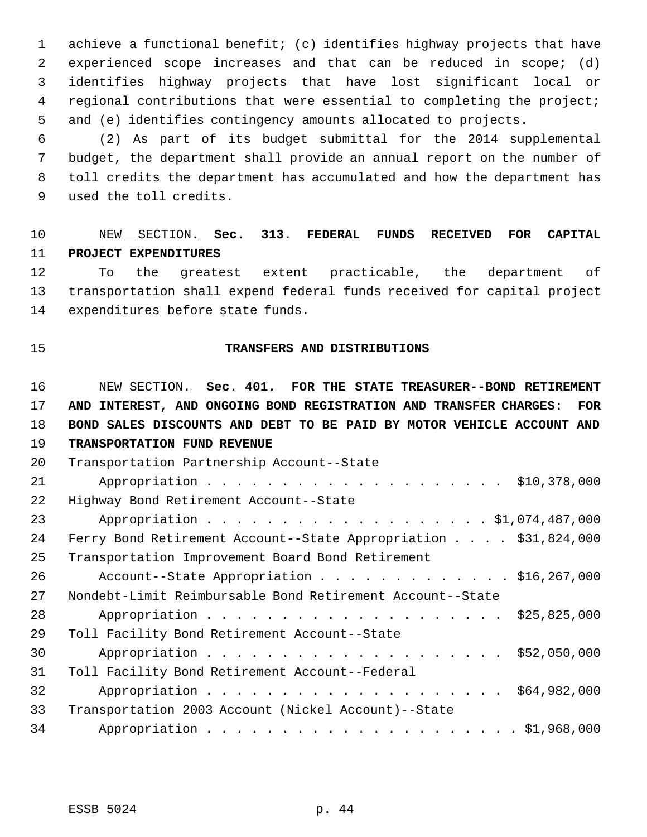achieve a functional benefit; (c) identifies highway projects that have experienced scope increases and that can be reduced in scope; (d) identifies highway projects that have lost significant local or regional contributions that were essential to completing the project; and (e) identifies contingency amounts allocated to projects.

 (2) As part of its budget submittal for the 2014 supplemental budget, the department shall provide an annual report on the number of toll credits the department has accumulated and how the department has used the toll credits.

#### NEW SECTION. **Sec. 313. FEDERAL FUNDS RECEIVED FOR CAPITAL PROJECT EXPENDITURES**

 To the greatest extent practicable, the department of transportation shall expend federal funds received for capital project expenditures before state funds.

#### **TRANSFERS AND DISTRIBUTIONS**

 NEW SECTION. **Sec. 401. FOR THE STATE TREASURER--BOND RETIREMENT AND INTEREST, AND ONGOING BOND REGISTRATION AND TRANSFER CHARGES: FOR BOND SALES DISCOUNTS AND DEBT TO BE PAID BY MOTOR VEHICLE ACCOUNT AND TRANSPORTATION FUND REVENUE**

| 20 | Transportation Partnership Account--State                       |
|----|-----------------------------------------------------------------|
| 21 |                                                                 |
| 22 | Highway Bond Retirement Account--State                          |
| 23 |                                                                 |
| 24 | Ferry Bond Retirement Account--State Appropriation \$31,824,000 |
| 25 | Transportation Improvement Board Bond Retirement                |
| 26 | Account--State Appropriation \$16,267,000                       |
| 27 | Nondebt-Limit Reimbursable Bond Retirement Account--State       |
| 28 |                                                                 |
| 29 | Toll Facility Bond Retirement Account--State                    |
| 30 |                                                                 |
| 31 | Toll Facility Bond Retirement Account--Federal                  |
| 32 |                                                                 |
| 33 | Transportation 2003 Account (Nickel Account)--State             |
| 34 |                                                                 |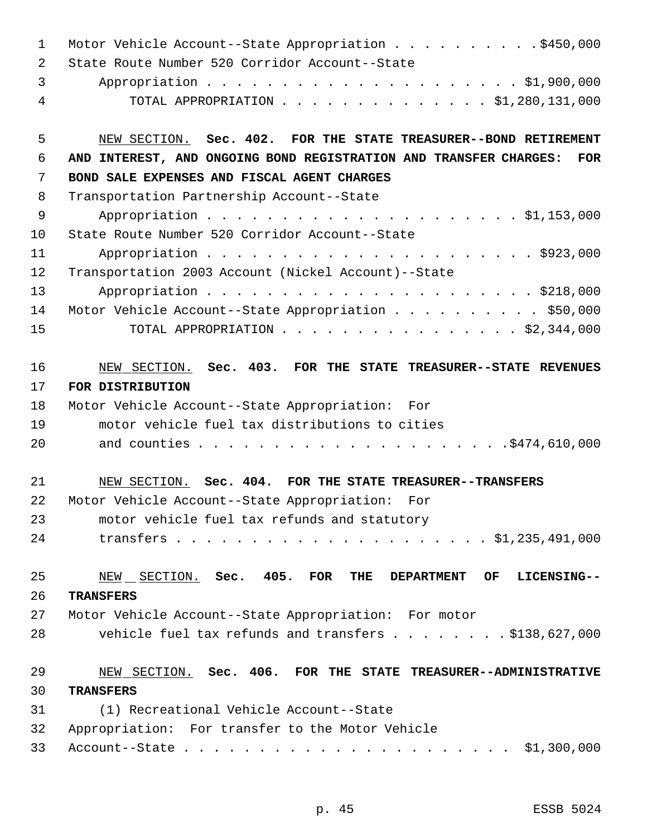| 1  | Motor Vehicle Account--State Appropriation \$450,000                            |
|----|---------------------------------------------------------------------------------|
| 2  | State Route Number 520 Corridor Account--State                                  |
| 3  |                                                                                 |
| 4  | TOTAL APPROPRIATION \$1,280,131,000                                             |
| 5  | NEW SECTION. Sec. 402. FOR THE STATE TREASURER--BOND RETIREMENT                 |
| 6  | AND INTEREST, AND ONGOING BOND REGISTRATION AND TRANSFER CHARGES:<br><b>FOR</b> |
| 7  | BOND SALE EXPENSES AND FISCAL AGENT CHARGES                                     |
| 8  | Transportation Partnership Account--State                                       |
| 9  |                                                                                 |
| 10 | State Route Number 520 Corridor Account--State                                  |
| 11 |                                                                                 |
| 12 | Transportation 2003 Account (Nickel Account)--State                             |
| 13 |                                                                                 |
| 14 | Motor Vehicle Account--State Appropriation \$50,000                             |
| 15 | TOTAL APPROPRIATION \$2,344,000                                                 |
| 16 | NEW SECTION. Sec. 403. FOR THE STATE TREASURER--STATE REVENUES                  |
| 17 | FOR DISTRIBUTION                                                                |
| 18 | Motor Vehicle Account--State Appropriation: For                                 |
| 19 | motor vehicle fuel tax distributions to cities                                  |
| 20 |                                                                                 |
| 21 | NEW SECTION. Sec. 404. FOR THE STATE TREASURER--TRANSFERS                       |
| 22 | Motor Vehicle Account--State Appropriation:<br>For                              |
| 23 | motor vehicle fuel tax refunds and statutory                                    |
| 24 |                                                                                 |
| 25 | NEW SECTION. Sec. 405. FOR<br>THE DEPARTMENT<br>OF<br>LICENSING--               |
| 26 | <b>TRANSFERS</b>                                                                |
| 27 | Motor Vehicle Account--State Appropriation: For motor                           |
| 28 | vehicle fuel tax refunds and transfers \$138,627,000                            |
| 29 | NEW SECTION. Sec. 406. FOR THE STATE TREASURER--ADMINISTRATIVE                  |
| 30 | <b>TRANSFERS</b>                                                                |
| 31 | (1) Recreational Vehicle Account--State                                         |
| 32 | Appropriation: For transfer to the Motor Vehicle                                |
| 33 |                                                                                 |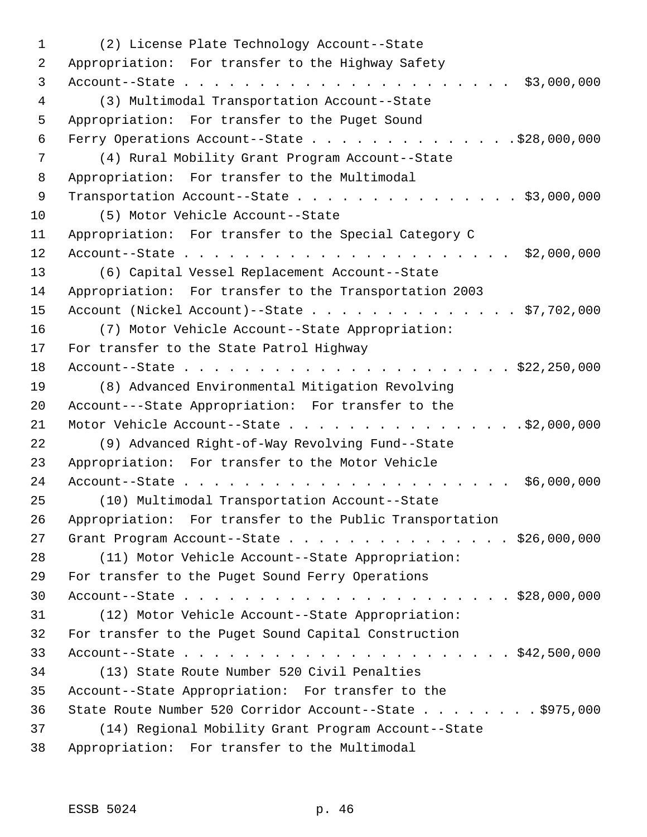(2) License Plate Technology Account--State Appropriation: For transfer to the Highway Safety Account--State . . . . . . . . . . . . . . . . . . . . . . \$3,000,000 (3) Multimodal Transportation Account--State Appropriation: For transfer to the Puget Sound Ferry Operations Account--State . . . . . . . . . . . . . .\$28,000,000 (4) Rural Mobility Grant Program Account--State Appropriation: For transfer to the Multimodal 9 Transportation Account--State . . . . . . . . . . . . . . . \$3,000,000 (5) Motor Vehicle Account--State Appropriation: For transfer to the Special Category C Account--State . . . . . . . . . . . . . . . . . . . . . . \$2,000,000 (6) Capital Vessel Replacement Account--State Appropriation: For transfer to the Transportation 2003 Account (Nickel Account)--State . . . . . . . . . . . . . . \$7,702,000 (7) Motor Vehicle Account--State Appropriation: For transfer to the State Patrol Highway Account--State . . . . . . . . . . . . . . . . . . . . . . \$22,250,000 (8) Advanced Environmental Mitigation Revolving Account---State Appropriation: For transfer to the Motor Vehicle Account--State . . . . . . . . . . . . . . . .\$2,000,000 (9) Advanced Right-of-Way Revolving Fund--State Appropriation: For transfer to the Motor Vehicle Account--State . . . . . . . . . . . . . . . . . . . . . . \$6,000,000 (10) Multimodal Transportation Account--State Appropriation: For transfer to the Public Transportation 27 Grant Program Account--State . . . . . . . . . . . . . . \$26,000,000 (11) Motor Vehicle Account--State Appropriation: For transfer to the Puget Sound Ferry Operations Account--State . . . . . . . . . . . . . . . . . . . . . . \$28,000,000 (12) Motor Vehicle Account--State Appropriation: For transfer to the Puget Sound Capital Construction Account--State . . . . . . . . . . . . . . . . . . . . . . \$42,500,000 (13) State Route Number 520 Civil Penalties Account--State Appropriation: For transfer to the State Route Number 520 Corridor Account--State . . . . . . . . \$975,000 (14) Regional Mobility Grant Program Account--State Appropriation: For transfer to the Multimodal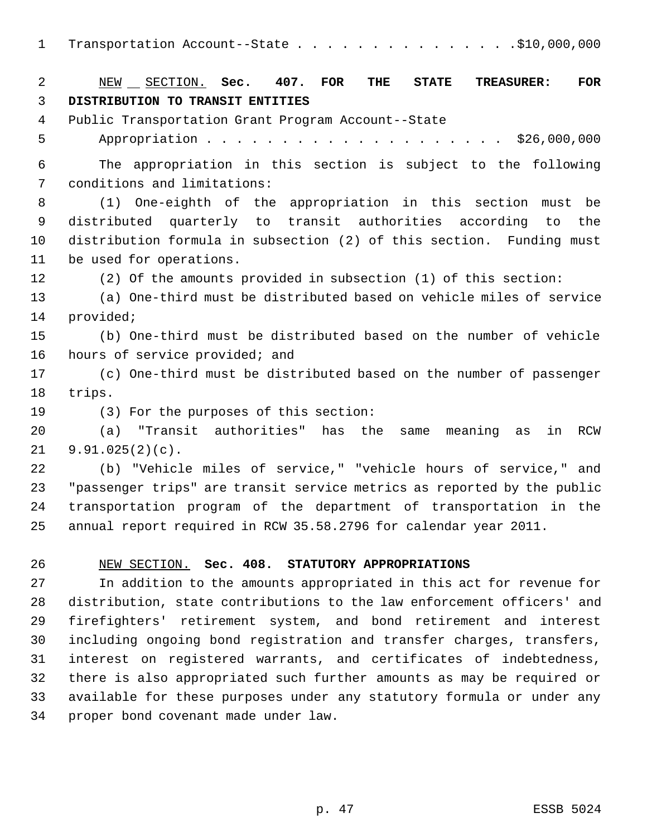|  |  | Transportation Account--State \$10,000,000 |  |  |  |  |  |  |  |  |  |  |  |  |  |
|--|--|--------------------------------------------|--|--|--|--|--|--|--|--|--|--|--|--|--|
|--|--|--------------------------------------------|--|--|--|--|--|--|--|--|--|--|--|--|--|

 NEW SECTION. **Sec. 407. FOR THE STATE TREASURER: FOR DISTRIBUTION TO TRANSIT ENTITIES** Public Transportation Grant Program Account--State Appropriation . . . . . . . . . . . . . . . . . . . . \$26,000,000 The appropriation in this section is subject to the following conditions and limitations: (1) One-eighth of the appropriation in this section must be distributed quarterly to transit authorities according to the distribution formula in subsection (2) of this section. Funding must be used for operations. (2) Of the amounts provided in subsection (1) of this section: (a) One-third must be distributed based on vehicle miles of service provided; (b) One-third must be distributed based on the number of vehicle hours of service provided; and (c) One-third must be distributed based on the number of passenger trips. (3) For the purposes of this section: (a) "Transit authorities" has the same meaning as in RCW 9.91.025(2)(c). (b) "Vehicle miles of service," "vehicle hours of service," and "passenger trips" are transit service metrics as reported by the public transportation program of the department of transportation in the annual report required in RCW 35.58.2796 for calendar year 2011. NEW SECTION. **Sec. 408. STATUTORY APPROPRIATIONS** In addition to the amounts appropriated in this act for revenue for distribution, state contributions to the law enforcement officers' and firefighters' retirement system, and bond retirement and interest

 including ongoing bond registration and transfer charges, transfers, interest on registered warrants, and certificates of indebtedness, there is also appropriated such further amounts as may be required or available for these purposes under any statutory formula or under any proper bond covenant made under law.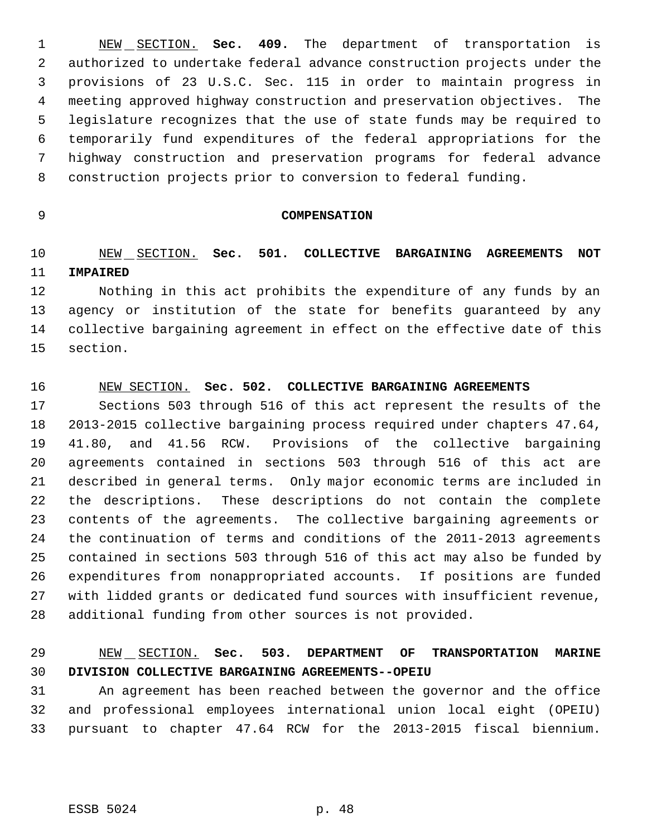NEW SECTION. **Sec. 409.** The department of transportation is authorized to undertake federal advance construction projects under the provisions of 23 U.S.C. Sec. 115 in order to maintain progress in meeting approved highway construction and preservation objectives. The legislature recognizes that the use of state funds may be required to temporarily fund expenditures of the federal appropriations for the highway construction and preservation programs for federal advance construction projects prior to conversion to federal funding.

#### **COMPENSATION**

## NEW SECTION. **Sec. 501. COLLECTIVE BARGAINING AGREEMENTS NOT IMPAIRED**

 Nothing in this act prohibits the expenditure of any funds by an agency or institution of the state for benefits guaranteed by any collective bargaining agreement in effect on the effective date of this section.

#### NEW SECTION. **Sec. 502. COLLECTIVE BARGAINING AGREEMENTS**

 Sections 503 through 516 of this act represent the results of the 2013-2015 collective bargaining process required under chapters 47.64, 41.80, and 41.56 RCW. Provisions of the collective bargaining agreements contained in sections 503 through 516 of this act are described in general terms. Only major economic terms are included in the descriptions. These descriptions do not contain the complete contents of the agreements. The collective bargaining agreements or the continuation of terms and conditions of the 2011-2013 agreements contained in sections 503 through 516 of this act may also be funded by expenditures from nonappropriated accounts. If positions are funded with lidded grants or dedicated fund sources with insufficient revenue, additional funding from other sources is not provided.

# NEW SECTION. **Sec. 503. DEPARTMENT OF TRANSPORTATION MARINE DIVISION COLLECTIVE BARGAINING AGREEMENTS--OPEIU**

 An agreement has been reached between the governor and the office and professional employees international union local eight (OPEIU) pursuant to chapter 47.64 RCW for the 2013-2015 fiscal biennium.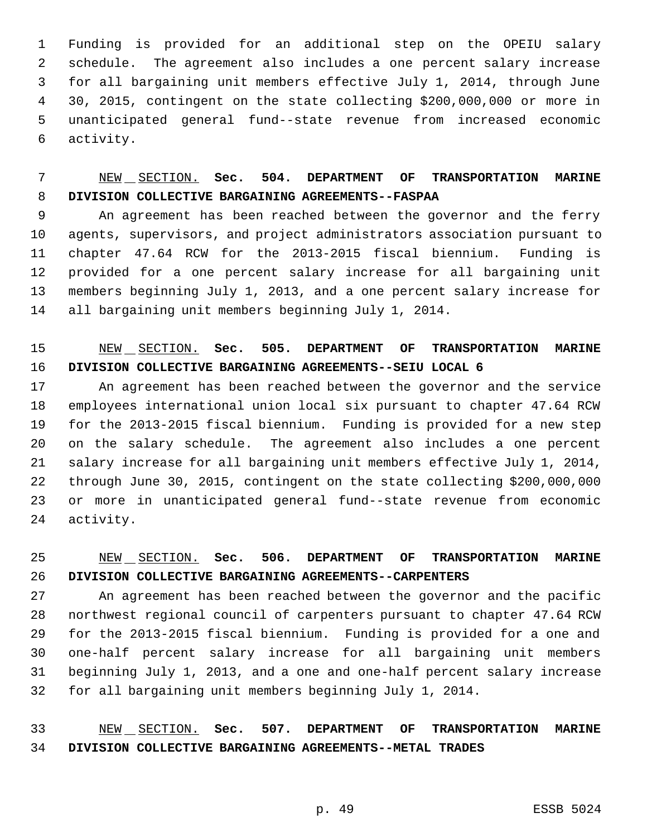Funding is provided for an additional step on the OPEIU salary schedule. The agreement also includes a one percent salary increase for all bargaining unit members effective July 1, 2014, through June 30, 2015, contingent on the state collecting \$200,000,000 or more in unanticipated general fund--state revenue from increased economic activity.

## NEW SECTION. **Sec. 504. DEPARTMENT OF TRANSPORTATION MARINE DIVISION COLLECTIVE BARGAINING AGREEMENTS--FASPAA**

 An agreement has been reached between the governor and the ferry agents, supervisors, and project administrators association pursuant to chapter 47.64 RCW for the 2013-2015 fiscal biennium. Funding is provided for a one percent salary increase for all bargaining unit members beginning July 1, 2013, and a one percent salary increase for all bargaining unit members beginning July 1, 2014.

# NEW SECTION. **Sec. 505. DEPARTMENT OF TRANSPORTATION MARINE DIVISION COLLECTIVE BARGAINING AGREEMENTS--SEIU LOCAL 6**

 An agreement has been reached between the governor and the service employees international union local six pursuant to chapter 47.64 RCW for the 2013-2015 fiscal biennium. Funding is provided for a new step on the salary schedule. The agreement also includes a one percent salary increase for all bargaining unit members effective July 1, 2014, through June 30, 2015, contingent on the state collecting \$200,000,000 or more in unanticipated general fund--state revenue from economic activity.

# NEW SECTION. **Sec. 506. DEPARTMENT OF TRANSPORTATION MARINE DIVISION COLLECTIVE BARGAINING AGREEMENTS--CARPENTERS**

 An agreement has been reached between the governor and the pacific northwest regional council of carpenters pursuant to chapter 47.64 RCW for the 2013-2015 fiscal biennium. Funding is provided for a one and one-half percent salary increase for all bargaining unit members beginning July 1, 2013, and a one and one-half percent salary increase for all bargaining unit members beginning July 1, 2014.

## NEW SECTION. **Sec. 507. DEPARTMENT OF TRANSPORTATION MARINE DIVISION COLLECTIVE BARGAINING AGREEMENTS--METAL TRADES**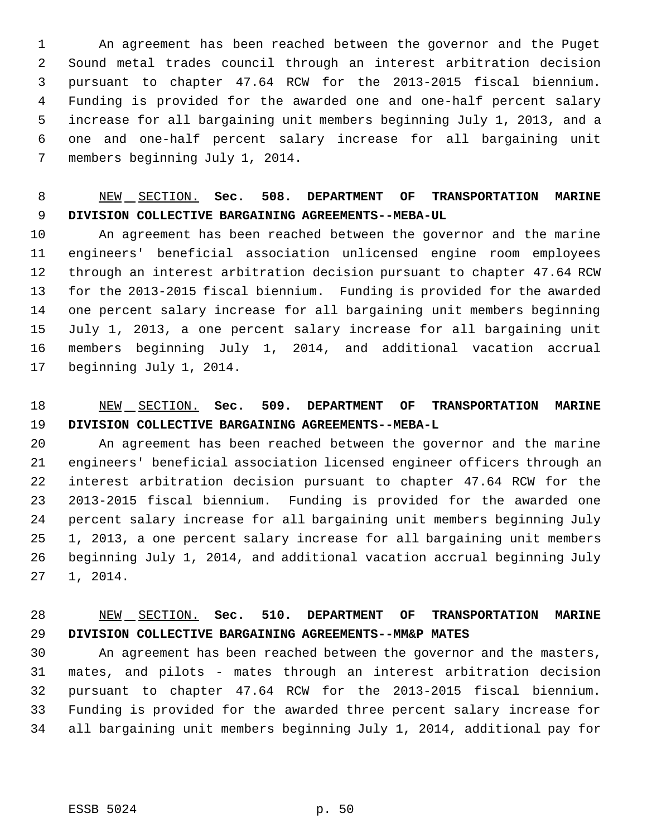An agreement has been reached between the governor and the Puget Sound metal trades council through an interest arbitration decision pursuant to chapter 47.64 RCW for the 2013-2015 fiscal biennium. Funding is provided for the awarded one and one-half percent salary increase for all bargaining unit members beginning July 1, 2013, and a one and one-half percent salary increase for all bargaining unit members beginning July 1, 2014.

# NEW SECTION. **Sec. 508. DEPARTMENT OF TRANSPORTATION MARINE DIVISION COLLECTIVE BARGAINING AGREEMENTS--MEBA-UL**

 An agreement has been reached between the governor and the marine engineers' beneficial association unlicensed engine room employees through an interest arbitration decision pursuant to chapter 47.64 RCW for the 2013-2015 fiscal biennium. Funding is provided for the awarded one percent salary increase for all bargaining unit members beginning July 1, 2013, a one percent salary increase for all bargaining unit members beginning July 1, 2014, and additional vacation accrual beginning July 1, 2014.

### NEW SECTION. **Sec. 509. DEPARTMENT OF TRANSPORTATION MARINE DIVISION COLLECTIVE BARGAINING AGREEMENTS--MEBA-L**

 An agreement has been reached between the governor and the marine engineers' beneficial association licensed engineer officers through an interest arbitration decision pursuant to chapter 47.64 RCW for the 2013-2015 fiscal biennium. Funding is provided for the awarded one percent salary increase for all bargaining unit members beginning July 1, 2013, a one percent salary increase for all bargaining unit members beginning July 1, 2014, and additional vacation accrual beginning July 1, 2014.

### NEW SECTION. **Sec. 510. DEPARTMENT OF TRANSPORTATION MARINE DIVISION COLLECTIVE BARGAINING AGREEMENTS--MM&P MATES**

 An agreement has been reached between the governor and the masters, mates, and pilots - mates through an interest arbitration decision pursuant to chapter 47.64 RCW for the 2013-2015 fiscal biennium. Funding is provided for the awarded three percent salary increase for all bargaining unit members beginning July 1, 2014, additional pay for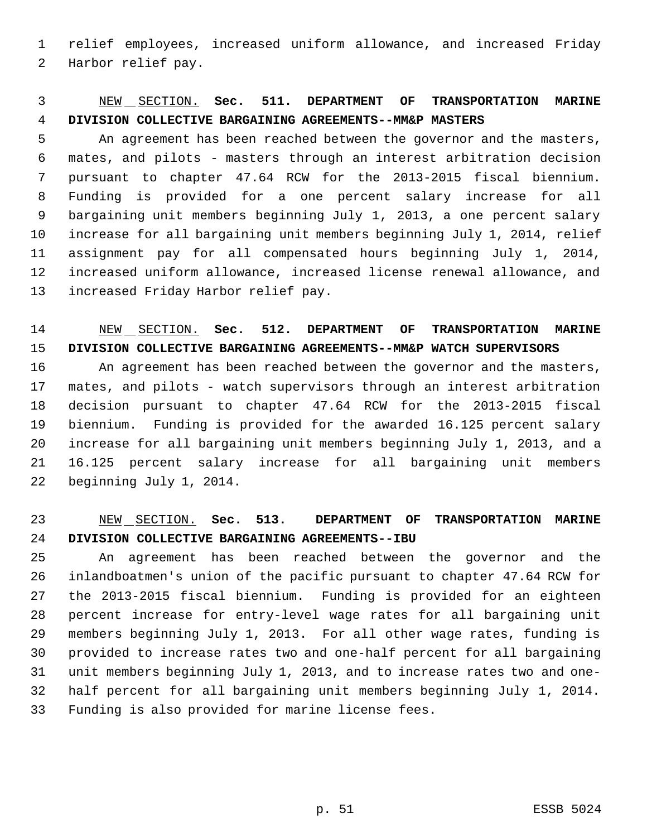relief employees, increased uniform allowance, and increased Friday Harbor relief pay.

## NEW SECTION. **Sec. 511. DEPARTMENT OF TRANSPORTATION MARINE DIVISION COLLECTIVE BARGAINING AGREEMENTS--MM&P MASTERS**

 An agreement has been reached between the governor and the masters, mates, and pilots - masters through an interest arbitration decision pursuant to chapter 47.64 RCW for the 2013-2015 fiscal biennium. Funding is provided for a one percent salary increase for all bargaining unit members beginning July 1, 2013, a one percent salary increase for all bargaining unit members beginning July 1, 2014, relief assignment pay for all compensated hours beginning July 1, 2014, increased uniform allowance, increased license renewal allowance, and increased Friday Harbor relief pay.

## NEW SECTION. **Sec. 512. DEPARTMENT OF TRANSPORTATION MARINE DIVISION COLLECTIVE BARGAINING AGREEMENTS--MM&P WATCH SUPERVISORS**

 An agreement has been reached between the governor and the masters, mates, and pilots - watch supervisors through an interest arbitration decision pursuant to chapter 47.64 RCW for the 2013-2015 fiscal biennium. Funding is provided for the awarded 16.125 percent salary increase for all bargaining unit members beginning July 1, 2013, and a 16.125 percent salary increase for all bargaining unit members beginning July 1, 2014.

### NEW SECTION. **Sec. 513. DEPARTMENT OF TRANSPORTATION MARINE DIVISION COLLECTIVE BARGAINING AGREEMENTS--IBU**

 An agreement has been reached between the governor and the inlandboatmen's union of the pacific pursuant to chapter 47.64 RCW for the 2013-2015 fiscal biennium. Funding is provided for an eighteen percent increase for entry-level wage rates for all bargaining unit members beginning July 1, 2013. For all other wage rates, funding is provided to increase rates two and one-half percent for all bargaining unit members beginning July 1, 2013, and to increase rates two and one- half percent for all bargaining unit members beginning July 1, 2014. Funding is also provided for marine license fees.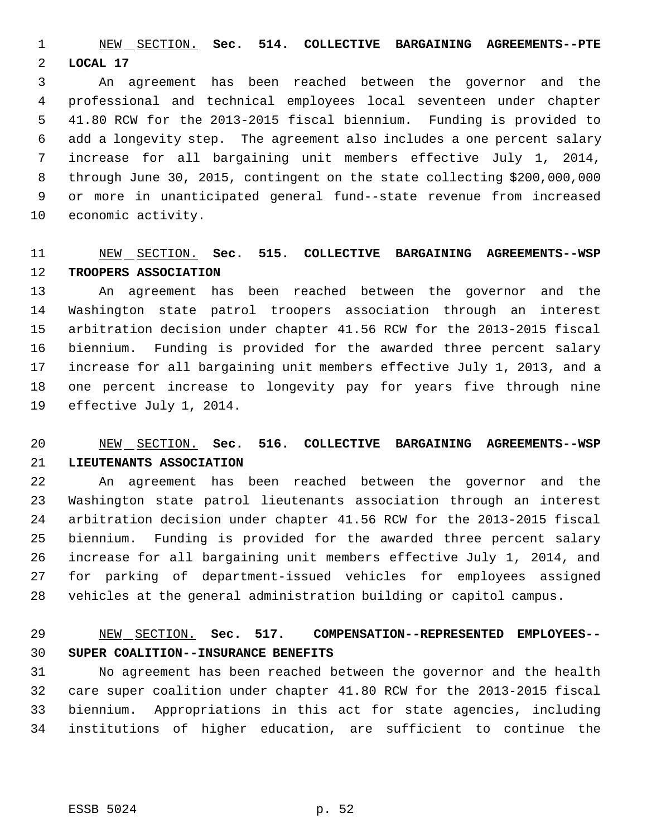NEW SECTION. **Sec. 514. COLLECTIVE BARGAINING AGREEMENTS--PTE LOCAL 17**

 An agreement has been reached between the governor and the professional and technical employees local seventeen under chapter 41.80 RCW for the 2013-2015 fiscal biennium. Funding is provided to add a longevity step. The agreement also includes a one percent salary increase for all bargaining unit members effective July 1, 2014, through June 30, 2015, contingent on the state collecting \$200,000,000 or more in unanticipated general fund--state revenue from increased economic activity.

#### NEW SECTION. **Sec. 515. COLLECTIVE BARGAINING AGREEMENTS--WSP TROOPERS ASSOCIATION**

 An agreement has been reached between the governor and the Washington state patrol troopers association through an interest arbitration decision under chapter 41.56 RCW for the 2013-2015 fiscal biennium. Funding is provided for the awarded three percent salary increase for all bargaining unit members effective July 1, 2013, and a one percent increase to longevity pay for years five through nine effective July 1, 2014.

## NEW SECTION. **Sec. 516. COLLECTIVE BARGAINING AGREEMENTS--WSP LIEUTENANTS ASSOCIATION**

 An agreement has been reached between the governor and the Washington state patrol lieutenants association through an interest arbitration decision under chapter 41.56 RCW for the 2013-2015 fiscal biennium. Funding is provided for the awarded three percent salary increase for all bargaining unit members effective July 1, 2014, and for parking of department-issued vehicles for employees assigned vehicles at the general administration building or capitol campus.

## NEW SECTION. **Sec. 517. COMPENSATION--REPRESENTED EMPLOYEES-- SUPER COALITION--INSURANCE BENEFITS**

 No agreement has been reached between the governor and the health care super coalition under chapter 41.80 RCW for the 2013-2015 fiscal biennium. Appropriations in this act for state agencies, including institutions of higher education, are sufficient to continue the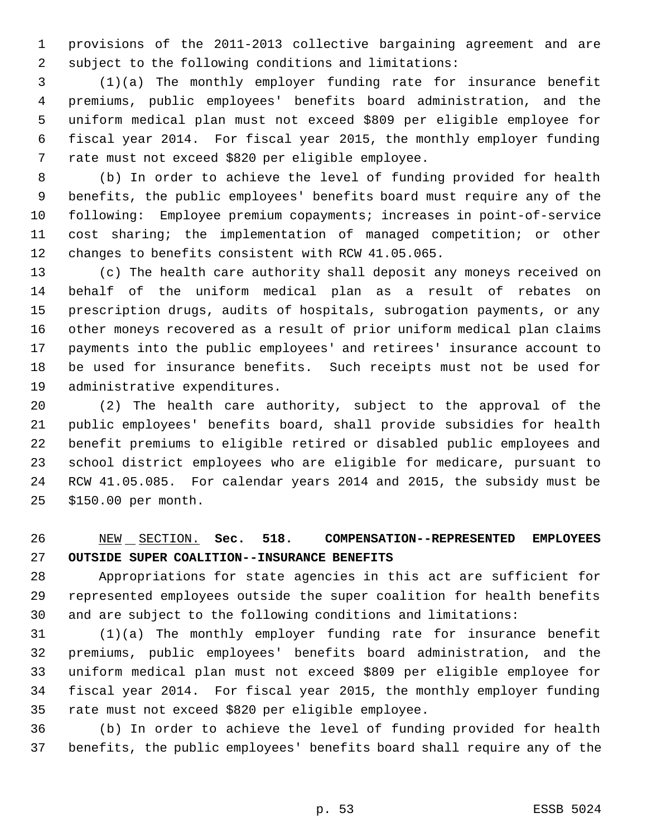provisions of the 2011-2013 collective bargaining agreement and are subject to the following conditions and limitations:

 (1)(a) The monthly employer funding rate for insurance benefit premiums, public employees' benefits board administration, and the uniform medical plan must not exceed \$809 per eligible employee for fiscal year 2014. For fiscal year 2015, the monthly employer funding rate must not exceed \$820 per eligible employee.

 (b) In order to achieve the level of funding provided for health benefits, the public employees' benefits board must require any of the following: Employee premium copayments; increases in point-of-service cost sharing; the implementation of managed competition; or other changes to benefits consistent with RCW 41.05.065.

 (c) The health care authority shall deposit any moneys received on behalf of the uniform medical plan as a result of rebates on prescription drugs, audits of hospitals, subrogation payments, or any other moneys recovered as a result of prior uniform medical plan claims payments into the public employees' and retirees' insurance account to be used for insurance benefits. Such receipts must not be used for administrative expenditures.

 (2) The health care authority, subject to the approval of the public employees' benefits board, shall provide subsidies for health benefit premiums to eligible retired or disabled public employees and school district employees who are eligible for medicare, pursuant to RCW 41.05.085. For calendar years 2014 and 2015, the subsidy must be \$150.00 per month.

 NEW SECTION. **Sec. 518. COMPENSATION--REPRESENTED EMPLOYEES OUTSIDE SUPER COALITION--INSURANCE BENEFITS**

 Appropriations for state agencies in this act are sufficient for represented employees outside the super coalition for health benefits and are subject to the following conditions and limitations:

 (1)(a) The monthly employer funding rate for insurance benefit premiums, public employees' benefits board administration, and the uniform medical plan must not exceed \$809 per eligible employee for fiscal year 2014. For fiscal year 2015, the monthly employer funding rate must not exceed \$820 per eligible employee.

 (b) In order to achieve the level of funding provided for health benefits, the public employees' benefits board shall require any of the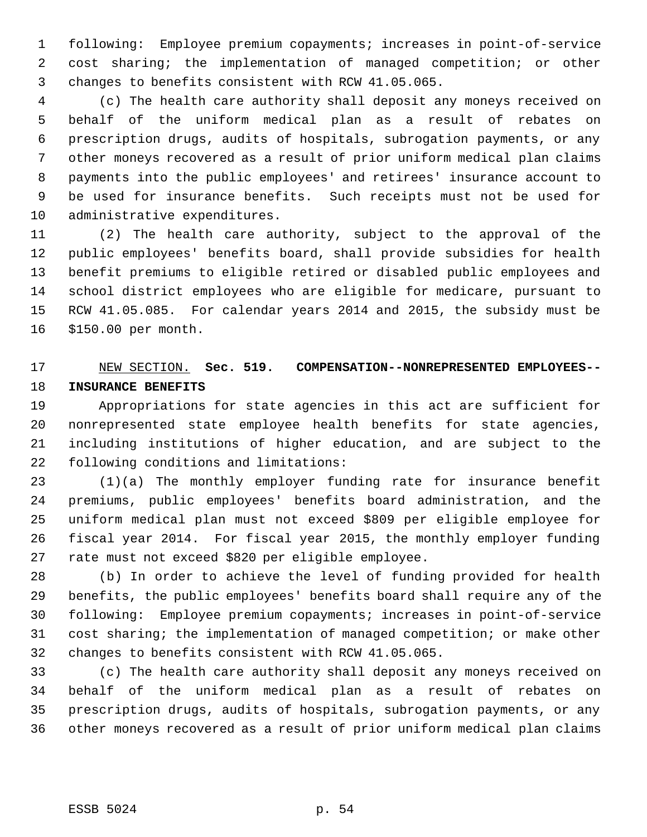following: Employee premium copayments; increases in point-of-service cost sharing; the implementation of managed competition; or other changes to benefits consistent with RCW 41.05.065.

 (c) The health care authority shall deposit any moneys received on behalf of the uniform medical plan as a result of rebates on prescription drugs, audits of hospitals, subrogation payments, or any other moneys recovered as a result of prior uniform medical plan claims payments into the public employees' and retirees' insurance account to be used for insurance benefits. Such receipts must not be used for administrative expenditures.

 (2) The health care authority, subject to the approval of the public employees' benefits board, shall provide subsidies for health benefit premiums to eligible retired or disabled public employees and school district employees who are eligible for medicare, pursuant to RCW 41.05.085. For calendar years 2014 and 2015, the subsidy must be \$150.00 per month.

# NEW SECTION. **Sec. 519. COMPENSATION--NONREPRESENTED EMPLOYEES-- INSURANCE BENEFITS**

 Appropriations for state agencies in this act are sufficient for nonrepresented state employee health benefits for state agencies, including institutions of higher education, and are subject to the following conditions and limitations:

 (1)(a) The monthly employer funding rate for insurance benefit premiums, public employees' benefits board administration, and the uniform medical plan must not exceed \$809 per eligible employee for fiscal year 2014. For fiscal year 2015, the monthly employer funding rate must not exceed \$820 per eligible employee.

 (b) In order to achieve the level of funding provided for health benefits, the public employees' benefits board shall require any of the following: Employee premium copayments; increases in point-of-service cost sharing; the implementation of managed competition; or make other changes to benefits consistent with RCW 41.05.065.

 (c) The health care authority shall deposit any moneys received on behalf of the uniform medical plan as a result of rebates on prescription drugs, audits of hospitals, subrogation payments, or any other moneys recovered as a result of prior uniform medical plan claims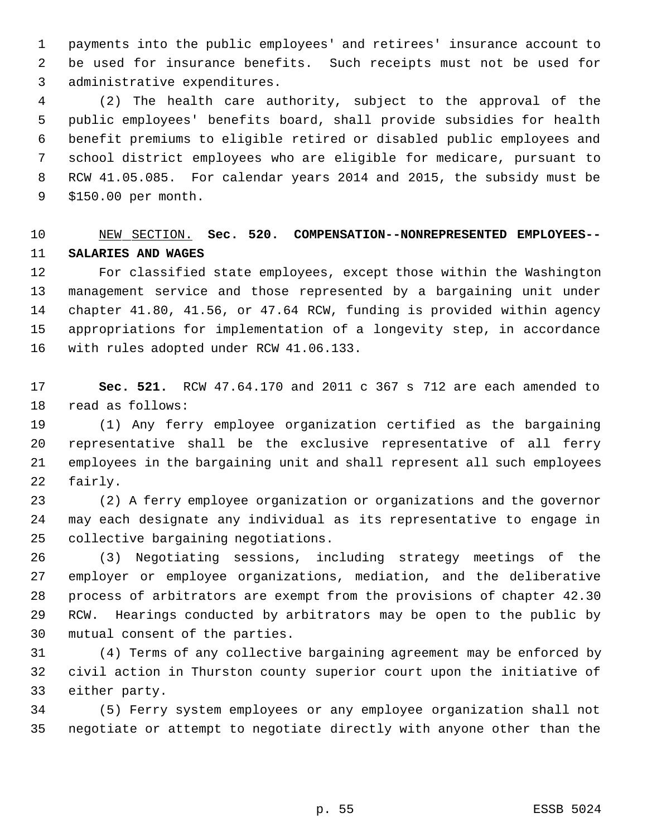payments into the public employees' and retirees' insurance account to be used for insurance benefits. Such receipts must not be used for administrative expenditures.

 (2) The health care authority, subject to the approval of the public employees' benefits board, shall provide subsidies for health benefit premiums to eligible retired or disabled public employees and school district employees who are eligible for medicare, pursuant to RCW 41.05.085. For calendar years 2014 and 2015, the subsidy must be \$150.00 per month.

# NEW SECTION. **Sec. 520. COMPENSATION--NONREPRESENTED EMPLOYEES-- SALARIES AND WAGES**

 For classified state employees, except those within the Washington management service and those represented by a bargaining unit under chapter 41.80, 41.56, or 47.64 RCW, funding is provided within agency appropriations for implementation of a longevity step, in accordance with rules adopted under RCW 41.06.133.

 **Sec. 521.** RCW 47.64.170 and 2011 c 367 s 712 are each amended to read as follows:

 (1) Any ferry employee organization certified as the bargaining representative shall be the exclusive representative of all ferry employees in the bargaining unit and shall represent all such employees fairly.

 (2) A ferry employee organization or organizations and the governor may each designate any individual as its representative to engage in collective bargaining negotiations.

 (3) Negotiating sessions, including strategy meetings of the employer or employee organizations, mediation, and the deliberative process of arbitrators are exempt from the provisions of chapter 42.30 RCW. Hearings conducted by arbitrators may be open to the public by mutual consent of the parties.

 (4) Terms of any collective bargaining agreement may be enforced by civil action in Thurston county superior court upon the initiative of either party.

 (5) Ferry system employees or any employee organization shall not negotiate or attempt to negotiate directly with anyone other than the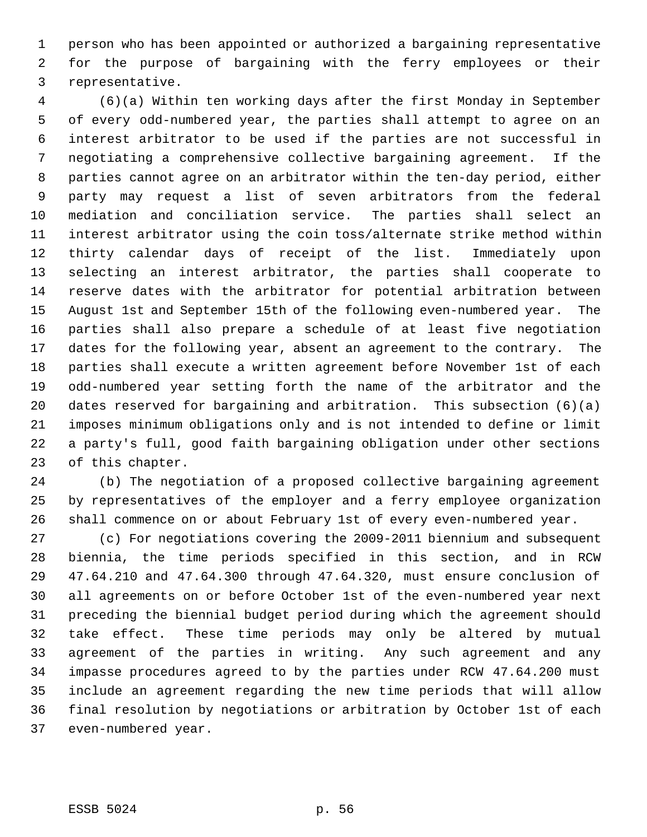person who has been appointed or authorized a bargaining representative for the purpose of bargaining with the ferry employees or their representative.

 (6)(a) Within ten working days after the first Monday in September of every odd-numbered year, the parties shall attempt to agree on an interest arbitrator to be used if the parties are not successful in negotiating a comprehensive collective bargaining agreement. If the parties cannot agree on an arbitrator within the ten-day period, either party may request a list of seven arbitrators from the federal mediation and conciliation service. The parties shall select an interest arbitrator using the coin toss/alternate strike method within thirty calendar days of receipt of the list. Immediately upon selecting an interest arbitrator, the parties shall cooperate to reserve dates with the arbitrator for potential arbitration between August 1st and September 15th of the following even-numbered year. The parties shall also prepare a schedule of at least five negotiation dates for the following year, absent an agreement to the contrary. The parties shall execute a written agreement before November 1st of each odd-numbered year setting forth the name of the arbitrator and the dates reserved for bargaining and arbitration. This subsection (6)(a) imposes minimum obligations only and is not intended to define or limit a party's full, good faith bargaining obligation under other sections of this chapter.

 (b) The negotiation of a proposed collective bargaining agreement by representatives of the employer and a ferry employee organization shall commence on or about February 1st of every even-numbered year.

 (c) For negotiations covering the 2009-2011 biennium and subsequent biennia, the time periods specified in this section, and in RCW 47.64.210 and 47.64.300 through 47.64.320, must ensure conclusion of all agreements on or before October 1st of the even-numbered year next preceding the biennial budget period during which the agreement should take effect. These time periods may only be altered by mutual agreement of the parties in writing. Any such agreement and any impasse procedures agreed to by the parties under RCW 47.64.200 must include an agreement regarding the new time periods that will allow final resolution by negotiations or arbitration by October 1st of each even-numbered year.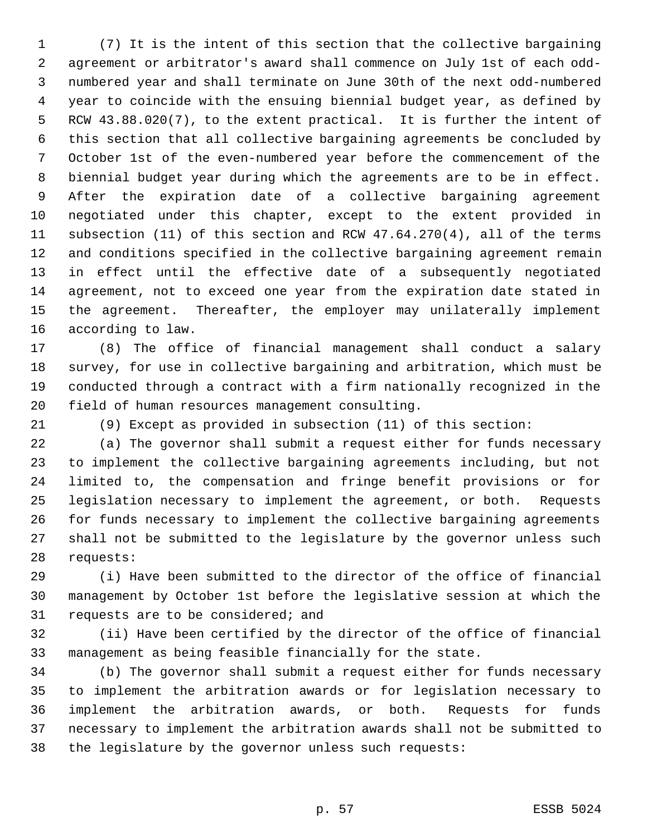(7) It is the intent of this section that the collective bargaining agreement or arbitrator's award shall commence on July 1st of each odd- numbered year and shall terminate on June 30th of the next odd-numbered year to coincide with the ensuing biennial budget year, as defined by RCW 43.88.020(7), to the extent practical. It is further the intent of this section that all collective bargaining agreements be concluded by October 1st of the even-numbered year before the commencement of the biennial budget year during which the agreements are to be in effect. After the expiration date of a collective bargaining agreement negotiated under this chapter, except to the extent provided in subsection (11) of this section and RCW 47.64.270(4), all of the terms and conditions specified in the collective bargaining agreement remain in effect until the effective date of a subsequently negotiated agreement, not to exceed one year from the expiration date stated in the agreement. Thereafter, the employer may unilaterally implement according to law.

 (8) The office of financial management shall conduct a salary survey, for use in collective bargaining and arbitration, which must be conducted through a contract with a firm nationally recognized in the field of human resources management consulting.

(9) Except as provided in subsection (11) of this section:

 (a) The governor shall submit a request either for funds necessary to implement the collective bargaining agreements including, but not limited to, the compensation and fringe benefit provisions or for legislation necessary to implement the agreement, or both. Requests for funds necessary to implement the collective bargaining agreements shall not be submitted to the legislature by the governor unless such requests:

 (i) Have been submitted to the director of the office of financial management by October 1st before the legislative session at which the requests are to be considered; and

 (ii) Have been certified by the director of the office of financial management as being feasible financially for the state.

 (b) The governor shall submit a request either for funds necessary to implement the arbitration awards or for legislation necessary to implement the arbitration awards, or both. Requests for funds necessary to implement the arbitration awards shall not be submitted to the legislature by the governor unless such requests: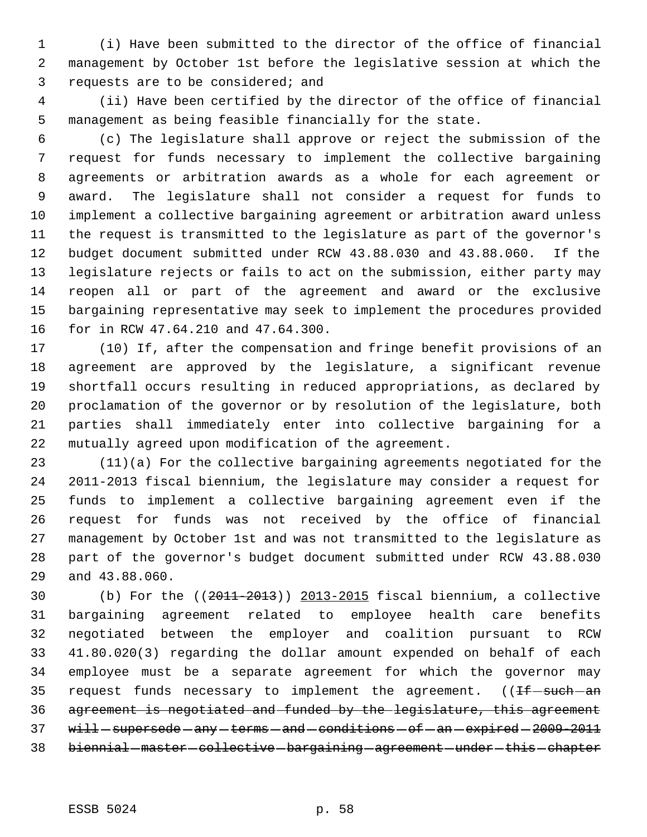(i) Have been submitted to the director of the office of financial management by October 1st before the legislative session at which the requests are to be considered; and

 (ii) Have been certified by the director of the office of financial management as being feasible financially for the state.

 (c) The legislature shall approve or reject the submission of the request for funds necessary to implement the collective bargaining agreements or arbitration awards as a whole for each agreement or award. The legislature shall not consider a request for funds to implement a collective bargaining agreement or arbitration award unless the request is transmitted to the legislature as part of the governor's budget document submitted under RCW 43.88.030 and 43.88.060. If the legislature rejects or fails to act on the submission, either party may reopen all or part of the agreement and award or the exclusive bargaining representative may seek to implement the procedures provided for in RCW 47.64.210 and 47.64.300.

 (10) If, after the compensation and fringe benefit provisions of an agreement are approved by the legislature, a significant revenue shortfall occurs resulting in reduced appropriations, as declared by proclamation of the governor or by resolution of the legislature, both parties shall immediately enter into collective bargaining for a mutually agreed upon modification of the agreement.

 (11)(a) For the collective bargaining agreements negotiated for the 2011-2013 fiscal biennium, the legislature may consider a request for funds to implement a collective bargaining agreement even if the request for funds was not received by the office of financial management by October 1st and was not transmitted to the legislature as part of the governor's budget document submitted under RCW 43.88.030 and 43.88.060.

 (b) For the ((2011-2013)) 2013-2015 fiscal biennium, a collective bargaining agreement related to employee health care benefits negotiated between the employer and coalition pursuant to RCW 41.80.020(3) regarding the dollar amount expended on behalf of each employee must be a separate agreement for which the governor may 35 request funds necessary to implement the agreement.  $($  ( $H$  = such - an agreement is negotiated and funded by the legislature, this agreement 37 will-supersede-any-terms-and-conditions-of-an-expired-2009-2011 38 biennial - master - collective - bargaining - agreement - under - this - chapter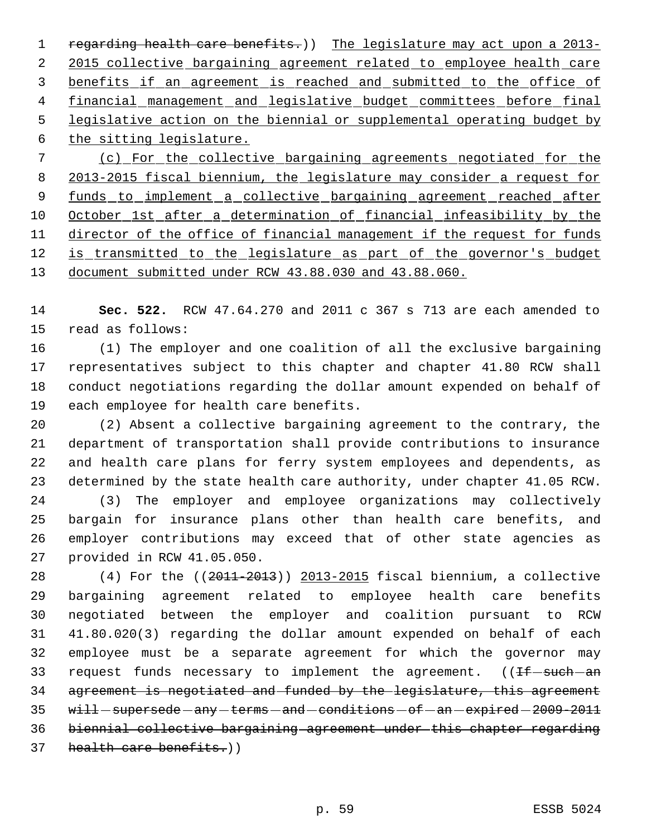1 regarding health care benefits.)) The legislature may act upon a 2013-2 2015 collective bargaining agreement related to employee health care benefits if an agreement is reached and submitted to the office of financial management and legislative budget committees before final legislative action on the biennial or supplemental operating budget by the sitting legislature. (c) For the collective bargaining agreements negotiated for the 2013-2015 fiscal biennium, the legislature may consider a request for 9 funds to implement a collective bargaining agreement reached after October 1st after a determination of financial infeasibility by the director of the office of financial management if the request for funds 12 is transmitted to the legislature as part of the governor's budget

document submitted under RCW 43.88.030 and 43.88.060.

 **Sec. 522.** RCW 47.64.270 and 2011 c 367 s 713 are each amended to read as follows:

 (1) The employer and one coalition of all the exclusive bargaining representatives subject to this chapter and chapter 41.80 RCW shall conduct negotiations regarding the dollar amount expended on behalf of each employee for health care benefits.

 (2) Absent a collective bargaining agreement to the contrary, the department of transportation shall provide contributions to insurance and health care plans for ferry system employees and dependents, as determined by the state health care authority, under chapter 41.05 RCW.

 (3) The employer and employee organizations may collectively bargain for insurance plans other than health care benefits, and employer contributions may exceed that of other state agencies as provided in RCW 41.05.050.

 (4) For the ((2011-2013)) 2013-2015 fiscal biennium, a collective bargaining agreement related to employee health care benefits negotiated between the employer and coalition pursuant to RCW 41.80.020(3) regarding the dollar amount expended on behalf of each employee must be a separate agreement for which the governor may 33 request funds necessary to implement the agreement.  $($  ( $H$  = such - an agreement is negotiated and funded by the legislature, this agreement  $\text{with}-\text{supersede}-\text{any}-\text{terms}-\text{and}-\text{condition}-\text{of}-\text{an}-\text{explicited}-2009-2011}$  biennial collective bargaining agreement under this chapter regarding 37 health care benefits.)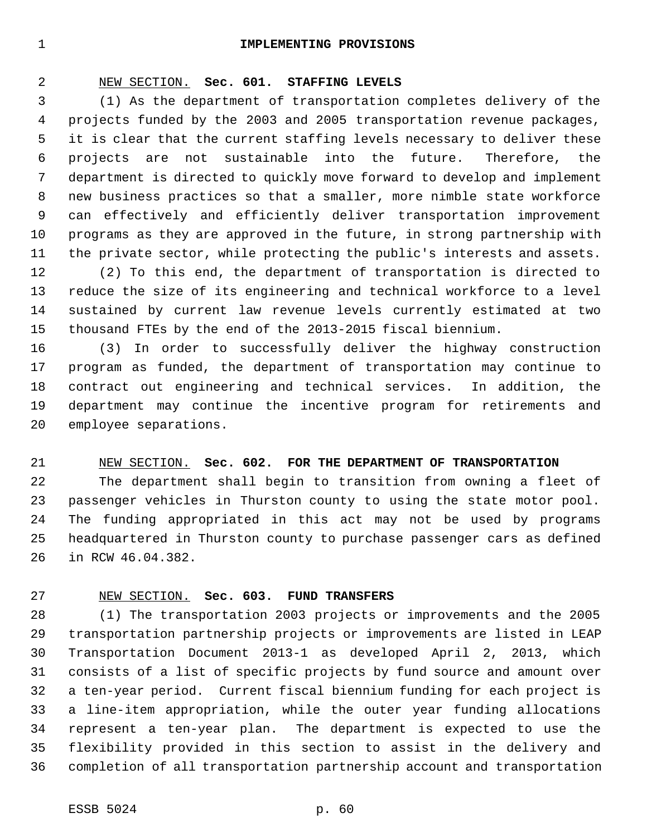#### **IMPLEMENTING PROVISIONS**

#### NEW SECTION. **Sec. 601. STAFFING LEVELS**

 (1) As the department of transportation completes delivery of the projects funded by the 2003 and 2005 transportation revenue packages, it is clear that the current staffing levels necessary to deliver these projects are not sustainable into the future. Therefore, the department is directed to quickly move forward to develop and implement new business practices so that a smaller, more nimble state workforce can effectively and efficiently deliver transportation improvement programs as they are approved in the future, in strong partnership with the private sector, while protecting the public's interests and assets.

 (2) To this end, the department of transportation is directed to reduce the size of its engineering and technical workforce to a level sustained by current law revenue levels currently estimated at two thousand FTEs by the end of the 2013-2015 fiscal biennium.

 (3) In order to successfully deliver the highway construction program as funded, the department of transportation may continue to contract out engineering and technical services. In addition, the department may continue the incentive program for retirements and employee separations.

#### NEW SECTION. **Sec. 602. FOR THE DEPARTMENT OF TRANSPORTATION**

 The department shall begin to transition from owning a fleet of passenger vehicles in Thurston county to using the state motor pool. The funding appropriated in this act may not be used by programs headquartered in Thurston county to purchase passenger cars as defined in RCW 46.04.382.

#### NEW SECTION. **Sec. 603. FUND TRANSFERS**

 (1) The transportation 2003 projects or improvements and the 2005 transportation partnership projects or improvements are listed in LEAP Transportation Document 2013-1 as developed April 2, 2013, which consists of a list of specific projects by fund source and amount over a ten-year period. Current fiscal biennium funding for each project is a line-item appropriation, while the outer year funding allocations represent a ten-year plan. The department is expected to use the flexibility provided in this section to assist in the delivery and completion of all transportation partnership account and transportation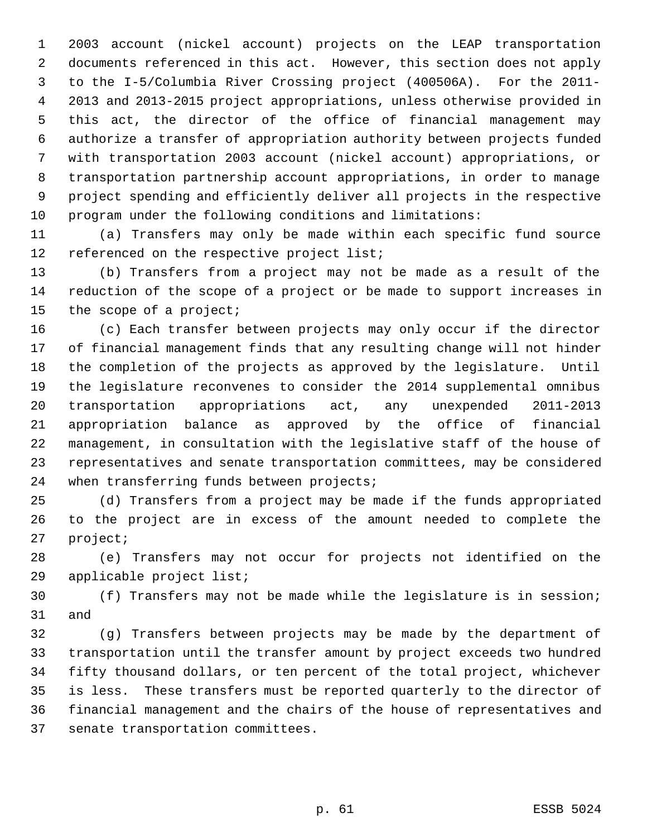2003 account (nickel account) projects on the LEAP transportation documents referenced in this act. However, this section does not apply to the I-5/Columbia River Crossing project (400506A). For the 2011- 2013 and 2013-2015 project appropriations, unless otherwise provided in this act, the director of the office of financial management may authorize a transfer of appropriation authority between projects funded with transportation 2003 account (nickel account) appropriations, or transportation partnership account appropriations, in order to manage project spending and efficiently deliver all projects in the respective program under the following conditions and limitations:

 (a) Transfers may only be made within each specific fund source 12 referenced on the respective project list;

 (b) Transfers from a project may not be made as a result of the reduction of the scope of a project or be made to support increases in the scope of a project;

 (c) Each transfer between projects may only occur if the director of financial management finds that any resulting change will not hinder the completion of the projects as approved by the legislature. Until the legislature reconvenes to consider the 2014 supplemental omnibus transportation appropriations act, any unexpended 2011-2013 appropriation balance as approved by the office of financial management, in consultation with the legislative staff of the house of representatives and senate transportation committees, may be considered 24 when transferring funds between projects;

 (d) Transfers from a project may be made if the funds appropriated to the project are in excess of the amount needed to complete the project;

 (e) Transfers may not occur for projects not identified on the applicable project list;

 (f) Transfers may not be made while the legislature is in session; and

 (g) Transfers between projects may be made by the department of transportation until the transfer amount by project exceeds two hundred fifty thousand dollars, or ten percent of the total project, whichever is less. These transfers must be reported quarterly to the director of financial management and the chairs of the house of representatives and senate transportation committees.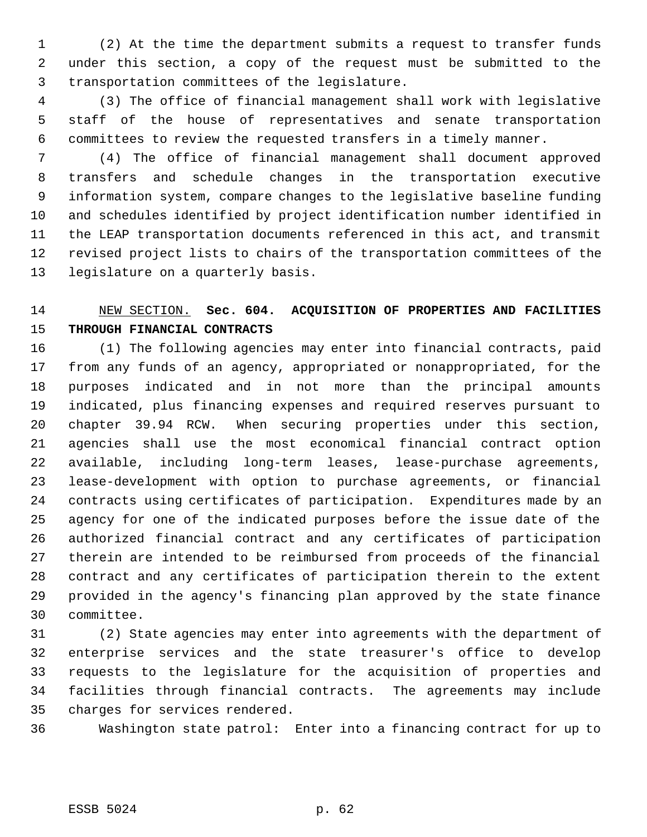(2) At the time the department submits a request to transfer funds under this section, a copy of the request must be submitted to the transportation committees of the legislature.

 (3) The office of financial management shall work with legislative staff of the house of representatives and senate transportation committees to review the requested transfers in a timely manner.

 (4) The office of financial management shall document approved transfers and schedule changes in the transportation executive information system, compare changes to the legislative baseline funding and schedules identified by project identification number identified in the LEAP transportation documents referenced in this act, and transmit revised project lists to chairs of the transportation committees of the legislature on a quarterly basis.

# NEW SECTION. **Sec. 604. ACQUISITION OF PROPERTIES AND FACILITIES THROUGH FINANCIAL CONTRACTS**

 (1) The following agencies may enter into financial contracts, paid from any funds of an agency, appropriated or nonappropriated, for the purposes indicated and in not more than the principal amounts indicated, plus financing expenses and required reserves pursuant to chapter 39.94 RCW. When securing properties under this section, agencies shall use the most economical financial contract option available, including long-term leases, lease-purchase agreements, lease-development with option to purchase agreements, or financial contracts using certificates of participation. Expenditures made by an agency for one of the indicated purposes before the issue date of the authorized financial contract and any certificates of participation therein are intended to be reimbursed from proceeds of the financial contract and any certificates of participation therein to the extent provided in the agency's financing plan approved by the state finance committee.

 (2) State agencies may enter into agreements with the department of enterprise services and the state treasurer's office to develop requests to the legislature for the acquisition of properties and facilities through financial contracts. The agreements may include charges for services rendered.

Washington state patrol: Enter into a financing contract for up to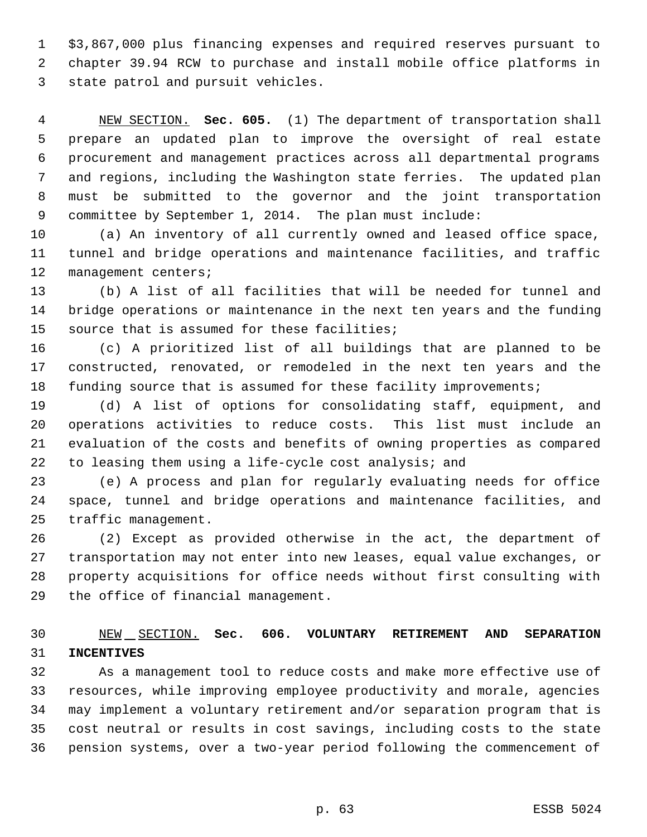\$3,867,000 plus financing expenses and required reserves pursuant to chapter 39.94 RCW to purchase and install mobile office platforms in state patrol and pursuit vehicles.

 NEW SECTION. **Sec. 605.** (1) The department of transportation shall prepare an updated plan to improve the oversight of real estate procurement and management practices across all departmental programs and regions, including the Washington state ferries. The updated plan must be submitted to the governor and the joint transportation committee by September 1, 2014. The plan must include:

 (a) An inventory of all currently owned and leased office space, tunnel and bridge operations and maintenance facilities, and traffic 12 management centers;

 (b) A list of all facilities that will be needed for tunnel and bridge operations or maintenance in the next ten years and the funding source that is assumed for these facilities;

 (c) A prioritized list of all buildings that are planned to be constructed, renovated, or remodeled in the next ten years and the 18 funding source that is assumed for these facility improvements;

 (d) A list of options for consolidating staff, equipment, and operations activities to reduce costs. This list must include an evaluation of the costs and benefits of owning properties as compared to leasing them using a life-cycle cost analysis; and

 (e) A process and plan for regularly evaluating needs for office space, tunnel and bridge operations and maintenance facilities, and traffic management.

 (2) Except as provided otherwise in the act, the department of transportation may not enter into new leases, equal value exchanges, or property acquisitions for office needs without first consulting with the office of financial management.

## NEW SECTION. **Sec. 606. VOLUNTARY RETIREMENT AND SEPARATION INCENTIVES**

 As a management tool to reduce costs and make more effective use of resources, while improving employee productivity and morale, agencies may implement a voluntary retirement and/or separation program that is cost neutral or results in cost savings, including costs to the state pension systems, over a two-year period following the commencement of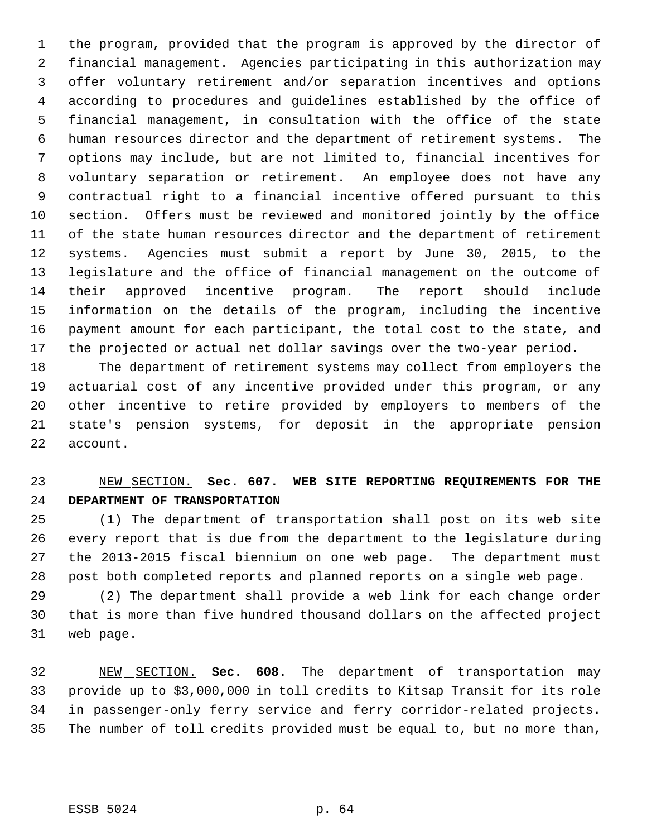the program, provided that the program is approved by the director of financial management. Agencies participating in this authorization may offer voluntary retirement and/or separation incentives and options according to procedures and guidelines established by the office of financial management, in consultation with the office of the state human resources director and the department of retirement systems. The options may include, but are not limited to, financial incentives for voluntary separation or retirement. An employee does not have any contractual right to a financial incentive offered pursuant to this section. Offers must be reviewed and monitored jointly by the office of the state human resources director and the department of retirement systems. Agencies must submit a report by June 30, 2015, to the legislature and the office of financial management on the outcome of their approved incentive program. The report should include information on the details of the program, including the incentive payment amount for each participant, the total cost to the state, and the projected or actual net dollar savings over the two-year period.

 The department of retirement systems may collect from employers the actuarial cost of any incentive provided under this program, or any other incentive to retire provided by employers to members of the state's pension systems, for deposit in the appropriate pension account.

# NEW SECTION. **Sec. 607. WEB SITE REPORTING REQUIREMENTS FOR THE DEPARTMENT OF TRANSPORTATION**

 (1) The department of transportation shall post on its web site every report that is due from the department to the legislature during the 2013-2015 fiscal biennium on one web page. The department must post both completed reports and planned reports on a single web page.

 (2) The department shall provide a web link for each change order that is more than five hundred thousand dollars on the affected project web page.

 NEW SECTION. **Sec. 608.** The department of transportation may provide up to \$3,000,000 in toll credits to Kitsap Transit for its role in passenger-only ferry service and ferry corridor-related projects. The number of toll credits provided must be equal to, but no more than,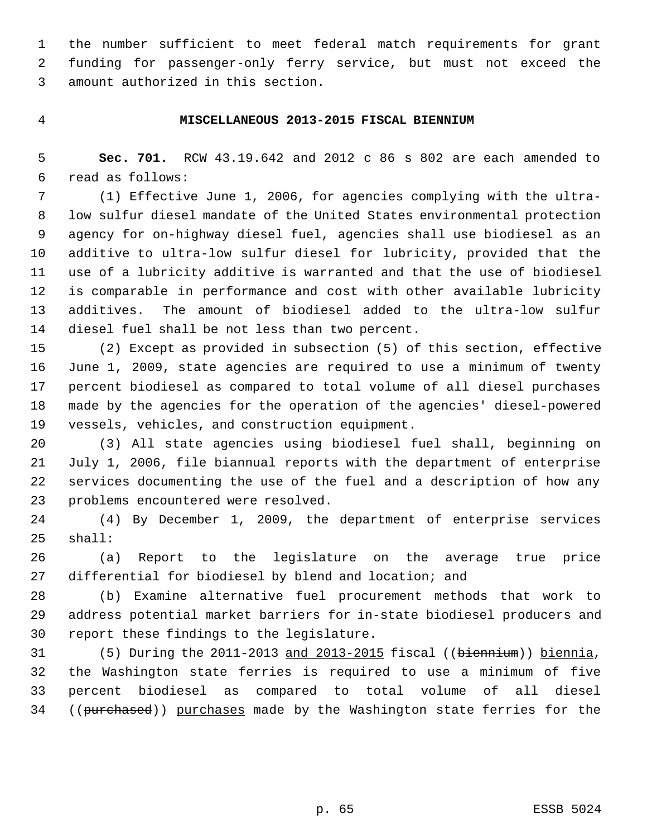the number sufficient to meet federal match requirements for grant funding for passenger-only ferry service, but must not exceed the amount authorized in this section.

#### **MISCELLANEOUS 2013-2015 FISCAL BIENNIUM**

 **Sec. 701.** RCW 43.19.642 and 2012 c 86 s 802 are each amended to read as follows:

 (1) Effective June 1, 2006, for agencies complying with the ultra- low sulfur diesel mandate of the United States environmental protection agency for on-highway diesel fuel, agencies shall use biodiesel as an additive to ultra-low sulfur diesel for lubricity, provided that the use of a lubricity additive is warranted and that the use of biodiesel is comparable in performance and cost with other available lubricity additives. The amount of biodiesel added to the ultra-low sulfur diesel fuel shall be not less than two percent.

 (2) Except as provided in subsection (5) of this section, effective June 1, 2009, state agencies are required to use a minimum of twenty percent biodiesel as compared to total volume of all diesel purchases made by the agencies for the operation of the agencies' diesel-powered vessels, vehicles, and construction equipment.

 (3) All state agencies using biodiesel fuel shall, beginning on July 1, 2006, file biannual reports with the department of enterprise services documenting the use of the fuel and a description of how any problems encountered were resolved.

 (4) By December 1, 2009, the department of enterprise services shall:

 (a) Report to the legislature on the average true price differential for biodiesel by blend and location; and

 (b) Examine alternative fuel procurement methods that work to address potential market barriers for in-state biodiesel producers and report these findings to the legislature.

 (5) During the 2011-2013 and 2013-2015 fiscal ((biennium)) biennia, the Washington state ferries is required to use a minimum of five percent biodiesel as compared to total volume of all diesel 34 ((purchased)) purchases made by the Washington state ferries for the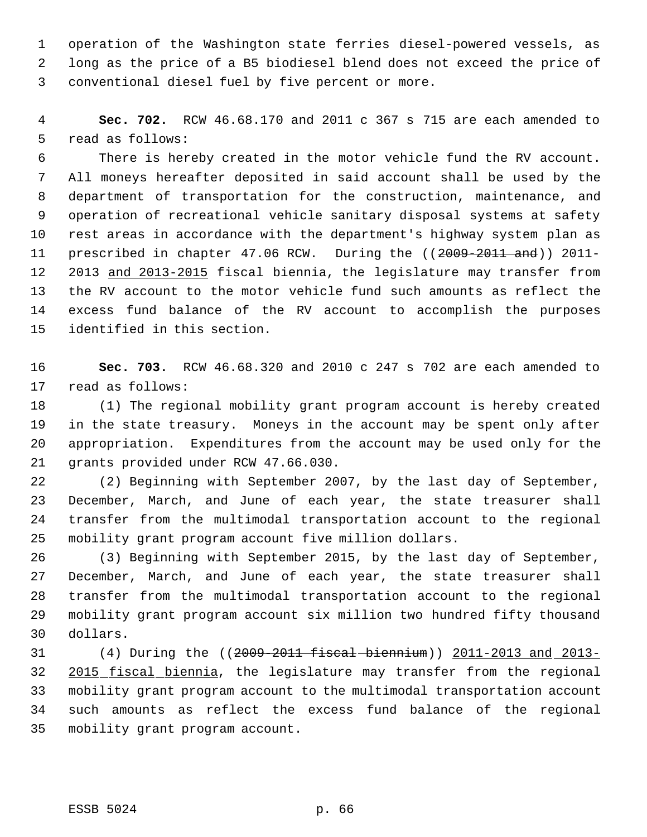operation of the Washington state ferries diesel-powered vessels, as long as the price of a B5 biodiesel blend does not exceed the price of conventional diesel fuel by five percent or more.

 **Sec. 702.** RCW 46.68.170 and 2011 c 367 s 715 are each amended to read as follows:

 There is hereby created in the motor vehicle fund the RV account. All moneys hereafter deposited in said account shall be used by the department of transportation for the construction, maintenance, and operation of recreational vehicle sanitary disposal systems at safety rest areas in accordance with the department's highway system plan as 11 prescribed in chapter 47.06 RCW. During the ((2009-2011 and)) 2011- 2013 and 2013-2015 fiscal biennia, the legislature may transfer from the RV account to the motor vehicle fund such amounts as reflect the excess fund balance of the RV account to accomplish the purposes identified in this section.

 **Sec. 703.** RCW 46.68.320 and 2010 c 247 s 702 are each amended to read as follows:

 (1) The regional mobility grant program account is hereby created in the state treasury. Moneys in the account may be spent only after appropriation. Expenditures from the account may be used only for the grants provided under RCW 47.66.030.

 (2) Beginning with September 2007, by the last day of September, December, March, and June of each year, the state treasurer shall transfer from the multimodal transportation account to the regional mobility grant program account five million dollars.

 (3) Beginning with September 2015, by the last day of September, December, March, and June of each year, the state treasurer shall transfer from the multimodal transportation account to the regional mobility grant program account six million two hundred fifty thousand dollars.

 (4) During the ((2009-2011 fiscal biennium)) 2011-2013 and 2013- 2015 fiscal biennia, the legislature may transfer from the regional mobility grant program account to the multimodal transportation account such amounts as reflect the excess fund balance of the regional mobility grant program account.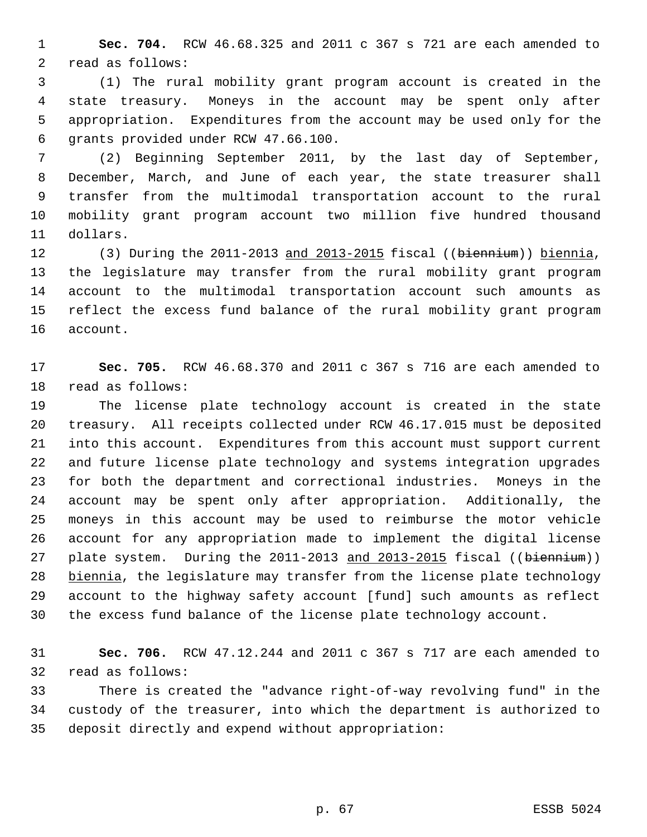**Sec. 704.** RCW 46.68.325 and 2011 c 367 s 721 are each amended to read as follows:

 (1) The rural mobility grant program account is created in the state treasury. Moneys in the account may be spent only after appropriation. Expenditures from the account may be used only for the grants provided under RCW 47.66.100.

 (2) Beginning September 2011, by the last day of September, December, March, and June of each year, the state treasurer shall transfer from the multimodal transportation account to the rural mobility grant program account two million five hundred thousand dollars.

 (3) During the 2011-2013 and 2013-2015 fiscal ((biennium)) biennia, the legislature may transfer from the rural mobility grant program account to the multimodal transportation account such amounts as reflect the excess fund balance of the rural mobility grant program account.

 **Sec. 705.** RCW 46.68.370 and 2011 c 367 s 716 are each amended to read as follows:

 The license plate technology account is created in the state treasury. All receipts collected under RCW 46.17.015 must be deposited into this account. Expenditures from this account must support current and future license plate technology and systems integration upgrades for both the department and correctional industries. Moneys in the account may be spent only after appropriation. Additionally, the moneys in this account may be used to reimburse the motor vehicle account for any appropriation made to implement the digital license 27 plate system. During the 2011-2013 and 2013-2015 fiscal ((biennium)) biennia, the legislature may transfer from the license plate technology account to the highway safety account [fund] such amounts as reflect the excess fund balance of the license plate technology account.

 **Sec. 706.** RCW 47.12.244 and 2011 c 367 s 717 are each amended to read as follows:

 There is created the "advance right-of-way revolving fund" in the custody of the treasurer, into which the department is authorized to deposit directly and expend without appropriation: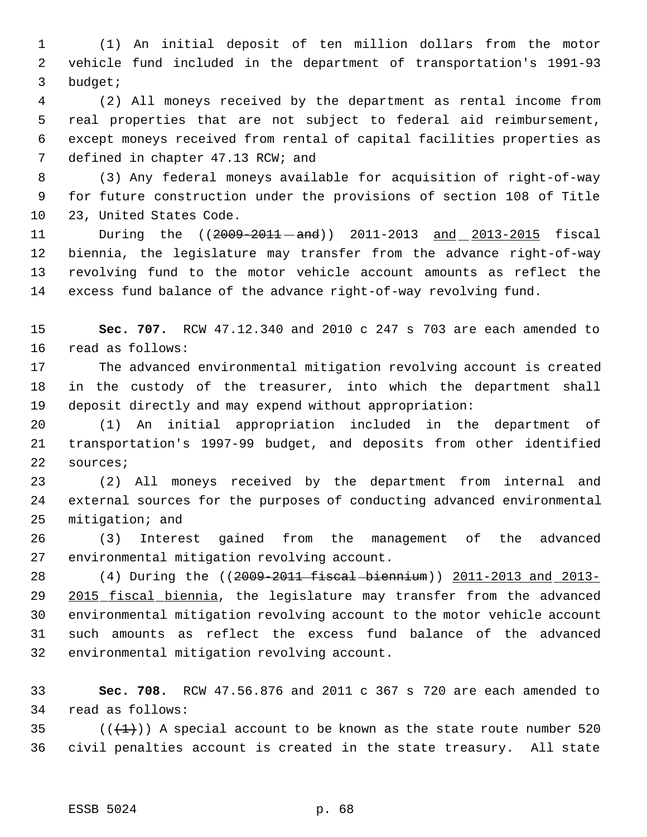(1) An initial deposit of ten million dollars from the motor vehicle fund included in the department of transportation's 1991-93 budget;

 (2) All moneys received by the department as rental income from real properties that are not subject to federal aid reimbursement, except moneys received from rental of capital facilities properties as 7 defined in chapter 47.13 RCW; and

 (3) Any federal moneys available for acquisition of right-of-way for future construction under the provisions of section 108 of Title 23, United States Code.

11 During the ((2009-2011-and)) 2011-2013 and 2013-2015 fiscal biennia, the legislature may transfer from the advance right-of-way revolving fund to the motor vehicle account amounts as reflect the excess fund balance of the advance right-of-way revolving fund.

 **Sec. 707.** RCW 47.12.340 and 2010 c 247 s 703 are each amended to read as follows:

 The advanced environmental mitigation revolving account is created in the custody of the treasurer, into which the department shall deposit directly and may expend without appropriation:

 (1) An initial appropriation included in the department of transportation's 1997-99 budget, and deposits from other identified sources;

 (2) All moneys received by the department from internal and external sources for the purposes of conducting advanced environmental mitigation; and

 (3) Interest gained from the management of the advanced environmental mitigation revolving account.

 (4) During the ((2009-2011 fiscal biennium)) 2011-2013 and 2013- 29 2015 fiscal biennia, the legislature may transfer from the advanced environmental mitigation revolving account to the motor vehicle account such amounts as reflect the excess fund balance of the advanced environmental mitigation revolving account.

 **Sec. 708.** RCW 47.56.876 and 2011 c 367 s 720 are each amended to read as follows:

35 ( $(\overline{\{+1\}})$ ) A special account to be known as the state route number 520 civil penalties account is created in the state treasury. All state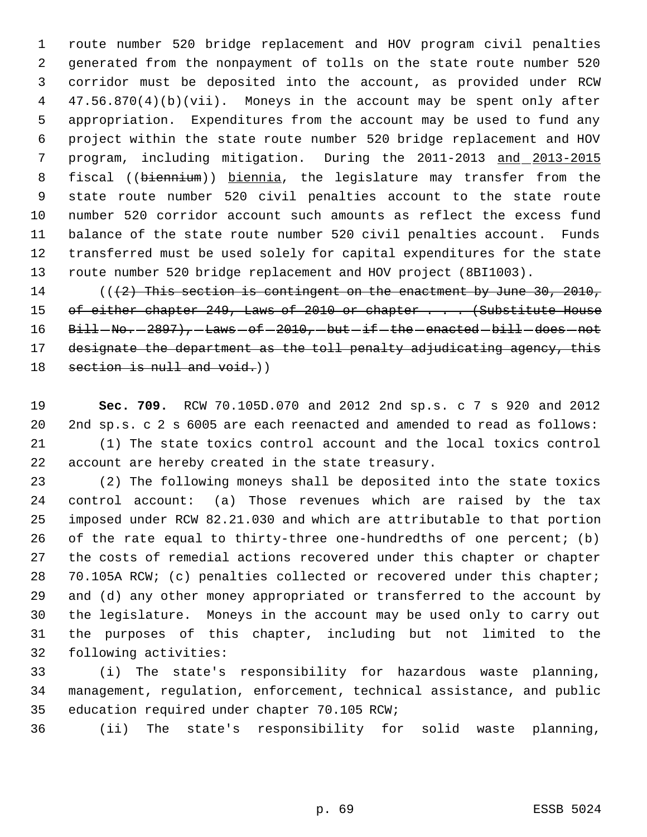route number 520 bridge replacement and HOV program civil penalties generated from the nonpayment of tolls on the state route number 520 corridor must be deposited into the account, as provided under RCW 47.56.870(4)(b)(vii). Moneys in the account may be spent only after appropriation. Expenditures from the account may be used to fund any project within the state route number 520 bridge replacement and HOV program, including mitigation. During the 2011-2013 and 2013-2015 8 fiscal ((biennium)) biennia, the legislature may transfer from the state route number 520 civil penalties account to the state route number 520 corridor account such amounts as reflect the excess fund balance of the state route number 520 civil penalties account. Funds transferred must be used solely for capital expenditures for the state route number 520 bridge replacement and HOV project (8BI1003).

 $((2)$  This section is contingent on the enactment by June 30, 2010, 15 of either chapter 249, Laws of 2010 or chapter . . . (Substitute House Bill  $N_0$ .  $-2897$ ),  $-$  Laws  $-$  of  $-2010$ ,  $-$  but  $-$  if  $-$  the  $-$  enacted  $-$  bill  $-$  does  $-$  not 17 designate the department as the toll penalty adjudicating agency, this 18 section is null and void.)

 **Sec. 709.** RCW 70.105D.070 and 2012 2nd sp.s. c 7 s 920 and 2012 2nd sp.s. c 2 s 6005 are each reenacted and amended to read as follows: (1) The state toxics control account and the local toxics control account are hereby created in the state treasury.

 (2) The following moneys shall be deposited into the state toxics control account: (a) Those revenues which are raised by the tax imposed under RCW 82.21.030 and which are attributable to that portion of the rate equal to thirty-three one-hundredths of one percent; (b) the costs of remedial actions recovered under this chapter or chapter 70.105A RCW; (c) penalties collected or recovered under this chapter; and (d) any other money appropriated or transferred to the account by the legislature. Moneys in the account may be used only to carry out the purposes of this chapter, including but not limited to the following activities:

 (i) The state's responsibility for hazardous waste planning, management, regulation, enforcement, technical assistance, and public education required under chapter 70.105 RCW;

(ii) The state's responsibility for solid waste planning,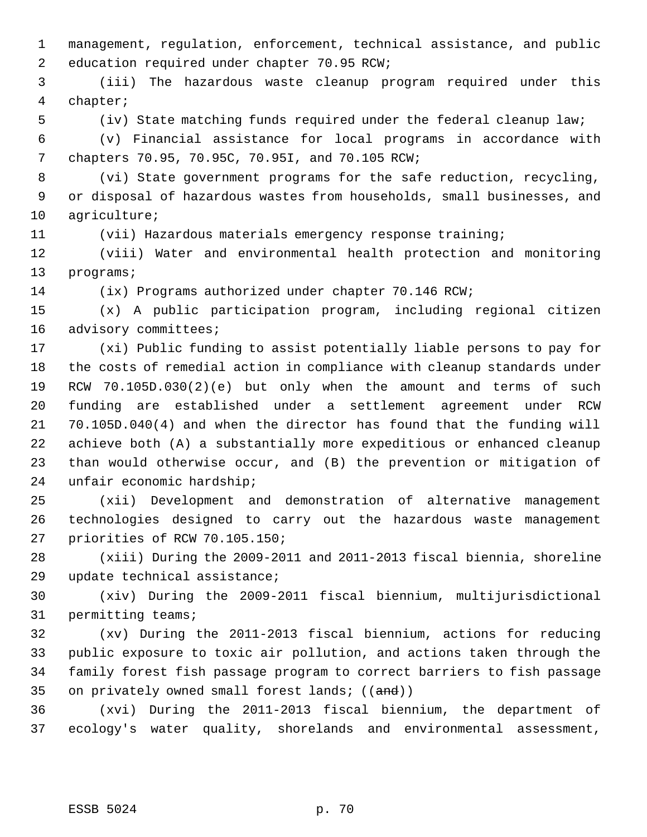management, regulation, enforcement, technical assistance, and public education required under chapter 70.95 RCW;

 (iii) The hazardous waste cleanup program required under this chapter;

(iv) State matching funds required under the federal cleanup law;

 (v) Financial assistance for local programs in accordance with chapters 70.95, 70.95C, 70.95I, and 70.105 RCW;

 (vi) State government programs for the safe reduction, recycling, or disposal of hazardous wastes from households, small businesses, and agriculture;

(vii) Hazardous materials emergency response training;

 (viii) Water and environmental health protection and monitoring programs;

(ix) Programs authorized under chapter 70.146 RCW;

 (x) A public participation program, including regional citizen advisory committees;

 (xi) Public funding to assist potentially liable persons to pay for the costs of remedial action in compliance with cleanup standards under RCW 70.105D.030(2)(e) but only when the amount and terms of such funding are established under a settlement agreement under RCW 70.105D.040(4) and when the director has found that the funding will achieve both (A) a substantially more expeditious or enhanced cleanup than would otherwise occur, and (B) the prevention or mitigation of unfair economic hardship;

 (xii) Development and demonstration of alternative management technologies designed to carry out the hazardous waste management priorities of RCW 70.105.150;

 (xiii) During the 2009-2011 and 2011-2013 fiscal biennia, shoreline update technical assistance;

 (xiv) During the 2009-2011 fiscal biennium, multijurisdictional permitting teams;

 (xv) During the 2011-2013 fiscal biennium, actions for reducing public exposure to toxic air pollution, and actions taken through the family forest fish passage program to correct barriers to fish passage 35 on privately owned small forest lands; ((and))

 (xvi) During the 2011-2013 fiscal biennium, the department of ecology's water quality, shorelands and environmental assessment,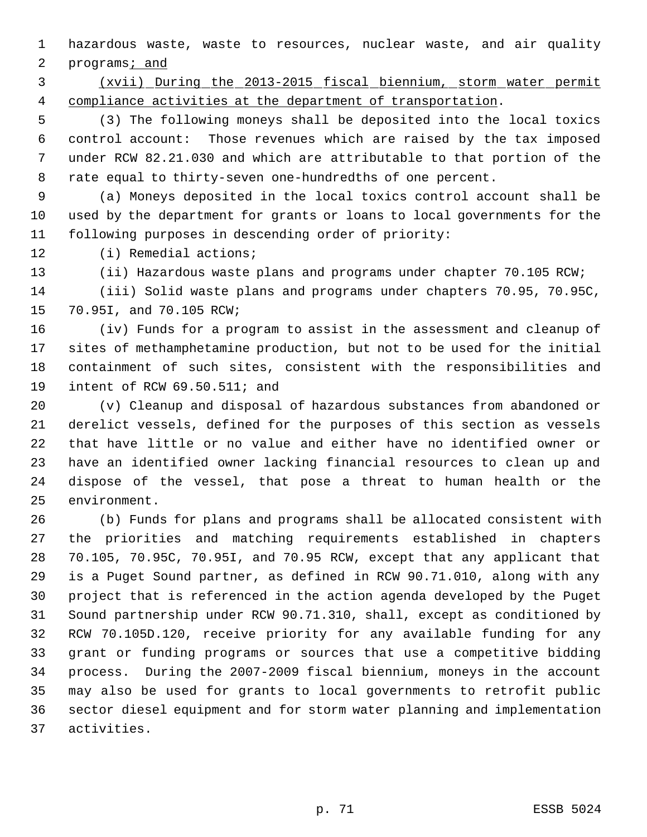hazardous waste, waste to resources, nuclear waste, and air quality 2 programs<sub>i</sub> and

 (xvii) During the 2013-2015 fiscal biennium, storm water permit compliance activities at the department of transportation.

 (3) The following moneys shall be deposited into the local toxics control account: Those revenues which are raised by the tax imposed under RCW 82.21.030 and which are attributable to that portion of the rate equal to thirty-seven one-hundredths of one percent.

 (a) Moneys deposited in the local toxics control account shall be used by the department for grants or loans to local governments for the following purposes in descending order of priority:

(i) Remedial actions;

(ii) Hazardous waste plans and programs under chapter 70.105 RCW;

 (iii) Solid waste plans and programs under chapters 70.95, 70.95C, 70.95I, and 70.105 RCW;

 (iv) Funds for a program to assist in the assessment and cleanup of sites of methamphetamine production, but not to be used for the initial containment of such sites, consistent with the responsibilities and intent of RCW 69.50.511; and

 (v) Cleanup and disposal of hazardous substances from abandoned or derelict vessels, defined for the purposes of this section as vessels that have little or no value and either have no identified owner or have an identified owner lacking financial resources to clean up and dispose of the vessel, that pose a threat to human health or the environment.

 (b) Funds for plans and programs shall be allocated consistent with the priorities and matching requirements established in chapters 70.105, 70.95C, 70.95I, and 70.95 RCW, except that any applicant that is a Puget Sound partner, as defined in RCW 90.71.010, along with any project that is referenced in the action agenda developed by the Puget Sound partnership under RCW 90.71.310, shall, except as conditioned by RCW 70.105D.120, receive priority for any available funding for any grant or funding programs or sources that use a competitive bidding process. During the 2007-2009 fiscal biennium, moneys in the account may also be used for grants to local governments to retrofit public sector diesel equipment and for storm water planning and implementation activities.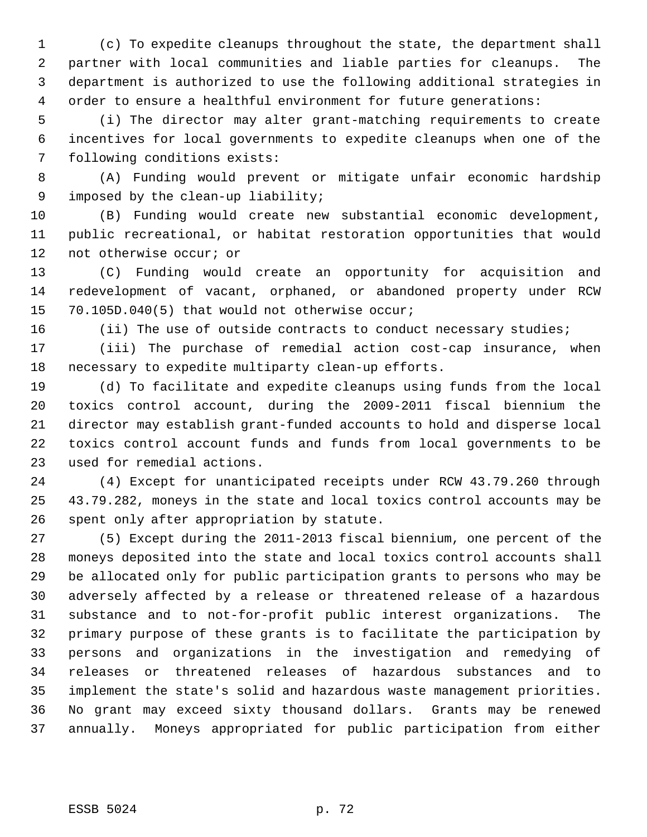(c) To expedite cleanups throughout the state, the department shall partner with local communities and liable parties for cleanups. The department is authorized to use the following additional strategies in order to ensure a healthful environment for future generations:

 (i) The director may alter grant-matching requirements to create incentives for local governments to expedite cleanups when one of the following conditions exists:

 (A) Funding would prevent or mitigate unfair economic hardship imposed by the clean-up liability;

 (B) Funding would create new substantial economic development, public recreational, or habitat restoration opportunities that would not otherwise occur; or

 (C) Funding would create an opportunity for acquisition and redevelopment of vacant, orphaned, or abandoned property under RCW 70.105D.040(5) that would not otherwise occur;

(ii) The use of outside contracts to conduct necessary studies;

 (iii) The purchase of remedial action cost-cap insurance, when necessary to expedite multiparty clean-up efforts.

 (d) To facilitate and expedite cleanups using funds from the local toxics control account, during the 2009-2011 fiscal biennium the director may establish grant-funded accounts to hold and disperse local toxics control account funds and funds from local governments to be used for remedial actions.

 (4) Except for unanticipated receipts under RCW 43.79.260 through 43.79.282, moneys in the state and local toxics control accounts may be spent only after appropriation by statute.

 (5) Except during the 2011-2013 fiscal biennium, one percent of the moneys deposited into the state and local toxics control accounts shall be allocated only for public participation grants to persons who may be adversely affected by a release or threatened release of a hazardous substance and to not-for-profit public interest organizations. The primary purpose of these grants is to facilitate the participation by persons and organizations in the investigation and remedying of releases or threatened releases of hazardous substances and to implement the state's solid and hazardous waste management priorities. No grant may exceed sixty thousand dollars. Grants may be renewed annually. Moneys appropriated for public participation from either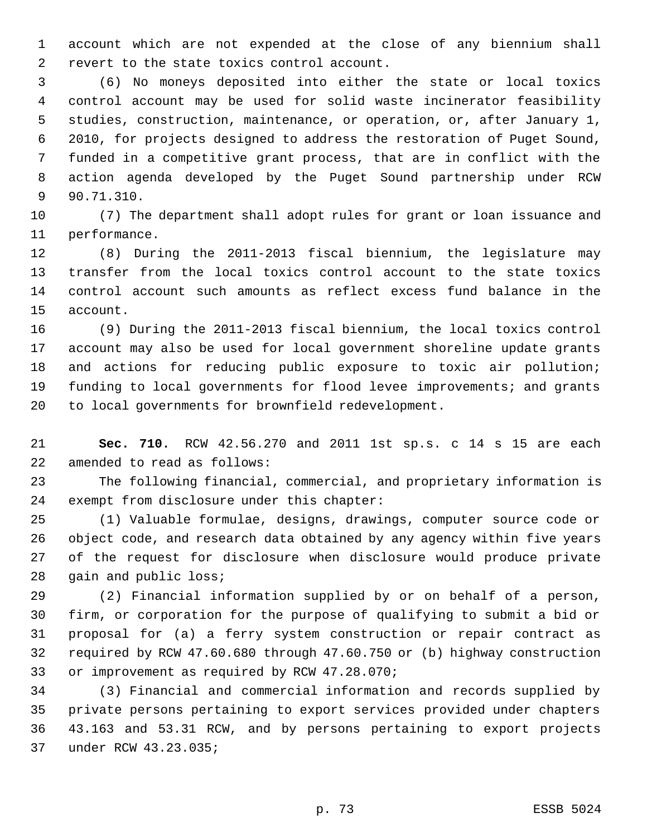account which are not expended at the close of any biennium shall revert to the state toxics control account.

 (6) No moneys deposited into either the state or local toxics control account may be used for solid waste incinerator feasibility studies, construction, maintenance, or operation, or, after January 1, 2010, for projects designed to address the restoration of Puget Sound, funded in a competitive grant process, that are in conflict with the action agenda developed by the Puget Sound partnership under RCW 90.71.310.

 (7) The department shall adopt rules for grant or loan issuance and performance.

 (8) During the 2011-2013 fiscal biennium, the legislature may transfer from the local toxics control account to the state toxics control account such amounts as reflect excess fund balance in the account.

 (9) During the 2011-2013 fiscal biennium, the local toxics control account may also be used for local government shoreline update grants and actions for reducing public exposure to toxic air pollution; funding to local governments for flood levee improvements; and grants to local governments for brownfield redevelopment.

 **Sec. 710.** RCW 42.56.270 and 2011 1st sp.s. c 14 s 15 are each amended to read as follows:

 The following financial, commercial, and proprietary information is exempt from disclosure under this chapter:

 (1) Valuable formulae, designs, drawings, computer source code or object code, and research data obtained by any agency within five years of the request for disclosure when disclosure would produce private 28 gain and public loss;

 (2) Financial information supplied by or on behalf of a person, firm, or corporation for the purpose of qualifying to submit a bid or proposal for (a) a ferry system construction or repair contract as required by RCW 47.60.680 through 47.60.750 or (b) highway construction or improvement as required by RCW 47.28.070;

 (3) Financial and commercial information and records supplied by private persons pertaining to export services provided under chapters 43.163 and 53.31 RCW, and by persons pertaining to export projects under RCW 43.23.035;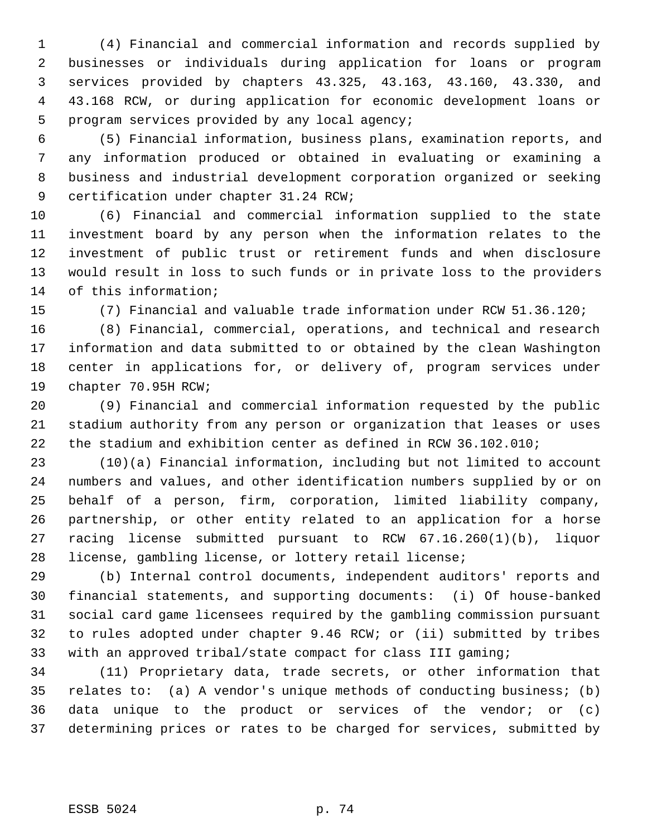(4) Financial and commercial information and records supplied by businesses or individuals during application for loans or program services provided by chapters 43.325, 43.163, 43.160, 43.330, and 43.168 RCW, or during application for economic development loans or program services provided by any local agency;

 (5) Financial information, business plans, examination reports, and any information produced or obtained in evaluating or examining a business and industrial development corporation organized or seeking certification under chapter 31.24 RCW;

 (6) Financial and commercial information supplied to the state investment board by any person when the information relates to the investment of public trust or retirement funds and when disclosure would result in loss to such funds or in private loss to the providers of this information;

(7) Financial and valuable trade information under RCW 51.36.120;

 (8) Financial, commercial, operations, and technical and research information and data submitted to or obtained by the clean Washington center in applications for, or delivery of, program services under chapter 70.95H RCW;

 (9) Financial and commercial information requested by the public stadium authority from any person or organization that leases or uses the stadium and exhibition center as defined in RCW 36.102.010;

 (10)(a) Financial information, including but not limited to account numbers and values, and other identification numbers supplied by or on behalf of a person, firm, corporation, limited liability company, partnership, or other entity related to an application for a horse racing license submitted pursuant to RCW 67.16.260(1)(b), liquor license, gambling license, or lottery retail license;

 (b) Internal control documents, independent auditors' reports and financial statements, and supporting documents: (i) Of house-banked social card game licensees required by the gambling commission pursuant to rules adopted under chapter 9.46 RCW; or (ii) submitted by tribes with an approved tribal/state compact for class III gaming;

 (11) Proprietary data, trade secrets, or other information that relates to: (a) A vendor's unique methods of conducting business; (b) data unique to the product or services of the vendor; or (c) determining prices or rates to be charged for services, submitted by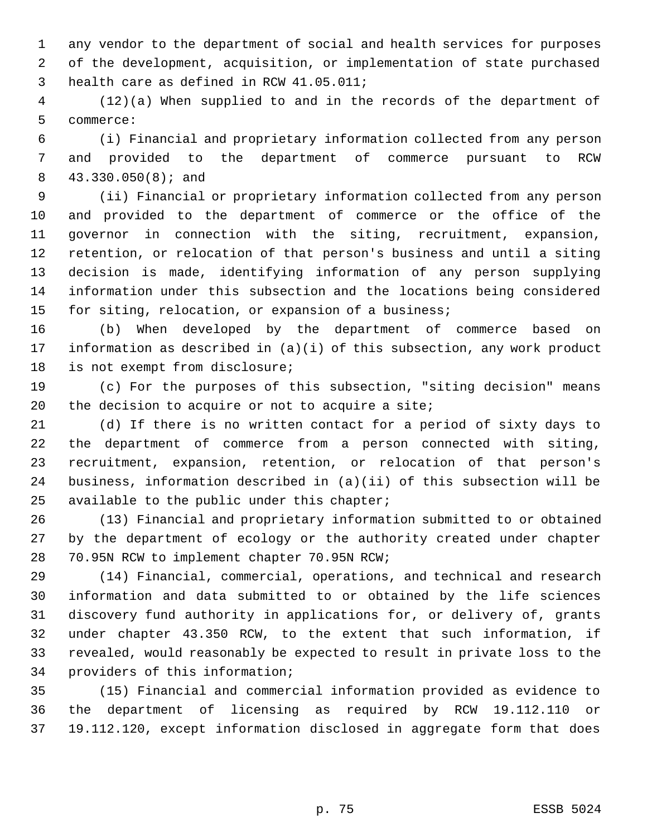any vendor to the department of social and health services for purposes of the development, acquisition, or implementation of state purchased health care as defined in RCW 41.05.011;

 (12)(a) When supplied to and in the records of the department of commerce:

 (i) Financial and proprietary information collected from any person and provided to the department of commerce pursuant to RCW 43.330.050(8); and

 (ii) Financial or proprietary information collected from any person and provided to the department of commerce or the office of the governor in connection with the siting, recruitment, expansion, retention, or relocation of that person's business and until a siting decision is made, identifying information of any person supplying information under this subsection and the locations being considered for siting, relocation, or expansion of a business;

 (b) When developed by the department of commerce based on information as described in (a)(i) of this subsection, any work product is not exempt from disclosure;

 (c) For the purposes of this subsection, "siting decision" means the decision to acquire or not to acquire a site;

 (d) If there is no written contact for a period of sixty days to the department of commerce from a person connected with siting, recruitment, expansion, retention, or relocation of that person's business, information described in (a)(ii) of this subsection will be available to the public under this chapter;

 (13) Financial and proprietary information submitted to or obtained by the department of ecology or the authority created under chapter 70.95N RCW to implement chapter 70.95N RCW;

 (14) Financial, commercial, operations, and technical and research information and data submitted to or obtained by the life sciences discovery fund authority in applications for, or delivery of, grants under chapter 43.350 RCW, to the extent that such information, if revealed, would reasonably be expected to result in private loss to the providers of this information;

 (15) Financial and commercial information provided as evidence to the department of licensing as required by RCW 19.112.110 or 19.112.120, except information disclosed in aggregate form that does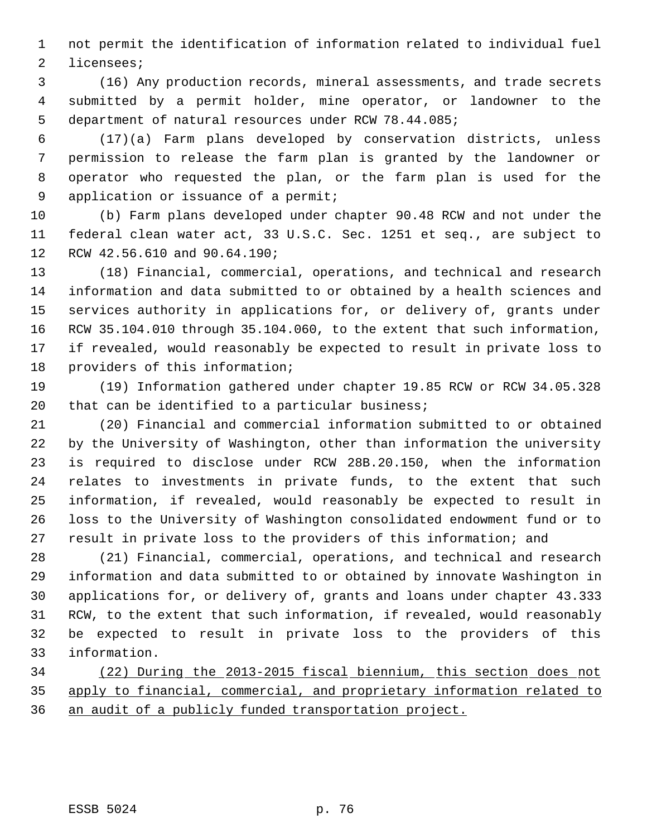not permit the identification of information related to individual fuel licensees;

 (16) Any production records, mineral assessments, and trade secrets submitted by a permit holder, mine operator, or landowner to the department of natural resources under RCW 78.44.085;

 (17)(a) Farm plans developed by conservation districts, unless permission to release the farm plan is granted by the landowner or operator who requested the plan, or the farm plan is used for the application or issuance of a permit;

 (b) Farm plans developed under chapter 90.48 RCW and not under the federal clean water act, 33 U.S.C. Sec. 1251 et seq., are subject to RCW 42.56.610 and 90.64.190;

 (18) Financial, commercial, operations, and technical and research information and data submitted to or obtained by a health sciences and services authority in applications for, or delivery of, grants under RCW 35.104.010 through 35.104.060, to the extent that such information, if revealed, would reasonably be expected to result in private loss to providers of this information;

 (19) Information gathered under chapter 19.85 RCW or RCW 34.05.328 that can be identified to a particular business;

 (20) Financial and commercial information submitted to or obtained by the University of Washington, other than information the university is required to disclose under RCW 28B.20.150, when the information relates to investments in private funds, to the extent that such information, if revealed, would reasonably be expected to result in loss to the University of Washington consolidated endowment fund or to result in private loss to the providers of this information; and

 (21) Financial, commercial, operations, and technical and research information and data submitted to or obtained by innovate Washington in applications for, or delivery of, grants and loans under chapter 43.333 RCW, to the extent that such information, if revealed, would reasonably be expected to result in private loss to the providers of this information.

 (22) During the 2013-2015 fiscal biennium, this section does not apply to financial, commercial, and proprietary information related to an audit of a publicly funded transportation project.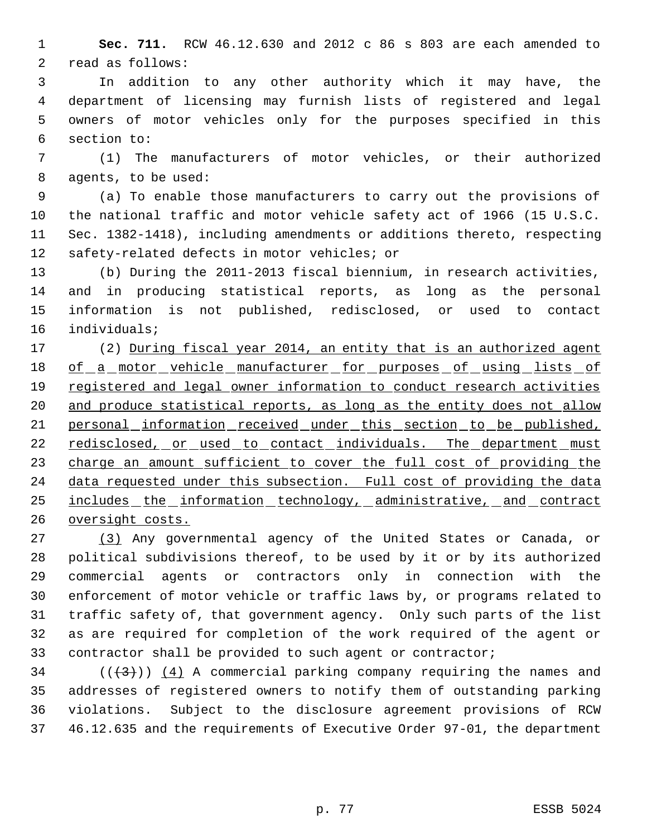**Sec. 711.** RCW 46.12.630 and 2012 c 86 s 803 are each amended to read as follows:

 In addition to any other authority which it may have, the department of licensing may furnish lists of registered and legal owners of motor vehicles only for the purposes specified in this section to:

 (1) The manufacturers of motor vehicles, or their authorized agents, to be used:

 (a) To enable those manufacturers to carry out the provisions of the national traffic and motor vehicle safety act of 1966 (15 U.S.C. Sec. 1382-1418), including amendments or additions thereto, respecting safety-related defects in motor vehicles; or

 (b) During the 2011-2013 fiscal biennium, in research activities, and in producing statistical reports, as long as the personal information is not published, redisclosed, or used to contact individuals;

17 (2) During fiscal year 2014, an entity that is an authorized agent 18 of a motor vehicle manufacturer for purposes of using lists of registered and legal owner information to conduct research activities 20 and produce statistical reports, as long as the entity does not allow 21 personal information received under this section to be published, 22 redisclosed, or used to contact individuals. The department must 23 charge an amount sufficient to cover the full cost of providing the data requested under this subsection. Full cost of providing the data includes the information technology, administrative, and contract oversight costs.

 (3) Any governmental agency of the United States or Canada, or political subdivisions thereof, to be used by it or by its authorized commercial agents or contractors only in connection with the enforcement of motor vehicle or traffic laws by, or programs related to traffic safety of, that government agency. Only such parts of the list as are required for completion of the work required of the agent or contractor shall be provided to such agent or contractor;

34 ( $(\langle 3 \rangle)$ ) (4) A commercial parking company requiring the names and addresses of registered owners to notify them of outstanding parking violations. Subject to the disclosure agreement provisions of RCW 46.12.635 and the requirements of Executive Order 97-01, the department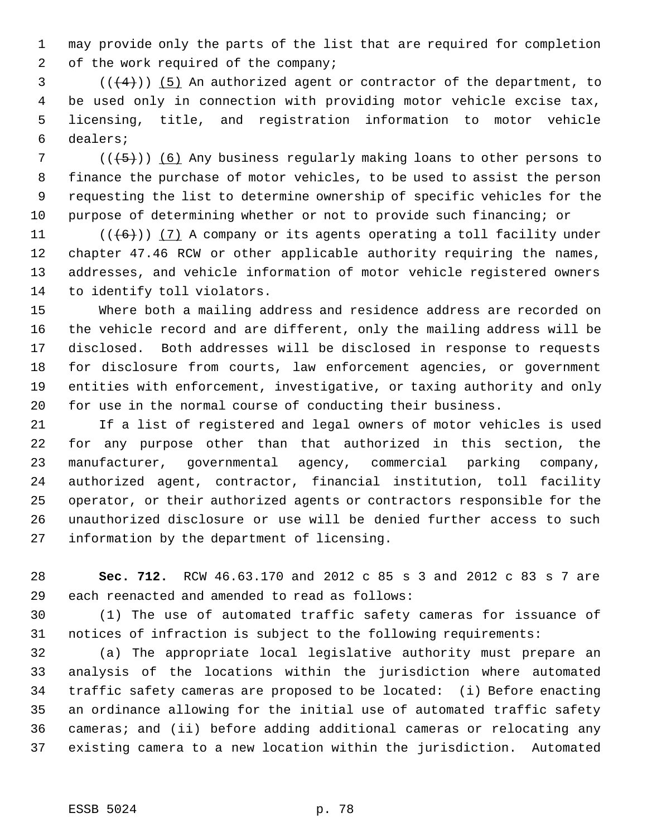may provide only the parts of the list that are required for completion 2 of the work required of the company;

 $(1+4)$ ) (5) An authorized agent or contractor of the department, to be used only in connection with providing motor vehicle excise tax, licensing, title, and registration information to motor vehicle dealers;

7 ( $(\overline{\smash{+5}})$ ) (6) Any business regularly making loans to other persons to finance the purchase of motor vehicles, to be used to assist the person requesting the list to determine ownership of specific vehicles for the purpose of determining whether or not to provide such financing; or

 $((\langle 6 \rangle) \rangle$  (7) A company or its agents operating a toll facility under chapter 47.46 RCW or other applicable authority requiring the names, addresses, and vehicle information of motor vehicle registered owners to identify toll violators.

 Where both a mailing address and residence address are recorded on the vehicle record and are different, only the mailing address will be disclosed. Both addresses will be disclosed in response to requests for disclosure from courts, law enforcement agencies, or government entities with enforcement, investigative, or taxing authority and only for use in the normal course of conducting their business.

 If a list of registered and legal owners of motor vehicles is used for any purpose other than that authorized in this section, the manufacturer, governmental agency, commercial parking company, authorized agent, contractor, financial institution, toll facility operator, or their authorized agents or contractors responsible for the unauthorized disclosure or use will be denied further access to such information by the department of licensing.

 **Sec. 712.** RCW 46.63.170 and 2012 c 85 s 3 and 2012 c 83 s 7 are each reenacted and amended to read as follows:

 (1) The use of automated traffic safety cameras for issuance of notices of infraction is subject to the following requirements:

 (a) The appropriate local legislative authority must prepare an analysis of the locations within the jurisdiction where automated traffic safety cameras are proposed to be located: (i) Before enacting an ordinance allowing for the initial use of automated traffic safety cameras; and (ii) before adding additional cameras or relocating any existing camera to a new location within the jurisdiction. Automated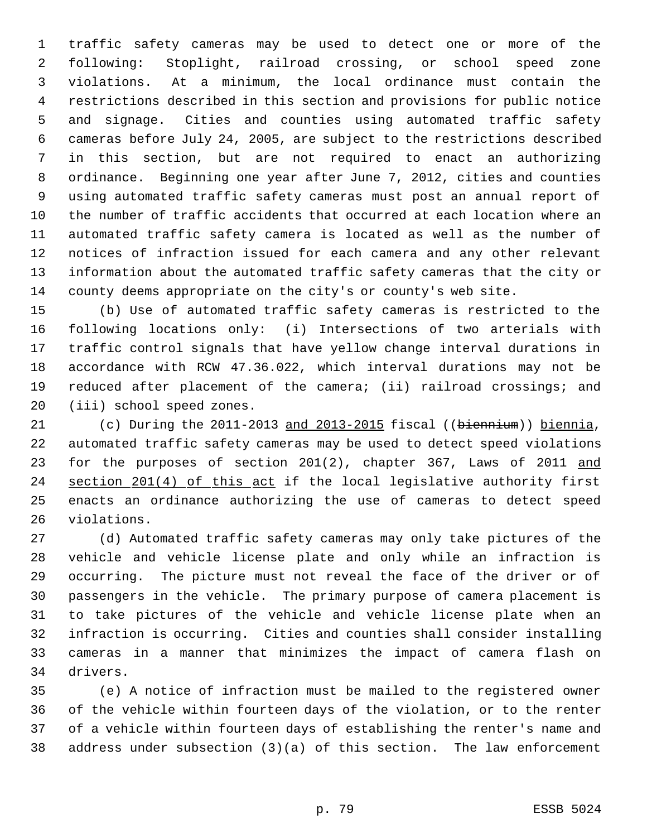traffic safety cameras may be used to detect one or more of the following: Stoplight, railroad crossing, or school speed zone violations. At a minimum, the local ordinance must contain the restrictions described in this section and provisions for public notice and signage. Cities and counties using automated traffic safety cameras before July 24, 2005, are subject to the restrictions described in this section, but are not required to enact an authorizing ordinance. Beginning one year after June 7, 2012, cities and counties using automated traffic safety cameras must post an annual report of the number of traffic accidents that occurred at each location where an automated traffic safety camera is located as well as the number of notices of infraction issued for each camera and any other relevant information about the automated traffic safety cameras that the city or county deems appropriate on the city's or county's web site.

 (b) Use of automated traffic safety cameras is restricted to the following locations only: (i) Intersections of two arterials with traffic control signals that have yellow change interval durations in accordance with RCW 47.36.022, which interval durations may not be reduced after placement of the camera; (ii) railroad crossings; and (iii) school speed zones.

21 (c) During the 2011-2013 and 2013-2015 fiscal ((biennium)) biennia, automated traffic safety cameras may be used to detect speed violations 23 for the purposes of section 201(2), chapter 367, Laws of 2011 and 24 section 201(4) of this act if the local legislative authority first enacts an ordinance authorizing the use of cameras to detect speed violations.

 (d) Automated traffic safety cameras may only take pictures of the vehicle and vehicle license plate and only while an infraction is occurring. The picture must not reveal the face of the driver or of passengers in the vehicle. The primary purpose of camera placement is to take pictures of the vehicle and vehicle license plate when an infraction is occurring. Cities and counties shall consider installing cameras in a manner that minimizes the impact of camera flash on drivers.

 (e) A notice of infraction must be mailed to the registered owner of the vehicle within fourteen days of the violation, or to the renter of a vehicle within fourteen days of establishing the renter's name and address under subsection (3)(a) of this section. The law enforcement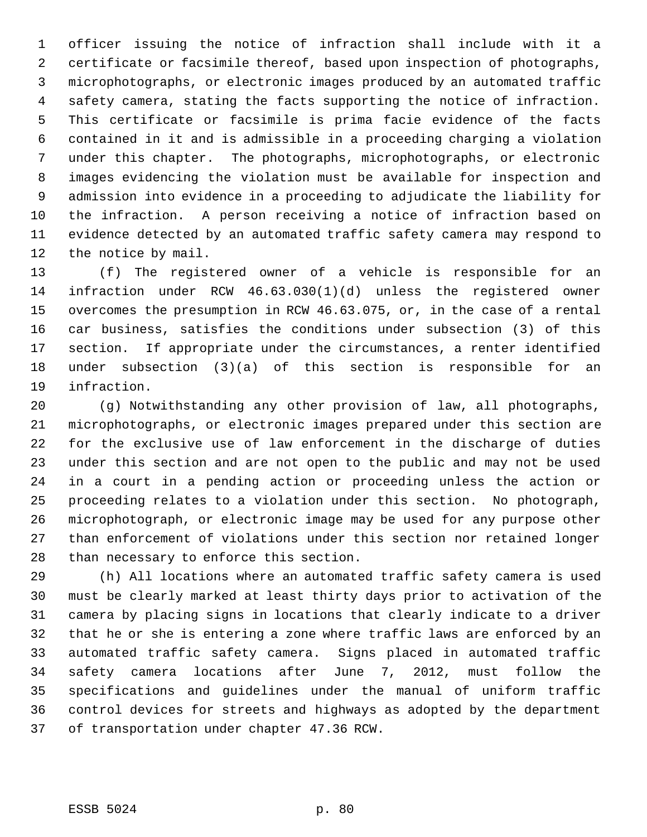officer issuing the notice of infraction shall include with it a certificate or facsimile thereof, based upon inspection of photographs, microphotographs, or electronic images produced by an automated traffic safety camera, stating the facts supporting the notice of infraction. This certificate or facsimile is prima facie evidence of the facts contained in it and is admissible in a proceeding charging a violation under this chapter. The photographs, microphotographs, or electronic images evidencing the violation must be available for inspection and admission into evidence in a proceeding to adjudicate the liability for the infraction. A person receiving a notice of infraction based on evidence detected by an automated traffic safety camera may respond to the notice by mail.

 (f) The registered owner of a vehicle is responsible for an infraction under RCW 46.63.030(1)(d) unless the registered owner overcomes the presumption in RCW 46.63.075, or, in the case of a rental car business, satisfies the conditions under subsection (3) of this section. If appropriate under the circumstances, a renter identified under subsection (3)(a) of this section is responsible for an infraction.

 (g) Notwithstanding any other provision of law, all photographs, microphotographs, or electronic images prepared under this section are for the exclusive use of law enforcement in the discharge of duties under this section and are not open to the public and may not be used in a court in a pending action or proceeding unless the action or proceeding relates to a violation under this section. No photograph, microphotograph, or electronic image may be used for any purpose other than enforcement of violations under this section nor retained longer than necessary to enforce this section.

 (h) All locations where an automated traffic safety camera is used must be clearly marked at least thirty days prior to activation of the camera by placing signs in locations that clearly indicate to a driver that he or she is entering a zone where traffic laws are enforced by an automated traffic safety camera. Signs placed in automated traffic safety camera locations after June 7, 2012, must follow the specifications and guidelines under the manual of uniform traffic control devices for streets and highways as adopted by the department of transportation under chapter 47.36 RCW.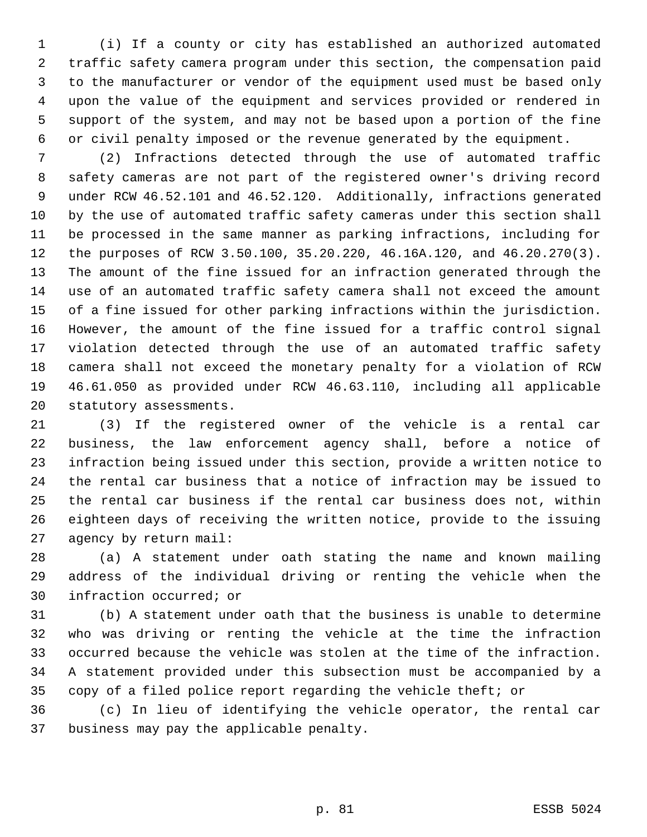(i) If a county or city has established an authorized automated traffic safety camera program under this section, the compensation paid to the manufacturer or vendor of the equipment used must be based only upon the value of the equipment and services provided or rendered in support of the system, and may not be based upon a portion of the fine or civil penalty imposed or the revenue generated by the equipment.

 (2) Infractions detected through the use of automated traffic safety cameras are not part of the registered owner's driving record under RCW 46.52.101 and 46.52.120. Additionally, infractions generated by the use of automated traffic safety cameras under this section shall be processed in the same manner as parking infractions, including for the purposes of RCW 3.50.100, 35.20.220, 46.16A.120, and 46.20.270(3). The amount of the fine issued for an infraction generated through the use of an automated traffic safety camera shall not exceed the amount of a fine issued for other parking infractions within the jurisdiction. However, the amount of the fine issued for a traffic control signal violation detected through the use of an automated traffic safety camera shall not exceed the monetary penalty for a violation of RCW 46.61.050 as provided under RCW 46.63.110, including all applicable statutory assessments.

 (3) If the registered owner of the vehicle is a rental car business, the law enforcement agency shall, before a notice of infraction being issued under this section, provide a written notice to the rental car business that a notice of infraction may be issued to the rental car business if the rental car business does not, within eighteen days of receiving the written notice, provide to the issuing agency by return mail:

 (a) A statement under oath stating the name and known mailing address of the individual driving or renting the vehicle when the infraction occurred; or

 (b) A statement under oath that the business is unable to determine who was driving or renting the vehicle at the time the infraction occurred because the vehicle was stolen at the time of the infraction. A statement provided under this subsection must be accompanied by a copy of a filed police report regarding the vehicle theft; or

 (c) In lieu of identifying the vehicle operator, the rental car business may pay the applicable penalty.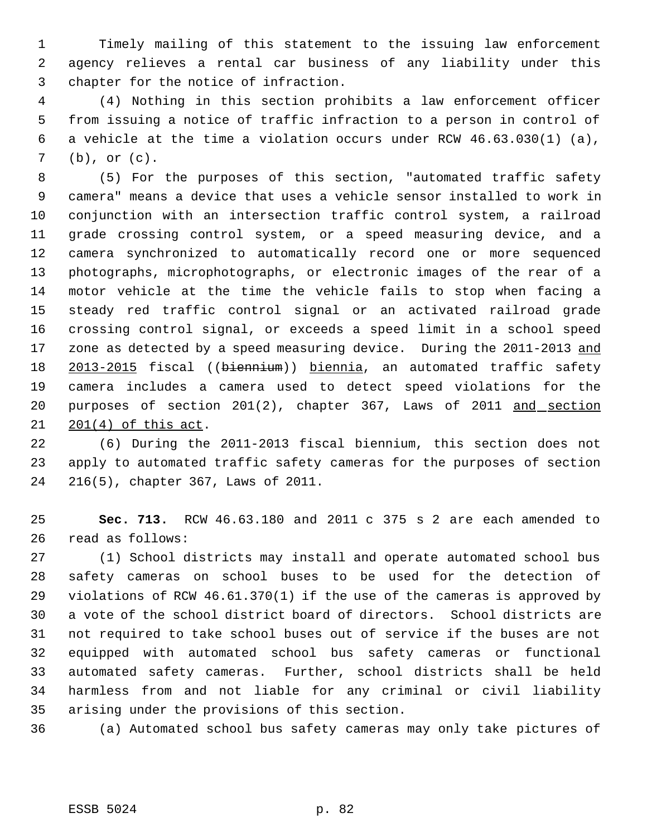Timely mailing of this statement to the issuing law enforcement agency relieves a rental car business of any liability under this chapter for the notice of infraction.

 (4) Nothing in this section prohibits a law enforcement officer from issuing a notice of traffic infraction to a person in control of a vehicle at the time a violation occurs under RCW 46.63.030(1) (a), (b), or (c).

 (5) For the purposes of this section, "automated traffic safety camera" means a device that uses a vehicle sensor installed to work in conjunction with an intersection traffic control system, a railroad grade crossing control system, or a speed measuring device, and a camera synchronized to automatically record one or more sequenced photographs, microphotographs, or electronic images of the rear of a motor vehicle at the time the vehicle fails to stop when facing a steady red traffic control signal or an activated railroad grade crossing control signal, or exceeds a speed limit in a school speed 17 zone as detected by a speed measuring device. During the 2011-2013 and 18 2013-2015 fiscal ((biennium)) biennia, an automated traffic safety camera includes a camera used to detect speed violations for the 20 purposes of section 201(2), chapter 367, Laws of 2011 and section 201(4) of this act.

 (6) During the 2011-2013 fiscal biennium, this section does not apply to automated traffic safety cameras for the purposes of section 216(5), chapter 367, Laws of 2011.

 **Sec. 713.** RCW 46.63.180 and 2011 c 375 s 2 are each amended to read as follows:

 (1) School districts may install and operate automated school bus safety cameras on school buses to be used for the detection of violations of RCW 46.61.370(1) if the use of the cameras is approved by a vote of the school district board of directors. School districts are not required to take school buses out of service if the buses are not equipped with automated school bus safety cameras or functional automated safety cameras. Further, school districts shall be held harmless from and not liable for any criminal or civil liability arising under the provisions of this section.

(a) Automated school bus safety cameras may only take pictures of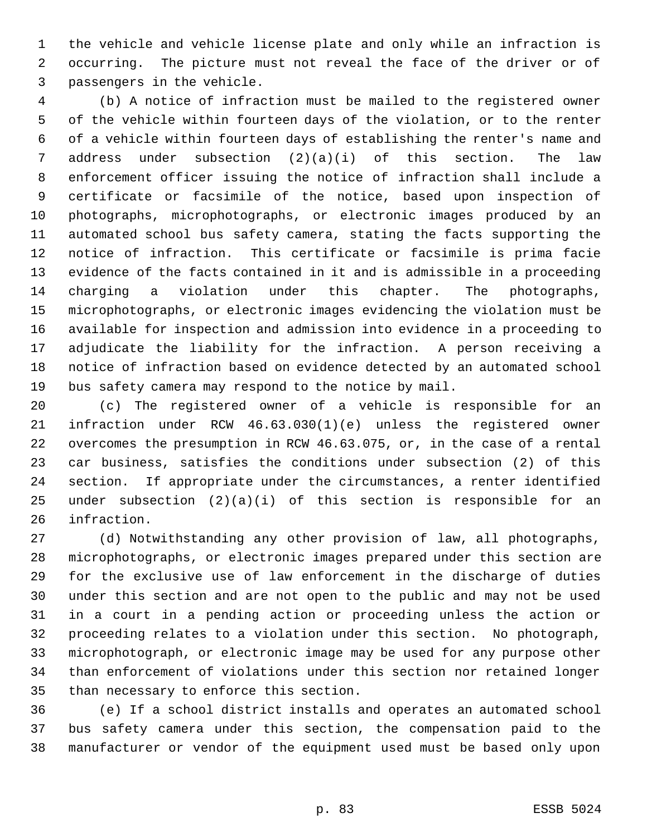the vehicle and vehicle license plate and only while an infraction is occurring. The picture must not reveal the face of the driver or of passengers in the vehicle.

 (b) A notice of infraction must be mailed to the registered owner of the vehicle within fourteen days of the violation, or to the renter of a vehicle within fourteen days of establishing the renter's name and address under subsection (2)(a)(i) of this section. The law enforcement officer issuing the notice of infraction shall include a certificate or facsimile of the notice, based upon inspection of photographs, microphotographs, or electronic images produced by an automated school bus safety camera, stating the facts supporting the notice of infraction. This certificate or facsimile is prima facie evidence of the facts contained in it and is admissible in a proceeding charging a violation under this chapter. The photographs, microphotographs, or electronic images evidencing the violation must be available for inspection and admission into evidence in a proceeding to adjudicate the liability for the infraction. A person receiving a notice of infraction based on evidence detected by an automated school bus safety camera may respond to the notice by mail.

 (c) The registered owner of a vehicle is responsible for an infraction under RCW 46.63.030(1)(e) unless the registered owner overcomes the presumption in RCW 46.63.075, or, in the case of a rental car business, satisfies the conditions under subsection (2) of this section. If appropriate under the circumstances, a renter identified under subsection (2)(a)(i) of this section is responsible for an infraction.

 (d) Notwithstanding any other provision of law, all photographs, microphotographs, or electronic images prepared under this section are for the exclusive use of law enforcement in the discharge of duties under this section and are not open to the public and may not be used in a court in a pending action or proceeding unless the action or proceeding relates to a violation under this section. No photograph, microphotograph, or electronic image may be used for any purpose other than enforcement of violations under this section nor retained longer than necessary to enforce this section.

 (e) If a school district installs and operates an automated school bus safety camera under this section, the compensation paid to the manufacturer or vendor of the equipment used must be based only upon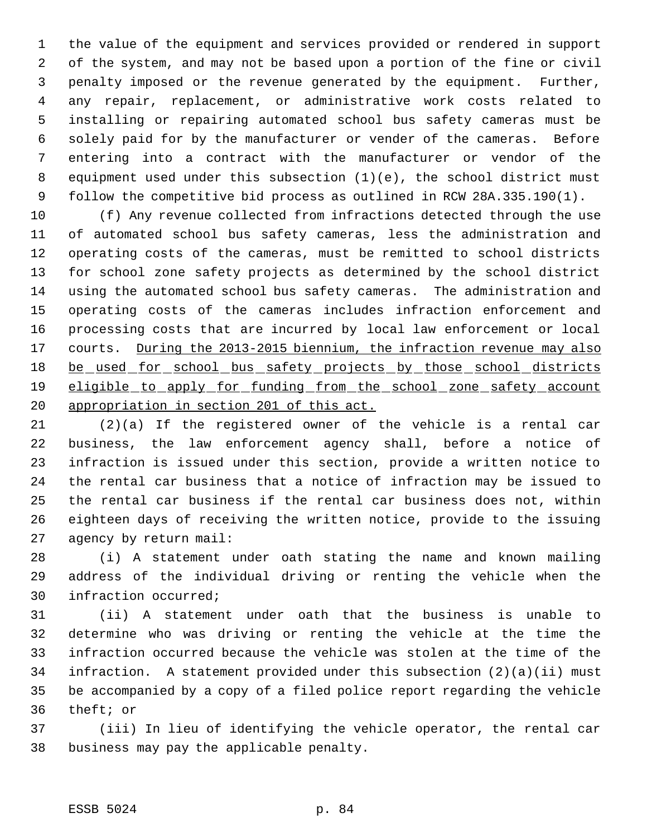the value of the equipment and services provided or rendered in support of the system, and may not be based upon a portion of the fine or civil penalty imposed or the revenue generated by the equipment. Further, any repair, replacement, or administrative work costs related to installing or repairing automated school bus safety cameras must be solely paid for by the manufacturer or vender of the cameras. Before entering into a contract with the manufacturer or vendor of the equipment used under this subsection (1)(e), the school district must follow the competitive bid process as outlined in RCW 28A.335.190(1).

 (f) Any revenue collected from infractions detected through the use of automated school bus safety cameras, less the administration and operating costs of the cameras, must be remitted to school districts for school zone safety projects as determined by the school district using the automated school bus safety cameras. The administration and operating costs of the cameras includes infraction enforcement and processing costs that are incurred by local law enforcement or local 17 courts. During the 2013-2015 biennium, the infraction revenue may also 18 be used for school bus safety projects by those school districts eligible to apply for funding from the school zone safety account appropriation in section 201 of this act.

 (2)(a) If the registered owner of the vehicle is a rental car business, the law enforcement agency shall, before a notice of infraction is issued under this section, provide a written notice to the rental car business that a notice of infraction may be issued to the rental car business if the rental car business does not, within eighteen days of receiving the written notice, provide to the issuing agency by return mail:

 (i) A statement under oath stating the name and known mailing address of the individual driving or renting the vehicle when the infraction occurred;

 (ii) A statement under oath that the business is unable to determine who was driving or renting the vehicle at the time the infraction occurred because the vehicle was stolen at the time of the infraction. A statement provided under this subsection (2)(a)(ii) must be accompanied by a copy of a filed police report regarding the vehicle theft; or

 (iii) In lieu of identifying the vehicle operator, the rental car business may pay the applicable penalty.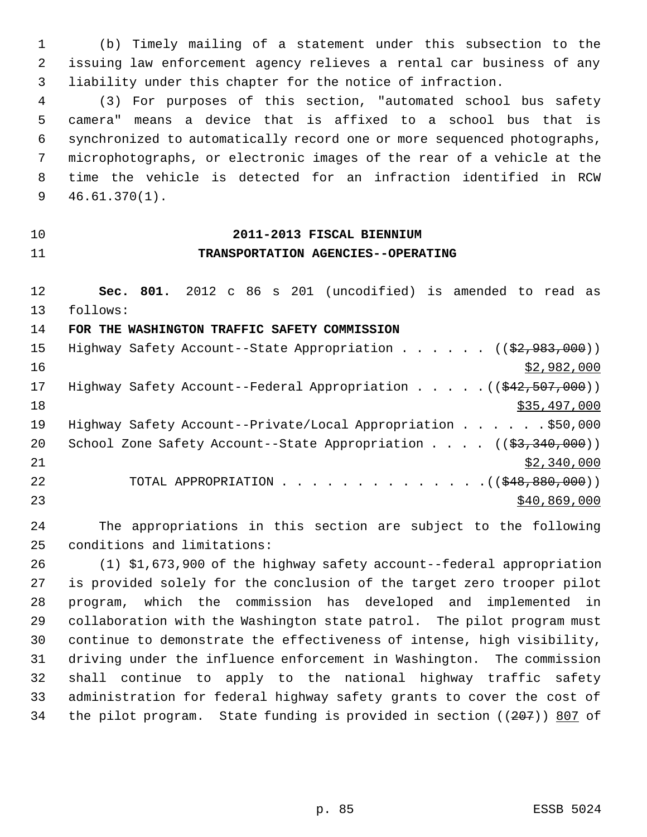(b) Timely mailing of a statement under this subsection to the issuing law enforcement agency relieves a rental car business of any liability under this chapter for the notice of infraction.

 (3) For purposes of this section, "automated school bus safety camera" means a device that is affixed to a school bus that is synchronized to automatically record one or more sequenced photographs, microphotographs, or electronic images of the rear of a vehicle at the time the vehicle is detected for an infraction identified in RCW 46.61.370(1).

## **2011-2013 FISCAL BIENNIUM TRANSPORTATION AGENCIES--OPERATING**

 **Sec. 801.** 2012 c 86 s 201 (uncodified) is amended to read as follows:

**FOR THE WASHINGTON TRAFFIC SAFETY COMMISSION**

| 15 | Highway Safety Account--State Appropriation ( $(\frac{22,983,000}{2})$ )                                                                                                                                                                                                        |
|----|---------------------------------------------------------------------------------------------------------------------------------------------------------------------------------------------------------------------------------------------------------------------------------|
| 16 | \$2,982,000                                                                                                                                                                                                                                                                     |
| 17 | Highway Safety Account--Federal Appropriation $($ $($ $\frac{2}{7}$ , $\frac{2}{7}$ , $\frac{3}{7}$ $\frac{1}{7}$ $($ $\frac{2}{7}$ $\frac{2}{7}$ $\frac{2}{7}$ $\frac{2}{7}$ $\frac{2}{7}$ $\frac{2}{7}$ $\frac{2}{7}$ $\frac{2}{7}$ $\frac{2}{7}$ $\frac{2}{7}$ $\frac{2}{7}$ |
| 18 | \$35,497,000                                                                                                                                                                                                                                                                    |
| 19 | Highway Safety Account--Private/Local Appropriation $\ldots$ \$50,000                                                                                                                                                                                                           |
| 20 | School Zone Safety Account--State Appropriation $($ $($ \$3,340,000) $)$                                                                                                                                                                                                        |
| 21 | \$2,340,000                                                                                                                                                                                                                                                                     |
| 22 | TOTAL APPROPRIATION $($ $($ $\frac{248}{80}, \frac{880}{100})$                                                                                                                                                                                                                  |
| 23 | \$40,869,000                                                                                                                                                                                                                                                                    |

 The appropriations in this section are subject to the following conditions and limitations:

 (1) \$1,673,900 of the highway safety account--federal appropriation is provided solely for the conclusion of the target zero trooper pilot program, which the commission has developed and implemented in collaboration with the Washington state patrol. The pilot program must continue to demonstrate the effectiveness of intense, high visibility, driving under the influence enforcement in Washington. The commission shall continue to apply to the national highway traffic safety administration for federal highway safety grants to cover the cost of the pilot program. State funding is provided in section ((207)) 807 of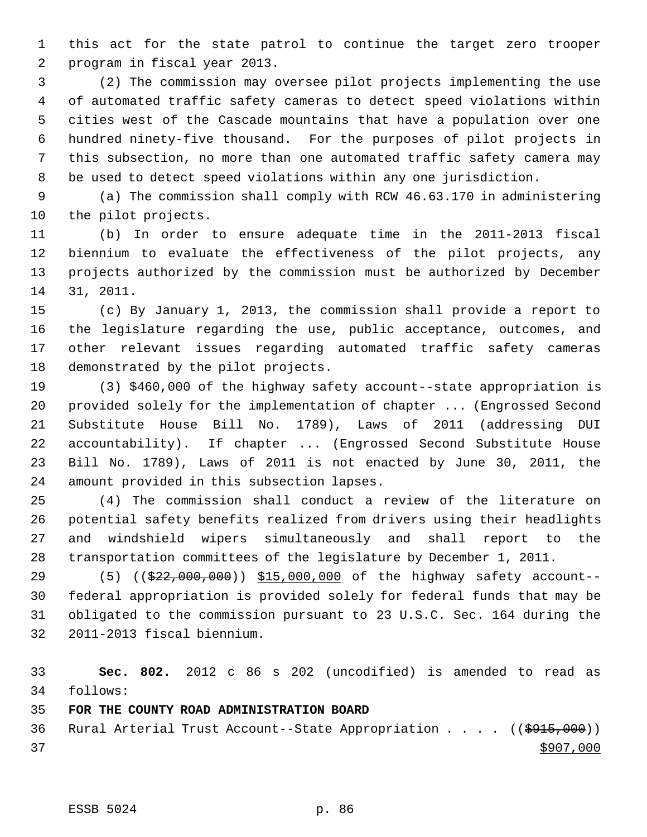this act for the state patrol to continue the target zero trooper program in fiscal year 2013.

 (2) The commission may oversee pilot projects implementing the use of automated traffic safety cameras to detect speed violations within cities west of the Cascade mountains that have a population over one hundred ninety-five thousand. For the purposes of pilot projects in this subsection, no more than one automated traffic safety camera may be used to detect speed violations within any one jurisdiction.

 (a) The commission shall comply with RCW 46.63.170 in administering the pilot projects.

 (b) In order to ensure adequate time in the 2011-2013 fiscal biennium to evaluate the effectiveness of the pilot projects, any projects authorized by the commission must be authorized by December 31, 2011.

 (c) By January 1, 2013, the commission shall provide a report to the legislature regarding the use, public acceptance, outcomes, and other relevant issues regarding automated traffic safety cameras demonstrated by the pilot projects.

 (3) \$460,000 of the highway safety account--state appropriation is provided solely for the implementation of chapter ... (Engrossed Second Substitute House Bill No. 1789), Laws of 2011 (addressing DUI accountability). If chapter ... (Engrossed Second Substitute House Bill No. 1789), Laws of 2011 is not enacted by June 30, 2011, the amount provided in this subsection lapses.

 (4) The commission shall conduct a review of the literature on potential safety benefits realized from drivers using their headlights and windshield wipers simultaneously and shall report to the transportation committees of the legislature by December 1, 2011.

29 (5) ((\$22,000,000)) \$15,000,000 of the highway safety account-- federal appropriation is provided solely for federal funds that may be obligated to the commission pursuant to 23 U.S.C. Sec. 164 during the 2011-2013 fiscal biennium.

 **Sec. 802.** 2012 c 86 s 202 (uncodified) is amended to read as follows:

**FOR THE COUNTY ROAD ADMINISTRATION BOARD**

36 Rural Arterial Trust Account--State Appropriation . . . . ((\$915,000))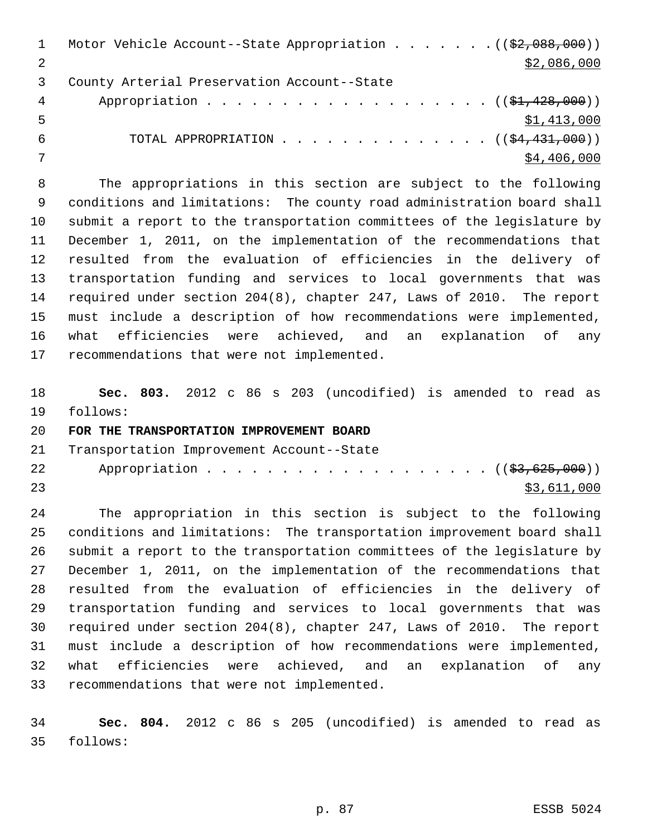|   | Motor Vehicle Account--State Appropriation $($ $($ \$2,088,000) $)$ |
|---|---------------------------------------------------------------------|
|   | \$2,086,000                                                         |
|   | County Arterial Preservation Account--State                         |
| 4 | Appropriation $($ $($ \$1,428,000) $)$                              |
| 5 | \$1,413,000                                                         |
| 6 | TOTAL APPROPRIATION $($ $($ \$4,431,000) $)$                        |
|   | \$4,406,000                                                         |

 The appropriations in this section are subject to the following conditions and limitations: The county road administration board shall submit a report to the transportation committees of the legislature by December 1, 2011, on the implementation of the recommendations that resulted from the evaluation of efficiencies in the delivery of transportation funding and services to local governments that was required under section 204(8), chapter 247, Laws of 2010. The report must include a description of how recommendations were implemented, what efficiencies were achieved, and an explanation of any recommendations that were not implemented.

 **Sec. 803.** 2012 c 86 s 203 (uncodified) is amended to read as follows:

## **FOR THE TRANSPORTATION IMPROVEMENT BOARD**

Transportation Improvement Account--State

| 22 | Appropriation ( ( \$3,625,000 ) ) |  |  |  |  |  |  |  |  |  |             |
|----|-----------------------------------|--|--|--|--|--|--|--|--|--|-------------|
| 23 |                                   |  |  |  |  |  |  |  |  |  | \$3,611,000 |

 The appropriation in this section is subject to the following conditions and limitations: The transportation improvement board shall submit a report to the transportation committees of the legislature by December 1, 2011, on the implementation of the recommendations that resulted from the evaluation of efficiencies in the delivery of transportation funding and services to local governments that was required under section 204(8), chapter 247, Laws of 2010. The report must include a description of how recommendations were implemented, what efficiencies were achieved, and an explanation of any recommendations that were not implemented.

 **Sec. 804.** 2012 c 86 s 205 (uncodified) is amended to read as follows: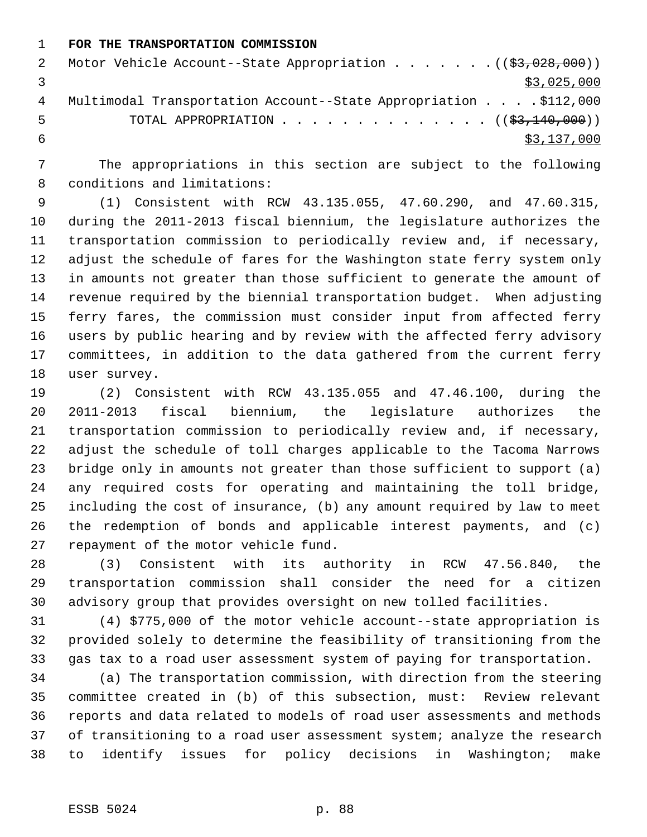**FOR THE TRANSPORTATION COMMISSION**

|   | Motor Vehicle Account--State Appropriation $($ $($ \$3,028,000) $)$ |
|---|---------------------------------------------------------------------|
|   | \$3,025,000                                                         |
| 4 | Multimodal Transportation Account--State Appropriation \$112,000    |
| 5 | TOTAL APPROPRIATION $\ldots$ , ( $(\frac{23}{140}, 000)$ )          |
|   | \$3,137,000                                                         |

 The appropriations in this section are subject to the following conditions and limitations:

 (1) Consistent with RCW 43.135.055, 47.60.290, and 47.60.315, during the 2011-2013 fiscal biennium, the legislature authorizes the transportation commission to periodically review and, if necessary, adjust the schedule of fares for the Washington state ferry system only in amounts not greater than those sufficient to generate the amount of revenue required by the biennial transportation budget. When adjusting ferry fares, the commission must consider input from affected ferry users by public hearing and by review with the affected ferry advisory committees, in addition to the data gathered from the current ferry user survey.

 (2) Consistent with RCW 43.135.055 and 47.46.100, during the 2011-2013 fiscal biennium, the legislature authorizes the transportation commission to periodically review and, if necessary, adjust the schedule of toll charges applicable to the Tacoma Narrows bridge only in amounts not greater than those sufficient to support (a) any required costs for operating and maintaining the toll bridge, including the cost of insurance, (b) any amount required by law to meet the redemption of bonds and applicable interest payments, and (c) repayment of the motor vehicle fund.

 (3) Consistent with its authority in RCW 47.56.840, the transportation commission shall consider the need for a citizen advisory group that provides oversight on new tolled facilities.

 (4) \$775,000 of the motor vehicle account--state appropriation is provided solely to determine the feasibility of transitioning from the gas tax to a road user assessment system of paying for transportation.

 (a) The transportation commission, with direction from the steering committee created in (b) of this subsection, must: Review relevant reports and data related to models of road user assessments and methods 37 of transitioning to a road user assessment system; analyze the research to identify issues for policy decisions in Washington; make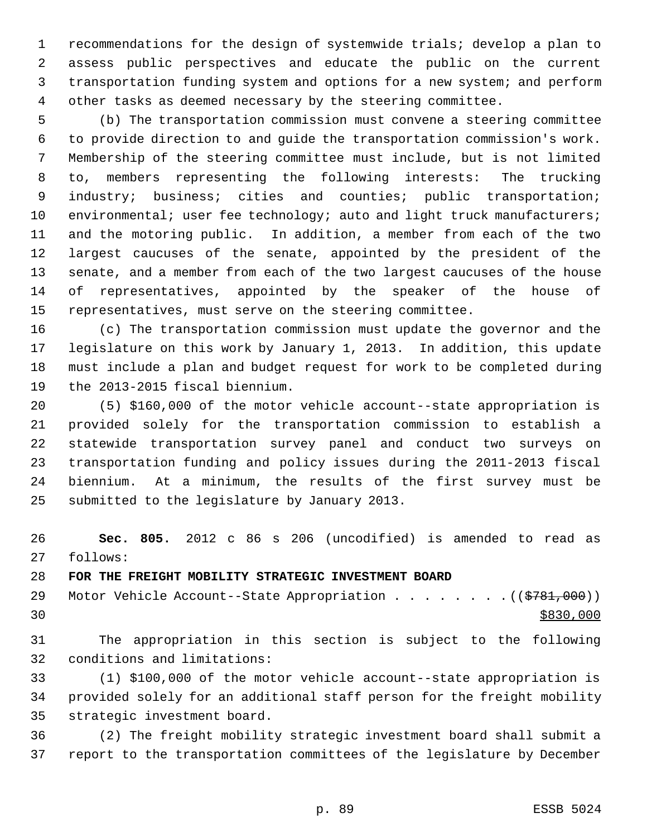recommendations for the design of systemwide trials; develop a plan to assess public perspectives and educate the public on the current transportation funding system and options for a new system; and perform other tasks as deemed necessary by the steering committee.

 (b) The transportation commission must convene a steering committee to provide direction to and guide the transportation commission's work. Membership of the steering committee must include, but is not limited to, members representing the following interests: The trucking 9 industry; business; cities and counties; public transportation; 10 environmental; user fee technology; auto and light truck manufacturers; and the motoring public. In addition, a member from each of the two largest caucuses of the senate, appointed by the president of the senate, and a member from each of the two largest caucuses of the house of representatives, appointed by the speaker of the house of representatives, must serve on the steering committee.

 (c) The transportation commission must update the governor and the legislature on this work by January 1, 2013. In addition, this update must include a plan and budget request for work to be completed during the 2013-2015 fiscal biennium.

 (5) \$160,000 of the motor vehicle account--state appropriation is provided solely for the transportation commission to establish a statewide transportation survey panel and conduct two surveys on transportation funding and policy issues during the 2011-2013 fiscal biennium. At a minimum, the results of the first survey must be submitted to the legislature by January 2013.

 **Sec. 805.** 2012 c 86 s 206 (uncodified) is amended to read as follows:

## **FOR THE FREIGHT MOBILITY STRATEGIC INVESTMENT BOARD**

29 Motor Vehicle Account--State Appropriation . . . . . . . . ((\$781,000))  $\frac{$830,000}{ }$ 

 The appropriation in this section is subject to the following conditions and limitations:

 (1) \$100,000 of the motor vehicle account--state appropriation is provided solely for an additional staff person for the freight mobility strategic investment board.

 (2) The freight mobility strategic investment board shall submit a report to the transportation committees of the legislature by December

p. 89 ESSB 5024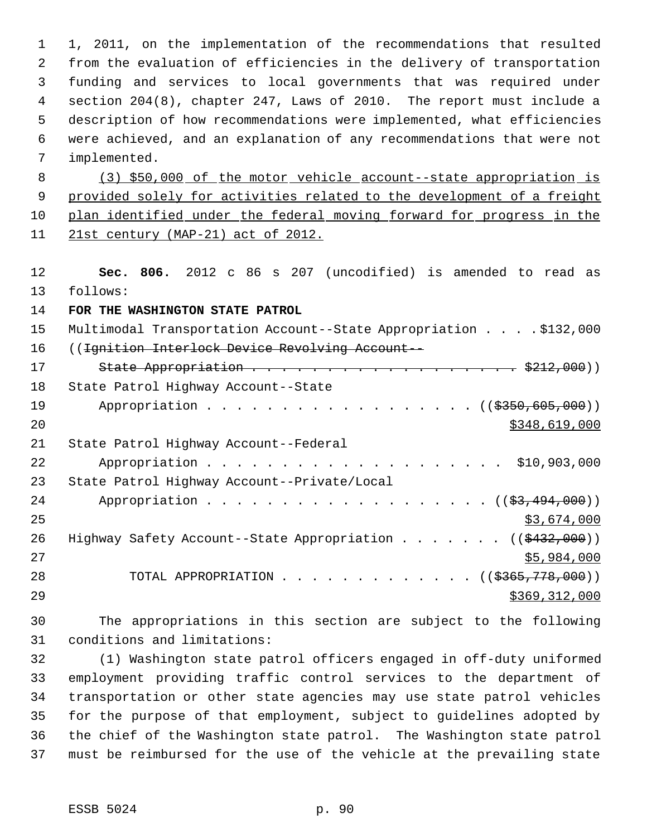1, 2011, on the implementation of the recommendations that resulted from the evaluation of efficiencies in the delivery of transportation funding and services to local governments that was required under section 204(8), chapter 247, Laws of 2010. The report must include a description of how recommendations were implemented, what efficiencies were achieved, and an explanation of any recommendations that were not implemented. (3) \$50,000 of the motor vehicle account--state appropriation is 9 provided solely for activities related to the development of a freight plan identified under the federal moving forward for progress in the 21st century (MAP-21) act of 2012. **Sec. 806.** 2012 c 86 s 207 (uncodified) is amended to read as follows: **FOR THE WASHINGTON STATE PATROL** Multimodal Transportation Account--State Appropriation . . . . \$132,000 ((Ignition Interlock Device Revolving Account-- 17 State Appropriation . . . . . . . . . . . . . . . . . \$212,000)) State Patrol Highway Account--State 19 Appropriation . . . . . . . . . . . . . . . . ((\$350,605,000)) \$348,619,000 State Patrol Highway Account--Federal 22 Appropriation . . . . . . . . . . . . . . . . . . \$10,903,000 State Patrol Highway Account--Private/Local 24 Appropriation . . . . . . . . . . . . . . . . . (  $(\frac{23}{1000})$  ) \$3,674,000 26 Highway Safety Account--State Appropriation . . . . . . ((\$432,000)) 27 \$5,984,000 28 TOTAL APPROPRIATION . . . . . . . . . . . . ((<del>\$365,778,000</del>)) \$369,312,000 The appropriations in this section are subject to the following

conditions and limitations:

 (1) Washington state patrol officers engaged in off-duty uniformed employment providing traffic control services to the department of transportation or other state agencies may use state patrol vehicles for the purpose of that employment, subject to guidelines adopted by the chief of the Washington state patrol. The Washington state patrol must be reimbursed for the use of the vehicle at the prevailing state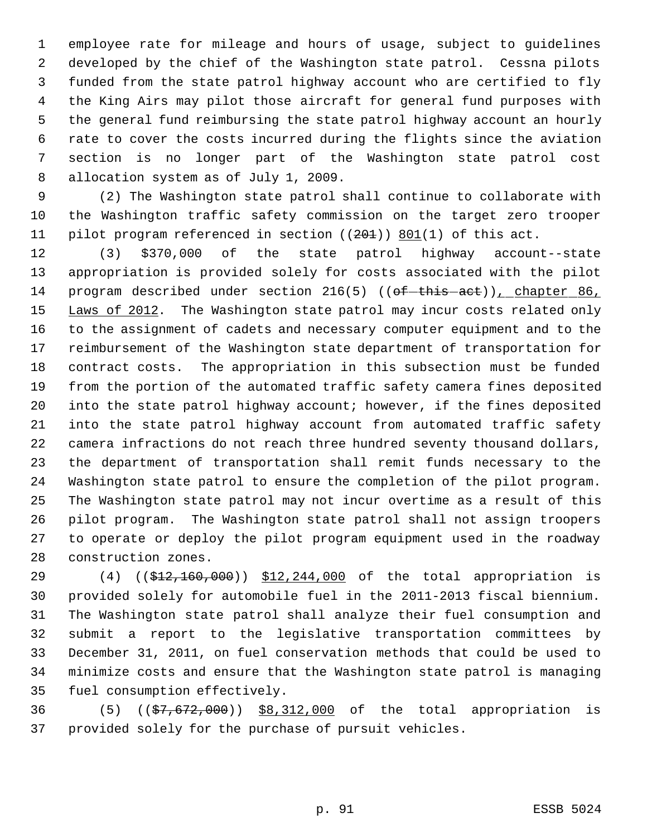employee rate for mileage and hours of usage, subject to guidelines developed by the chief of the Washington state patrol. Cessna pilots funded from the state patrol highway account who are certified to fly the King Airs may pilot those aircraft for general fund purposes with the general fund reimbursing the state patrol highway account an hourly rate to cover the costs incurred during the flights since the aviation section is no longer part of the Washington state patrol cost allocation system as of July 1, 2009.

 (2) The Washington state patrol shall continue to collaborate with the Washington traffic safety commission on the target zero trooper 11 pilot program referenced in section ((201)) 801(1) of this act.

 (3) \$370,000 of the state patrol highway account--state appropriation is provided solely for costs associated with the pilot 14 program described under section  $216(5)$  (( $\theta$ f -this -act)), chapter 86, 15 Laws of 2012. The Washington state patrol may incur costs related only to the assignment of cadets and necessary computer equipment and to the reimbursement of the Washington state department of transportation for contract costs. The appropriation in this subsection must be funded from the portion of the automated traffic safety camera fines deposited into the state patrol highway account; however, if the fines deposited into the state patrol highway account from automated traffic safety camera infractions do not reach three hundred seventy thousand dollars, the department of transportation shall remit funds necessary to the Washington state patrol to ensure the completion of the pilot program. The Washington state patrol may not incur overtime as a result of this pilot program. The Washington state patrol shall not assign troopers to operate or deploy the pilot program equipment used in the roadway construction zones.

29 (4) ((\$12,160,000)) \$12,244,000 of the total appropriation is provided solely for automobile fuel in the 2011-2013 fiscal biennium. The Washington state patrol shall analyze their fuel consumption and submit a report to the legislative transportation committees by December 31, 2011, on fuel conservation methods that could be used to minimize costs and ensure that the Washington state patrol is managing fuel consumption effectively.

36 (5) ((\$7,672,000)) \$8,312,000 of the total appropriation is provided solely for the purchase of pursuit vehicles.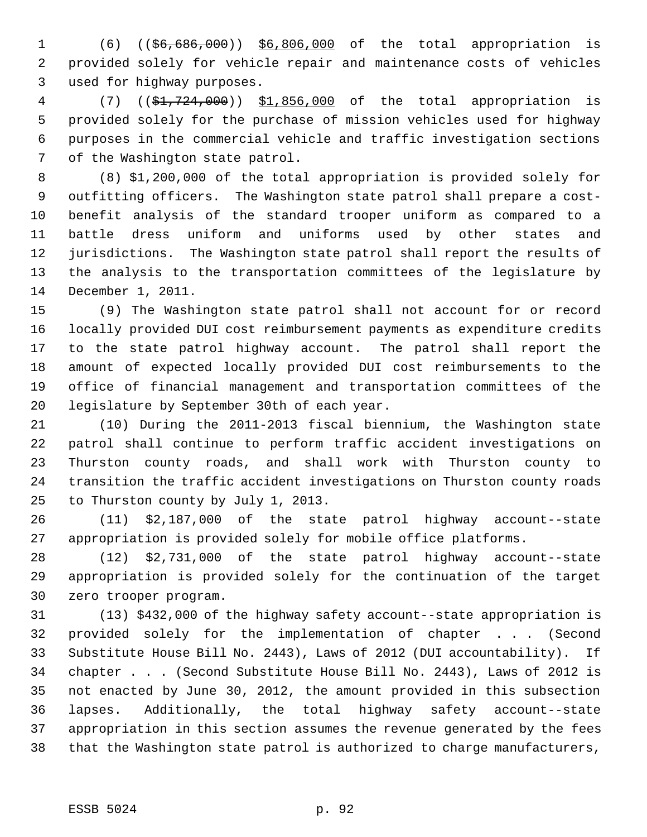1 (6) ((\$6,686,000)) \$6,806,000 of the total appropriation is provided solely for vehicle repair and maintenance costs of vehicles used for highway purposes.

 (7) ((\$1,724,000)) \$1,856,000 of the total appropriation is provided solely for the purchase of mission vehicles used for highway purposes in the commercial vehicle and traffic investigation sections of the Washington state patrol.

 (8) \$1,200,000 of the total appropriation is provided solely for outfitting officers. The Washington state patrol shall prepare a cost- benefit analysis of the standard trooper uniform as compared to a battle dress uniform and uniforms used by other states and jurisdictions. The Washington state patrol shall report the results of the analysis to the transportation committees of the legislature by December 1, 2011.

 (9) The Washington state patrol shall not account for or record locally provided DUI cost reimbursement payments as expenditure credits to the state patrol highway account. The patrol shall report the amount of expected locally provided DUI cost reimbursements to the office of financial management and transportation committees of the legislature by September 30th of each year.

 (10) During the 2011-2013 fiscal biennium, the Washington state patrol shall continue to perform traffic accident investigations on Thurston county roads, and shall work with Thurston county to transition the traffic accident investigations on Thurston county roads to Thurston county by July 1, 2013.

 (11) \$2,187,000 of the state patrol highway account--state appropriation is provided solely for mobile office platforms.

 (12) \$2,731,000 of the state patrol highway account--state appropriation is provided solely for the continuation of the target zero trooper program.

 (13) \$432,000 of the highway safety account--state appropriation is provided solely for the implementation of chapter . . . (Second Substitute House Bill No. 2443), Laws of 2012 (DUI accountability). If chapter . . . (Second Substitute House Bill No. 2443), Laws of 2012 is not enacted by June 30, 2012, the amount provided in this subsection lapses. Additionally, the total highway safety account--state appropriation in this section assumes the revenue generated by the fees that the Washington state patrol is authorized to charge manufacturers,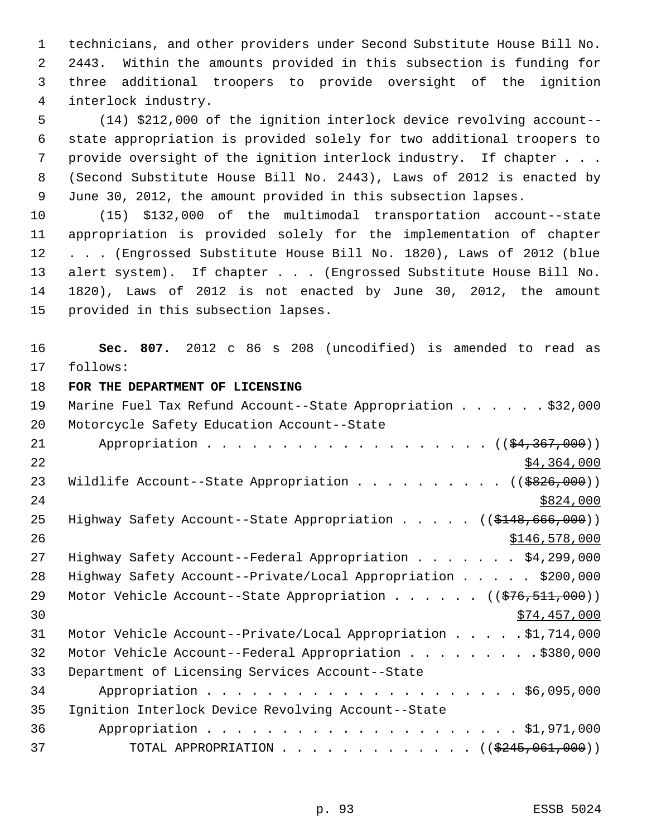technicians, and other providers under Second Substitute House Bill No. 2443. Within the amounts provided in this subsection is funding for three additional troopers to provide oversight of the ignition interlock industry.

 (14) \$212,000 of the ignition interlock device revolving account-- state appropriation is provided solely for two additional troopers to provide oversight of the ignition interlock industry. If chapter . . . (Second Substitute House Bill No. 2443), Laws of 2012 is enacted by June 30, 2012, the amount provided in this subsection lapses.

 (15) \$132,000 of the multimodal transportation account--state appropriation is provided solely for the implementation of chapter . . . (Engrossed Substitute House Bill No. 1820), Laws of 2012 (blue alert system). If chapter . . . (Engrossed Substitute House Bill No. 1820), Laws of 2012 is not enacted by June 30, 2012, the amount provided in this subsection lapses.

 **Sec. 807.** 2012 c 86 s 208 (uncodified) is amended to read as follows:

**FOR THE DEPARTMENT OF LICENSING**

 Marine Fuel Tax Refund Account--State Appropriation . . . . . . \$32,000 Motorcycle Safety Education Account--State 21 Appropriation . . . . . . . . . . . . . . . . . (  $(\frac{24,367,000}{2})$  \$4,364,000 23 Wildlife Account--State Appropriation . . . . . . . . . ((\$826,000)) 25 Highway Safety Account--State Appropriation . . . . . ((\$148,666,000))  $\frac{$146,578,000}{2}$ 27 Highway Safety Account--Federal Appropriation . . . . . . \$4,299,000 Highway Safety Account--Private/Local Appropriation . . . . . \$200,000 29 Motor Vehicle Account--State Appropriation . . . . . ((\$76,511,000))  $30 \,$  \$74,457,000 Motor Vehicle Account--Private/Local Appropriation . . . . . \$1,714,000 Motor Vehicle Account--Federal Appropriation . . . . . . . . . \$380,000 Department of Licensing Services Account--State Appropriation . . . . . . . . . . . . . . . . . . . . . \$6,095,000 Ignition Interlock Device Revolving Account--State Appropriation . . . . . . . . . . . . . . . . . . . . . \$1,971,000 37 TOTAL APPROPRIATION . . . . . . . . . . . . . ((\$245,061,000))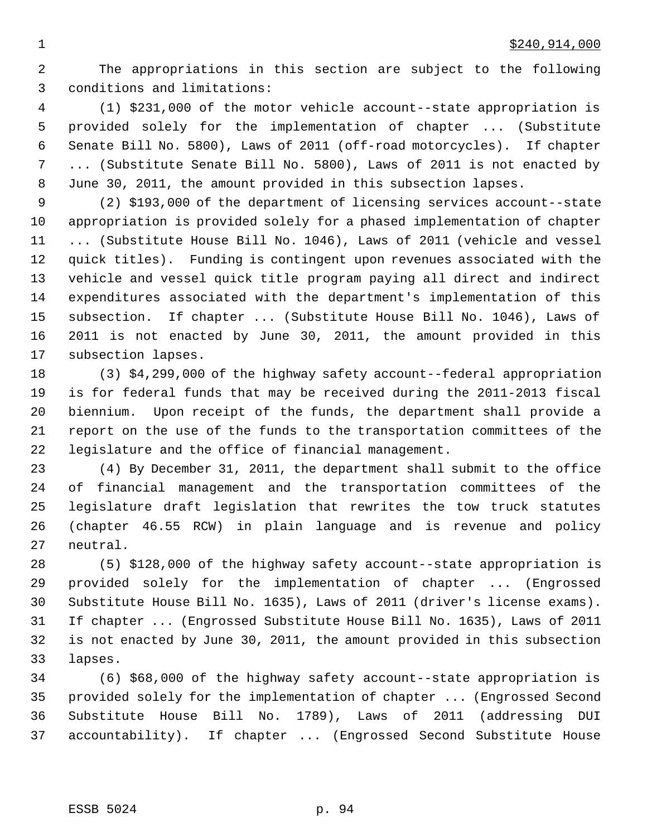The appropriations in this section are subject to the following conditions and limitations:

 (1) \$231,000 of the motor vehicle account--state appropriation is provided solely for the implementation of chapter ... (Substitute Senate Bill No. 5800), Laws of 2011 (off-road motorcycles). If chapter ... (Substitute Senate Bill No. 5800), Laws of 2011 is not enacted by June 30, 2011, the amount provided in this subsection lapses.

 (2) \$193,000 of the department of licensing services account--state appropriation is provided solely for a phased implementation of chapter ... (Substitute House Bill No. 1046), Laws of 2011 (vehicle and vessel quick titles). Funding is contingent upon revenues associated with the vehicle and vessel quick title program paying all direct and indirect expenditures associated with the department's implementation of this subsection. If chapter ... (Substitute House Bill No. 1046), Laws of 2011 is not enacted by June 30, 2011, the amount provided in this subsection lapses.

 (3) \$4,299,000 of the highway safety account--federal appropriation is for federal funds that may be received during the 2011-2013 fiscal biennium. Upon receipt of the funds, the department shall provide a report on the use of the funds to the transportation committees of the legislature and the office of financial management.

 (4) By December 31, 2011, the department shall submit to the office of financial management and the transportation committees of the legislature draft legislation that rewrites the tow truck statutes (chapter 46.55 RCW) in plain language and is revenue and policy neutral.

 (5) \$128,000 of the highway safety account--state appropriation is provided solely for the implementation of chapter ... (Engrossed Substitute House Bill No. 1635), Laws of 2011 (driver's license exams). If chapter ... (Engrossed Substitute House Bill No. 1635), Laws of 2011 is not enacted by June 30, 2011, the amount provided in this subsection lapses.

 (6) \$68,000 of the highway safety account--state appropriation is provided solely for the implementation of chapter ... (Engrossed Second Substitute House Bill No. 1789), Laws of 2011 (addressing DUI accountability). If chapter ... (Engrossed Second Substitute House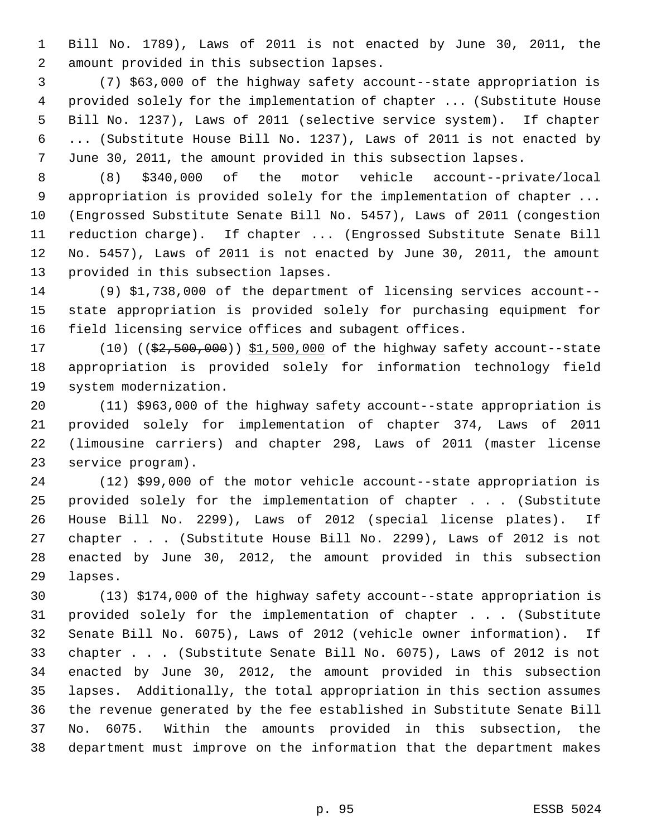Bill No. 1789), Laws of 2011 is not enacted by June 30, 2011, the amount provided in this subsection lapses.

 (7) \$63,000 of the highway safety account--state appropriation is provided solely for the implementation of chapter ... (Substitute House Bill No. 1237), Laws of 2011 (selective service system). If chapter ... (Substitute House Bill No. 1237), Laws of 2011 is not enacted by June 30, 2011, the amount provided in this subsection lapses.

 (8) \$340,000 of the motor vehicle account--private/local appropriation is provided solely for the implementation of chapter ... (Engrossed Substitute Senate Bill No. 5457), Laws of 2011 (congestion reduction charge). If chapter ... (Engrossed Substitute Senate Bill No. 5457), Laws of 2011 is not enacted by June 30, 2011, the amount provided in this subsection lapses.

 (9) \$1,738,000 of the department of licensing services account-- state appropriation is provided solely for purchasing equipment for field licensing service offices and subagent offices.

17 (10) ((\$2,500,000)) \$1,500,000 of the highway safety account--state appropriation is provided solely for information technology field system modernization.

 (11) \$963,000 of the highway safety account--state appropriation is provided solely for implementation of chapter 374, Laws of 2011 (limousine carriers) and chapter 298, Laws of 2011 (master license service program).

 (12) \$99,000 of the motor vehicle account--state appropriation is provided solely for the implementation of chapter . . . (Substitute House Bill No. 2299), Laws of 2012 (special license plates). If chapter . . . (Substitute House Bill No. 2299), Laws of 2012 is not enacted by June 30, 2012, the amount provided in this subsection lapses.

 (13) \$174,000 of the highway safety account--state appropriation is provided solely for the implementation of chapter . . . (Substitute Senate Bill No. 6075), Laws of 2012 (vehicle owner information). If chapter . . . (Substitute Senate Bill No. 6075), Laws of 2012 is not enacted by June 30, 2012, the amount provided in this subsection lapses. Additionally, the total appropriation in this section assumes the revenue generated by the fee established in Substitute Senate Bill No. 6075. Within the amounts provided in this subsection, the department must improve on the information that the department makes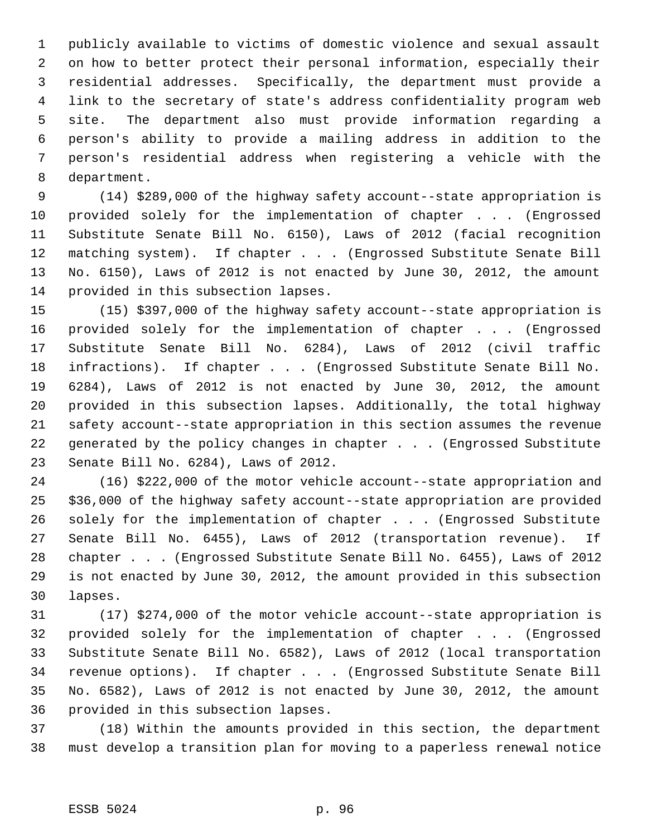publicly available to victims of domestic violence and sexual assault on how to better protect their personal information, especially their residential addresses. Specifically, the department must provide a link to the secretary of state's address confidentiality program web site. The department also must provide information regarding a person's ability to provide a mailing address in addition to the person's residential address when registering a vehicle with the department.

 (14) \$289,000 of the highway safety account--state appropriation is provided solely for the implementation of chapter . . . (Engrossed Substitute Senate Bill No. 6150), Laws of 2012 (facial recognition matching system). If chapter . . . (Engrossed Substitute Senate Bill No. 6150), Laws of 2012 is not enacted by June 30, 2012, the amount provided in this subsection lapses.

 (15) \$397,000 of the highway safety account--state appropriation is provided solely for the implementation of chapter . . . (Engrossed Substitute Senate Bill No. 6284), Laws of 2012 (civil traffic infractions). If chapter . . . (Engrossed Substitute Senate Bill No. 6284), Laws of 2012 is not enacted by June 30, 2012, the amount provided in this subsection lapses. Additionally, the total highway safety account--state appropriation in this section assumes the revenue generated by the policy changes in chapter . . . (Engrossed Substitute Senate Bill No. 6284), Laws of 2012.

 (16) \$222,000 of the motor vehicle account--state appropriation and \$36,000 of the highway safety account--state appropriation are provided solely for the implementation of chapter . . . (Engrossed Substitute Senate Bill No. 6455), Laws of 2012 (transportation revenue). If chapter . . . (Engrossed Substitute Senate Bill No. 6455), Laws of 2012 is not enacted by June 30, 2012, the amount provided in this subsection lapses.

 (17) \$274,000 of the motor vehicle account--state appropriation is provided solely for the implementation of chapter . . . (Engrossed Substitute Senate Bill No. 6582), Laws of 2012 (local transportation revenue options). If chapter . . . (Engrossed Substitute Senate Bill No. 6582), Laws of 2012 is not enacted by June 30, 2012, the amount provided in this subsection lapses.

 (18) Within the amounts provided in this section, the department must develop a transition plan for moving to a paperless renewal notice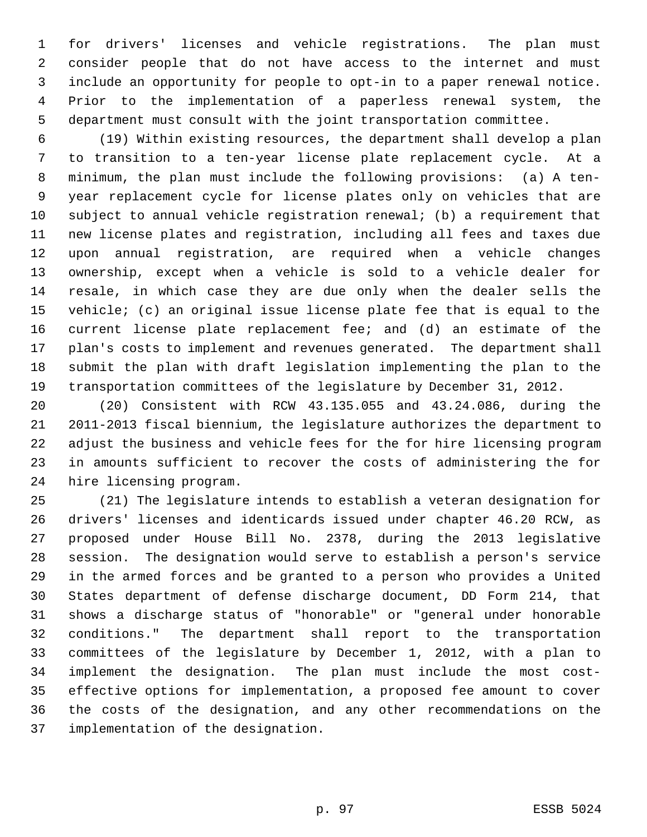for drivers' licenses and vehicle registrations. The plan must consider people that do not have access to the internet and must include an opportunity for people to opt-in to a paper renewal notice. Prior to the implementation of a paperless renewal system, the department must consult with the joint transportation committee.

 (19) Within existing resources, the department shall develop a plan to transition to a ten-year license plate replacement cycle. At a minimum, the plan must include the following provisions: (a) A ten- year replacement cycle for license plates only on vehicles that are subject to annual vehicle registration renewal; (b) a requirement that new license plates and registration, including all fees and taxes due upon annual registration, are required when a vehicle changes ownership, except when a vehicle is sold to a vehicle dealer for resale, in which case they are due only when the dealer sells the vehicle; (c) an original issue license plate fee that is equal to the current license plate replacement fee; and (d) an estimate of the plan's costs to implement and revenues generated. The department shall submit the plan with draft legislation implementing the plan to the transportation committees of the legislature by December 31, 2012.

 (20) Consistent with RCW 43.135.055 and 43.24.086, during the 2011-2013 fiscal biennium, the legislature authorizes the department to adjust the business and vehicle fees for the for hire licensing program in amounts sufficient to recover the costs of administering the for hire licensing program.

 (21) The legislature intends to establish a veteran designation for drivers' licenses and identicards issued under chapter 46.20 RCW, as proposed under House Bill No. 2378, during the 2013 legislative session. The designation would serve to establish a person's service in the armed forces and be granted to a person who provides a United States department of defense discharge document, DD Form 214, that shows a discharge status of "honorable" or "general under honorable conditions." The department shall report to the transportation committees of the legislature by December 1, 2012, with a plan to implement the designation. The plan must include the most cost- effective options for implementation, a proposed fee amount to cover the costs of the designation, and any other recommendations on the implementation of the designation.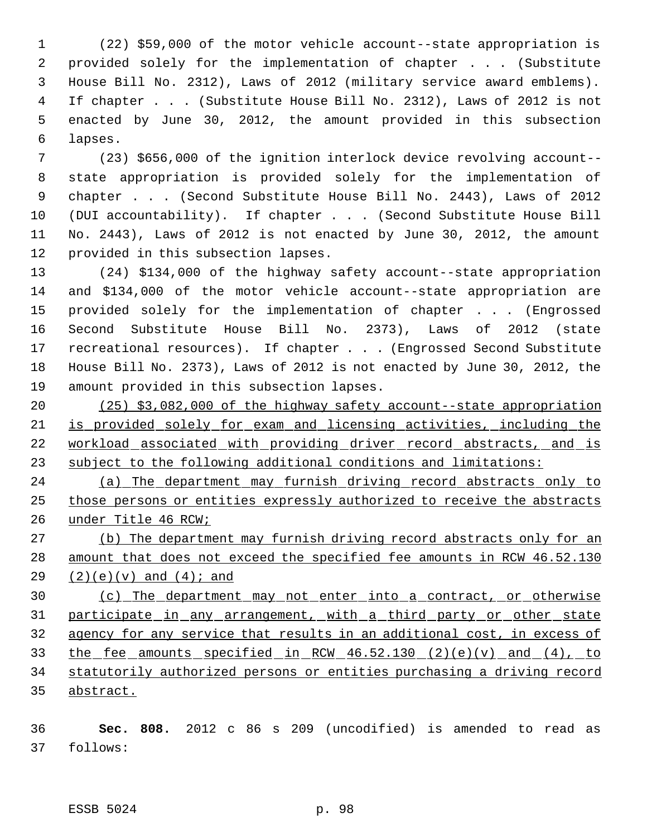(22) \$59,000 of the motor vehicle account--state appropriation is provided solely for the implementation of chapter . . . (Substitute House Bill No. 2312), Laws of 2012 (military service award emblems). If chapter . . . (Substitute House Bill No. 2312), Laws of 2012 is not enacted by June 30, 2012, the amount provided in this subsection lapses.

 (23) \$656,000 of the ignition interlock device revolving account-- state appropriation is provided solely for the implementation of chapter . . . (Second Substitute House Bill No. 2443), Laws of 2012 (DUI accountability). If chapter . . . (Second Substitute House Bill No. 2443), Laws of 2012 is not enacted by June 30, 2012, the amount provided in this subsection lapses.

 (24) \$134,000 of the highway safety account--state appropriation and \$134,000 of the motor vehicle account--state appropriation are provided solely for the implementation of chapter . . . (Engrossed Second Substitute House Bill No. 2373), Laws of 2012 (state recreational resources). If chapter . . . (Engrossed Second Substitute House Bill No. 2373), Laws of 2012 is not enacted by June 30, 2012, the amount provided in this subsection lapses.

 (25) \$3,082,000 of the highway safety account--state appropriation is provided solely for exam and licensing activities, including the 22 workload associated with providing driver record abstracts, and is subject to the following additional conditions and limitations:

 (a) The department may furnish driving record abstracts only to those persons or entities expressly authorized to receive the abstracts under Title 46 RCW;

 (b) The department may furnish driving record abstracts only for an amount that does not exceed the specified fee amounts in RCW 46.52.130 29  $(2)(e)(v)$  and  $(4)i$  and

 (c) The department may not enter into a contract, or otherwise participate in any arrangement, with a third party or other state agency for any service that results in an additional cost, in excess of the fee amounts specified in RCW 46.52.130 (2)(e)(v) and (4), to statutorily authorized persons or entities purchasing a driving record abstract.

 **Sec. 808.** 2012 c 86 s 209 (uncodified) is amended to read as follows: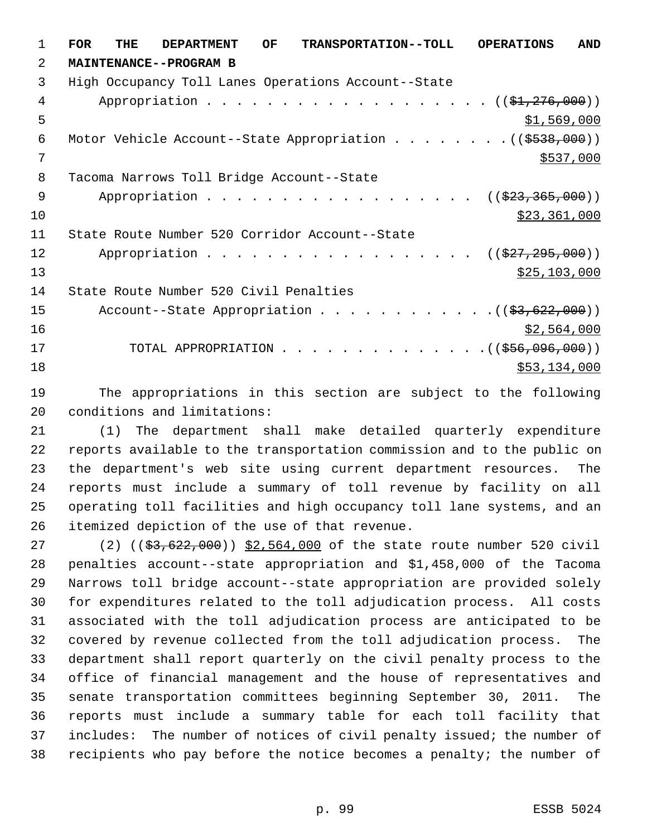**FOR THE DEPARTMENT OF TRANSPORTATION--TOLL OPERATIONS AND MAINTENANCE--PROGRAM B** High Occupancy Toll Lanes Operations Account--State 4 Appropriation . . . . . . . . . . . . . . . . . (  $(\frac{1}{21}, \frac{276}{100})$  )  $5 - 5$   $\frac{1}{569}$ , 000 6 Motor Vehicle Account--State Appropriation . . . . . . . . ((\$538,000)) \$537,000 Tacoma Narrows Toll Bridge Account--State 9 Appropriation . . . . . . . . . . . . . . . . ((\$23,365,000))  $\frac{10}{223,361,000}$  State Route Number 520 Corridor Account--State 12 Appropriation . . . . . . . . . . . . . . . . ((\$27,295,000)) 13 \$25,103,000 State Route Number 520 Civil Penalties 15 Account--State Appropriation . . . . . . . . . . . . ((\$3,622,000)) \$2,564,000 17 TOTAL APPROPRIATION . . . . . . . . . . . . . . ((\$56,096,000)) \$53,134,000

 The appropriations in this section are subject to the following conditions and limitations:

 (1) The department shall make detailed quarterly expenditure reports available to the transportation commission and to the public on the department's web site using current department resources. The reports must include a summary of toll revenue by facility on all operating toll facilities and high occupancy toll lane systems, and an itemized depiction of the use of that revenue.

27 (2) ((\$3,622,000)) \$2,564,000 of the state route number 520 civil penalties account--state appropriation and \$1,458,000 of the Tacoma Narrows toll bridge account--state appropriation are provided solely for expenditures related to the toll adjudication process. All costs associated with the toll adjudication process are anticipated to be covered by revenue collected from the toll adjudication process. The department shall report quarterly on the civil penalty process to the office of financial management and the house of representatives and senate transportation committees beginning September 30, 2011. The reports must include a summary table for each toll facility that includes: The number of notices of civil penalty issued; the number of recipients who pay before the notice becomes a penalty; the number of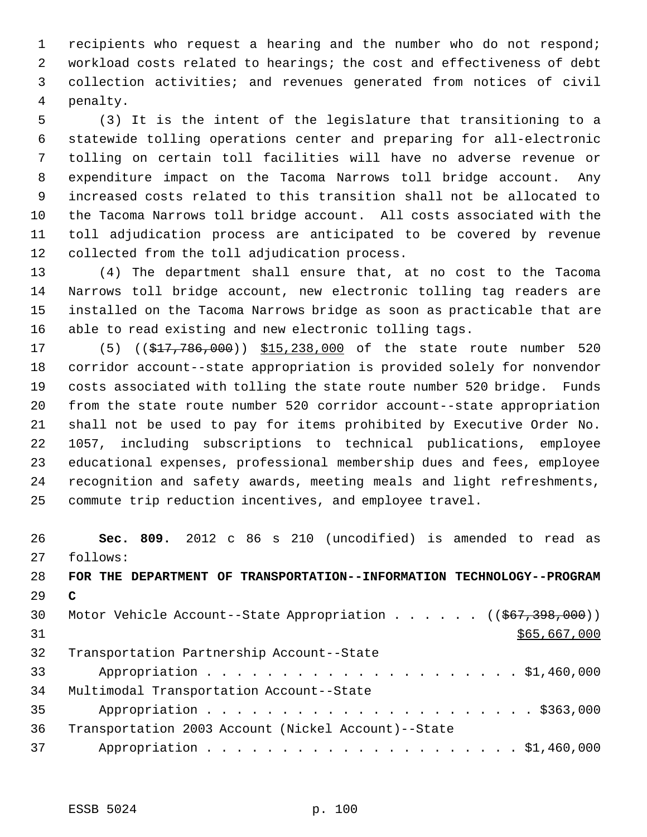recipients who request a hearing and the number who do not respond; workload costs related to hearings; the cost and effectiveness of debt collection activities; and revenues generated from notices of civil penalty.

 (3) It is the intent of the legislature that transitioning to a statewide tolling operations center and preparing for all-electronic tolling on certain toll facilities will have no adverse revenue or expenditure impact on the Tacoma Narrows toll bridge account. Any increased costs related to this transition shall not be allocated to the Tacoma Narrows toll bridge account. All costs associated with the toll adjudication process are anticipated to be covered by revenue collected from the toll adjudication process.

 (4) The department shall ensure that, at no cost to the Tacoma Narrows toll bridge account, new electronic tolling tag readers are installed on the Tacoma Narrows bridge as soon as practicable that are able to read existing and new electronic tolling tags.

17 (5) ((\$17,786,000)) \$15,238,000 of the state route number 520 corridor account--state appropriation is provided solely for nonvendor costs associated with tolling the state route number 520 bridge. Funds from the state route number 520 corridor account--state appropriation shall not be used to pay for items prohibited by Executive Order No. 1057, including subscriptions to technical publications, employee educational expenses, professional membership dues and fees, employee recognition and safety awards, meeting meals and light refreshments, commute trip reduction incentives, and employee travel.

 **Sec. 809.** 2012 c 86 s 210 (uncodified) is amended to read as follows: **FOR THE DEPARTMENT OF TRANSPORTATION--INFORMATION TECHNOLOGY--PROGRAM C** 30 Motor Vehicle Account--State Appropriation . . . . . ((\$67,398,000)) \$65,667,000 Transportation Partnership Account--State Appropriation . . . . . . . . . . . . . . . . . . . . . \$1,460,000 Multimodal Transportation Account--State Appropriation . . . . . . . . . . . . . . . . . . . . . . \$363,000 Transportation 2003 Account (Nickel Account)--State Appropriation . . . . . . . . . . . . . . . . . . . . . \$1,460,000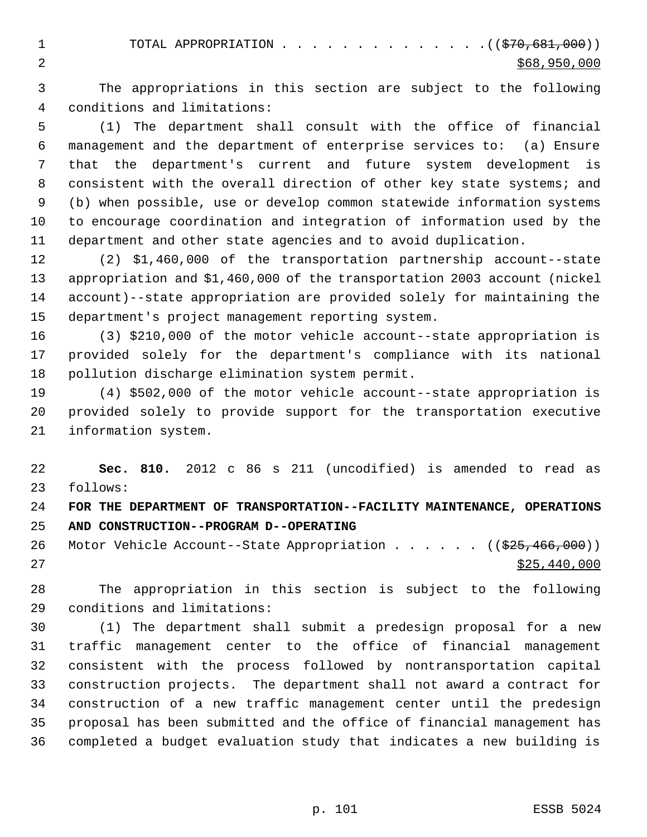1 TOTAL APPROPRIATION . . . . . . . . . . . . . . ((\$70,681,000))  $2 \div 868,950,000$ 

 The appropriations in this section are subject to the following conditions and limitations:

 (1) The department shall consult with the office of financial management and the department of enterprise services to: (a) Ensure that the department's current and future system development is consistent with the overall direction of other key state systems; and (b) when possible, use or develop common statewide information systems to encourage coordination and integration of information used by the department and other state agencies and to avoid duplication.

 (2) \$1,460,000 of the transportation partnership account--state appropriation and \$1,460,000 of the transportation 2003 account (nickel account)--state appropriation are provided solely for maintaining the department's project management reporting system.

 (3) \$210,000 of the motor vehicle account--state appropriation is provided solely for the department's compliance with its national pollution discharge elimination system permit.

 (4) \$502,000 of the motor vehicle account--state appropriation is provided solely to provide support for the transportation executive information system.

 **Sec. 810.** 2012 c 86 s 211 (uncodified) is amended to read as follows:

 **FOR THE DEPARTMENT OF TRANSPORTATION--FACILITY MAINTENANCE, OPERATIONS AND CONSTRUCTION--PROGRAM D--OPERATING**

26 Motor Vehicle Account--State Appropriation . . . . . ((\$25,466,000)) \$25,440,000

 The appropriation in this section is subject to the following conditions and limitations:

 (1) The department shall submit a predesign proposal for a new traffic management center to the office of financial management consistent with the process followed by nontransportation capital construction projects. The department shall not award a contract for construction of a new traffic management center until the predesign proposal has been submitted and the office of financial management has completed a budget evaluation study that indicates a new building is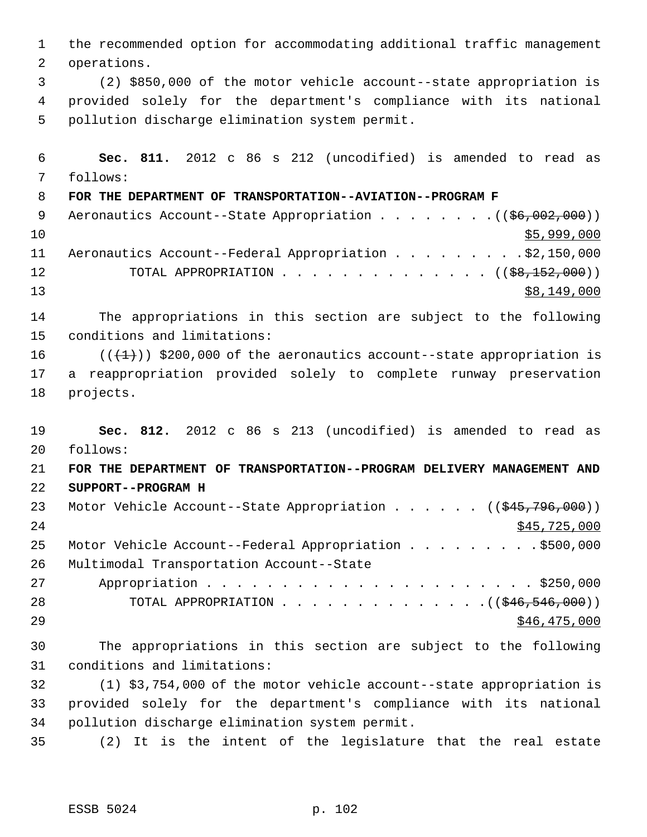the recommended option for accommodating additional traffic management operations. (2) \$850,000 of the motor vehicle account--state appropriation is provided solely for the department's compliance with its national pollution discharge elimination system permit. **Sec. 811.** 2012 c 86 s 212 (uncodified) is amended to read as follows: **FOR THE DEPARTMENT OF TRANSPORTATION--AVIATION--PROGRAM F** 9 Aeronautics Account--State Appropriation . . . . . . . . ((\$6,002,000)) \$5,999,000 11 Aeronautics Account--Federal Appropriation . . . . . . . . \$2,150,000 12 TOTAL APPROPRIATION . . . . . . . . . . . . . . ((\$8,152,000)) \$8,149,000 The appropriations in this section are subject to the following conditions and limitations:  $((+1))$  \$200,000 of the aeronautics account--state appropriation is a reappropriation provided solely to complete runway preservation projects. **Sec. 812.** 2012 c 86 s 213 (uncodified) is amended to read as follows: **FOR THE DEPARTMENT OF TRANSPORTATION--PROGRAM DELIVERY MANAGEMENT AND SUPPORT--PROGRAM H** 23 Motor Vehicle Account--State Appropriation . . . . . ((\$45,796,000)) \$45,725,000 25 Motor Vehicle Account--Federal Appropriation . . . . . . . . . \$500,000 Multimodal Transportation Account--State Appropriation . . . . . . . . . . . . . . . . . . . . . . \$250,000 28 TOTAL APPROPRIATION . . . . . . . . . . . . . . ((\$46,546,000)) \$46,475,000 The appropriations in this section are subject to the following conditions and limitations: (1) \$3,754,000 of the motor vehicle account--state appropriation is provided solely for the department's compliance with its national pollution discharge elimination system permit. (2) It is the intent of the legislature that the real estate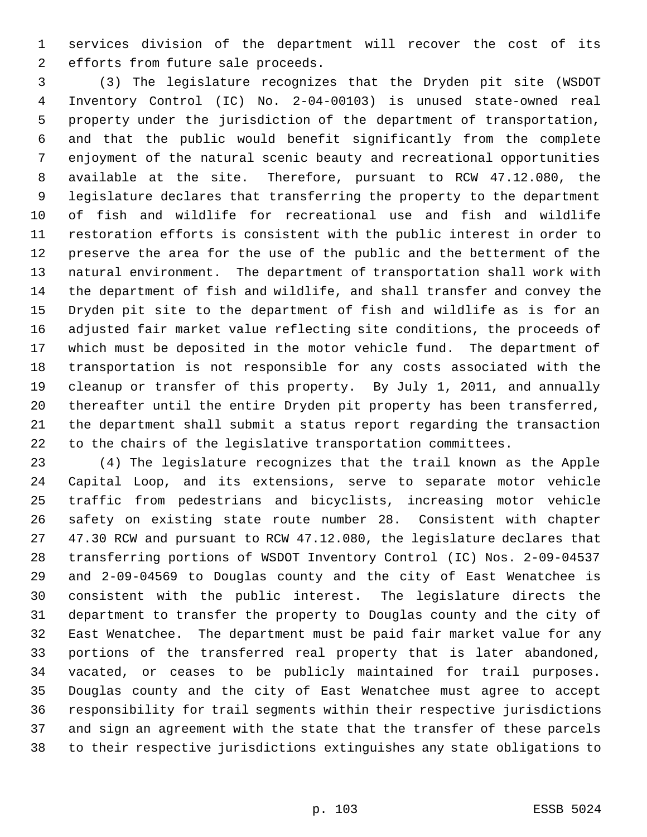services division of the department will recover the cost of its efforts from future sale proceeds.

 (3) The legislature recognizes that the Dryden pit site (WSDOT Inventory Control (IC) No. 2-04-00103) is unused state-owned real property under the jurisdiction of the department of transportation, and that the public would benefit significantly from the complete enjoyment of the natural scenic beauty and recreational opportunities available at the site. Therefore, pursuant to RCW 47.12.080, the legislature declares that transferring the property to the department of fish and wildlife for recreational use and fish and wildlife restoration efforts is consistent with the public interest in order to preserve the area for the use of the public and the betterment of the natural environment. The department of transportation shall work with the department of fish and wildlife, and shall transfer and convey the Dryden pit site to the department of fish and wildlife as is for an adjusted fair market value reflecting site conditions, the proceeds of which must be deposited in the motor vehicle fund. The department of transportation is not responsible for any costs associated with the cleanup or transfer of this property. By July 1, 2011, and annually thereafter until the entire Dryden pit property has been transferred, the department shall submit a status report regarding the transaction to the chairs of the legislative transportation committees.

 (4) The legislature recognizes that the trail known as the Apple Capital Loop, and its extensions, serve to separate motor vehicle traffic from pedestrians and bicyclists, increasing motor vehicle safety on existing state route number 28. Consistent with chapter 47.30 RCW and pursuant to RCW 47.12.080, the legislature declares that transferring portions of WSDOT Inventory Control (IC) Nos. 2-09-04537 and 2-09-04569 to Douglas county and the city of East Wenatchee is consistent with the public interest. The legislature directs the department to transfer the property to Douglas county and the city of East Wenatchee. The department must be paid fair market value for any portions of the transferred real property that is later abandoned, vacated, or ceases to be publicly maintained for trail purposes. Douglas county and the city of East Wenatchee must agree to accept responsibility for trail segments within their respective jurisdictions and sign an agreement with the state that the transfer of these parcels to their respective jurisdictions extinguishes any state obligations to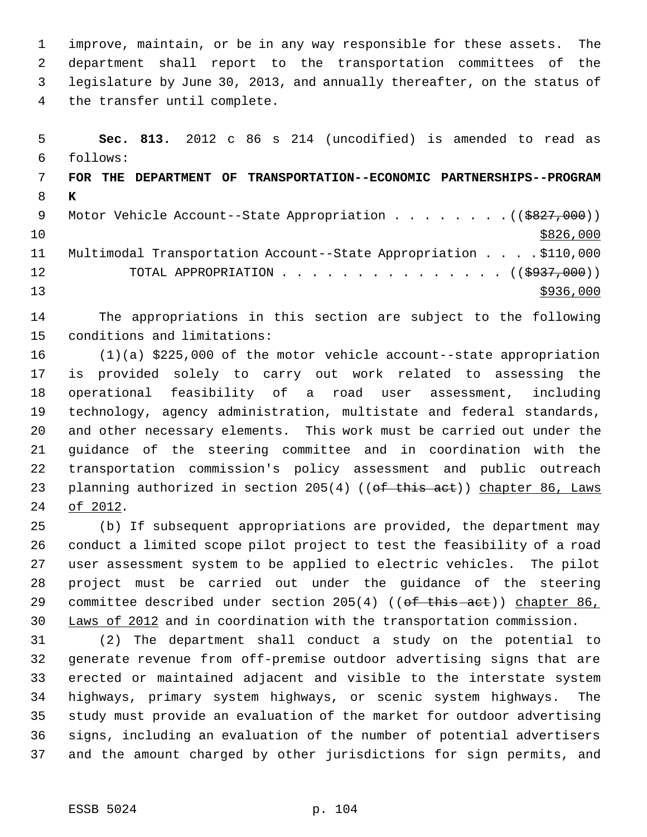improve, maintain, or be in any way responsible for these assets. The department shall report to the transportation committees of the legislature by June 30, 2013, and annually thereafter, on the status of the transfer until complete.

 **Sec. 813.** 2012 c 86 s 214 (uncodified) is amended to read as follows: **FOR THE DEPARTMENT OF TRANSPORTATION--ECONOMIC PARTNERSHIPS--PROGRAM K** 9 Motor Vehicle Account--State Appropriation . . . . . . . . ((\$827,000))  $10 \frac{\$826,000}{}$  Multimodal Transportation Account--State Appropriation . . . . \$110,000 12 TOTAL APPROPRIATION . . . . . . . . . . . . . . . ((\$937,000))  $\frac{13}{2936,000}$ 

 The appropriations in this section are subject to the following conditions and limitations:

 (1)(a) \$225,000 of the motor vehicle account--state appropriation is provided solely to carry out work related to assessing the operational feasibility of a road user assessment, including technology, agency administration, multistate and federal standards, and other necessary elements. This work must be carried out under the guidance of the steering committee and in coordination with the transportation commission's policy assessment and public outreach 23 planning authorized in section 205(4) ((of this act)) chapter 86, Laws of 2012.

 (b) If subsequent appropriations are provided, the department may conduct a limited scope pilot project to test the feasibility of a road user assessment system to be applied to electric vehicles. The pilot project must be carried out under the guidance of the steering 29 committee described under section 205(4) ((of this act)) chapter 86, Laws of 2012 and in coordination with the transportation commission.

 (2) The department shall conduct a study on the potential to generate revenue from off-premise outdoor advertising signs that are erected or maintained adjacent and visible to the interstate system highways, primary system highways, or scenic system highways. The study must provide an evaluation of the market for outdoor advertising signs, including an evaluation of the number of potential advertisers and the amount charged by other jurisdictions for sign permits, and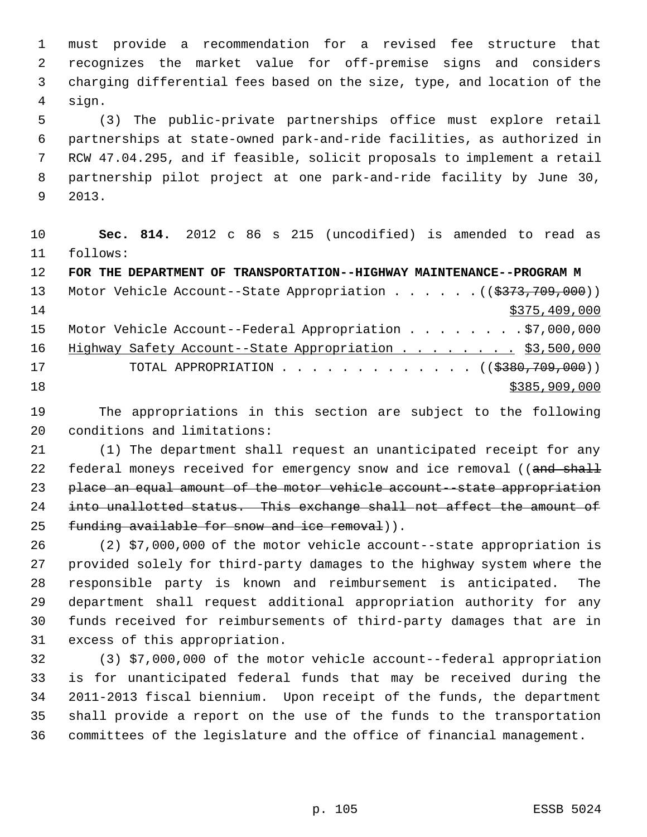must provide a recommendation for a revised fee structure that recognizes the market value for off-premise signs and considers charging differential fees based on the size, type, and location of the sign.

 (3) The public-private partnerships office must explore retail partnerships at state-owned park-and-ride facilities, as authorized in RCW 47.04.295, and if feasible, solicit proposals to implement a retail partnership pilot project at one park-and-ride facility by June 30, 2013.

 **Sec. 814.** 2012 c 86 s 215 (uncodified) is amended to read as follows:

**FOR THE DEPARTMENT OF TRANSPORTATION--HIGHWAY MAINTENANCE--PROGRAM M**

|    | 13 Motor Vehicle Account--State Appropriation ((\$373,709,000))  |
|----|------------------------------------------------------------------|
| 14 | \$375,409,000                                                    |
|    | 15 Motor Vehicle Account--Federal Appropriation \$7,000,000      |
| 16 | Highway Safety Account--State Appropriation \$3,500,000          |
| 17 | TOTAL APPROPRIATION $\ldots$ , ( $(\frac{2380,709,000}{\cdots})$ |
| 18 | \$385,909,000                                                    |
|    |                                                                  |

 The appropriations in this section are subject to the following conditions and limitations:

 (1) The department shall request an unanticipated receipt for any 22 federal moneys received for emergency snow and ice removal ((and shall 23 place an equal amount of the motor vehicle account--state appropriation into unallotted status. This exchange shall not affect the amount of 25 funding available for snow and ice removal)).

 (2) \$7,000,000 of the motor vehicle account--state appropriation is provided solely for third-party damages to the highway system where the responsible party is known and reimbursement is anticipated. The department shall request additional appropriation authority for any funds received for reimbursements of third-party damages that are in excess of this appropriation.

 (3) \$7,000,000 of the motor vehicle account--federal appropriation is for unanticipated federal funds that may be received during the 2011-2013 fiscal biennium. Upon receipt of the funds, the department shall provide a report on the use of the funds to the transportation committees of the legislature and the office of financial management.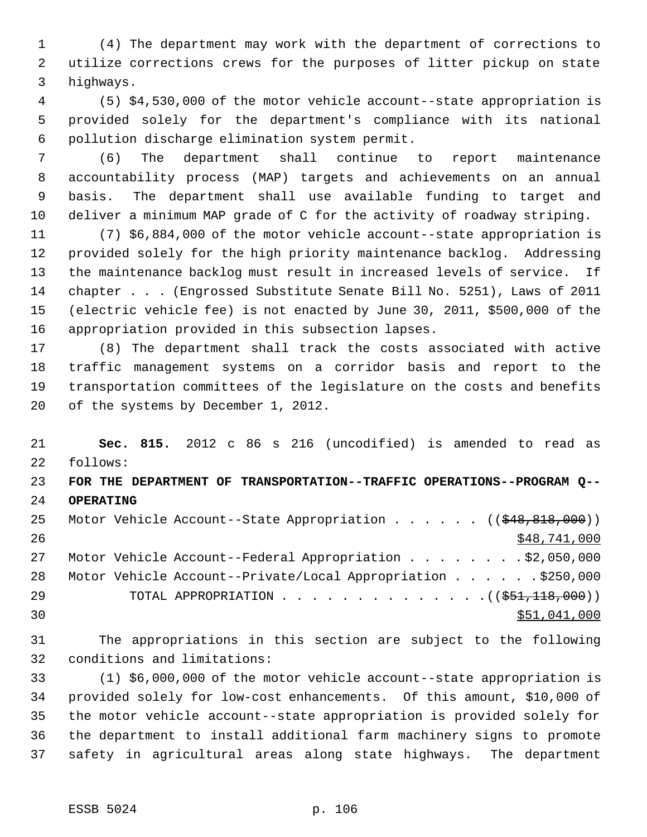(4) The department may work with the department of corrections to utilize corrections crews for the purposes of litter pickup on state highways.

 (5) \$4,530,000 of the motor vehicle account--state appropriation is provided solely for the department's compliance with its national pollution discharge elimination system permit.

 (6) The department shall continue to report maintenance accountability process (MAP) targets and achievements on an annual basis. The department shall use available funding to target and deliver a minimum MAP grade of C for the activity of roadway striping.

 (7) \$6,884,000 of the motor vehicle account--state appropriation is provided solely for the high priority maintenance backlog. Addressing the maintenance backlog must result in increased levels of service. If chapter . . . (Engrossed Substitute Senate Bill No. 5251), Laws of 2011 (electric vehicle fee) is not enacted by June 30, 2011, \$500,000 of the appropriation provided in this subsection lapses.

 (8) The department shall track the costs associated with active traffic management systems on a corridor basis and report to the transportation committees of the legislature on the costs and benefits of the systems by December 1, 2012.

 **Sec. 815.** 2012 c 86 s 216 (uncodified) is amended to read as follows: **FOR THE DEPARTMENT OF TRANSPORTATION--TRAFFIC OPERATIONS--PROGRAM Q-- OPERATING** 25 Motor Vehicle Account--State Appropriation . . . . . ((\$48,818,000))  $\frac{$48,741,000}{548}$ 27 Motor Vehicle Account--Federal Appropriation . . . . . . . \$2,050,000 Motor Vehicle Account--Private/Local Appropriation . . . . . . \$250,000

29 TOTAL APPROPRIATION . . . . . . . . . . . . . . ((\$51,118,000))  $\texttt{551,041,000}$ 

 The appropriations in this section are subject to the following conditions and limitations:

 (1) \$6,000,000 of the motor vehicle account--state appropriation is provided solely for low-cost enhancements. Of this amount, \$10,000 of the motor vehicle account--state appropriation is provided solely for the department to install additional farm machinery signs to promote safety in agricultural areas along state highways. The department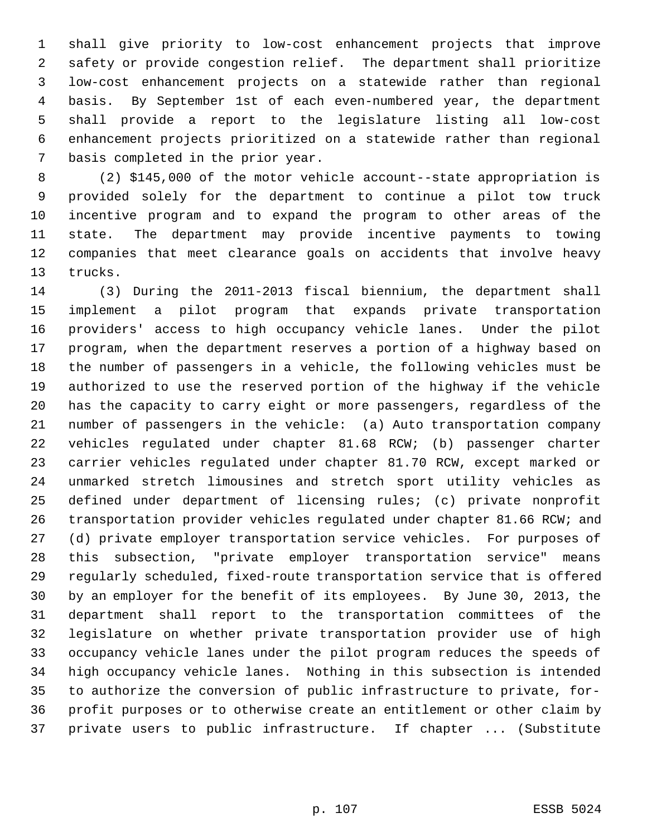shall give priority to low-cost enhancement projects that improve safety or provide congestion relief. The department shall prioritize low-cost enhancement projects on a statewide rather than regional basis. By September 1st of each even-numbered year, the department shall provide a report to the legislature listing all low-cost enhancement projects prioritized on a statewide rather than regional basis completed in the prior year.

 (2) \$145,000 of the motor vehicle account--state appropriation is provided solely for the department to continue a pilot tow truck incentive program and to expand the program to other areas of the state. The department may provide incentive payments to towing companies that meet clearance goals on accidents that involve heavy trucks.

 (3) During the 2011-2013 fiscal biennium, the department shall implement a pilot program that expands private transportation providers' access to high occupancy vehicle lanes. Under the pilot program, when the department reserves a portion of a highway based on the number of passengers in a vehicle, the following vehicles must be authorized to use the reserved portion of the highway if the vehicle has the capacity to carry eight or more passengers, regardless of the number of passengers in the vehicle: (a) Auto transportation company vehicles regulated under chapter 81.68 RCW; (b) passenger charter carrier vehicles regulated under chapter 81.70 RCW, except marked or unmarked stretch limousines and stretch sport utility vehicles as defined under department of licensing rules; (c) private nonprofit transportation provider vehicles regulated under chapter 81.66 RCW; and (d) private employer transportation service vehicles. For purposes of this subsection, "private employer transportation service" means regularly scheduled, fixed-route transportation service that is offered by an employer for the benefit of its employees. By June 30, 2013, the department shall report to the transportation committees of the legislature on whether private transportation provider use of high occupancy vehicle lanes under the pilot program reduces the speeds of high occupancy vehicle lanes. Nothing in this subsection is intended to authorize the conversion of public infrastructure to private, for- profit purposes or to otherwise create an entitlement or other claim by private users to public infrastructure. If chapter ... (Substitute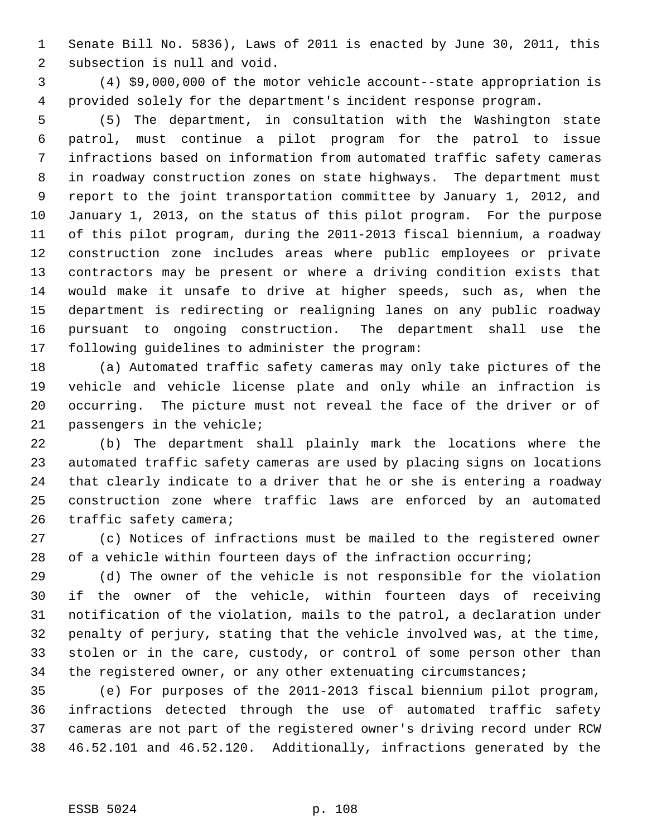Senate Bill No. 5836), Laws of 2011 is enacted by June 30, 2011, this subsection is null and void.

 (4) \$9,000,000 of the motor vehicle account--state appropriation is provided solely for the department's incident response program.

 (5) The department, in consultation with the Washington state patrol, must continue a pilot program for the patrol to issue infractions based on information from automated traffic safety cameras in roadway construction zones on state highways. The department must report to the joint transportation committee by January 1, 2012, and January 1, 2013, on the status of this pilot program. For the purpose of this pilot program, during the 2011-2013 fiscal biennium, a roadway construction zone includes areas where public employees or private contractors may be present or where a driving condition exists that would make it unsafe to drive at higher speeds, such as, when the department is redirecting or realigning lanes on any public roadway pursuant to ongoing construction. The department shall use the following guidelines to administer the program:

 (a) Automated traffic safety cameras may only take pictures of the vehicle and vehicle license plate and only while an infraction is occurring. The picture must not reveal the face of the driver or of passengers in the vehicle;

 (b) The department shall plainly mark the locations where the automated traffic safety cameras are used by placing signs on locations that clearly indicate to a driver that he or she is entering a roadway construction zone where traffic laws are enforced by an automated 26 traffic safety camera;

 (c) Notices of infractions must be mailed to the registered owner of a vehicle within fourteen days of the infraction occurring;

 (d) The owner of the vehicle is not responsible for the violation if the owner of the vehicle, within fourteen days of receiving notification of the violation, mails to the patrol, a declaration under penalty of perjury, stating that the vehicle involved was, at the time, stolen or in the care, custody, or control of some person other than the registered owner, or any other extenuating circumstances;

 (e) For purposes of the 2011-2013 fiscal biennium pilot program, infractions detected through the use of automated traffic safety cameras are not part of the registered owner's driving record under RCW 46.52.101 and 46.52.120. Additionally, infractions generated by the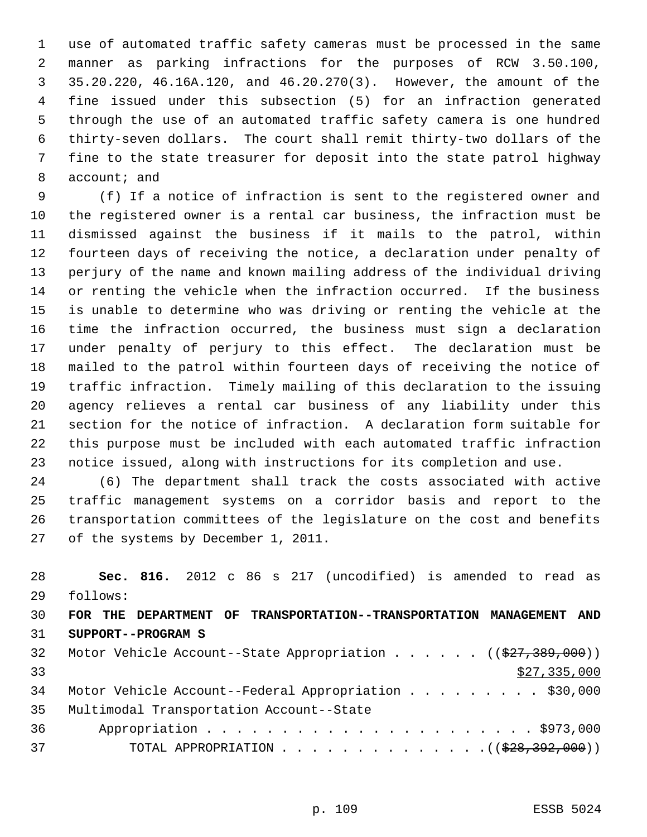use of automated traffic safety cameras must be processed in the same manner as parking infractions for the purposes of RCW 3.50.100, 35.20.220, 46.16A.120, and 46.20.270(3). However, the amount of the fine issued under this subsection (5) for an infraction generated through the use of an automated traffic safety camera is one hundred thirty-seven dollars. The court shall remit thirty-two dollars of the fine to the state treasurer for deposit into the state patrol highway 8 account; and

 (f) If a notice of infraction is sent to the registered owner and the registered owner is a rental car business, the infraction must be dismissed against the business if it mails to the patrol, within fourteen days of receiving the notice, a declaration under penalty of perjury of the name and known mailing address of the individual driving or renting the vehicle when the infraction occurred. If the business is unable to determine who was driving or renting the vehicle at the time the infraction occurred, the business must sign a declaration under penalty of perjury to this effect. The declaration must be mailed to the patrol within fourteen days of receiving the notice of traffic infraction. Timely mailing of this declaration to the issuing agency relieves a rental car business of any liability under this section for the notice of infraction. A declaration form suitable for this purpose must be included with each automated traffic infraction notice issued, along with instructions for its completion and use.

 (6) The department shall track the costs associated with active traffic management systems on a corridor basis and report to the transportation committees of the legislature on the cost and benefits of the systems by December 1, 2011.

 **Sec. 816.** 2012 c 86 s 217 (uncodified) is amended to read as follows: **FOR THE DEPARTMENT OF TRANSPORTATION--TRANSPORTATION MANAGEMENT AND SUPPORT--PROGRAM S** 32 Motor Vehicle Account--State Appropriation . . . . . ((\$27,389,000))  $\frac{1}{2}$  33 34 Motor Vehicle Account--Federal Appropriation . . . . . . . . \$30,000 Multimodal Transportation Account--State Appropriation . . . . . . . . . . . . . . . . . . . . . . \$973,000 37 TOTAL APPROPRIATION . . . . . . . . . . . . . . ((\$28,392,000))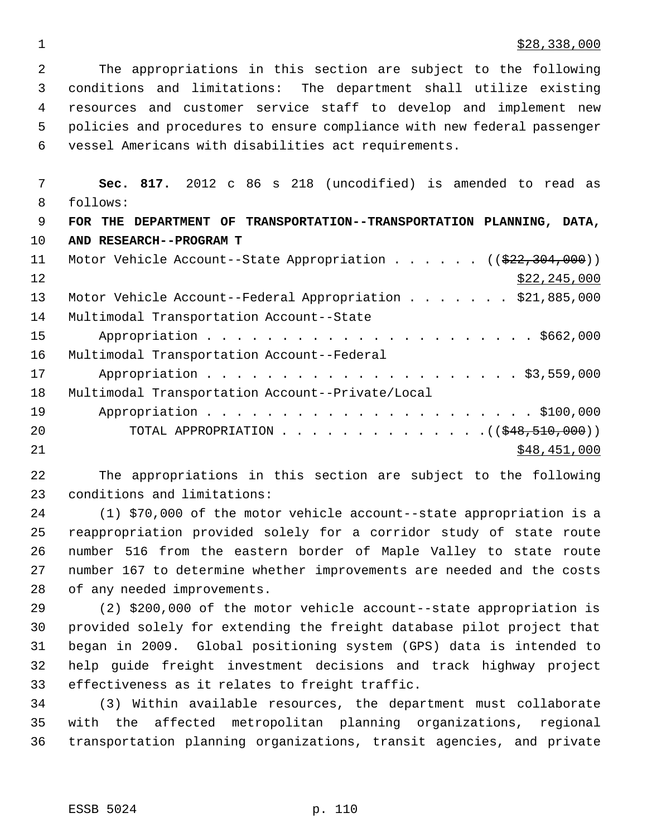## $\frac{$28,338,000}{ }$

 The appropriations in this section are subject to the following conditions and limitations: The department shall utilize existing resources and customer service staff to develop and implement new policies and procedures to ensure compliance with new federal passenger vessel Americans with disabilities act requirements.

 **Sec. 817.** 2012 c 86 s 218 (uncodified) is amended to read as follows: **FOR THE DEPARTMENT OF TRANSPORTATION--TRANSPORTATION PLANNING, DATA, AND RESEARCH--PROGRAM T** 11 Motor Vehicle Account--State Appropriation . . . . . ((\$22,304,000)) 12 \$22,245,000 13 Motor Vehicle Account--Federal Appropriation . . . . . . \$21,885,000 Multimodal Transportation Account--State Appropriation . . . . . . . . . . . . . . . . . . . . . . \$662,000 Multimodal Transportation Account--Federal Appropriation . . . . . . . . . . . . . . . . . . . . . \$3,559,000 Multimodal Transportation Account--Private/Local Appropriation . . . . . . . . . . . . . . . . . . . . . . \$100,000 20 TOTAL APPROPRIATION . . . . . . . . . . . . . ((<del>\$48,510,000</del>))  $\frac{$48,451,000}{ }$ 

 The appropriations in this section are subject to the following conditions and limitations:

 (1) \$70,000 of the motor vehicle account--state appropriation is a reappropriation provided solely for a corridor study of state route number 516 from the eastern border of Maple Valley to state route number 167 to determine whether improvements are needed and the costs of any needed improvements.

 (2) \$200,000 of the motor vehicle account--state appropriation is provided solely for extending the freight database pilot project that began in 2009. Global positioning system (GPS) data is intended to help guide freight investment decisions and track highway project effectiveness as it relates to freight traffic.

 (3) Within available resources, the department must collaborate with the affected metropolitan planning organizations, regional transportation planning organizations, transit agencies, and private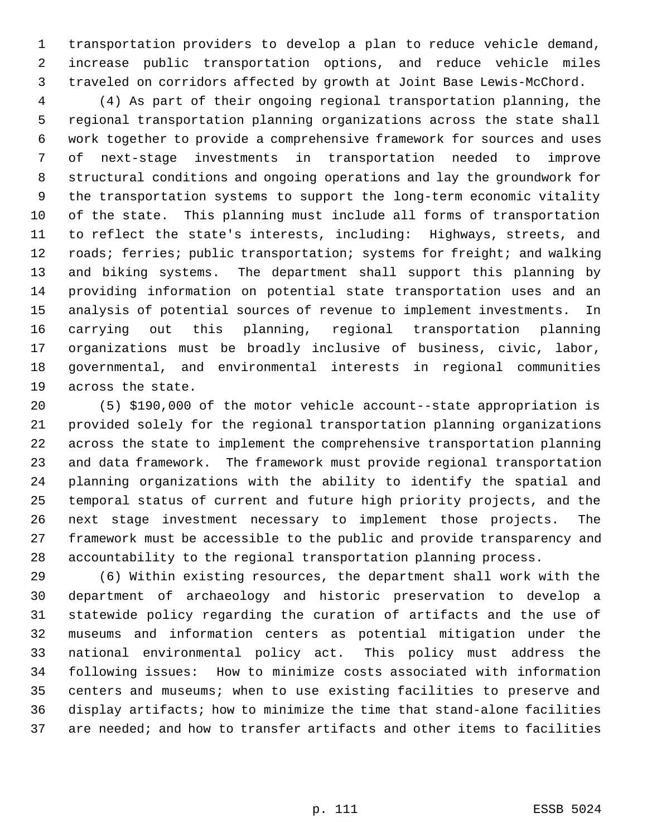transportation providers to develop a plan to reduce vehicle demand, increase public transportation options, and reduce vehicle miles traveled on corridors affected by growth at Joint Base Lewis-McChord.

 (4) As part of their ongoing regional transportation planning, the regional transportation planning organizations across the state shall work together to provide a comprehensive framework for sources and uses of next-stage investments in transportation needed to improve structural conditions and ongoing operations and lay the groundwork for the transportation systems to support the long-term economic vitality of the state. This planning must include all forms of transportation to reflect the state's interests, including: Highways, streets, and 12 roads; ferries; public transportation; systems for freight; and walking and biking systems. The department shall support this planning by providing information on potential state transportation uses and an analysis of potential sources of revenue to implement investments. In carrying out this planning, regional transportation planning organizations must be broadly inclusive of business, civic, labor, governmental, and environmental interests in regional communities across the state.

 (5) \$190,000 of the motor vehicle account--state appropriation is provided solely for the regional transportation planning organizations across the state to implement the comprehensive transportation planning and data framework. The framework must provide regional transportation planning organizations with the ability to identify the spatial and temporal status of current and future high priority projects, and the next stage investment necessary to implement those projects. The framework must be accessible to the public and provide transparency and accountability to the regional transportation planning process.

 (6) Within existing resources, the department shall work with the department of archaeology and historic preservation to develop a statewide policy regarding the curation of artifacts and the use of museums and information centers as potential mitigation under the national environmental policy act. This policy must address the following issues: How to minimize costs associated with information centers and museums; when to use existing facilities to preserve and display artifacts; how to minimize the time that stand-alone facilities are needed; and how to transfer artifacts and other items to facilities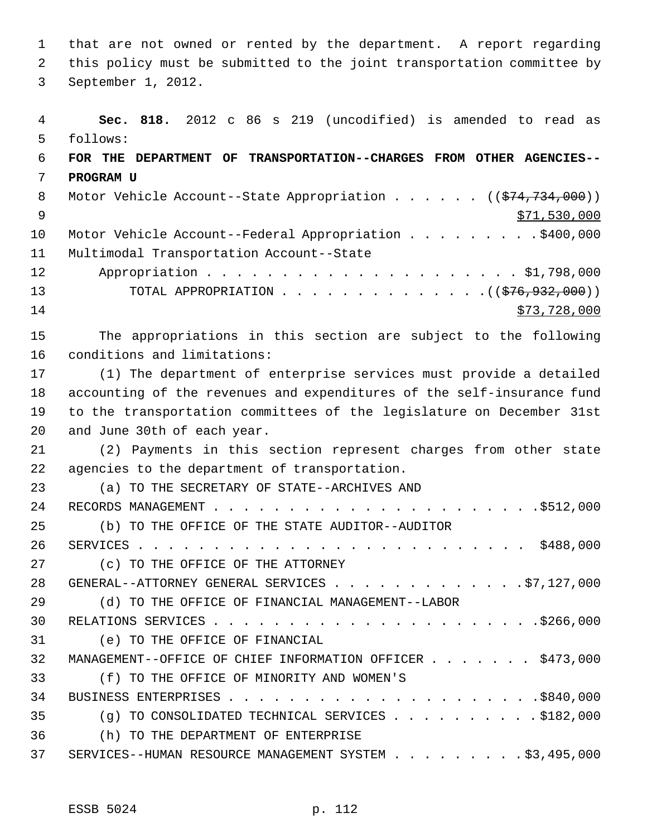that are not owned or rented by the department. A report regarding this policy must be submitted to the joint transportation committee by September 1, 2012.

 **Sec. 818.** 2012 c 86 s 219 (uncodified) is amended to read as follows: **FOR THE DEPARTMENT OF TRANSPORTATION--CHARGES FROM OTHER AGENCIES-- PROGRAM U** 8 Motor Vehicle Account--State Appropriation . . . . . . ((\$74,734,000)) \$71,530,000 10 Motor Vehicle Account--Federal Appropriation . . . . . . . . \$400,000 Multimodal Transportation Account--State Appropriation . . . . . . . . . . . . . . . . . . . . . \$1,798,000 13 TOTAL APPROPRIATION . . . . . . . . . . . . . ((<del>\$76,932,000</del>)) \$73,728,000 The appropriations in this section are subject to the following conditions and limitations: (1) The department of enterprise services must provide a detailed accounting of the revenues and expenditures of the self-insurance fund to the transportation committees of the legislature on December 31st and June 30th of each year. (2) Payments in this section represent charges from other state agencies to the department of transportation. (a) TO THE SECRETARY OF STATE--ARCHIVES AND RECORDS MANAGEMENT . . . . . . . . . . . . . . . . . . . . . .\$512,000 (b) TO THE OFFICE OF THE STATE AUDITOR--AUDITOR SERVICES . . . . . . . . . . . . . . . . . . . . . . . . . . \$488,000 (c) TO THE OFFICE OF THE ATTORNEY 28 GENERAL--ATTORNEY GENERAL SERVICES . . . . . . . . . . . . . . \$7,127,000 (d) TO THE OFFICE OF FINANCIAL MANAGEMENT--LABOR RELATIONS SERVICES . . . . . . . . . . . . . . . . . . . . . .\$266,000 (e) TO THE OFFICE OF FINANCIAL 32 MANAGEMENT--OFFICE OF CHIEF INFORMATION OFFICER . . . . . . \$473,000 (f) TO THE OFFICE OF MINORITY AND WOMEN'S BUSINESS ENTERPRISES . . . . . . . . . . . . . . . . . . . . .\$840,000 (g) TO CONSOLIDATED TECHNICAL SERVICES . . . . . . . . . . \$182,000 (h) TO THE DEPARTMENT OF ENTERPRISE 37 SERVICES--HUMAN RESOURCE MANAGEMENT SYSTEM . . . . . . . . \$3,495,000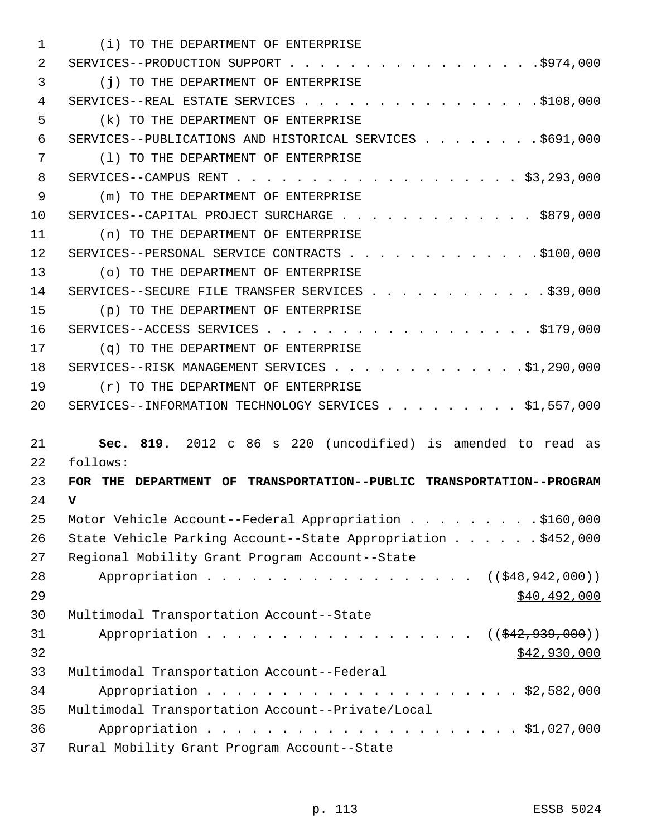| 1  | (i) TO THE DEPARTMENT OF ENTERPRISE                                                                              |
|----|------------------------------------------------------------------------------------------------------------------|
| 2  |                                                                                                                  |
| 3  | (i) TO THE DEPARTMENT OF ENTERPRISE                                                                              |
| 4  | SERVICES--REAL ESTATE SERVICES \$108,000                                                                         |
| 5  | (k) TO THE DEPARTMENT OF ENTERPRISE                                                                              |
| 6  | SERVICES--PUBLICATIONS AND HISTORICAL SERVICES \$691,000                                                         |
| 7  | (1) TO THE DEPARTMENT OF ENTERPRISE                                                                              |
| 8  |                                                                                                                  |
| 9  | (m) TO THE DEPARTMENT OF ENTERPRISE                                                                              |
| 10 | SERVICES--CAPITAL PROJECT SURCHARGE \$879,000                                                                    |
| 11 | (n) TO THE DEPARTMENT OF ENTERPRISE                                                                              |
| 12 | SERVICES--PERSONAL SERVICE CONTRACTS \$100,000                                                                   |
| 13 | (o) TO THE DEPARTMENT OF ENTERPRISE                                                                              |
| 14 | SERVICES--SECURE FILE TRANSFER SERVICES \$39,000                                                                 |
| 15 | (p) TO THE DEPARTMENT OF ENTERPRISE                                                                              |
| 16 | $SERVICES - ACCESS$ SERVICES $\ldots$ , $\ldots$ , $\ldots$ , $\ldots$ , $\ldots$ , $\ldots$ , $\frac{179}{000}$ |
| 17 | (q) TO THE DEPARTMENT OF ENTERPRISE                                                                              |
| 18 | SERVICES--RISK MANAGEMENT SERVICES \$1,290,000                                                                   |
| 19 | (r) TO THE DEPARTMENT OF ENTERPRISE                                                                              |
| 20 | SERVICES--INFORMATION TECHNOLOGY SERVICES \$1,557,000                                                            |
|    |                                                                                                                  |
| 21 | Sec. 819. 2012 c 86 s 220 (uncodified) is amended to read as                                                     |
| 22 | follows:                                                                                                         |
| 23 | FOR THE DEPARTMENT OF TRANSPORTATION--PUBLIC TRANSPORTATION--PROGRAM                                             |
| 24 | v                                                                                                                |
| 25 | Motor Vehicle Account--Federal Appropriation \$160,000                                                           |
| 26 | State Vehicle Parking Account--State Appropriation \$452,000                                                     |
| 27 | Regional Mobility Grant Program Account--State                                                                   |
| 28 | $((\frac{1548}{942},000))$                                                                                       |
| 29 | \$40,492,000                                                                                                     |
| 30 | Multimodal Transportation Account--State                                                                         |
| 31 | Appropriation<br>$((\frac{1542}{7939},000))$                                                                     |
| 32 | \$42,930,000                                                                                                     |
| 33 | Multimodal Transportation Account--Federal                                                                       |
| 34 |                                                                                                                  |
| 35 | Multimodal Transportation Account--Private/Local                                                                 |
| 36 |                                                                                                                  |
| 37 | Rural Mobility Grant Program Account--State                                                                      |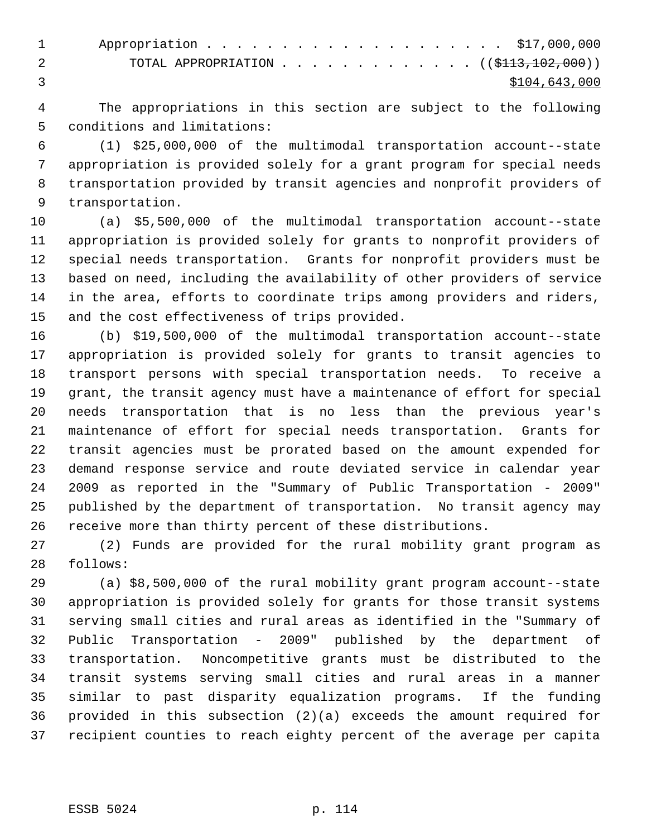| 1                                                                 |
|-------------------------------------------------------------------|
| TOTAL APPROPRIATION ( $(\frac{113}{102}, 102, 000)$ )<br>$\sim$ 2 |
| \$104,643,000                                                     |

 The appropriations in this section are subject to the following conditions and limitations:

 (1) \$25,000,000 of the multimodal transportation account--state appropriation is provided solely for a grant program for special needs transportation provided by transit agencies and nonprofit providers of transportation.

 (a) \$5,500,000 of the multimodal transportation account--state appropriation is provided solely for grants to nonprofit providers of special needs transportation. Grants for nonprofit providers must be based on need, including the availability of other providers of service in the area, efforts to coordinate trips among providers and riders, and the cost effectiveness of trips provided.

 (b) \$19,500,000 of the multimodal transportation account--state appropriation is provided solely for grants to transit agencies to transport persons with special transportation needs. To receive a grant, the transit agency must have a maintenance of effort for special needs transportation that is no less than the previous year's maintenance of effort for special needs transportation. Grants for transit agencies must be prorated based on the amount expended for demand response service and route deviated service in calendar year 2009 as reported in the "Summary of Public Transportation - 2009" published by the department of transportation. No transit agency may receive more than thirty percent of these distributions.

 (2) Funds are provided for the rural mobility grant program as follows:

 (a) \$8,500,000 of the rural mobility grant program account--state appropriation is provided solely for grants for those transit systems serving small cities and rural areas as identified in the "Summary of Public Transportation - 2009" published by the department of transportation. Noncompetitive grants must be distributed to the transit systems serving small cities and rural areas in a manner similar to past disparity equalization programs. If the funding provided in this subsection (2)(a) exceeds the amount required for recipient counties to reach eighty percent of the average per capita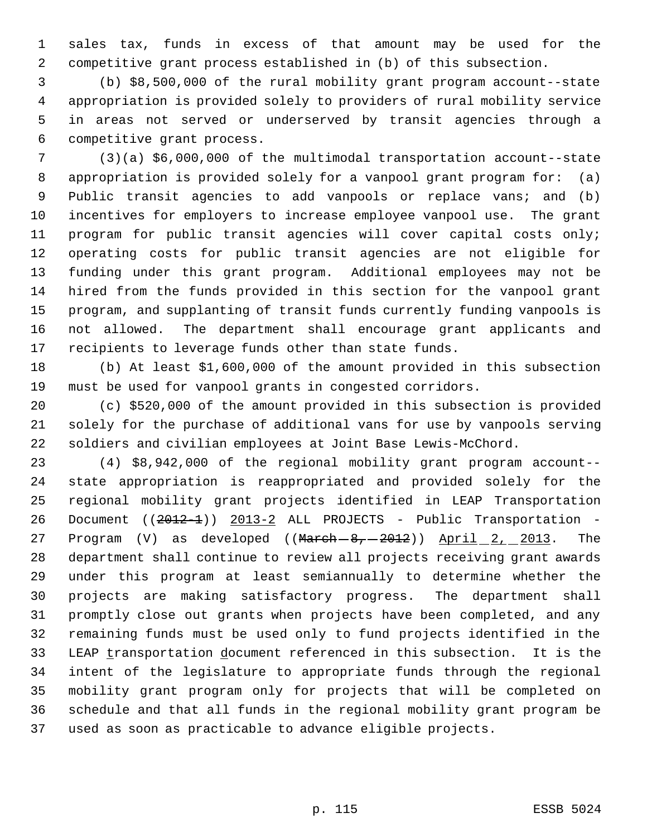sales tax, funds in excess of that amount may be used for the competitive grant process established in (b) of this subsection.

 (b) \$8,500,000 of the rural mobility grant program account--state appropriation is provided solely to providers of rural mobility service in areas not served or underserved by transit agencies through a competitive grant process.

 (3)(a) \$6,000,000 of the multimodal transportation account--state appropriation is provided solely for a vanpool grant program for: (a) Public transit agencies to add vanpools or replace vans; and (b) incentives for employers to increase employee vanpool use. The grant program for public transit agencies will cover capital costs only; operating costs for public transit agencies are not eligible for funding under this grant program. Additional employees may not be hired from the funds provided in this section for the vanpool grant program, and supplanting of transit funds currently funding vanpools is not allowed. The department shall encourage grant applicants and recipients to leverage funds other than state funds.

 (b) At least \$1,600,000 of the amount provided in this subsection must be used for vanpool grants in congested corridors.

 (c) \$520,000 of the amount provided in this subsection is provided solely for the purchase of additional vans for use by vanpools serving soldiers and civilian employees at Joint Base Lewis-McChord.

 (4) \$8,942,000 of the regional mobility grant program account-- state appropriation is reappropriated and provided solely for the regional mobility grant projects identified in LEAP Transportation 26 Document ((2012-1)) 2013-2 ALL PROJECTS - Public Transportation -27 Program (V) as developed ((March-8, 2012)) April 2, 2013. The department shall continue to review all projects receiving grant awards under this program at least semiannually to determine whether the projects are making satisfactory progress. The department shall promptly close out grants when projects have been completed, and any remaining funds must be used only to fund projects identified in the 33 LEAP transportation document referenced in this subsection. It is the intent of the legislature to appropriate funds through the regional mobility grant program only for projects that will be completed on schedule and that all funds in the regional mobility grant program be used as soon as practicable to advance eligible projects.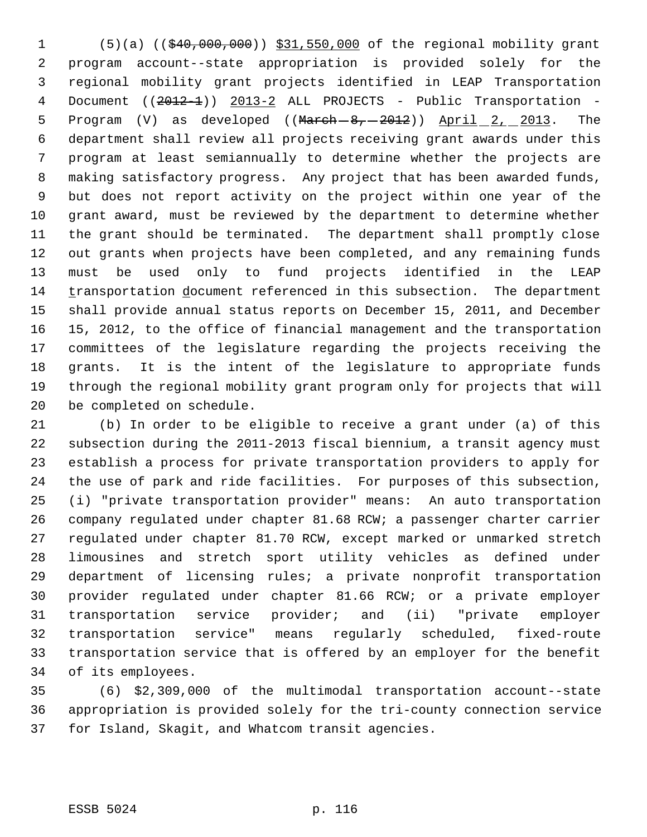(5)(a) ((\$40,000,000)) \$31,550,000 of the regional mobility grant program account--state appropriation is provided solely for the regional mobility grant projects identified in LEAP Transportation 4 Document ((2012-1)) 2013-2 ALL PROJECTS - Public Transportation -5 Program  $(V)$  as developed  $((M<sub>arch</sub> - 8, -2012))$  April  $2, 2013$ . The department shall review all projects receiving grant awards under this program at least semiannually to determine whether the projects are making satisfactory progress. Any project that has been awarded funds, but does not report activity on the project within one year of the grant award, must be reviewed by the department to determine whether the grant should be terminated. The department shall promptly close out grants when projects have been completed, and any remaining funds must be used only to fund projects identified in the LEAP transportation document referenced in this subsection. The department shall provide annual status reports on December 15, 2011, and December 15, 2012, to the office of financial management and the transportation committees of the legislature regarding the projects receiving the grants. It is the intent of the legislature to appropriate funds through the regional mobility grant program only for projects that will be completed on schedule.

 (b) In order to be eligible to receive a grant under (a) of this subsection during the 2011-2013 fiscal biennium, a transit agency must establish a process for private transportation providers to apply for the use of park and ride facilities. For purposes of this subsection, (i) "private transportation provider" means: An auto transportation company regulated under chapter 81.68 RCW; a passenger charter carrier regulated under chapter 81.70 RCW, except marked or unmarked stretch limousines and stretch sport utility vehicles as defined under department of licensing rules; a private nonprofit transportation provider regulated under chapter 81.66 RCW; or a private employer transportation service provider; and (ii) "private employer transportation service" means regularly scheduled, fixed-route transportation service that is offered by an employer for the benefit of its employees.

 (6) \$2,309,000 of the multimodal transportation account--state appropriation is provided solely for the tri-county connection service for Island, Skagit, and Whatcom transit agencies.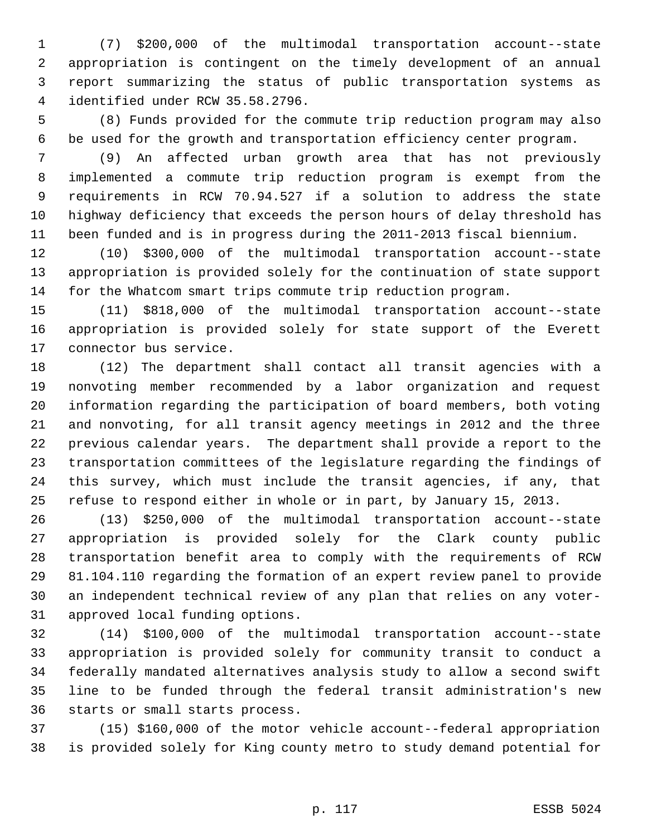(7) \$200,000 of the multimodal transportation account--state appropriation is contingent on the timely development of an annual report summarizing the status of public transportation systems as identified under RCW 35.58.2796.

 (8) Funds provided for the commute trip reduction program may also be used for the growth and transportation efficiency center program.

 (9) An affected urban growth area that has not previously implemented a commute trip reduction program is exempt from the requirements in RCW 70.94.527 if a solution to address the state highway deficiency that exceeds the person hours of delay threshold has been funded and is in progress during the 2011-2013 fiscal biennium.

 (10) \$300,000 of the multimodal transportation account--state appropriation is provided solely for the continuation of state support for the Whatcom smart trips commute trip reduction program.

 (11) \$818,000 of the multimodal transportation account--state appropriation is provided solely for state support of the Everett connector bus service.

 (12) The department shall contact all transit agencies with a nonvoting member recommended by a labor organization and request information regarding the participation of board members, both voting and nonvoting, for all transit agency meetings in 2012 and the three previous calendar years. The department shall provide a report to the transportation committees of the legislature regarding the findings of this survey, which must include the transit agencies, if any, that refuse to respond either in whole or in part, by January 15, 2013.

 (13) \$250,000 of the multimodal transportation account--state appropriation is provided solely for the Clark county public transportation benefit area to comply with the requirements of RCW 81.104.110 regarding the formation of an expert review panel to provide an independent technical review of any plan that relies on any voter-approved local funding options.

 (14) \$100,000 of the multimodal transportation account--state appropriation is provided solely for community transit to conduct a federally mandated alternatives analysis study to allow a second swift line to be funded through the federal transit administration's new starts or small starts process.

 (15) \$160,000 of the motor vehicle account--federal appropriation is provided solely for King county metro to study demand potential for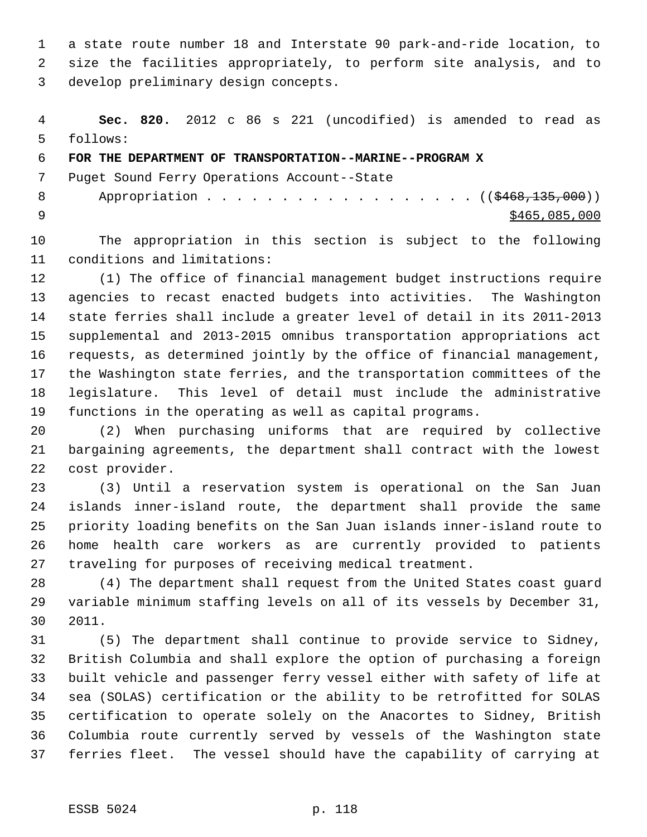a state route number 18 and Interstate 90 park-and-ride location, to size the facilities appropriately, to perform site analysis, and to develop preliminary design concepts.

 **Sec. 820.** 2012 c 86 s 221 (uncodified) is amended to read as follows:

**FOR THE DEPARTMENT OF TRANSPORTATION--MARINE--PROGRAM X**

Puget Sound Ferry Operations Account--State

8 Appropriation . . . . . . . . . . . . . . . . (  $(\frac{2468,135,000}{s})$  $\frac{9}{20}$  \$465,085,000

 The appropriation in this section is subject to the following conditions and limitations:

 (1) The office of financial management budget instructions require agencies to recast enacted budgets into activities. The Washington state ferries shall include a greater level of detail in its 2011-2013 supplemental and 2013-2015 omnibus transportation appropriations act requests, as determined jointly by the office of financial management, the Washington state ferries, and the transportation committees of the legislature. This level of detail must include the administrative functions in the operating as well as capital programs.

 (2) When purchasing uniforms that are required by collective bargaining agreements, the department shall contract with the lowest cost provider.

 (3) Until a reservation system is operational on the San Juan islands inner-island route, the department shall provide the same priority loading benefits on the San Juan islands inner-island route to home health care workers as are currently provided to patients traveling for purposes of receiving medical treatment.

 (4) The department shall request from the United States coast guard variable minimum staffing levels on all of its vessels by December 31, 2011.

 (5) The department shall continue to provide service to Sidney, British Columbia and shall explore the option of purchasing a foreign built vehicle and passenger ferry vessel either with safety of life at sea (SOLAS) certification or the ability to be retrofitted for SOLAS certification to operate solely on the Anacortes to Sidney, British Columbia route currently served by vessels of the Washington state ferries fleet. The vessel should have the capability of carrying at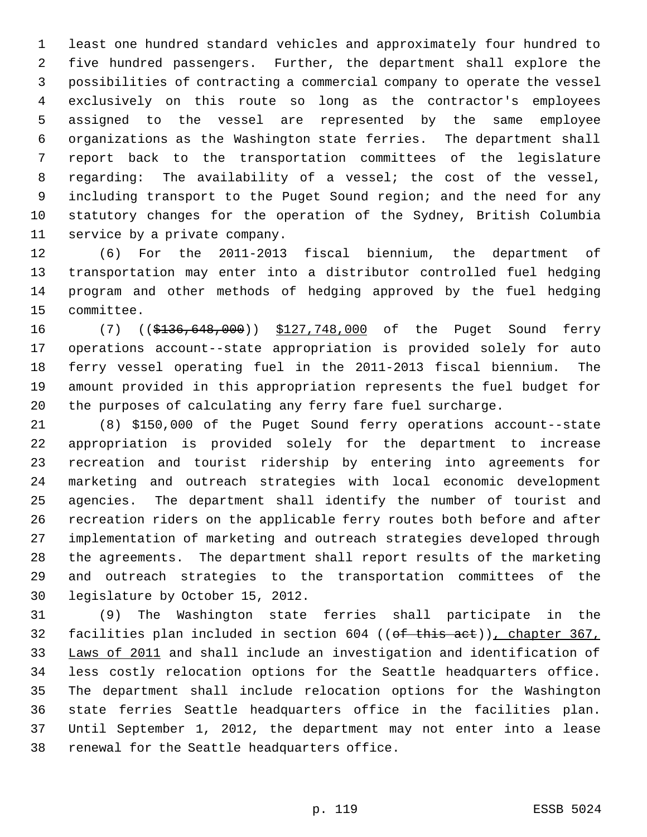least one hundred standard vehicles and approximately four hundred to five hundred passengers. Further, the department shall explore the possibilities of contracting a commercial company to operate the vessel exclusively on this route so long as the contractor's employees assigned to the vessel are represented by the same employee organizations as the Washington state ferries. The department shall report back to the transportation committees of the legislature regarding: The availability of a vessel; the cost of the vessel, including transport to the Puget Sound region; and the need for any statutory changes for the operation of the Sydney, British Columbia service by a private company.

 (6) For the 2011-2013 fiscal biennium, the department of transportation may enter into a distributor controlled fuel hedging program and other methods of hedging approved by the fuel hedging committee.

16 (7) ((\$136,648,000)) \$127,748,000 of the Puget Sound ferry operations account--state appropriation is provided solely for auto ferry vessel operating fuel in the 2011-2013 fiscal biennium. The amount provided in this appropriation represents the fuel budget for the purposes of calculating any ferry fare fuel surcharge.

 (8) \$150,000 of the Puget Sound ferry operations account--state appropriation is provided solely for the department to increase recreation and tourist ridership by entering into agreements for marketing and outreach strategies with local economic development agencies. The department shall identify the number of tourist and recreation riders on the applicable ferry routes both before and after implementation of marketing and outreach strategies developed through the agreements. The department shall report results of the marketing and outreach strategies to the transportation committees of the legislature by October 15, 2012.

 (9) The Washington state ferries shall participate in the 32 facilities plan included in section 604 ((of this act)), chapter 367, Laws of 2011 and shall include an investigation and identification of less costly relocation options for the Seattle headquarters office. The department shall include relocation options for the Washington state ferries Seattle headquarters office in the facilities plan. Until September 1, 2012, the department may not enter into a lease renewal for the Seattle headquarters office.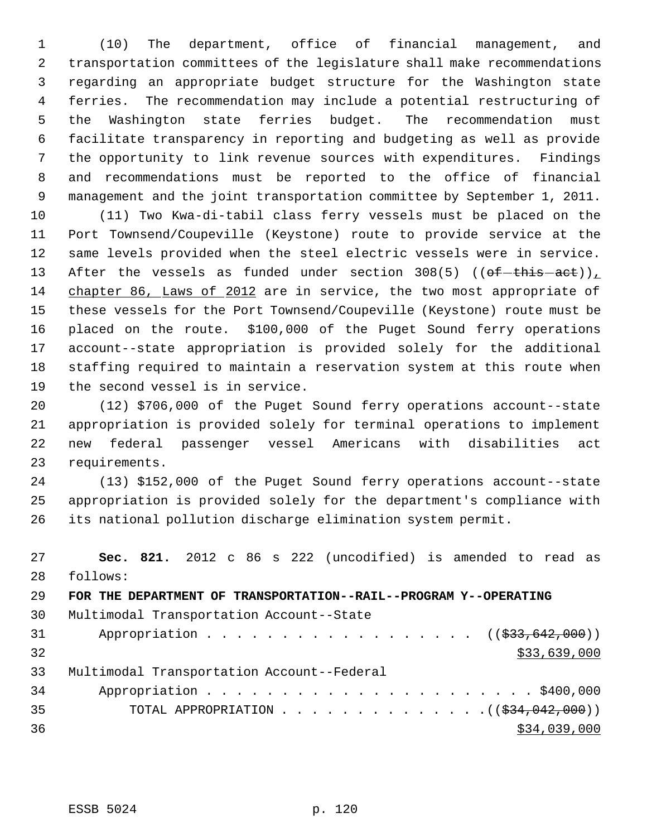(10) The department, office of financial management, and transportation committees of the legislature shall make recommendations regarding an appropriate budget structure for the Washington state ferries. The recommendation may include a potential restructuring of the Washington state ferries budget. The recommendation must facilitate transparency in reporting and budgeting as well as provide the opportunity to link revenue sources with expenditures. Findings and recommendations must be reported to the office of financial management and the joint transportation committee by September 1, 2011.

 (11) Two Kwa-di-tabil class ferry vessels must be placed on the Port Townsend/Coupeville (Keystone) route to provide service at the same levels provided when the steel electric vessels were in service. 13 After the vessels as funded under section 308(5) (( $ef-this-act$ )) chapter 86, Laws of 2012 are in service, the two most appropriate of these vessels for the Port Townsend/Coupeville (Keystone) route must be placed on the route. \$100,000 of the Puget Sound ferry operations account--state appropriation is provided solely for the additional staffing required to maintain a reservation system at this route when the second vessel is in service.

 (12) \$706,000 of the Puget Sound ferry operations account--state appropriation is provided solely for terminal operations to implement new federal passenger vessel Americans with disabilities act requirements.

 (13) \$152,000 of the Puget Sound ferry operations account--state appropriation is provided solely for the department's compliance with its national pollution discharge elimination system permit.

 **Sec. 821.** 2012 c 86 s 222 (uncodified) is amended to read as follows: **FOR THE DEPARTMENT OF TRANSPORTATION--RAIL--PROGRAM Y--OPERATING** Multimodal Transportation Account--State 31 Appropriation . . . . . . . . . . . . . . . . ((\$33,642,000)) \$33,639,000 Multimodal Transportation Account--Federal Appropriation . . . . . . . . . . . . . . . . . . . . . . \$400,000 35 TOTAL APPROPRIATION  $\cdots$ ,  $\cdots$ ,  $\cdots$ ,  $\cdots$ ,  $\cdots$ ,  $\cdots$ ,  $\cdots$ \$34,039,000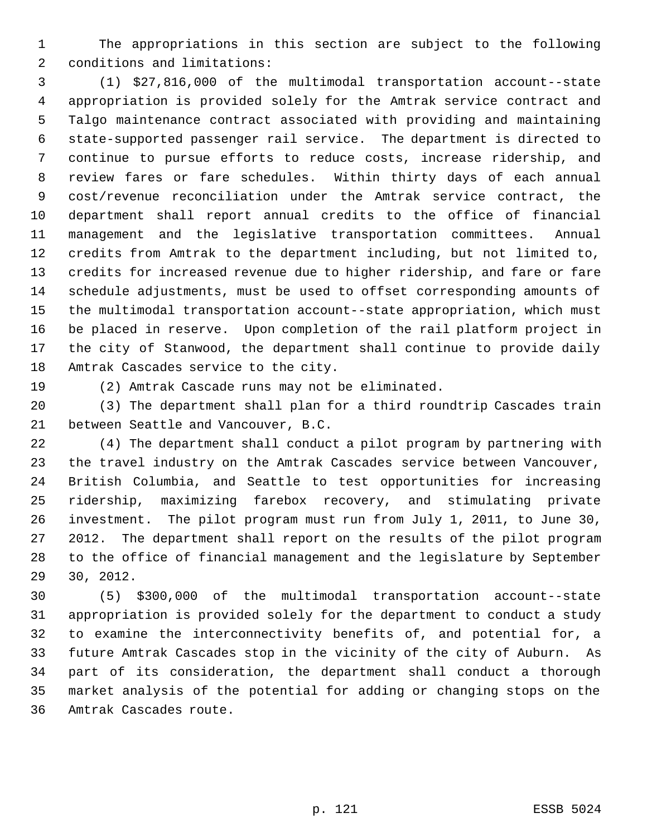The appropriations in this section are subject to the following conditions and limitations:

 (1) \$27,816,000 of the multimodal transportation account--state appropriation is provided solely for the Amtrak service contract and Talgo maintenance contract associated with providing and maintaining state-supported passenger rail service. The department is directed to continue to pursue efforts to reduce costs, increase ridership, and review fares or fare schedules. Within thirty days of each annual cost/revenue reconciliation under the Amtrak service contract, the department shall report annual credits to the office of financial management and the legislative transportation committees. Annual credits from Amtrak to the department including, but not limited to, credits for increased revenue due to higher ridership, and fare or fare schedule adjustments, must be used to offset corresponding amounts of the multimodal transportation account--state appropriation, which must be placed in reserve. Upon completion of the rail platform project in the city of Stanwood, the department shall continue to provide daily Amtrak Cascades service to the city.

(2) Amtrak Cascade runs may not be eliminated.

 (3) The department shall plan for a third roundtrip Cascades train between Seattle and Vancouver, B.C.

 (4) The department shall conduct a pilot program by partnering with the travel industry on the Amtrak Cascades service between Vancouver, British Columbia, and Seattle to test opportunities for increasing ridership, maximizing farebox recovery, and stimulating private investment. The pilot program must run from July 1, 2011, to June 30, 2012. The department shall report on the results of the pilot program to the office of financial management and the legislature by September 30, 2012.

 (5) \$300,000 of the multimodal transportation account--state appropriation is provided solely for the department to conduct a study to examine the interconnectivity benefits of, and potential for, a future Amtrak Cascades stop in the vicinity of the city of Auburn. As part of its consideration, the department shall conduct a thorough market analysis of the potential for adding or changing stops on the Amtrak Cascades route.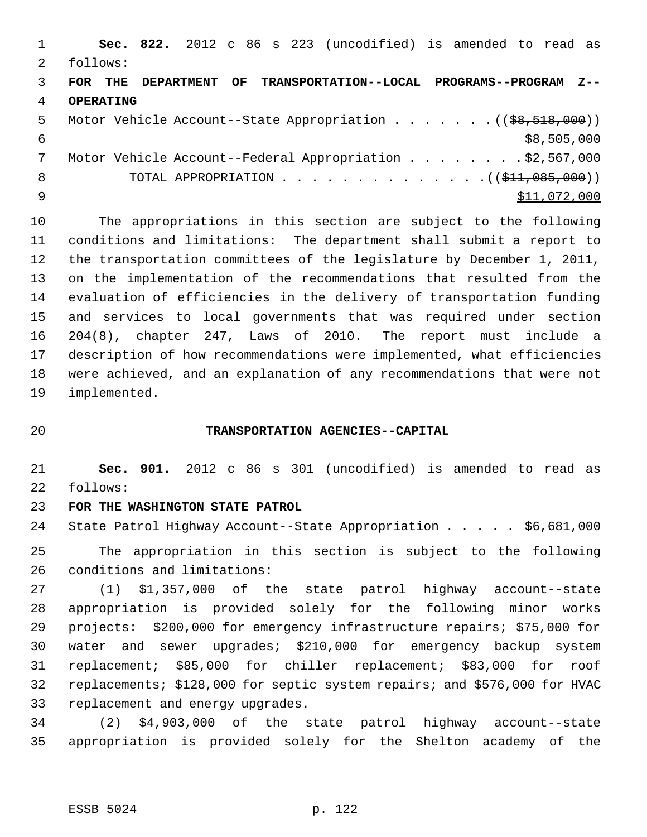|    |                  |  |  | Sec. 822. 2012 c 86 s 223 (uncodified) is amended to read as     |  |              |             |  |
|----|------------------|--|--|------------------------------------------------------------------|--|--------------|-------------|--|
| 2  | follows:         |  |  |                                                                  |  |              |             |  |
| 3  | FOR THE          |  |  | -DEPARTMENT OF TRANSPORTATION--LOCAL PROGRAMS--PROGRAM Z         |  |              |             |  |
| 4  | <b>OPERATING</b> |  |  |                                                                  |  |              |             |  |
| .5 |                  |  |  | Motor Vehicle Account--State Appropriation $($ $($ \$8,518,000)) |  |              |             |  |
| 6  |                  |  |  |                                                                  |  |              | \$8,505,000 |  |
|    |                  |  |  | Motor Vehicle Account--Federal Appropriation \$2,567,000         |  |              |             |  |
| 8  |                  |  |  | TOTAL APPROPRIATION $($ $($ \$11,085,000) $)$                    |  |              |             |  |
| 9  |                  |  |  |                                                                  |  | \$11,072,000 |             |  |
|    |                  |  |  |                                                                  |  |              |             |  |

 The appropriations in this section are subject to the following conditions and limitations: The department shall submit a report to the transportation committees of the legislature by December 1, 2011, on the implementation of the recommendations that resulted from the evaluation of efficiencies in the delivery of transportation funding and services to local governments that was required under section 204(8), chapter 247, Laws of 2010. The report must include a description of how recommendations were implemented, what efficiencies were achieved, and an explanation of any recommendations that were not implemented.

## **TRANSPORTATION AGENCIES--CAPITAL**

 **Sec. 901.** 2012 c 86 s 301 (uncodified) is amended to read as follows:

## **FOR THE WASHINGTON STATE PATROL**

State Patrol Highway Account--State Appropriation . . . . . \$6,681,000

 The appropriation in this section is subject to the following conditions and limitations:

 (1) \$1,357,000 of the state patrol highway account--state appropriation is provided solely for the following minor works projects: \$200,000 for emergency infrastructure repairs; \$75,000 for water and sewer upgrades; \$210,000 for emergency backup system replacement; \$85,000 for chiller replacement; \$83,000 for roof replacements; \$128,000 for septic system repairs; and \$576,000 for HVAC replacement and energy upgrades.

 (2) \$4,903,000 of the state patrol highway account--state appropriation is provided solely for the Shelton academy of the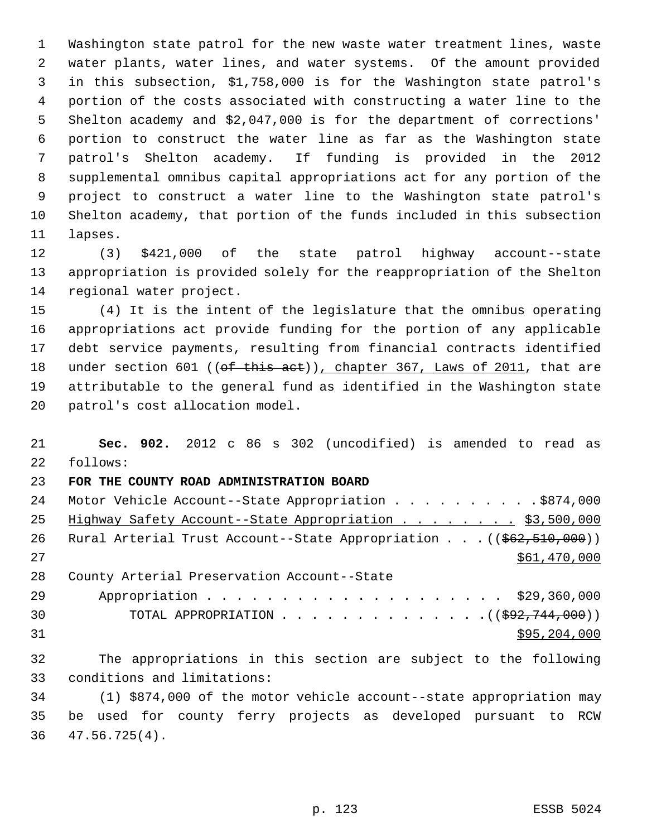Washington state patrol for the new waste water treatment lines, waste water plants, water lines, and water systems. Of the amount provided in this subsection, \$1,758,000 is for the Washington state patrol's portion of the costs associated with constructing a water line to the Shelton academy and \$2,047,000 is for the department of corrections' portion to construct the water line as far as the Washington state patrol's Shelton academy. If funding is provided in the 2012 supplemental omnibus capital appropriations act for any portion of the project to construct a water line to the Washington state patrol's Shelton academy, that portion of the funds included in this subsection lapses.

 (3) \$421,000 of the state patrol highway account--state appropriation is provided solely for the reappropriation of the Shelton regional water project.

 (4) It is the intent of the legislature that the omnibus operating appropriations act provide funding for the portion of any applicable debt service payments, resulting from financial contracts identified 18 under section 601 ((of this act)), chapter 367, Laws of 2011, that are attributable to the general fund as identified in the Washington state patrol's cost allocation model.

 **Sec. 902.** 2012 c 86 s 302 (uncodified) is amended to read as follows: **FOR THE COUNTY ROAD ADMINISTRATION BOARD** 24 Motor Vehicle Account--State Appropriation . . . . . . . . . \$874,000 25 Highway Safety Account--State Appropriation . . . . . . . \$3,500,000 26 Rural Arterial Trust Account--State Appropriation . . . ((\$62,510,000)) 27 \$61,470,000 County Arterial Preservation Account--State 29 Appropriation . . . . . . . . . . . . . . . . . . \$29,360,000 TOTAL APPROPRIATION . . . . . . . . . . . . . .((\$92,744,000)) \$95,204,000 The appropriations in this section are subject to the following conditions and limitations: (1) \$874,000 of the motor vehicle account--state appropriation may

 be used for county ferry projects as developed pursuant to RCW 47.56.725(4).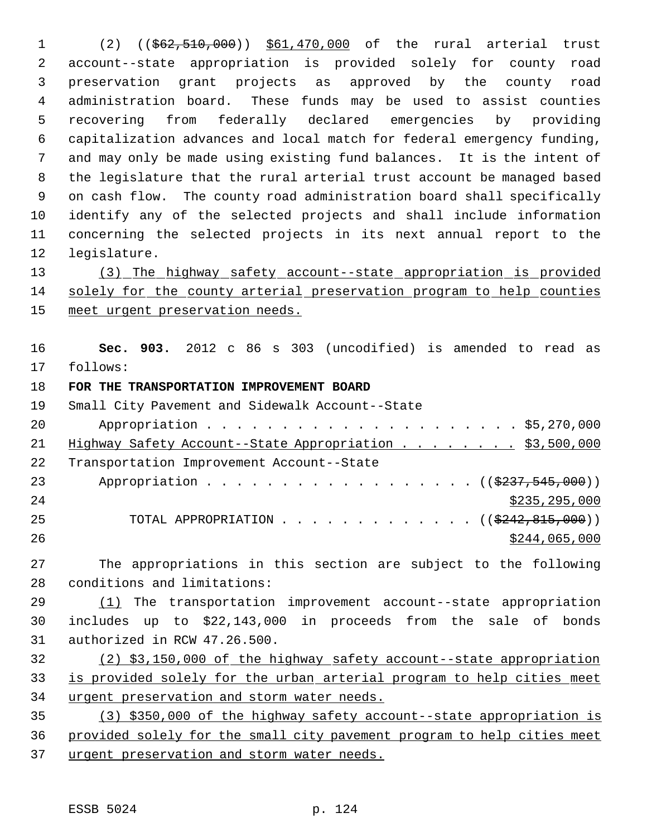1 (2) ((\$62,510,000)) \$61,470,000 of the rural arterial trust account--state appropriation is provided solely for county road preservation grant projects as approved by the county road administration board. These funds may be used to assist counties recovering from federally declared emergencies by providing capitalization advances and local match for federal emergency funding, and may only be made using existing fund balances. It is the intent of the legislature that the rural arterial trust account be managed based on cash flow. The county road administration board shall specifically identify any of the selected projects and shall include information concerning the selected projects in its next annual report to the legislature.

 (3) The highway safety account--state appropriation is provided solely for the county arterial preservation program to help counties 15 meet urgent preservation needs.

 **Sec. 903.** 2012 c 86 s 303 (uncodified) is amended to read as follows:

## **FOR THE TRANSPORTATION IMPROVEMENT BOARD**

| 19 | Small City Pavement and Sidewalk Account--State                           |
|----|---------------------------------------------------------------------------|
| 20 |                                                                           |
| 21 | Highway Safety Account--State Appropriation \$3,500,000                   |
| 22 | Transportation Improvement Account--State                                 |
| 23 | Appropriation $($ $(\frac{2237}{75000}))$                                 |
| 24 | \$235, 295, 000                                                           |
| 25 | TOTAL APPROPRIATION $\ldots$ , ( $(\frac{2242}{6242}, \frac{815}{600})$ ) |
| 26 | \$244,065,000                                                             |

 The appropriations in this section are subject to the following conditions and limitations:

 (1) The transportation improvement account--state appropriation includes up to \$22,143,000 in proceeds from the sale of bonds authorized in RCW 47.26.500.

 (2) \$3,150,000 of the highway safety account--state appropriation is provided solely for the urban arterial program to help cities meet urgent preservation and storm water needs.

 (3) \$350,000 of the highway safety account--state appropriation is provided solely for the small city pavement program to help cities meet 37 urgent preservation and storm water needs.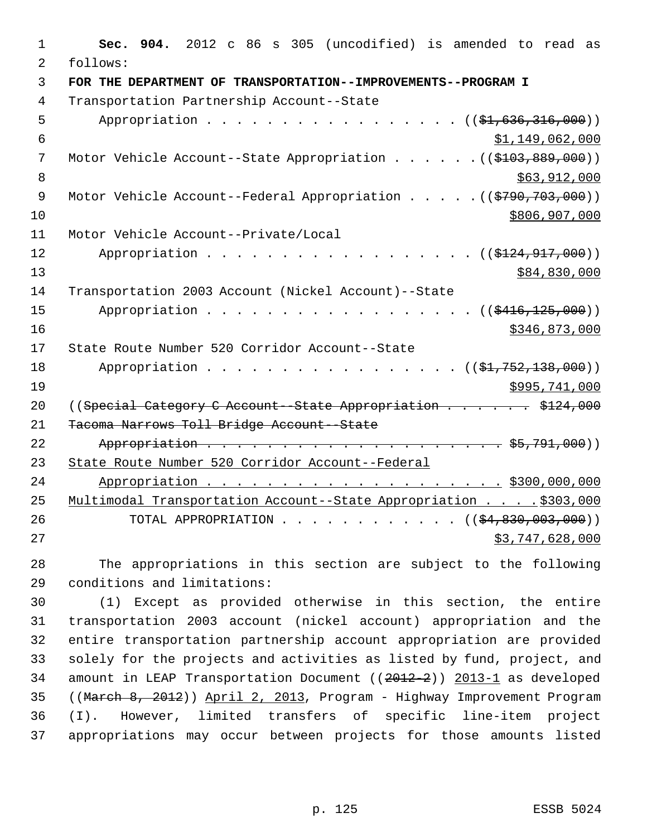| 1              | 904. 2012 c 86 s 305 (uncodified) is amended to read as<br>Sec.            |
|----------------|----------------------------------------------------------------------------|
| $\overline{2}$ | follows:                                                                   |
| $\overline{3}$ | FOR THE DEPARTMENT OF TRANSPORTATION--IMPROVEMENTS--PROGRAM I              |
| $\overline{4}$ | Transportation Partnership Account--State                                  |
| 5              | Appropriation ((\$1,636,316,000))                                          |
| 6              | \$1,149,062,000                                                            |
| 7              | Motor Vehicle Account--State Appropriation ((\$103,889,000))               |
| 8              | \$63,912,000                                                               |
| $\mathsf 9$    | Motor Vehicle Account--Federal Appropriation ((\$790,703,000))             |
| 10             | \$806,907,000                                                              |
| 11             | Motor Vehicle Account--Private/Local                                       |
| 12             | Appropriation $($ $($ $$124, 917, 000)$ $)$                                |
| 13             | \$84,830,000                                                               |
| 14             | Transportation 2003 Account (Nickel Account)--State                        |
| 15             | Appropriation<br>(( <del>116,125,000</del> ))                              |
| 16             | \$346,873,000                                                              |
| 17             | State Route Number 520 Corridor Account--State                             |
| 18             | Appropriation ((\$1,752,138,000))                                          |
| 19             | \$995,741,000                                                              |
| 20             | ((Special Category C Account - State Appropriation \$124,000)              |
| 21             | Tacoma Narrows Toll Bridge Account--State                                  |
| 22             |                                                                            |
| 23             | State Route Number 520 Corridor Account--Federal                           |
| 24             |                                                                            |
| 25             | Multimodal Transportation Account--State Appropriation \$303,000           |
| 26             | TOTAL APPROPRIATION ( $(\frac{1}{24}, \frac{830}{100}, \frac{003}{100})$ ) |
| 27             | \$3,747,628,000                                                            |

28 The appropriations in this section are subject to the following 29 conditions and limitations:

 (1) Except as provided otherwise in this section, the entire transportation 2003 account (nickel account) appropriation and the entire transportation partnership account appropriation are provided solely for the projects and activities as listed by fund, project, and 34 amount in LEAP Transportation Document ((2012-2)) 2013-1 as developed ((March 8, 2012)) April 2, 2013, Program - Highway Improvement Program (I). However, limited transfers of specific line-item project appropriations may occur between projects for those amounts listed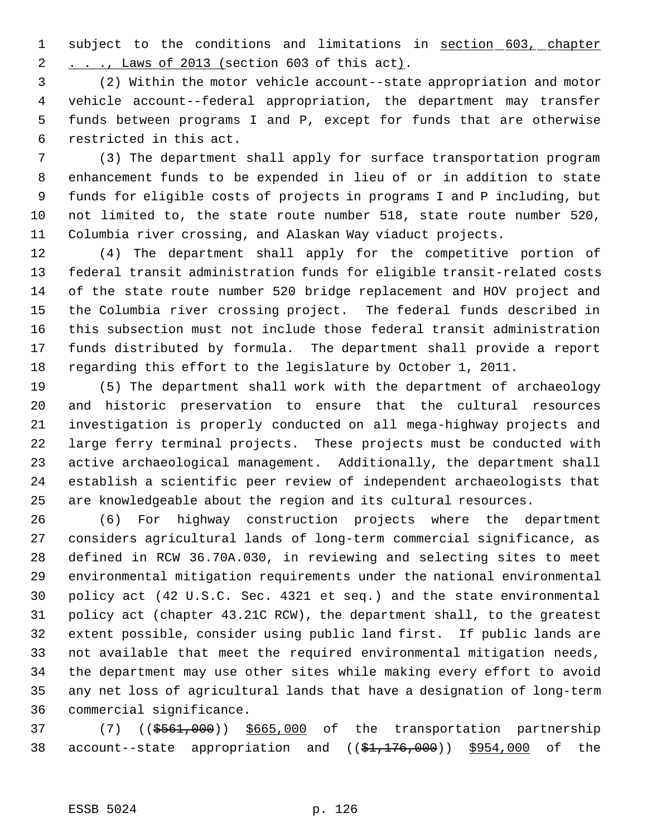1 subject to the conditions and limitations in section 603, chapter 2 . . ., Laws of 2013 (section 603 of this act).

 (2) Within the motor vehicle account--state appropriation and motor vehicle account--federal appropriation, the department may transfer funds between programs I and P, except for funds that are otherwise restricted in this act.

 (3) The department shall apply for surface transportation program enhancement funds to be expended in lieu of or in addition to state funds for eligible costs of projects in programs I and P including, but not limited to, the state route number 518, state route number 520, Columbia river crossing, and Alaskan Way viaduct projects.

 (4) The department shall apply for the competitive portion of federal transit administration funds for eligible transit-related costs of the state route number 520 bridge replacement and HOV project and the Columbia river crossing project. The federal funds described in this subsection must not include those federal transit administration funds distributed by formula. The department shall provide a report regarding this effort to the legislature by October 1, 2011.

 (5) The department shall work with the department of archaeology and historic preservation to ensure that the cultural resources investigation is properly conducted on all mega-highway projects and large ferry terminal projects. These projects must be conducted with active archaeological management. Additionally, the department shall establish a scientific peer review of independent archaeologists that are knowledgeable about the region and its cultural resources.

 (6) For highway construction projects where the department considers agricultural lands of long-term commercial significance, as defined in RCW 36.70A.030, in reviewing and selecting sites to meet environmental mitigation requirements under the national environmental policy act (42 U.S.C. Sec. 4321 et seq.) and the state environmental policy act (chapter 43.21C RCW), the department shall, to the greatest extent possible, consider using public land first. If public lands are not available that meet the required environmental mitigation needs, the department may use other sites while making every effort to avoid any net loss of agricultural lands that have a designation of long-term commercial significance.

 (7) ((\$561,000)) \$665,000 of the transportation partnership 38 account--state appropriation and ((\$1,176,000)) \$954,000 of the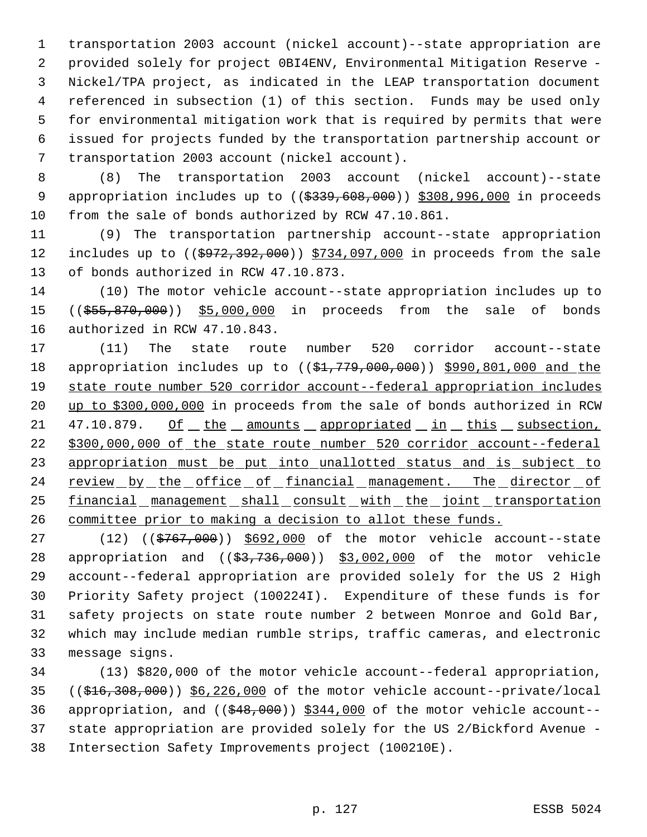transportation 2003 account (nickel account)--state appropriation are provided solely for project 0BI4ENV, Environmental Mitigation Reserve - Nickel/TPA project, as indicated in the LEAP transportation document referenced in subsection (1) of this section. Funds may be used only for environmental mitigation work that is required by permits that were issued for projects funded by the transportation partnership account or transportation 2003 account (nickel account).

 (8) The transportation 2003 account (nickel account)--state 9 appropriation includes up to ((\$339,608,000)) \$308,996,000 in proceeds from the sale of bonds authorized by RCW 47.10.861.

 (9) The transportation partnership account--state appropriation 12 includes up to ((\$972,392,000)) \$734,097,000 in proceeds from the sale of bonds authorized in RCW 47.10.873.

 (10) The motor vehicle account--state appropriation includes up to 15 ((\$55,870,000)) \$5,000,000 in proceeds from the sale of bonds authorized in RCW 47.10.843.

 (11) The state route number 520 corridor account--state 18 appropriation includes up to ((\$1,779,000,000)) \$990,801,000 and the state route number 520 corridor account--federal appropriation includes up to \$300,000,000 in proceeds from the sale of bonds authorized in RCW 21 47.10.879. Of the amounts appropriated in this subsection, \$300,000,000 of the state route number 520 corridor account--federal appropriation must be put into unallotted status and is subject to 24 review by the office of financial management. The director of 25 financial management shall consult with the joint transportation committee prior to making a decision to allot these funds.

27 (12) ((\$767,000)) \$692,000 of the motor vehicle account--state 28 appropriation and ((\$3,736,000)) \$3,002,000 of the motor vehicle account--federal appropriation are provided solely for the US 2 High Priority Safety project (100224I). Expenditure of these funds is for safety projects on state route number 2 between Monroe and Gold Bar, which may include median rumble strips, traffic cameras, and electronic message signs.

 (13) \$820,000 of the motor vehicle account--federal appropriation, ((\$16,308,000)) \$6,226,000 of the motor vehicle account--private/local 36 appropriation, and  $($   $(*48,000)$   $*344,000$  of the motor vehicle account-- state appropriation are provided solely for the US 2/Bickford Avenue - Intersection Safety Improvements project (100210E).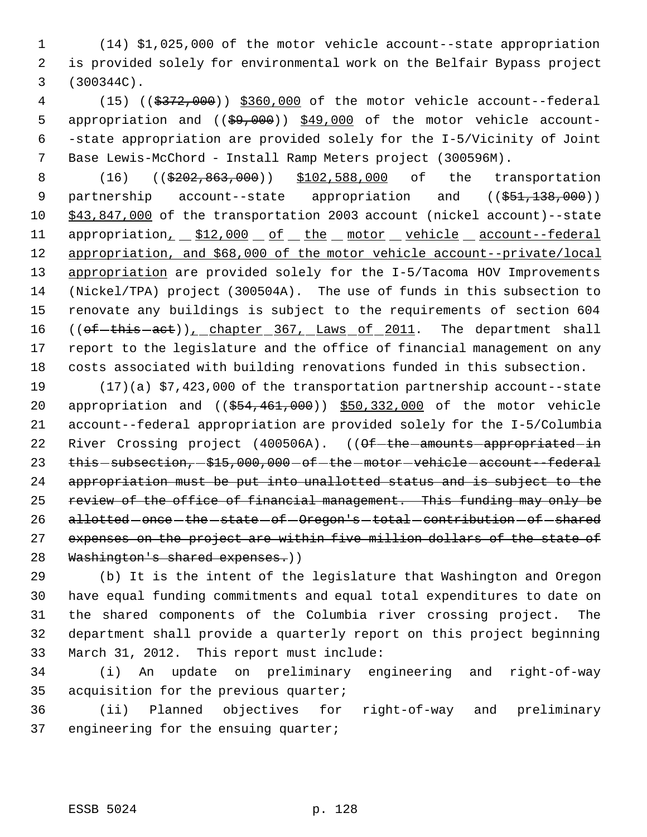(14) \$1,025,000 of the motor vehicle account--state appropriation is provided solely for environmental work on the Belfair Bypass project (300344C).

 (15) ((\$372,000)) \$360,000 of the motor vehicle account--federal 5 appropriation and (( $\frac{69,000}{9}$ ) \$49,000 of the motor vehicle account- -state appropriation are provided solely for the I-5/Vicinity of Joint Base Lewis-McChord - Install Ramp Meters project (300596M).

 (16) ((\$202,863,000)) \$102,588,000 of the transportation 9 partnership account--state appropriation and ((\$51,138,000)) \$43,847,000 of the transportation 2003 account (nickel account)--state 11 appropriation<sub>1</sub> \$12,000 of the motor vehicle account--federal appropriation, and \$68,000 of the motor vehicle account--private/local appropriation are provided solely for the I-5/Tacoma HOV Improvements (Nickel/TPA) project (300504A). The use of funds in this subsection to renovate any buildings is subject to the requirements of section 604 16 ((of-this-act)), chapter 367, Laws of 2011. The department shall report to the legislature and the office of financial management on any costs associated with building renovations funded in this subsection.

 (17)(a) \$7,423,000 of the transportation partnership account--state 20 appropriation and ((\$54,461,000)) \$50,332,000 of the motor vehicle account--federal appropriation are provided solely for the I-5/Columbia 22 River Crossing project (400506A). ((Of-the-amounts-appropriated-in 23 this - subsection, - \$15,000,000 - of - the - motor - vehicle - account--federal appropriation must be put into unallotted status and is subject to the 25 review of the office of financial management. This funding may only be 26 allotted - once - the - state - of - Oregon's - total - contribution - of - shared 27 expenses on the project are within five million dollars of the state of 28 Washington's shared expenses.))

 (b) It is the intent of the legislature that Washington and Oregon have equal funding commitments and equal total expenditures to date on the shared components of the Columbia river crossing project. The department shall provide a quarterly report on this project beginning March 31, 2012. This report must include:

 (i) An update on preliminary engineering and right-of-way acquisition for the previous quarter;

 (ii) Planned objectives for right-of-way and preliminary engineering for the ensuing quarter;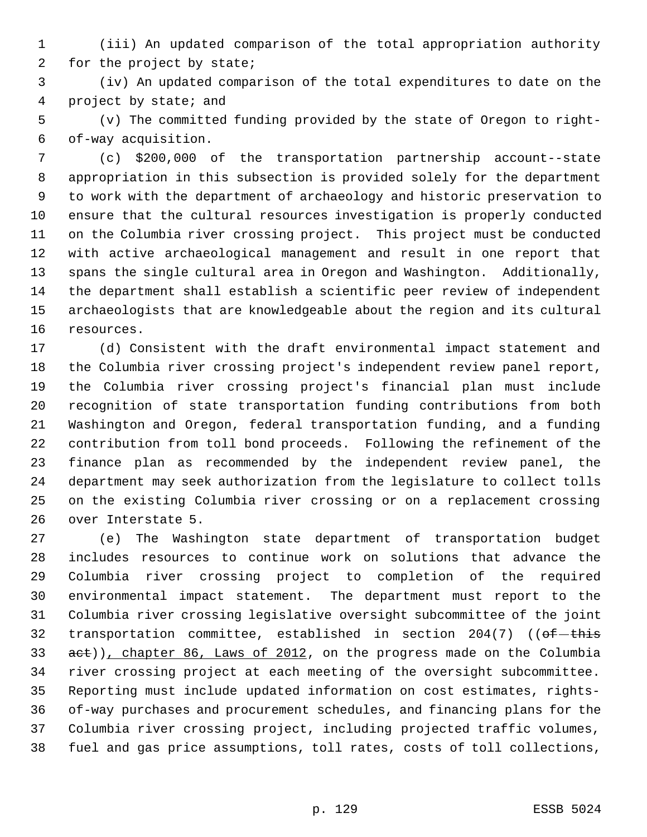(iii) An updated comparison of the total appropriation authority for the project by state;

 (iv) An updated comparison of the total expenditures to date on the project by state; and

 (v) The committed funding provided by the state of Oregon to right- of-way acquisition.

 (c) \$200,000 of the transportation partnership account--state appropriation in this subsection is provided solely for the department to work with the department of archaeology and historic preservation to ensure that the cultural resources investigation is properly conducted on the Columbia river crossing project. This project must be conducted with active archaeological management and result in one report that spans the single cultural area in Oregon and Washington. Additionally, the department shall establish a scientific peer review of independent archaeologists that are knowledgeable about the region and its cultural resources.

 (d) Consistent with the draft environmental impact statement and the Columbia river crossing project's independent review panel report, the Columbia river crossing project's financial plan must include recognition of state transportation funding contributions from both Washington and Oregon, federal transportation funding, and a funding contribution from toll bond proceeds. Following the refinement of the finance plan as recommended by the independent review panel, the department may seek authorization from the legislature to collect tolls on the existing Columbia river crossing or on a replacement crossing over Interstate 5.

 (e) The Washington state department of transportation budget includes resources to continue work on solutions that advance the Columbia river crossing project to completion of the required environmental impact statement. The department must report to the Columbia river crossing legislative oversight subcommittee of the joint 32 transportation committee, established in section  $204(7)$  (( $ef-this$ 33 act)), chapter 86, Laws of 2012, on the progress made on the Columbia river crossing project at each meeting of the oversight subcommittee. Reporting must include updated information on cost estimates, rights- of-way purchases and procurement schedules, and financing plans for the Columbia river crossing project, including projected traffic volumes, fuel and gas price assumptions, toll rates, costs of toll collections,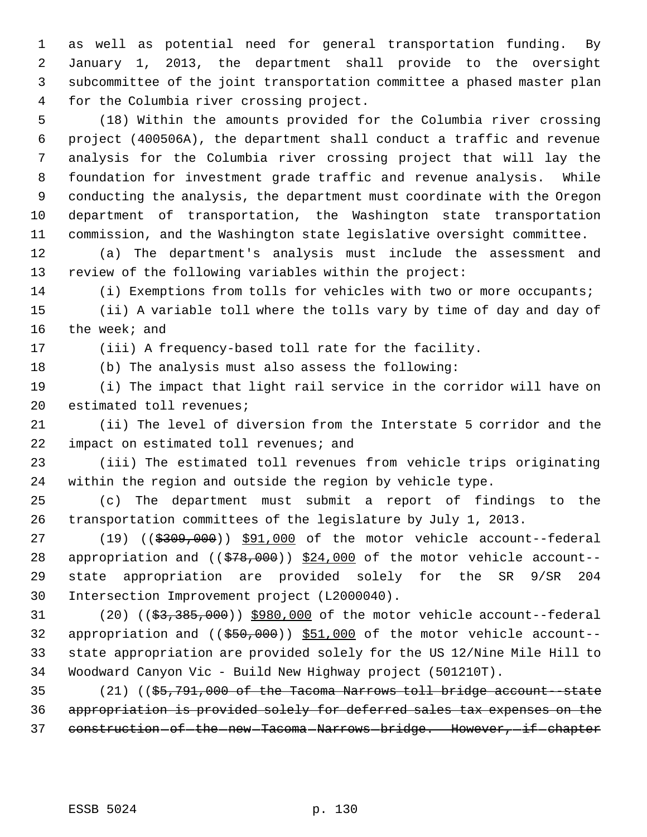as well as potential need for general transportation funding. By January 1, 2013, the department shall provide to the oversight subcommittee of the joint transportation committee a phased master plan for the Columbia river crossing project.

 (18) Within the amounts provided for the Columbia river crossing project (400506A), the department shall conduct a traffic and revenue analysis for the Columbia river crossing project that will lay the foundation for investment grade traffic and revenue analysis. While conducting the analysis, the department must coordinate with the Oregon department of transportation, the Washington state transportation commission, and the Washington state legislative oversight committee.

 (a) The department's analysis must include the assessment and review of the following variables within the project:

(i) Exemptions from tolls for vehicles with two or more occupants;

 (ii) A variable toll where the tolls vary by time of day and day of the week; and

(iii) A frequency-based toll rate for the facility.

(b) The analysis must also assess the following:

 (i) The impact that light rail service in the corridor will have on estimated toll revenues;

 (ii) The level of diversion from the Interstate 5 corridor and the 22 impact on estimated toll revenues; and

 (iii) The estimated toll revenues from vehicle trips originating within the region and outside the region by vehicle type.

 (c) The department must submit a report of findings to the transportation committees of the legislature by July 1, 2013.

27 (19) ((\$309,000)) \$91,000 of the motor vehicle account--federal 28 appropriation and  $((\frac{28}{378},000))^2$  \$24,000 of the motor vehicle account-- state appropriation are provided solely for the SR 9/SR 204 Intersection Improvement project (L2000040).

31 (20) ((\$3,385,000)) \$980,000 of the motor vehicle account--federal 32 appropriation and ((\$50,000)) \$51,000 of the motor vehicle account-- state appropriation are provided solely for the US 12/Nine Mile Hill to Woodward Canyon Vic - Build New Highway project (501210T).

 (21) ((\$5,791,000 of the Tacoma Narrows toll bridge account--state appropriation is provided solely for deferred sales tax expenses on the 37 construction of the new Tacoma Narrows bridge. However, if chapter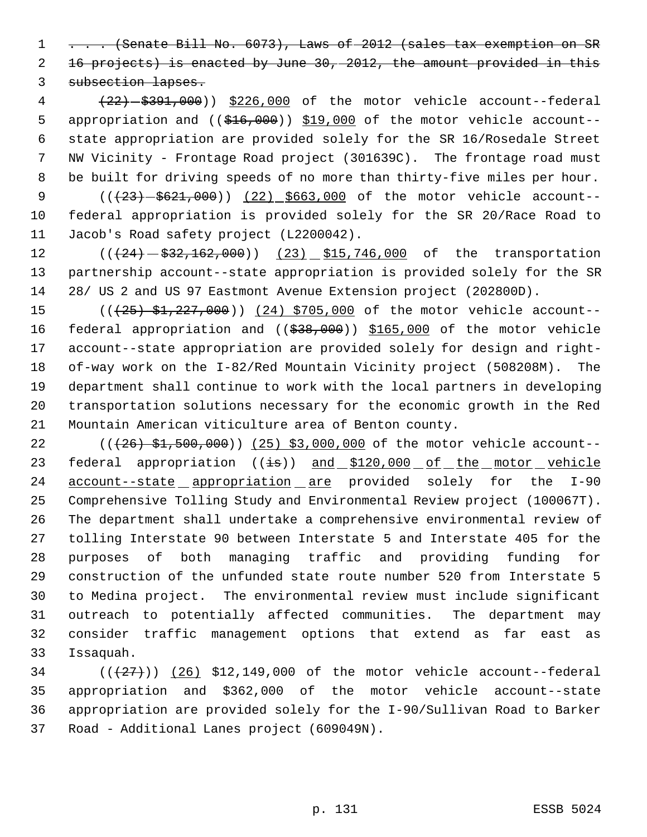1 . . . (Senate Bill No. 6073), Laws of 2012 (sales tax exemption on SR 16 projects) is enacted by June 30, 2012, the amount provided in this subsection lapses.

4 (22)  $-$  \$391,000)) \$226,000 of the motor vehicle account--federal 5 appropriation and (( $\frac{416,000}{10,000}$ ) \$19,000 of the motor vehicle account-- state appropriation are provided solely for the SR 16/Rosedale Street NW Vicinity - Frontage Road project (301639C). The frontage road must be built for driving speeds of no more than thirty-five miles per hour.

9 (( $(23)$  -\$621,000)) (22) \$663,000 of the motor vehicle account-- federal appropriation is provided solely for the SR 20/Race Road to Jacob's Road safety project (L2200042).

12 (( $(24)$  - $$32,162,000$ )) (23) \$15,746,000 of the transportation partnership account--state appropriation is provided solely for the SR 28/ US 2 and US 97 Eastmont Avenue Extension project (202800D).

15 (( $\left(\frac{25}{5}, \frac{227}{500}\right)$ ) (24) \$705,000 of the motor vehicle account--16 federal appropriation and ((\$38,000)) \$165,000 of the motor vehicle account--state appropriation are provided solely for design and right- of-way work on the I-82/Red Mountain Vicinity project (508208M). The department shall continue to work with the local partners in developing transportation solutions necessary for the economic growth in the Red Mountain American viticulture area of Benton county.

22 (( $(26)$  \$1,500,000)) (25) \$3,000,000 of the motor vehicle account--23 federal appropriation ((is)) and \$120,000 of the motor vehicle 24 account--state appropriation are provided solely for the I-90 Comprehensive Tolling Study and Environmental Review project (100067T). The department shall undertake a comprehensive environmental review of tolling Interstate 90 between Interstate 5 and Interstate 405 for the purposes of both managing traffic and providing funding for construction of the unfunded state route number 520 from Interstate 5 to Medina project. The environmental review must include significant outreach to potentially affected communities. The department may consider traffic management options that extend as far east as Issaquah.

 $((27))$   $(26)$  \$12,149,000 of the motor vehicle account--federal appropriation and \$362,000 of the motor vehicle account--state appropriation are provided solely for the I-90/Sullivan Road to Barker Road - Additional Lanes project (609049N).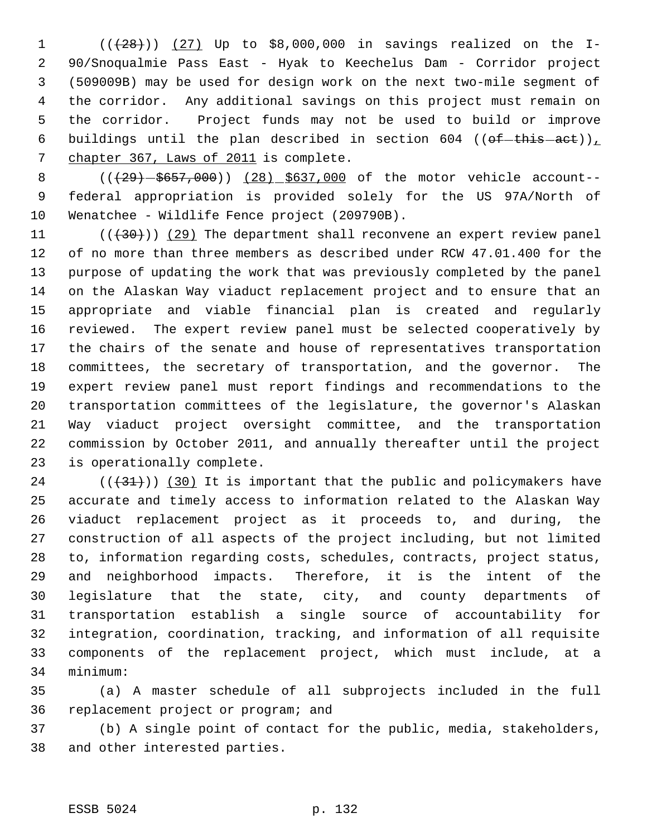1 (( $(28)$ )) (27) Up to \$8,000,000 in savings realized on the I- 90/Snoqualmie Pass East - Hyak to Keechelus Dam - Corridor project (509009B) may be used for design work on the next two-mile segment of the corridor. Any additional savings on this project must remain on the corridor. Project funds may not be used to build or improve 6 buildings until the plan described in section 604 (( $ef-this -act$ )) chapter 367, Laws of 2011 is complete.

8 (( $(29) - $657,000$ )) (28) \$637,000 of the motor vehicle account-- federal appropriation is provided solely for the US 97A/North of Wenatchee - Wildlife Fence project (209790B).

 $((+30))$   $(29)$  The department shall reconvene an expert review panel of no more than three members as described under RCW 47.01.400 for the purpose of updating the work that was previously completed by the panel on the Alaskan Way viaduct replacement project and to ensure that an appropriate and viable financial plan is created and regularly reviewed. The expert review panel must be selected cooperatively by the chairs of the senate and house of representatives transportation committees, the secretary of transportation, and the governor. The expert review panel must report findings and recommendations to the transportation committees of the legislature, the governor's Alaskan Way viaduct project oversight committee, and the transportation commission by October 2011, and annually thereafter until the project is operationally complete.

 (( $(31)$ )) (30) It is important that the public and policymakers have accurate and timely access to information related to the Alaskan Way viaduct replacement project as it proceeds to, and during, the construction of all aspects of the project including, but not limited to, information regarding costs, schedules, contracts, project status, and neighborhood impacts. Therefore, it is the intent of the legislature that the state, city, and county departments of transportation establish a single source of accountability for integration, coordination, tracking, and information of all requisite components of the replacement project, which must include, at a minimum:

 (a) A master schedule of all subprojects included in the full replacement project or program; and

 (b) A single point of contact for the public, media, stakeholders, and other interested parties.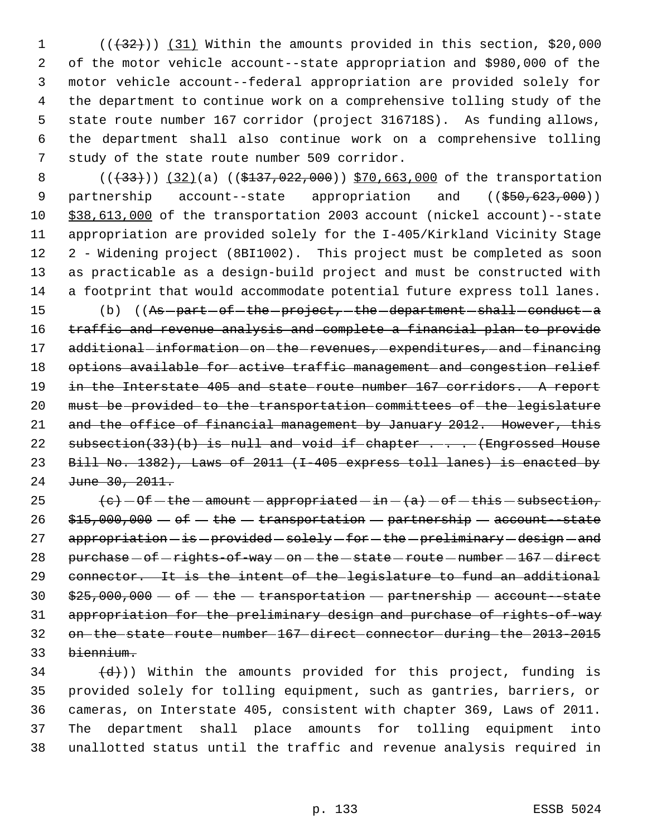1 (( $\left(\frac{32}{1}\right)$ ) (31) Within the amounts provided in this section, \$20,000 of the motor vehicle account--state appropriation and \$980,000 of the motor vehicle account--federal appropriation are provided solely for the department to continue work on a comprehensive tolling study of the state route number 167 corridor (project 316718S). As funding allows, the department shall also continue work on a comprehensive tolling study of the state route number 509 corridor.

8 (( $(33)$ )) (32)(a) (( $$137,022,000$ )) \$70,663,000 of the transportation 9 partnership account--state appropriation and ((\$50,623,000)) \$38,613,000 of the transportation 2003 account (nickel account)--state appropriation are provided solely for the I-405/Kirkland Vicinity Stage 2 - Widening project (8BI1002). This project must be completed as soon as practicable as a design-build project and must be constructed with a footprint that would accommodate potential future express toll lanes.

15 (b) ((As -part -of -the -project, -the -department -shall -conduct -a 16 traffic and revenue analysis and complete a financial plan to provide 17 additional-information-on-the-revenues, expenditures, and-financing 18 options available for active traffic management and congestion relief 19 in the Interstate 405 and state route number 167 corridors. A report 20 must be provided to the transportation committees of the legislature 21 and the office of financial management by January 2012. However, this 22 subsection(33)(b) is null and void if chapter  $\ldots$  (Engrossed House 23 Bill No. 1382), Laws of 2011 (I-405 express toll lanes) is enacted by 24 June 30, 2011.

 $\left(e\right) - 0f - the - amount - appropriate d - in - (a) - of - this - subsection,$  $$15,000,000 - of - the - transformation - partnership - account - state$  appropriation  $-$  is  $-$  provided  $-$  solely  $-$  for  $-$  the  $-$  preliminary  $-$  design  $-$  and 28 purchase  $-$  of  $-$  rights-of-way  $-$  on  $-$  the  $-$  state  $-$  route  $-$  number  $-$  167  $-$  direct connector. It is the intent of the legislature to fund an additional  $$25,000,000 - of - the - transform - partnership - account-state$  appropriation for the preliminary design and purchase of rights-of-way on the state route number 167 direct connector during the 2013-2015 biennium.

 $\left(\frac{d}{d}\right)$ ) Within the amounts provided for this project, funding is provided solely for tolling equipment, such as gantries, barriers, or cameras, on Interstate 405, consistent with chapter 369, Laws of 2011. The department shall place amounts for tolling equipment into unallotted status until the traffic and revenue analysis required in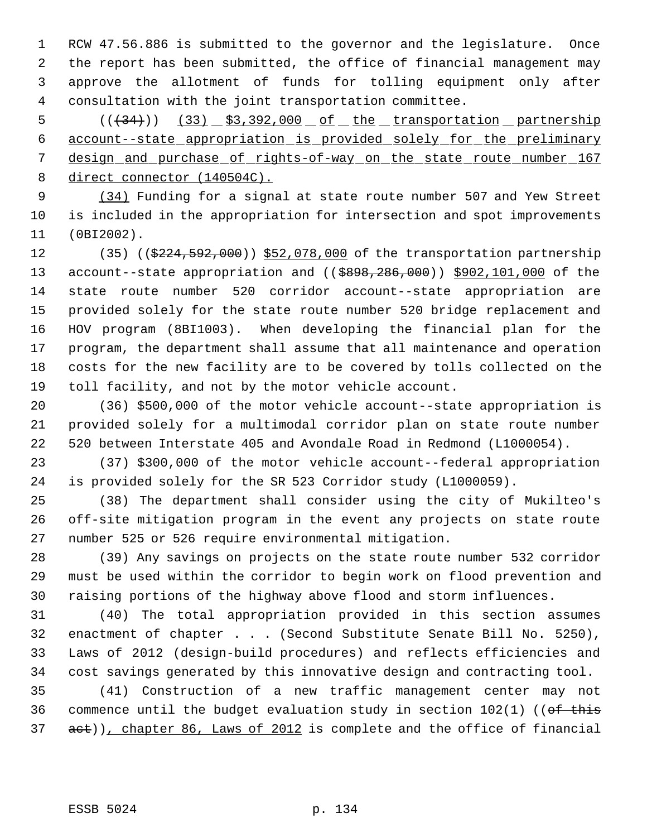RCW 47.56.886 is submitted to the governor and the legislature. Once the report has been submitted, the office of financial management may approve the allotment of funds for tolling equipment only after consultation with the joint transportation committee.

 ( $(\frac{1}{34})$ )  $(33)$   $\frac{53,392,000}$  of the transportation partnership account--state appropriation is provided solely for the preliminary 7 design and purchase of rights-of-way on the state route number 167 8 direct connector (140504C).

9 (34) Funding for a signal at state route number 507 and Yew Street is included in the appropriation for intersection and spot improvements (0BI2002).

12 (35) ((\$224,592,000)) \$52,078,000 of the transportation partnership 13 account--state appropriation and ((\$898,286,000)) \$902,101,000 of the state route number 520 corridor account--state appropriation are provided solely for the state route number 520 bridge replacement and HOV program (8BI1003). When developing the financial plan for the program, the department shall assume that all maintenance and operation costs for the new facility are to be covered by tolls collected on the toll facility, and not by the motor vehicle account.

 (36) \$500,000 of the motor vehicle account--state appropriation is provided solely for a multimodal corridor plan on state route number 520 between Interstate 405 and Avondale Road in Redmond (L1000054).

 (37) \$300,000 of the motor vehicle account--federal appropriation is provided solely for the SR 523 Corridor study (L1000059).

 (38) The department shall consider using the city of Mukilteo's off-site mitigation program in the event any projects on state route number 525 or 526 require environmental mitigation.

 (39) Any savings on projects on the state route number 532 corridor must be used within the corridor to begin work on flood prevention and raising portions of the highway above flood and storm influences.

 (40) The total appropriation provided in this section assumes enactment of chapter . . . (Second Substitute Senate Bill No. 5250), Laws of 2012 (design-build procedures) and reflects efficiencies and cost savings generated by this innovative design and contracting tool.

 (41) Construction of a new traffic management center may not 36 commence until the budget evaluation study in section  $102(1)$  ((of this 37 act)), chapter 86, Laws of 2012 is complete and the office of financial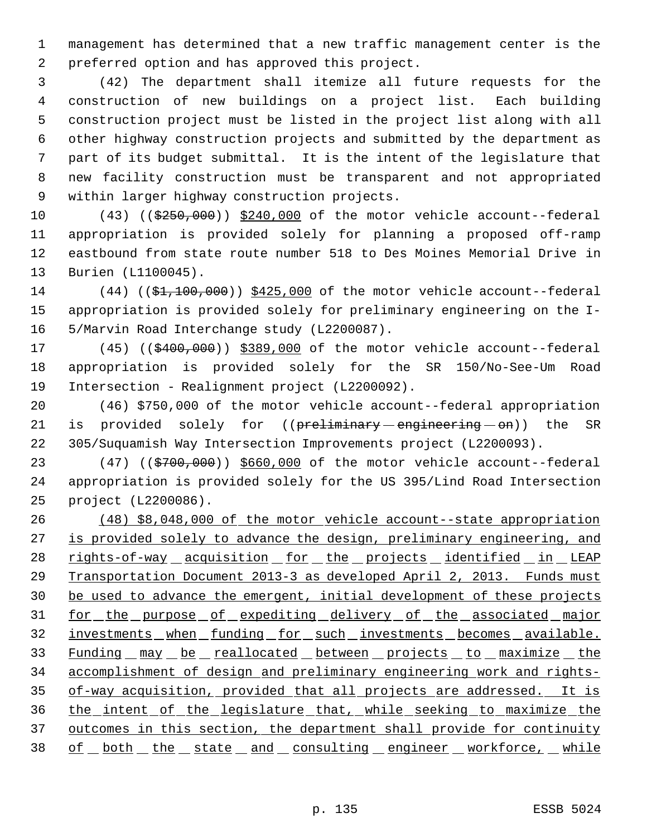management has determined that a new traffic management center is the preferred option and has approved this project.

 (42) The department shall itemize all future requests for the construction of new buildings on a project list. Each building construction project must be listed in the project list along with all other highway construction projects and submitted by the department as part of its budget submittal. It is the intent of the legislature that new facility construction must be transparent and not appropriated within larger highway construction projects.

10 (43) ((\$250,000)) \$240,000 of the motor vehicle account--federal appropriation is provided solely for planning a proposed off-ramp eastbound from state route number 518 to Des Moines Memorial Drive in Burien (L1100045).

14 (44) ((\$1,100,000)) \$425,000 of the motor vehicle account--federal appropriation is provided solely for preliminary engineering on the I-5/Marvin Road Interchange study (L2200087).

17 (45) ((\$400,000)) \$389,000 of the motor vehicle account--federal appropriation is provided solely for the SR 150/No-See-Um Road Intersection - Realignment project (L2200092).

 (46) \$750,000 of the motor vehicle account--federal appropriation 21 is provided solely for ((preliminary engineering - on)) the SR 305/Suquamish Way Intersection Improvements project (L2200093).

23 (47) ((\$700,000)) \$660,000 of the motor vehicle account--federal appropriation is provided solely for the US 395/Lind Road Intersection project (L2200086).

 (48) \$8,048,000 of the motor vehicle account--state appropriation 27 is provided solely to advance the design, preliminary engineering, and 28 rights-of-way acquisition for the projects identified in LEAP Transportation Document 2013-3 as developed April 2, 2013. Funds must be used to advance the emergent, initial development of these projects 31 for the purpose of expediting delivery of the associated major investments when funding for such investments becomes available. 33 Funding may be reallocated between projects to maximize the accomplishment of design and preliminary engineering work and rights- of-way acquisition, provided that all projects are addressed. It is the intent of the legislature that, while seeking to maximize the 37 outcomes in this section, the department shall provide for continuity 38 of both the state and consulting engineer workforce, while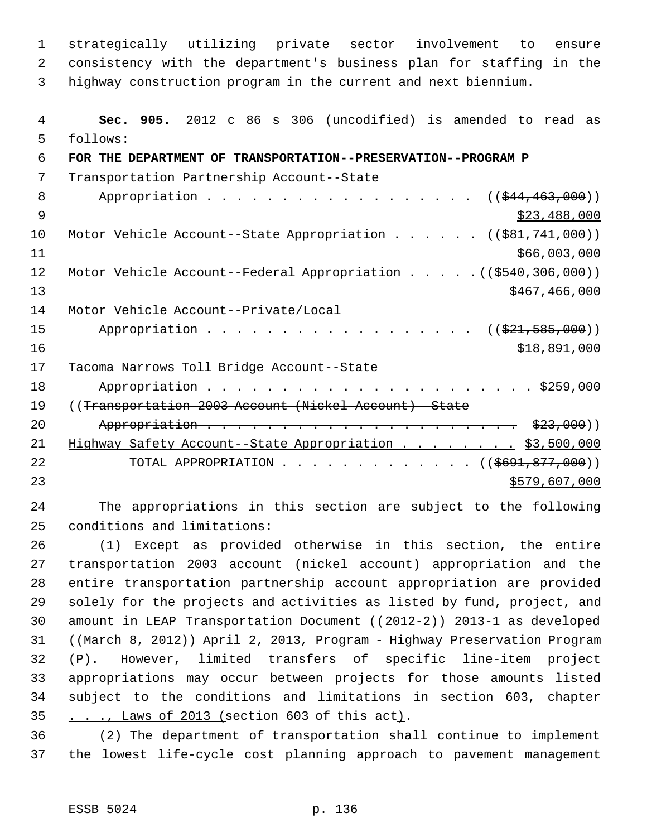|                                                                         | strategically utilizing private sector involvement to ensure                                                                                                                                                                                                                                                              |
|-------------------------------------------------------------------------|---------------------------------------------------------------------------------------------------------------------------------------------------------------------------------------------------------------------------------------------------------------------------------------------------------------------------|
| consistency with the department's business plan for staffing in the     |                                                                                                                                                                                                                                                                                                                           |
| highway construction program in the current and next biennium.          |                                                                                                                                                                                                                                                                                                                           |
| Sec. 905. 2012 c 86 s 306 (uncodified) is amended to read as            |                                                                                                                                                                                                                                                                                                                           |
|                                                                         |                                                                                                                                                                                                                                                                                                                           |
|                                                                         |                                                                                                                                                                                                                                                                                                                           |
|                                                                         |                                                                                                                                                                                                                                                                                                                           |
| $((\frac{1544}{1463}, 000))$                                            |                                                                                                                                                                                                                                                                                                                           |
| \$23,488,000                                                            |                                                                                                                                                                                                                                                                                                                           |
| Motor Vehicle Account--State Appropriation ( $(\frac{281}{741}, 000)$ ) |                                                                                                                                                                                                                                                                                                                           |
| \$66,003,000                                                            |                                                                                                                                                                                                                                                                                                                           |
|                                                                         |                                                                                                                                                                                                                                                                                                                           |
|                                                                         |                                                                                                                                                                                                                                                                                                                           |
|                                                                         |                                                                                                                                                                                                                                                                                                                           |
|                                                                         |                                                                                                                                                                                                                                                                                                                           |
|                                                                         |                                                                                                                                                                                                                                                                                                                           |
|                                                                         |                                                                                                                                                                                                                                                                                                                           |
|                                                                         |                                                                                                                                                                                                                                                                                                                           |
|                                                                         |                                                                                                                                                                                                                                                                                                                           |
|                                                                         |                                                                                                                                                                                                                                                                                                                           |
|                                                                         |                                                                                                                                                                                                                                                                                                                           |
|                                                                         |                                                                                                                                                                                                                                                                                                                           |
|                                                                         |                                                                                                                                                                                                                                                                                                                           |
|                                                                         |                                                                                                                                                                                                                                                                                                                           |
|                                                                         |                                                                                                                                                                                                                                                                                                                           |
|                                                                         | Motor Vehicle Account--Federal Appropriation ((\$540,306,000))<br>\$467, 466, 000<br>((\$21,585,000))<br>\$18,891,000<br>Highway Safety Account--State Appropriation \$3,500,000<br>TOTAL APPROPRIATION ( $(\frac{2691}{1077},000)$ )<br>\$579,607,000<br>The appropriations in this section are subject to the following |

 (1) Except as provided otherwise in this section, the entire transportation 2003 account (nickel account) appropriation and the entire transportation partnership account appropriation are provided solely for the projects and activities as listed by fund, project, and amount in LEAP Transportation Document ((2012-2)) 2013-1 as developed 31 ((March 8, 2012)) April 2, 2013, Program - Highway Preservation Program (P). However, limited transfers of specific line-item project appropriations may occur between projects for those amounts listed 34 subject to the conditions and limitations in section 603, chapter . . ., Laws of 2013 (section 603 of this act).

 (2) The department of transportation shall continue to implement the lowest life-cycle cost planning approach to pavement management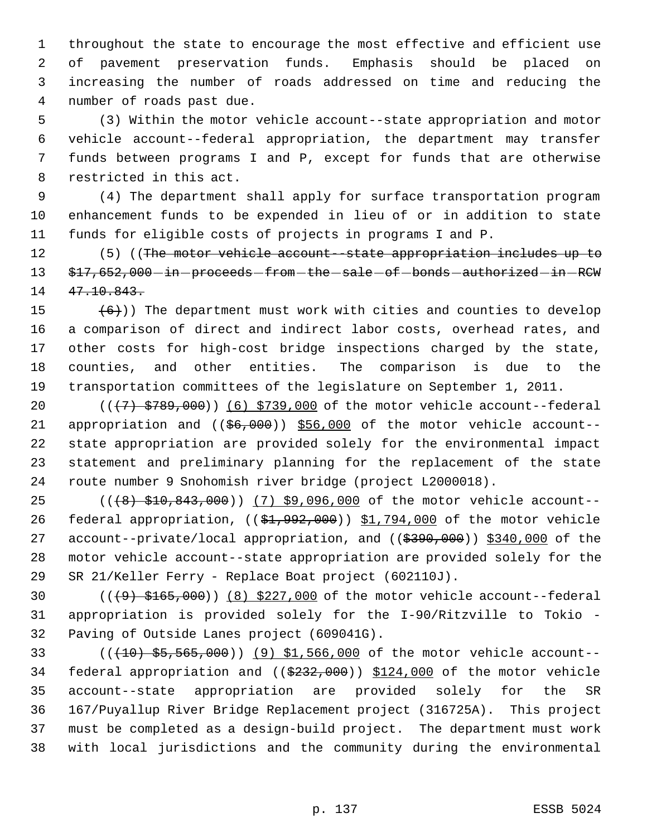throughout the state to encourage the most effective and efficient use of pavement preservation funds. Emphasis should be placed on increasing the number of roads addressed on time and reducing the number of roads past due.

 (3) Within the motor vehicle account--state appropriation and motor vehicle account--federal appropriation, the department may transfer funds between programs I and P, except for funds that are otherwise restricted in this act.

 (4) The department shall apply for surface transportation program enhancement funds to be expended in lieu of or in addition to state funds for eligible costs of projects in programs I and P.

12 (5) ((The motor vehicle account -state appropriation includes up to 13 \$17,652,000 in proceeds from the sale of bonds authorized in RCW 47.10.843.

 $(6)$ )) The department must work with cities and counties to develop a comparison of direct and indirect labor costs, overhead rates, and other costs for high-cost bridge inspections charged by the state, counties, and other entities. The comparison is due to the transportation committees of the legislature on September 1, 2011.

 $((+7) + $789,000)$   $(6)$  \$739,000 of the motor vehicle account--federal 21 appropriation and  $($   $($  $66,000)$   $)$  \$56,000 of the motor vehicle account- state appropriation are provided solely for the environmental impact statement and preliminary planning for the replacement of the state route number 9 Snohomish river bridge (project L2000018).

25 (((8) \$10,843,000)) (7) \$9,096,000 of the motor vehicle account--26 federal appropriation, ((\$1,992,000)) \$1,794,000 of the motor vehicle 27 account--private/local appropriation, and ((\$390,000)) \$340,000 of the motor vehicle account--state appropriation are provided solely for the SR 21/Keller Ferry - Replace Boat project (602110J).

30  $((49) + 165,000)$   $(8)$  \$227,000 of the motor vehicle account--federal appropriation is provided solely for the I-90/Ritzville to Tokio - Paving of Outside Lanes project (609041G).

 (((10) \$5,565,000)) (9) \$1,566,000 of the motor vehicle account-- federal appropriation and ((\$232,000)) \$124,000 of the motor vehicle account--state appropriation are provided solely for the SR 167/Puyallup River Bridge Replacement project (316725A). This project must be completed as a design-build project. The department must work with local jurisdictions and the community during the environmental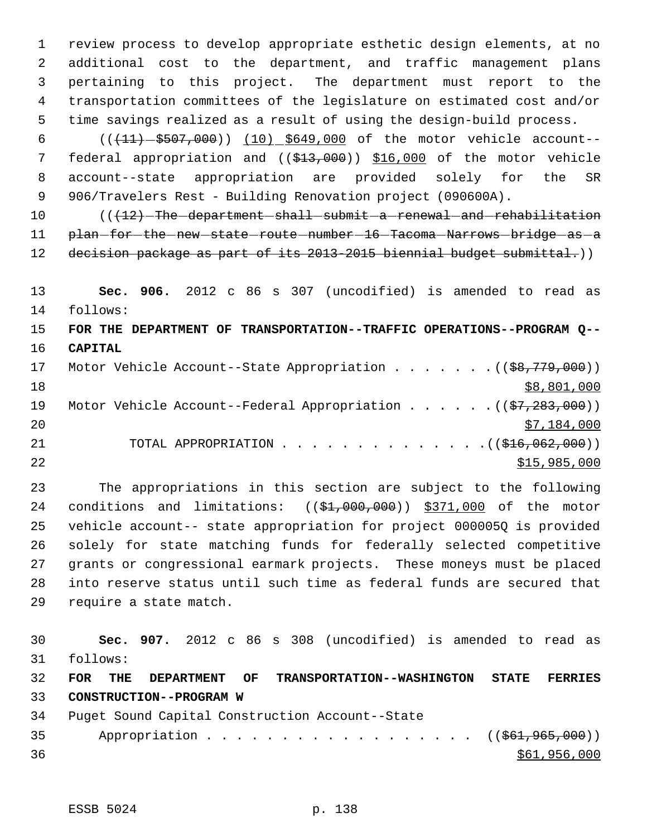review process to develop appropriate esthetic design elements, at no additional cost to the department, and traffic management plans pertaining to this project. The department must report to the transportation committees of the legislature on estimated cost and/or time savings realized as a result of using the design-build process.

6 (( $(11) - $507,000$ )) (10) \$649,000 of the motor vehicle account--7 federal appropriation and ((\$13,000)) \$16,000 of the motor vehicle account--state appropriation are provided solely for the SR 906/Travelers Rest - Building Renovation project (090600A).

10 (( $\sqrt{12}$ ) The department shall submit a renewal and rehabilitation 11 plan-for-the-new-state-route-number-16-Tacoma-Narrows-bridge-as-a 12 decision package as part of its 2013-2015 biennial budget submittal.)

 **Sec. 906.** 2012 c 86 s 307 (uncodified) is amended to read as follows:

 **FOR THE DEPARTMENT OF TRANSPORTATION--TRAFFIC OPERATIONS--PROGRAM Q-- CAPITAL**

| 17 |  | Motor Vehicle Account--State Appropriation $($ $($ \$8,779,000))                     |
|----|--|--------------------------------------------------------------------------------------|
| 18 |  | \$8,801,000                                                                          |
| 19 |  | Motor Vehicle Account--Federal Appropriation $($ $(\frac{27}{283}, \frac{283}{100})$ |
| 20 |  | \$7,184,000                                                                          |
| 21 |  | TOTAL APPROPRIATION $\ldots$ , ( $(\frac{16}{16}, 062, 000)$ )                       |
| 22 |  | \$15,985,000                                                                         |

 The appropriations in this section are subject to the following 24 conditions and limitations: ((\$1,000,000)) \$371,000 of the motor vehicle account-- state appropriation for project 000005Q is provided solely for state matching funds for federally selected competitive grants or congressional earmark projects. These moneys must be placed into reserve status until such time as federal funds are secured that require a state match.

 **Sec. 907.** 2012 c 86 s 308 (uncodified) is amended to read as follows: **FOR THE DEPARTMENT OF TRANSPORTATION--WASHINGTON STATE FERRIES CONSTRUCTION--PROGRAM W** Puget Sound Capital Construction Account--State 35 Appropriation . . . . . . . . . . . . . . . . ((\$61,965,000))  $\frac{$61,956,000}{900}$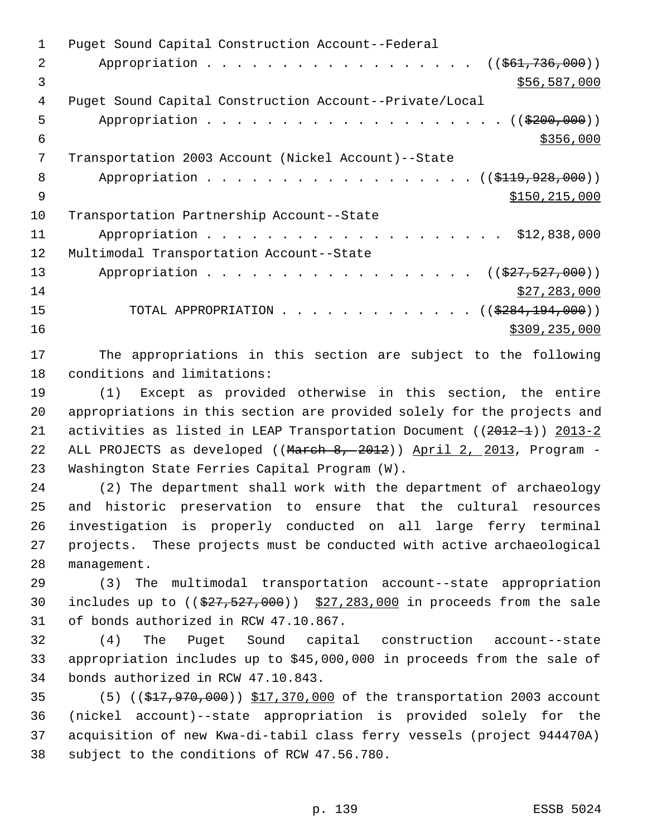Puget Sound Capital Construction Account--Federal 2 Appropriation . . . . . . . . . . . . . . . . ((\$61,736,000))  $3 \times 56,587,000$  Puget Sound Capital Construction Account--Private/Local 5 Appropriation . . . . . . . . . . . . . . . . . . (  $(\frac{2200,000}{1})$  $\frac{$356,000}{ }$  Transportation 2003 Account (Nickel Account)--State 8 Appropriation . . . . . . . . . . . . . . . . . (  $(\frac{119}{228},000)$  )  $\text{S150},\text{215},\text{000}$  Transportation Partnership Account--State 11 Appropriation . . . . . . . . . . . . . . . . . . \$12,838,000 Multimodal Transportation Account--State 13 Appropriation . . . . . . . . . . . . . . . . . ((\$27,527,000)) \$27,283,000 15 TOTAL APPROPRIATION . . . . . . . . . . . . ((\$284,194,000)) \$309,235,000

 The appropriations in this section are subject to the following conditions and limitations:

 (1) Except as provided otherwise in this section, the entire appropriations in this section are provided solely for the projects and 21 activities as listed in LEAP Transportation Document ((2012-1)) 2013-2 22 ALL PROJECTS as developed ((March 8, 2012)) April 2, 2013, Program -Washington State Ferries Capital Program (W).

 (2) The department shall work with the department of archaeology and historic preservation to ensure that the cultural resources investigation is properly conducted on all large ferry terminal projects. These projects must be conducted with active archaeological management.

 (3) The multimodal transportation account--state appropriation 30 includes up to  $((\$27,527,000))$   $\$27,283,000$  in proceeds from the sale of bonds authorized in RCW 47.10.867.

 (4) The Puget Sound capital construction account--state appropriation includes up to \$45,000,000 in proceeds from the sale of bonds authorized in RCW 47.10.843.

35 (5) ((\$17,970,000)) \$17,370,000 of the transportation 2003 account (nickel account)--state appropriation is provided solely for the acquisition of new Kwa-di-tabil class ferry vessels (project 944470A) subject to the conditions of RCW 47.56.780.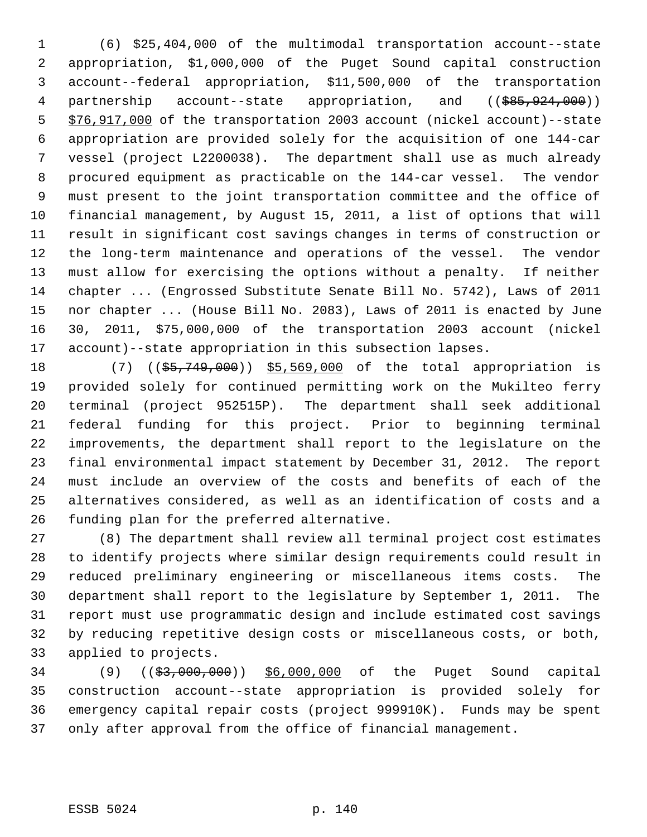(6) \$25,404,000 of the multimodal transportation account--state appropriation, \$1,000,000 of the Puget Sound capital construction account--federal appropriation, \$11,500,000 of the transportation 4 partnership account--state appropriation, and ((\$85,924,000)) \$76,917,000 of the transportation 2003 account (nickel account)--state appropriation are provided solely for the acquisition of one 144-car vessel (project L2200038). The department shall use as much already procured equipment as practicable on the 144-car vessel. The vendor must present to the joint transportation committee and the office of financial management, by August 15, 2011, a list of options that will result in significant cost savings changes in terms of construction or the long-term maintenance and operations of the vessel. The vendor must allow for exercising the options without a penalty. If neither chapter ... (Engrossed Substitute Senate Bill No. 5742), Laws of 2011 nor chapter ... (House Bill No. 2083), Laws of 2011 is enacted by June 30, 2011, \$75,000,000 of the transportation 2003 account (nickel account)--state appropriation in this subsection lapses.

18 (7) ((\$5,749,000)) \$5,569,000 of the total appropriation is provided solely for continued permitting work on the Mukilteo ferry terminal (project 952515P). The department shall seek additional federal funding for this project. Prior to beginning terminal improvements, the department shall report to the legislature on the final environmental impact statement by December 31, 2012. The report must include an overview of the costs and benefits of each of the alternatives considered, as well as an identification of costs and a funding plan for the preferred alternative.

 (8) The department shall review all terminal project cost estimates to identify projects where similar design requirements could result in reduced preliminary engineering or miscellaneous items costs. The department shall report to the legislature by September 1, 2011. The report must use programmatic design and include estimated cost savings by reducing repetitive design costs or miscellaneous costs, or both, applied to projects.

 (9) ((\$3,000,000)) \$6,000,000 of the Puget Sound capital construction account--state appropriation is provided solely for emergency capital repair costs (project 999910K). Funds may be spent only after approval from the office of financial management.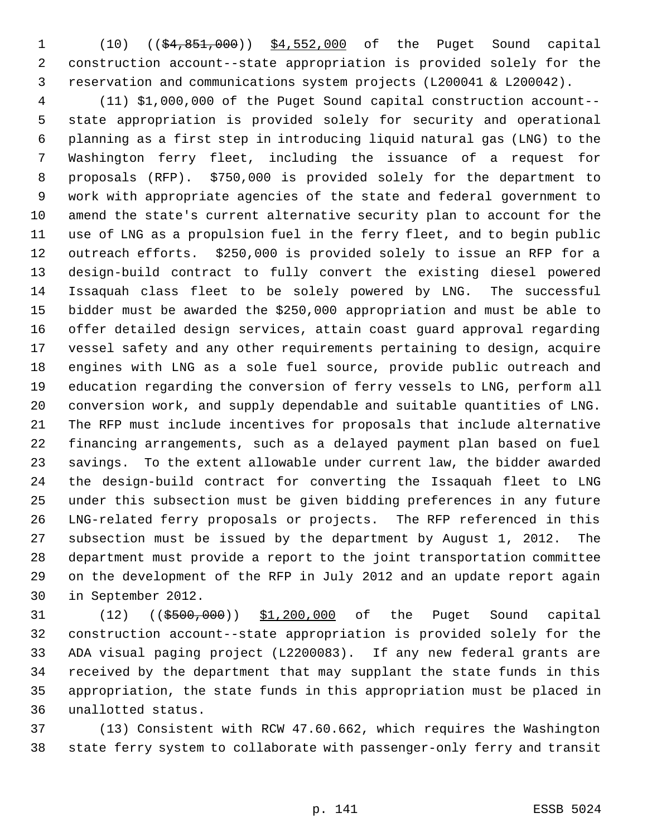1 (10) ((\$4,851,000)) \$4,552,000 of the Puget Sound capital construction account--state appropriation is provided solely for the reservation and communications system projects (L200041 & L200042).

 (11) \$1,000,000 of the Puget Sound capital construction account-- state appropriation is provided solely for security and operational planning as a first step in introducing liquid natural gas (LNG) to the Washington ferry fleet, including the issuance of a request for proposals (RFP). \$750,000 is provided solely for the department to work with appropriate agencies of the state and federal government to amend the state's current alternative security plan to account for the use of LNG as a propulsion fuel in the ferry fleet, and to begin public outreach efforts. \$250,000 is provided solely to issue an RFP for a design-build contract to fully convert the existing diesel powered Issaquah class fleet to be solely powered by LNG. The successful bidder must be awarded the \$250,000 appropriation and must be able to offer detailed design services, attain coast guard approval regarding vessel safety and any other requirements pertaining to design, acquire engines with LNG as a sole fuel source, provide public outreach and education regarding the conversion of ferry vessels to LNG, perform all conversion work, and supply dependable and suitable quantities of LNG. The RFP must include incentives for proposals that include alternative financing arrangements, such as a delayed payment plan based on fuel savings. To the extent allowable under current law, the bidder awarded the design-build contract for converting the Issaquah fleet to LNG under this subsection must be given bidding preferences in any future LNG-related ferry proposals or projects. The RFP referenced in this subsection must be issued by the department by August 1, 2012. The department must provide a report to the joint transportation committee on the development of the RFP in July 2012 and an update report again in September 2012.

31 (12) ((\$500,000)) \$1,200,000 of the Puget Sound capital construction account--state appropriation is provided solely for the ADA visual paging project (L2200083). If any new federal grants are received by the department that may supplant the state funds in this appropriation, the state funds in this appropriation must be placed in unallotted status.

 (13) Consistent with RCW 47.60.662, which requires the Washington state ferry system to collaborate with passenger-only ferry and transit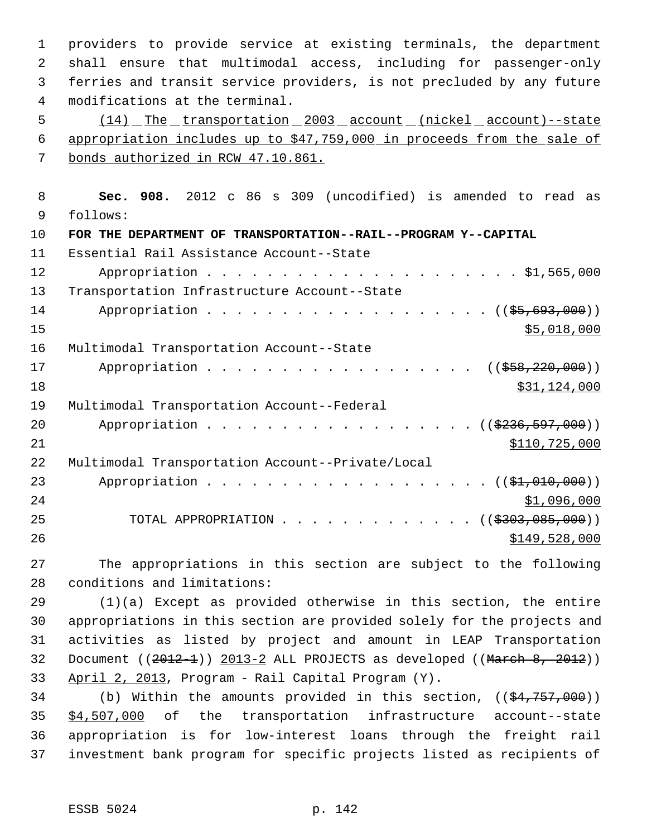providers to provide service at existing terminals, the department shall ensure that multimodal access, including for passenger-only ferries and transit service providers, is not precluded by any future modifications at the terminal.

 (14) The transportation 2003 account (nickel account)--state appropriation includes up to \$47,759,000 in proceeds from the sale of bonds authorized in RCW 47.10.861.

 **Sec. 908.** 2012 c 86 s 309 (uncodified) is amended to read as follows: **FOR THE DEPARTMENT OF TRANSPORTATION--RAIL--PROGRAM Y--CAPITAL** Essential Rail Assistance Account--State Appropriation . . . . . . . . . . . . . . . . . . . . . \$1,565,000 Transportation Infrastructure Account--State 14 Appropriation . . . . . . . . . . . . . . . . . ( (\$5,693,000))  $\frac{$5,018,000}{ }$  Multimodal Transportation Account--State 17 Appropriation . . . . . . . . . . . . . . . . ((\$58,220,000)) \$31,124,000 Multimodal Transportation Account--Federal 20 Appropriation . . . . . . . . . . . . . . . . ((\$236,597,000)) \$110,725,000 Multimodal Transportation Account--Private/Local 23 Appropriation . . . . . . . . . . . . . . . . . ((\$1,010,000)) \$1,096,000 25 TOTAL APPROPRIATION . . . . . . . . . . . . ((\$303,085,000))  $\frac{$149,528,000}{2}$ 

 The appropriations in this section are subject to the following conditions and limitations:

 (1)(a) Except as provided otherwise in this section, the entire appropriations in this section are provided solely for the projects and activities as listed by project and amount in LEAP Transportation 32 Document ((2012-1)) 2013-2 ALL PROJECTS as developed ((March 8, 2012)) April 2, 2013, Program - Rail Capital Program (Y).

34 (b) Within the amounts provided in this section,  $((\frac{24}{757},000))$  \$4,507,000 of the transportation infrastructure account--state appropriation is for low-interest loans through the freight rail investment bank program for specific projects listed as recipients of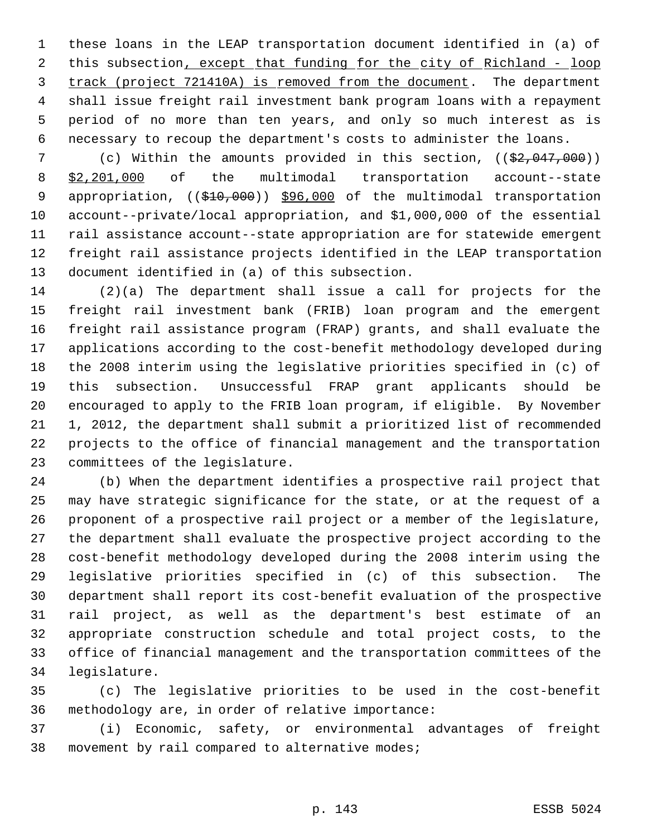these loans in the LEAP transportation document identified in (a) of 2 this subsection, except that funding for the city of Richland - loop track (project 721410A) is removed from the document. The department shall issue freight rail investment bank program loans with a repayment period of no more than ten years, and only so much interest as is necessary to recoup the department's costs to administer the loans.

7 (c) Within the amounts provided in this section, ((\$2,047,000)) \$2,201,000 of the multimodal transportation account--state 9 appropriation, ((\$10,000)) \$96,000 of the multimodal transportation account--private/local appropriation, and \$1,000,000 of the essential rail assistance account--state appropriation are for statewide emergent freight rail assistance projects identified in the LEAP transportation document identified in (a) of this subsection.

 (2)(a) The department shall issue a call for projects for the freight rail investment bank (FRIB) loan program and the emergent freight rail assistance program (FRAP) grants, and shall evaluate the applications according to the cost-benefit methodology developed during the 2008 interim using the legislative priorities specified in (c) of this subsection. Unsuccessful FRAP grant applicants should be encouraged to apply to the FRIB loan program, if eligible. By November 1, 2012, the department shall submit a prioritized list of recommended projects to the office of financial management and the transportation committees of the legislature.

 (b) When the department identifies a prospective rail project that may have strategic significance for the state, or at the request of a proponent of a prospective rail project or a member of the legislature, the department shall evaluate the prospective project according to the cost-benefit methodology developed during the 2008 interim using the legislative priorities specified in (c) of this subsection. The department shall report its cost-benefit evaluation of the prospective rail project, as well as the department's best estimate of an appropriate construction schedule and total project costs, to the office of financial management and the transportation committees of the legislature.

 (c) The legislative priorities to be used in the cost-benefit methodology are, in order of relative importance:

 (i) Economic, safety, or environmental advantages of freight movement by rail compared to alternative modes;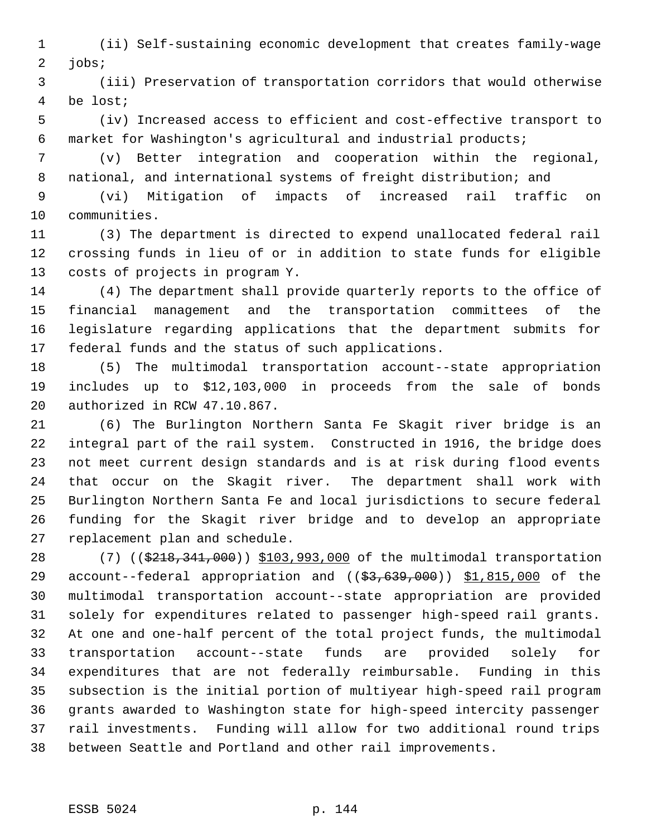(ii) Self-sustaining economic development that creates family-wage jobs;

 (iii) Preservation of transportation corridors that would otherwise be lost;

 (iv) Increased access to efficient and cost-effective transport to market for Washington's agricultural and industrial products;

 (v) Better integration and cooperation within the regional, national, and international systems of freight distribution; and

 (vi) Mitigation of impacts of increased rail traffic on communities.

 (3) The department is directed to expend unallocated federal rail crossing funds in lieu of or in addition to state funds for eligible costs of projects in program Y.

 (4) The department shall provide quarterly reports to the office of financial management and the transportation committees of the legislature regarding applications that the department submits for federal funds and the status of such applications.

 (5) The multimodal transportation account--state appropriation includes up to \$12,103,000 in proceeds from the sale of bonds authorized in RCW 47.10.867.

 (6) The Burlington Northern Santa Fe Skagit river bridge is an integral part of the rail system. Constructed in 1916, the bridge does not meet current design standards and is at risk during flood events that occur on the Skagit river. The department shall work with Burlington Northern Santa Fe and local jurisdictions to secure federal funding for the Skagit river bridge and to develop an appropriate replacement plan and schedule.

28 (7) ((\$218,341,000)) \$103,993,000 of the multimodal transportation 29 account--federal appropriation and ((\$3,639,000)) \$1,815,000 of the multimodal transportation account--state appropriation are provided solely for expenditures related to passenger high-speed rail grants. At one and one-half percent of the total project funds, the multimodal transportation account--state funds are provided solely for expenditures that are not federally reimbursable. Funding in this subsection is the initial portion of multiyear high-speed rail program grants awarded to Washington state for high-speed intercity passenger rail investments. Funding will allow for two additional round trips between Seattle and Portland and other rail improvements.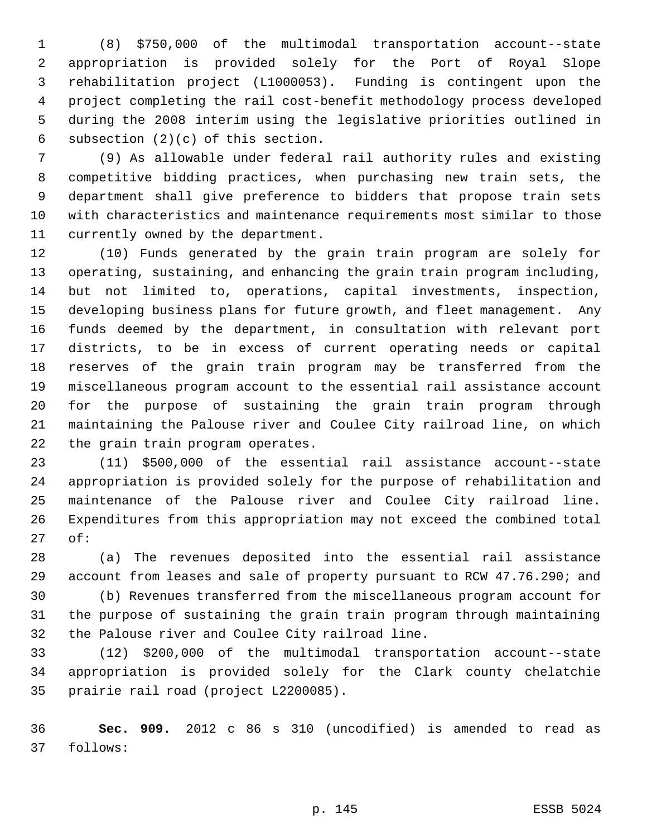(8) \$750,000 of the multimodal transportation account--state appropriation is provided solely for the Port of Royal Slope rehabilitation project (L1000053). Funding is contingent upon the project completing the rail cost-benefit methodology process developed during the 2008 interim using the legislative priorities outlined in subsection (2)(c) of this section.

 (9) As allowable under federal rail authority rules and existing competitive bidding practices, when purchasing new train sets, the department shall give preference to bidders that propose train sets with characteristics and maintenance requirements most similar to those currently owned by the department.

 (10) Funds generated by the grain train program are solely for operating, sustaining, and enhancing the grain train program including, but not limited to, operations, capital investments, inspection, developing business plans for future growth, and fleet management. Any funds deemed by the department, in consultation with relevant port districts, to be in excess of current operating needs or capital reserves of the grain train program may be transferred from the miscellaneous program account to the essential rail assistance account for the purpose of sustaining the grain train program through maintaining the Palouse river and Coulee City railroad line, on which the grain train program operates.

 (11) \$500,000 of the essential rail assistance account--state appropriation is provided solely for the purpose of rehabilitation and maintenance of the Palouse river and Coulee City railroad line. Expenditures from this appropriation may not exceed the combined total of:

 (a) The revenues deposited into the essential rail assistance account from leases and sale of property pursuant to RCW 47.76.290; and

 (b) Revenues transferred from the miscellaneous program account for the purpose of sustaining the grain train program through maintaining the Palouse river and Coulee City railroad line.

 (12) \$200,000 of the multimodal transportation account--state appropriation is provided solely for the Clark county chelatchie prairie rail road (project L2200085).

 **Sec. 909.** 2012 c 86 s 310 (uncodified) is amended to read as follows: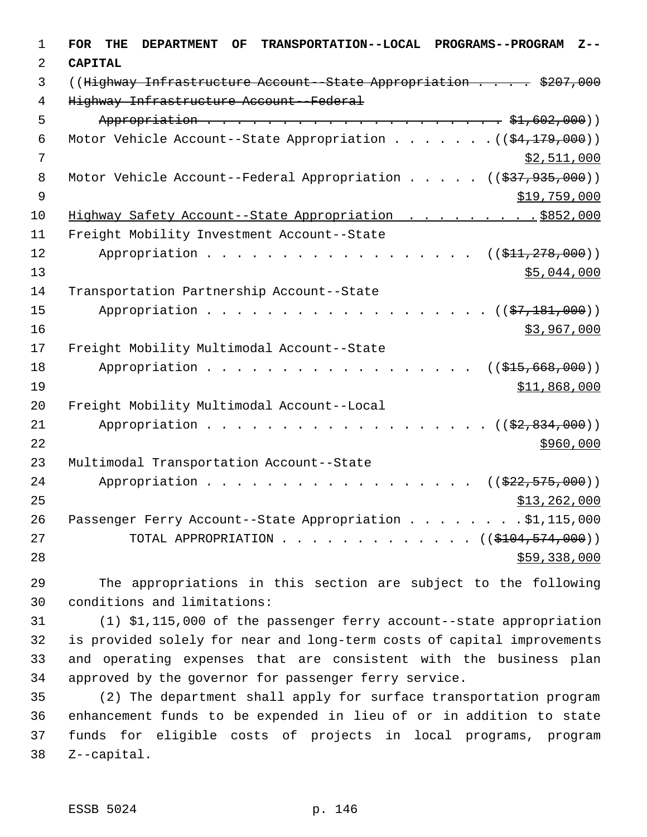| $\mathbf 1$    | <b>FOR</b><br>TRANSPORTATION--LOCAL PROGRAMS--PROGRAM<br>THE<br><b>DEPARTMENT</b><br>OF<br>$Z - -$ |
|----------------|----------------------------------------------------------------------------------------------------|
| 2              | <b>CAPITAL</b>                                                                                     |
| 3              | ((Highway Infrastructure Account - State Appropriation \$207,000                                   |
| $\overline{4}$ | Highway Infrastructure Account--Federal                                                            |
| 5              |                                                                                                    |
| 6              | Motor Vehicle Account--State Appropriation $($ $($ \$4,179,000) $)$                                |
| 7              | \$2,511,000                                                                                        |
| 8              | Motor Vehicle Account--Federal Appropriation $($ $($ $\frac{277}{27}, 935, 000)$ )                 |
| $\overline{9}$ | \$19,759,000                                                                                       |
| 10             | Highway Safety Account--State Appropriation \$852,000                                              |
| 11             | Freight Mobility Investment Account--State                                                         |
| 12             | Appropriation<br>((\$411,278,000))                                                                 |
| 13             | \$5,044,000                                                                                        |
| 14             | Transportation Partnership Account--State                                                          |
| 15             | Appropriation<br>$((\frac{27}{27}, \frac{181}{2}, 000))$                                           |
| 16             | \$3,967,000                                                                                        |
| 17             | Freight Mobility Multimodal Account--State                                                         |
| 18             | Appropriation<br>((\$415,668,000))                                                                 |
| 19             | \$11,868,000                                                                                       |
| 20             | Freight Mobility Multimodal Account--Local                                                         |
| 21             | Appropriation<br>$((\frac{2}{72}, 834, 000))$                                                      |
| 22             | \$960,000                                                                                          |
| 23             | Multimodal Transportation Account--State                                                           |
| 24             | Appropriation<br>((\$22,575,000))                                                                  |
| 25             | \$13,262,000                                                                                       |
| 26             | Passenger Ferry Account--State Appropriation \$1,115,000                                           |
| 27             | TOTAL APPROPRIATION $\ldots$ , ( $(\$104,574,000)$ )                                               |
| 28             | \$59,338,000                                                                                       |

 The appropriations in this section are subject to the following conditions and limitations:

 (1) \$1,115,000 of the passenger ferry account--state appropriation is provided solely for near and long-term costs of capital improvements and operating expenses that are consistent with the business plan approved by the governor for passenger ferry service.

 (2) The department shall apply for surface transportation program enhancement funds to be expended in lieu of or in addition to state funds for eligible costs of projects in local programs, program Z--capital.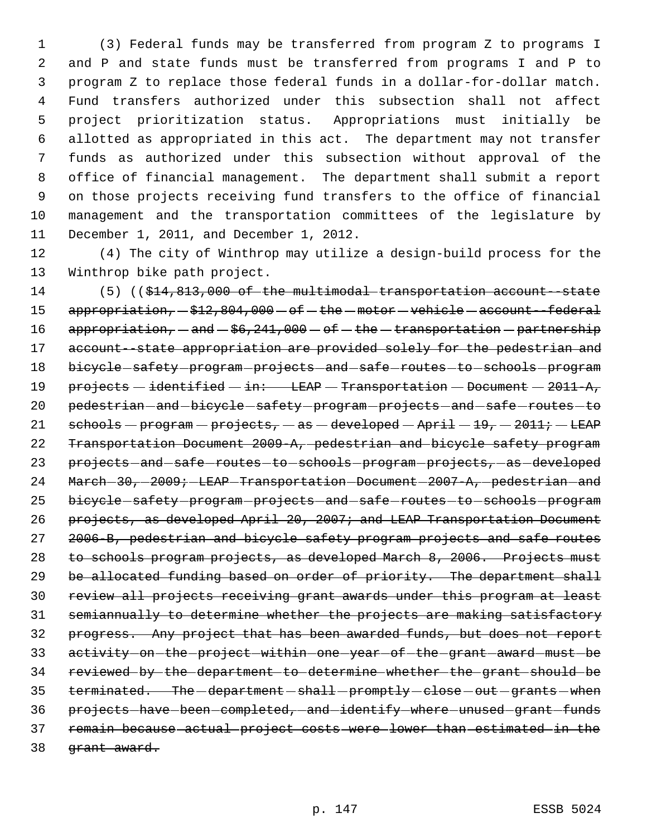(3) Federal funds may be transferred from program Z to programs I and P and state funds must be transferred from programs I and P to program Z to replace those federal funds in a dollar-for-dollar match. Fund transfers authorized under this subsection shall not affect project prioritization status. Appropriations must initially be allotted as appropriated in this act. The department may not transfer funds as authorized under this subsection without approval of the office of financial management. The department shall submit a report on those projects receiving fund transfers to the office of financial management and the transportation committees of the legislature by December 1, 2011, and December 1, 2012.

12 (4) The city of Winthrop may utilize a design-build process for the 13 Winthrop bike path project.

14 (5) ((\$14,813,000 of the multimodal transportation account - state 15  $appropriation - $12,804,000 - of - the - motor - vehicle - account - federal$ 16 appropriation,  $-\text{and } -\frac{6}{7}$ ,  $241,000 - \text{of } -\text{the } -\text{transportation } -\text{partnership}$ 17 account--state appropriation are provided solely for the pedestrian and 18 bicycle-safety-program-projects-and-safe-routes-to-schools-program 19 projects - identified - in: LEAP - Transportation - Document - 2011-A, 20 pedestrian-and-bicycle-safety-program-projects-and-safe-routes-to 21  $\text{sehook}$  schools - program - projects, - as - developed - April - 19, - 2011; - LEAP 22 Transportation Document 2009-A, pedestrian and bicycle safety program 23 projects-and-safe-routes-to-schools-program-projects, as developed 24 March-30, 2009; LEAP-Transportation-Document-2007-A, pedestrian-and 25 bicycle-safety-program-projects-and-safe-routes-to-schools-program 26 projects, as developed April 20, 2007; and LEAP Transportation Document 27 2006-B, pedestrian and bicycle safety program projects and safe routes 28 to schools program projects, as developed March 8, 2006. Projects must 29 be allocated funding based on order of priority. The department shall 30 review all projects receiving grant awards under this program at least 31 semiannually to determine whether the projects are making satisfactory 32 progress. Any project that has been awarded funds, but does not report 33 activity on the project within one year of the grant award must be 34 reviewed by the department to determine whether the grant should be 35 terminated. The -department - shall -promptly - close - out -grants - when 36 projects-have-been-completed, and identify where unused grant funds 37 remain because actual project costs were lower than estimated in the 38 grant award.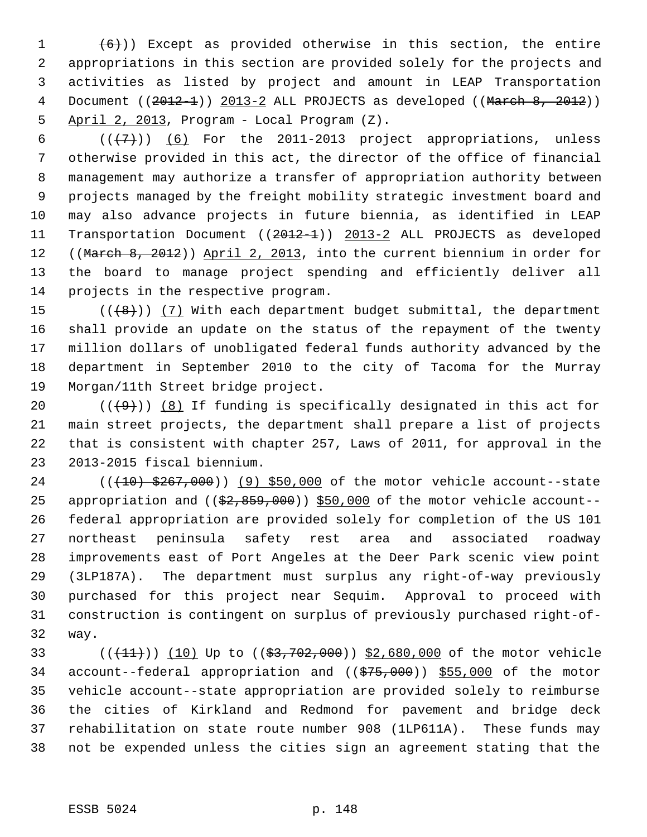$(6)$ )) Except as provided otherwise in this section, the entire appropriations in this section are provided solely for the projects and activities as listed by project and amount in LEAP Transportation 4 Document ((2012-1)) 2013-2 ALL PROJECTS as developed ((March 8, 2012)) April 2, 2013, Program - Local Program (Z).

 $((+7))$  (6) For the 2011-2013 project appropriations, unless otherwise provided in this act, the director of the office of financial management may authorize a transfer of appropriation authority between projects managed by the freight mobility strategic investment board and may also advance projects in future biennia, as identified in LEAP Transportation Document ((2012-1)) 2013-2 ALL PROJECTS as developed 12 ((March 8, 2012)) April 2, 2013, into the current biennium in order for the board to manage project spending and efficiently deliver all projects in the respective program.

 $((+8))$   $(7)$  With each department budget submittal, the department shall provide an update on the status of the repayment of the twenty million dollars of unobligated federal funds authority advanced by the department in September 2010 to the city of Tacoma for the Murray Morgan/11th Street bridge project.

 $((+9))$  (8) If funding is specifically designated in this act for main street projects, the department shall prepare a list of projects that is consistent with chapter 257, Laws of 2011, for approval in the 2013-2015 fiscal biennium.

24 (( $(10)$  \$267,000)) (9) \$50,000 of the motor vehicle account--state 25 appropriation and  $($   $(\frac{22}{52}, \frac{859}{50}, \frac{000}{50})$   $)$  \$50,000 of the motor vehicle account-- federal appropriation are provided solely for completion of the US 101 northeast peninsula safety rest area and associated roadway improvements east of Port Angeles at the Deer Park scenic view point (3LP187A). The department must surplus any right-of-way previously purchased for this project near Sequim. Approval to proceed with construction is contingent on surplus of previously purchased right-of-way.

33 (( $(11)$ )) (10) Up to (( $$3,702,000$ )) \$2,680,000 of the motor vehicle 34 account--federal appropriation and ((\$75,000)) \$55,000 of the motor vehicle account--state appropriation are provided solely to reimburse the cities of Kirkland and Redmond for pavement and bridge deck rehabilitation on state route number 908 (1LP611A). These funds may not be expended unless the cities sign an agreement stating that the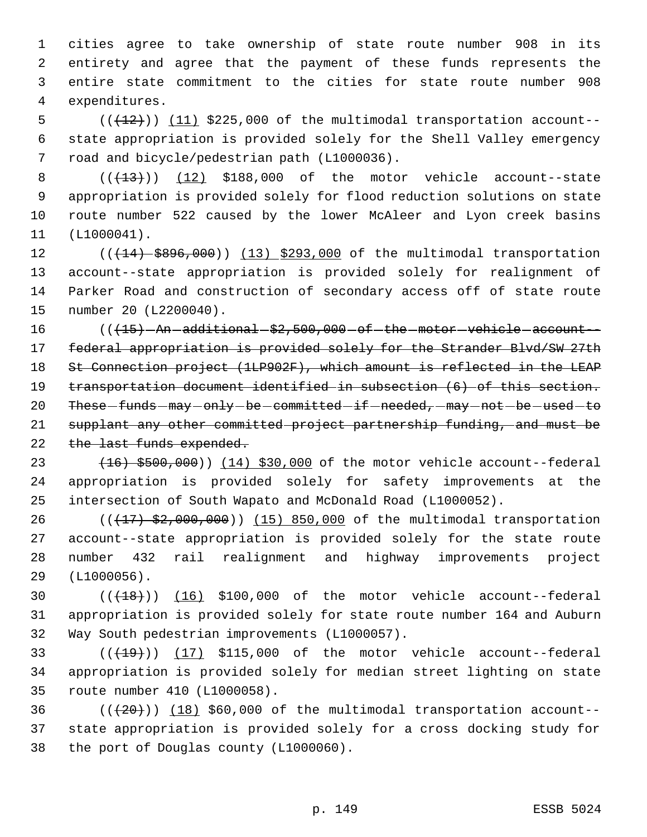cities agree to take ownership of state route number 908 in its entirety and agree that the payment of these funds represents the entire state commitment to the cities for state route number 908 expenditures.

5  $((+12))$   $(11)$  \$225,000 of the multimodal transportation account-- state appropriation is provided solely for the Shell Valley emergency road and bicycle/pedestrian path (L1000036).

 $((+13))$  (12) \$188,000 of the motor vehicle account--state appropriation is provided solely for flood reduction solutions on state route number 522 caused by the lower McAleer and Lyon creek basins (L1000041).

12 (( $(14)$  \$896,000)) (13) \$293,000 of the multimodal transportation account--state appropriation is provided solely for realignment of Parker Road and construction of secondary access off of state route number 20 (L2200040).

 (( $\left( \frac{(15)}{2} - \text{An}- \text{additional} - $2,500,000 - \text{of}- \text{the}- \text{motor}- \text{vehicle}- \text{account}-\right]$ 17 federal appropriation is provided solely for the Strander Blvd/SW 27th St Connection project (1LP902F), which amount is reflected in the LEAP transportation document identified in subsection (6) of this section. 20 These-funds-may-only-be-committed-if-needed,-may-not-be-used-to supplant any other committed project partnership funding, and must be 22 the last funds expended.

23 (16) \$500,000) (14) \$30,000 of the motor vehicle account--federal appropriation is provided solely for safety improvements at the intersection of South Wapato and McDonald Road (L1000052).

26 (( $\left(\frac{17}{52},000,000\right)$ ) (15) 850,000 of the multimodal transportation account--state appropriation is provided solely for the state route number 432 rail realignment and highway improvements project (L1000056).

30  $((+18))$   $(16)$  \$100,000 of the motor vehicle account--federal appropriation is provided solely for state route number 164 and Auburn Way South pedestrian improvements (L1000057).

33  $((+19))$  (17) \$115,000 of the motor vehicle account--federal appropriation is provided solely for median street lighting on state route number 410 (L1000058).

36  $((+20))$  (18) \$60,000 of the multimodal transportation account- state appropriation is provided solely for a cross docking study for the port of Douglas county (L1000060).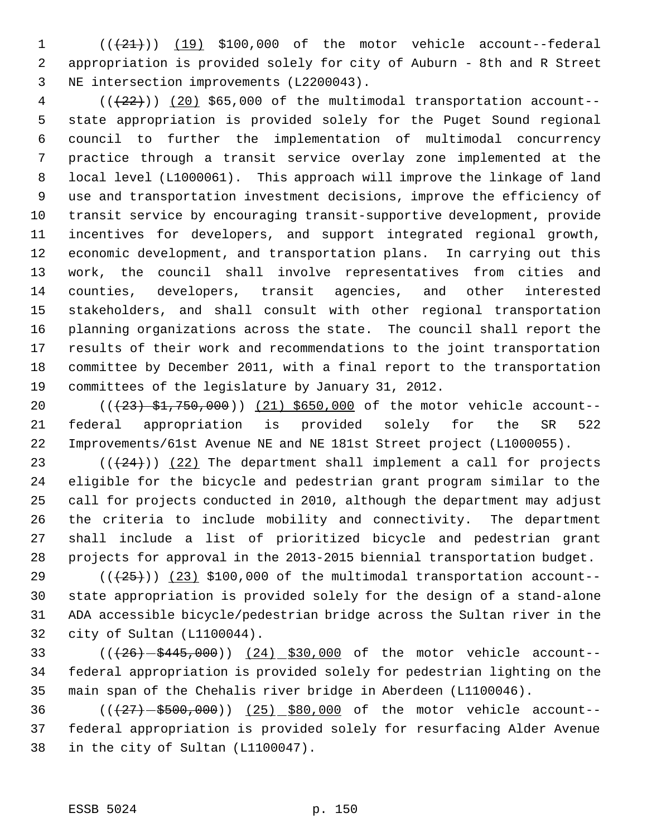$((+21))$   $(19)$  \$100,000 of the motor vehicle account--federal appropriation is provided solely for city of Auburn - 8th and R Street NE intersection improvements (L2200043).

 ( $(\frac{22}{12})$ ) (20) \$65,000 of the multimodal transportation account-- state appropriation is provided solely for the Puget Sound regional council to further the implementation of multimodal concurrency practice through a transit service overlay zone implemented at the local level (L1000061). This approach will improve the linkage of land use and transportation investment decisions, improve the efficiency of transit service by encouraging transit-supportive development, provide incentives for developers, and support integrated regional growth, economic development, and transportation plans. In carrying out this work, the council shall involve representatives from cities and counties, developers, transit agencies, and other interested stakeholders, and shall consult with other regional transportation planning organizations across the state. The council shall report the results of their work and recommendations to the joint transportation committee by December 2011, with a final report to the transportation committees of the legislature by January 31, 2012.

20 (( $(23)$  \$1,750,000)) (21) \$650,000 of the motor vehicle account-- federal appropriation is provided solely for the SR 522 Improvements/61st Avenue NE and NE 181st Street project (L1000055).

 $((+24))$   $(22)$  The department shall implement a call for projects eligible for the bicycle and pedestrian grant program similar to the call for projects conducted in 2010, although the department may adjust the criteria to include mobility and connectivity. The department shall include a list of prioritized bicycle and pedestrian grant projects for approval in the 2013-2015 biennial transportation budget.

 $((+25))$   $(23)$  \$100,000 of the multimodal transportation account-- state appropriation is provided solely for the design of a stand-alone ADA accessible bicycle/pedestrian bridge across the Sultan river in the city of Sultan (L1100044).

33 (( $(26) - $445,000$ )) (24) \$30,000 of the motor vehicle account-- federal appropriation is provided solely for pedestrian lighting on the main span of the Chehalis river bridge in Aberdeen (L1100046).

36 (( $\left(\frac{27}{-500},\frac{660}{-500}\right)$  (25) \$80,000 of the motor vehicle account-- federal appropriation is provided solely for resurfacing Alder Avenue in the city of Sultan (L1100047).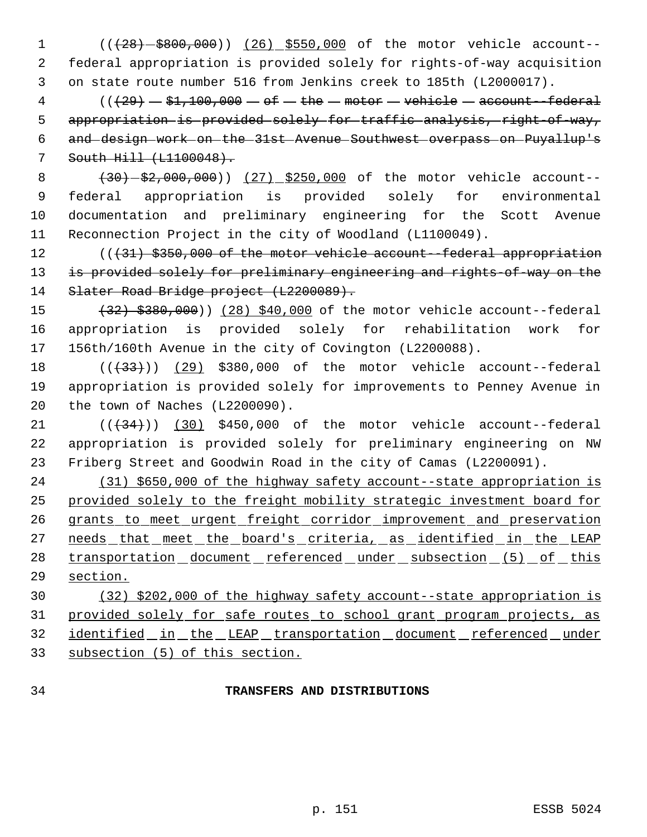1 (( $(28) - $800,000$ )) (26) \$550,000 of the motor vehicle account-- federal appropriation is provided solely for rights-of-way acquisition on state route number 516 from Jenkins creek to 185th (L2000017).

 (( $\left(29\right)$   $-$  \$1,100,000  $-$  of  $-$  the  $-$  motor  $-$  vehicle  $-$  account--federal 5 appropriation is provided solely for traffic analysis, right of way, and design work on the 31st Avenue Southwest overpass on Puyallup's South Hill (L1100048).

8 (30) - \$2,000,000)) (27) \$250,000 of the motor vehicle account-- federal appropriation is provided solely for environmental documentation and preliminary engineering for the Scott Avenue Reconnection Project in the city of Woodland (L1100049).

12 (( $\{31\}$  \$350,000 of the motor vehicle account--federal appropriation 13 is provided solely for preliminary engineering and rights-of-way on the 14 Slater Road Bridge project (L2200089).

15 (32) \$380,000)) (28) \$40,000 of the motor vehicle account--federal appropriation is provided solely for rehabilitation work for 156th/160th Avenue in the city of Covington (L2200088).

18 (( $(33)$ )) (29) \$380,000 of the motor vehicle account--federal appropriation is provided solely for improvements to Penney Avenue in the town of Naches (L2200090).

 $((+34))$  (30) \$450,000 of the motor vehicle account--federal appropriation is provided solely for preliminary engineering on NW Friberg Street and Goodwin Road in the city of Camas (L2200091).

 (31) \$650,000 of the highway safety account--state appropriation is provided solely to the freight mobility strategic investment board for 26 grants to meet urgent freight corridor improvement and preservation 27 needs that meet the board's criteria, as identified in the LEAP 28 transportation document referenced under subsection (5) of this section.

 (32) \$202,000 of the highway safety account--state appropriation is provided solely for safe routes to school grant program projects, as identified in the LEAP transportation document referenced under subsection (5) of this section.

## **TRANSFERS AND DISTRIBUTIONS**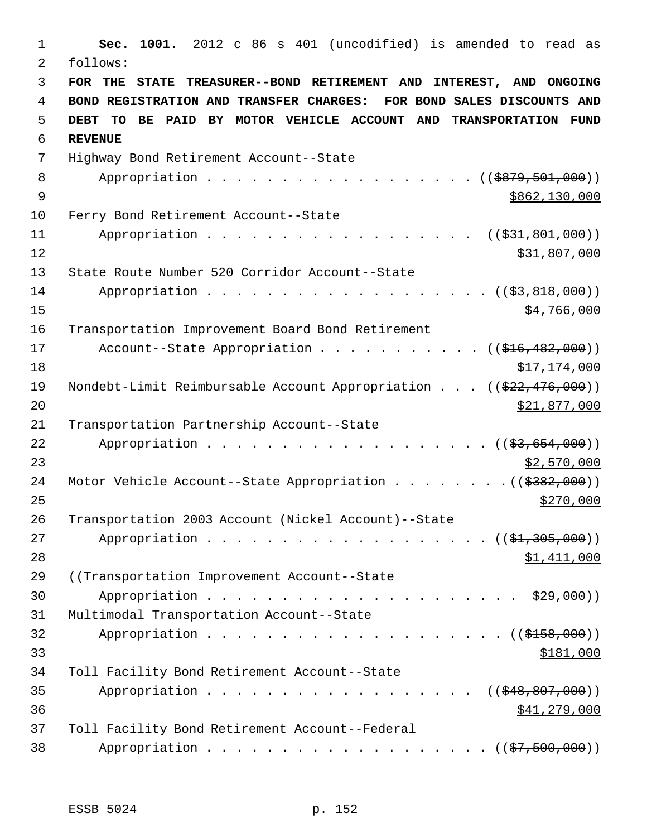**Sec. 1001.** 2012 c 86 s 401 (uncodified) is amended to read as follows: **FOR THE STATE TREASURER--BOND RETIREMENT AND INTEREST, AND ONGOING BOND REGISTRATION AND TRANSFER CHARGES: FOR BOND SALES DISCOUNTS AND DEBT TO BE PAID BY MOTOR VEHICLE ACCOUNT AND TRANSPORTATION FUND REVENUE** Highway Bond Retirement Account--State 8 Appropriation . . . . . . . . . . . . . . . . (  $(\frac{2879,501,000}{p})$  $\frac{9}{3862,130,000}$  Ferry Bond Retirement Account--State 11 Appropriation . . . . . . . . . . . . . . . . ((\$31,801,000)) \$31,807,000 State Route Number 520 Corridor Account--State 14 Appropriation . . . . . . . . . . . . . . . . . (  $(\frac{23,818,000}{2})$  \$4,766,000 Transportation Improvement Board Bond Retirement 17 Account--State Appropriation . . . . . . . . . . ((\$16,482,000)) \$17,174,000 19 Nondebt-Limit Reimbursable Account Appropriation . . . ((\$22,476,000)) 20 \$21,877,000 Transportation Partnership Account--State 22 Appropriation . . . . . . . . . . . . . . . . . ((<del>\$3,654,000</del>)) \$2,570,000 24 Motor Vehicle Account--State Appropriation . . . . . . . . ((\$382,000)) Transportation 2003 Account (Nickel Account)--State 27 Appropriation . . . . . . . . . . . . . . . . . ((\$1,305,000)) \$1,411,000 ((Transportation Improvement Account--State Appropriation . . . . . . . . . . . . . . . . . . . . . \$29,000)) Multimodal Transportation Account--State Appropriation . . . . . . . . . . . . . . . . . ( $(\frac{15158}{100})$ )  $\frac{$181,000}{9}$  Toll Facility Bond Retirement Account--State 35 Appropriation . . . . . . . . . . . . . . . . ((\$48,807,000)) \$41,279,000 Toll Facility Bond Retirement Account--Federal 38 Appropriation . . . . . . . . . . . . . . . . . ((\$7,500,000))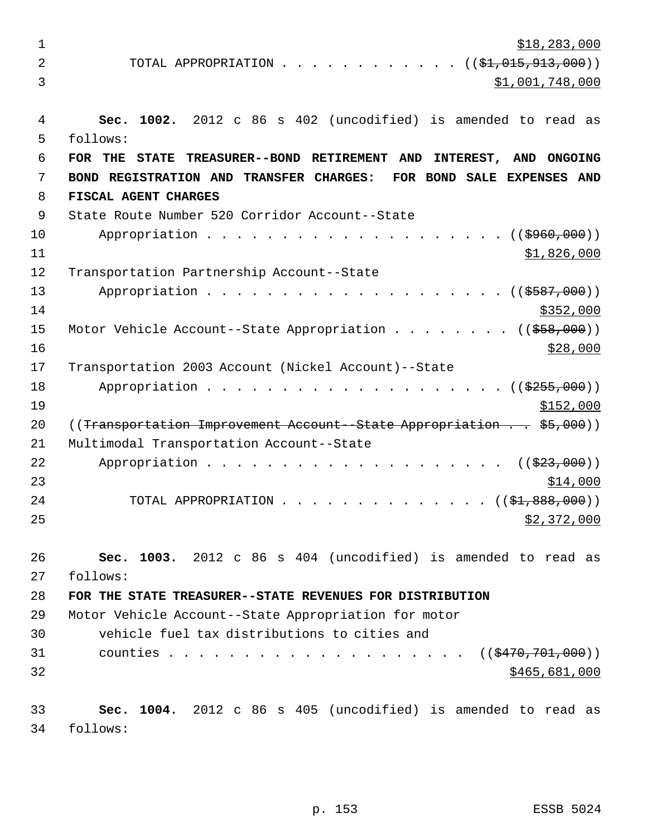\$18,283,000 2 TOTAL APPROPRIATION . . . . . . . . . . . ((<del>\$1,015,913,000</del>))  $3 \hspace{2.5cm} \text{ } 31,001,748,000$  **Sec. 1002.** 2012 c 86 s 402 (uncodified) is amended to read as follows: **FOR THE STATE TREASURER--BOND RETIREMENT AND INTEREST, AND ONGOING BOND REGISTRATION AND TRANSFER CHARGES: FOR BOND SALE EXPENSES AND FISCAL AGENT CHARGES** State Route Number 520 Corridor Account--State 10 Appropriation . . . . . . . . . . . . . . . . . . ((\$960,000)) \$1,826,000 Transportation Partnership Account--State 13 Appropriation . . . . . . . . . . . . . . . . . ((\$587,000)) \$352,000 15 Motor Vehicle Account--State Appropriation . . . . . . . ((\$58,000)) \$28,000 Transportation 2003 Account (Nickel Account)--State 18 Appropriation . . . . . . . . . . . . . . . . . ((\$255,000)) \$152,000 20 ((Transportation Improvement Account -State Appropriation . . \$5,000)) Multimodal Transportation Account--State 22 Appropriation . . . . . . . . . . . . . . . . . . ((\$23,000))  $\frac{$14,000}{}$ 24 TOTAL APPROPRIATION . . . . . . . . . . . . . ((<del>\$1,888,000</del>))  $\frac{1}{2}$ ,  $372,000$  **Sec. 1003.** 2012 c 86 s 404 (uncodified) is amended to read as follows: **FOR THE STATE TREASURER--STATE REVENUES FOR DISTRIBUTION** Motor Vehicle Account--State Appropriation for motor vehicle fuel tax distributions to cities and 31 counties . . . . . . . . . . . . . . . . . . ((\$470,701,000)) \$465,681,000 **Sec. 1004.** 2012 c 86 s 405 (uncodified) is amended to read as follows: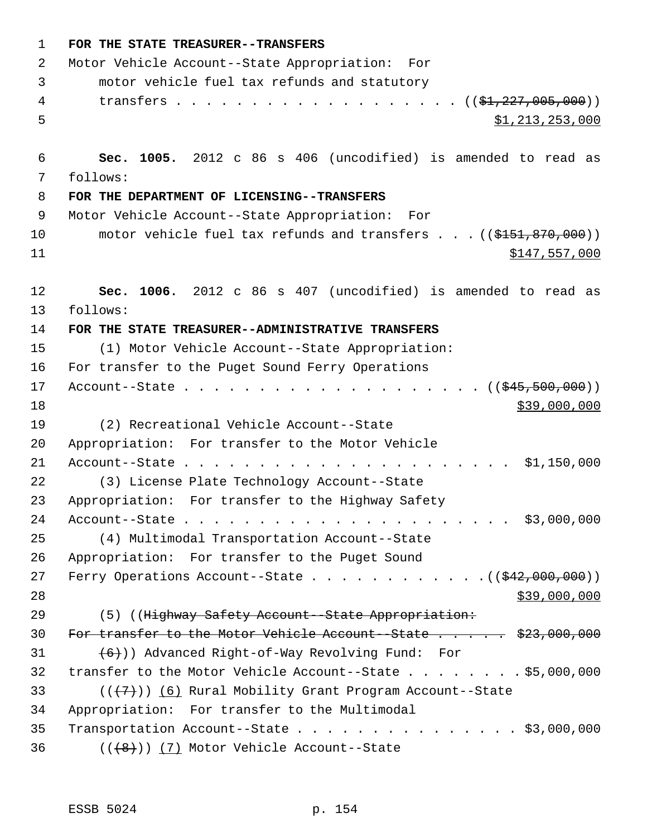| $\mathbf{1}$ | FOR THE STATE TREASURER--TRANSFERS                                                       |
|--------------|------------------------------------------------------------------------------------------|
| 2            | Motor Vehicle Account--State Appropriation: For                                          |
| 3            | motor vehicle fuel tax refunds and statutory                                             |
| 4            | transfers $($ $(*1, 227, 005, 000))$                                                     |
| 5            | \$1,213,253,000                                                                          |
| 6            | Sec. 1005. 2012 c 86 s 406 (uncodified) is amended to read as                            |
| 7            | follows:                                                                                 |
| 8            | FOR THE DEPARTMENT OF LICENSING--TRANSFERS                                               |
| 9            | Motor Vehicle Account--State Appropriation: For                                          |
| 10<br>11     | motor vehicle fuel tax refunds and transfers $\ldots$ ((\$151,870,000))<br>\$147,557,000 |
| 12           | Sec. 1006. 2012 c 86 s 407 (uncodified) is amended to read as                            |
| 13           | follows:                                                                                 |
| 14           | FOR THE STATE TREASURER--ADMINISTRATIVE TRANSFERS                                        |
| 15           | (1) Motor Vehicle Account--State Appropriation:                                          |
| 16           | For transfer to the Puget Sound Ferry Operations                                         |
| 17           |                                                                                          |
| 18           | \$39,000,000                                                                             |
| 19           | (2) Recreational Vehicle Account--State                                                  |
| 20           | Appropriation: For transfer to the Motor Vehicle                                         |
| 21           |                                                                                          |
| 22           | (3) License Plate Technology Account--State                                              |
| 23           | Appropriation: For transfer to the Highway Safety                                        |
| 24           |                                                                                          |
| 25           | (4) Multimodal Transportation Account--State                                             |
| 26           | Appropriation: For transfer to the Puget Sound                                           |
| 27           | Ferry Operations Account--State $($ $($ $\frac{242,000,000)}{2})$                        |
| 28           | \$39,000,000                                                                             |
| 29           | (5) ((Highway Safety Account--State Appropriation:                                       |
| 30           | For transfer to the Motor Vehicle Account -State \$23,000,000                            |
| 31           | $(6+)$ ) Advanced Right-of-Way Revolving Fund: For                                       |
| 32           | transfer to the Motor Vehicle Account--State $\ldots$ \$5,000,000                        |
| 33           | $((+7))$ (6) Rural Mobility Grant Program Account--State                                 |
| 34           | Appropriation: For transfer to the Multimodal                                            |
| 35           | Transportation Account--State $\ldots$ \$3,000,000                                       |
| 36           | $((+8))$ (7) Motor Vehicle Account--State                                                |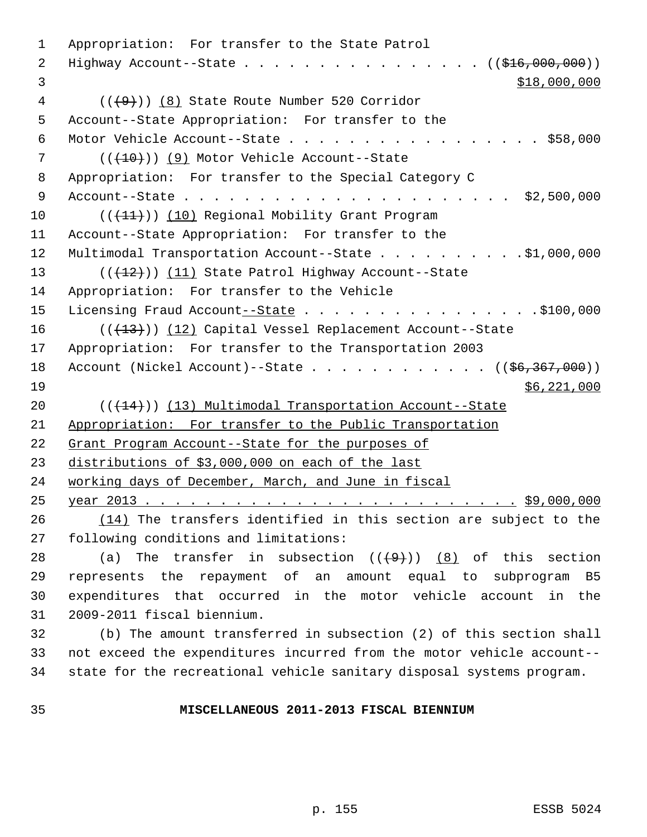Appropriation: For transfer to the State Patrol 2 Highway Account--State . . . . . . . . . . . . . . . ( (\$16,000,000))  $3 \times 18,000,000$  (( $\left(\frac{49}{1}\right)$ ) (8) State Route Number 520 Corridor Account--State Appropriation: For transfer to the Motor Vehicle Account--State . . . . . . . . . . . . . . . . . \$58,000 7 (( $(10)$ ) (9) Motor Vehicle Account--State Appropriation: For transfer to the Special Category C Account--State . . . . . . . . . . . . . . . . . . . . . . \$2,500,000 10 (( $(\frac{11}{1})$ ) (10) Regional Mobility Grant Program Account--State Appropriation: For transfer to the 12 Multimodal Transportation Account--State . . . . . . . . . . \$1,000,000 13 (( $(12)$ )) (11) State Patrol Highway Account--State Appropriation: For transfer to the Vehicle 15 Licensing Fraud Account--State . . . . . . . . . . . . . . . . \$100,000 16 (( $(13)$ )) (12) Capital Vessel Replacement Account--State Appropriation: For transfer to the Transportation 2003 18 Account (Nickel Account)--State . . . . . . . . . . . . ((\$6,367,000)) \$6,221,000 20 (( $(14)$ )) (13) Multimodal Transportation Account--State Appropriation: For transfer to the Public Transportation Grant Program Account--State for the purposes of distributions of \$3,000,000 on each of the last working days of December, March, and June in fiscal year 2013 . . . . . . . . . . . . . . . . . . . . . . . . . \$9,000,000 (14) The transfers identified in this section are subject to the following conditions and limitations: 28 (a) The transfer in subsection  $((+9))$   $(8)$  of this section represents the repayment of an amount equal to subprogram B5 expenditures that occurred in the motor vehicle account in the 2009-2011 fiscal biennium. (b) The amount transferred in subsection (2) of this section shall not exceed the expenditures incurred from the motor vehicle account-- state for the recreational vehicle sanitary disposal systems program.

## **MISCELLANEOUS 2011-2013 FISCAL BIENNIUM**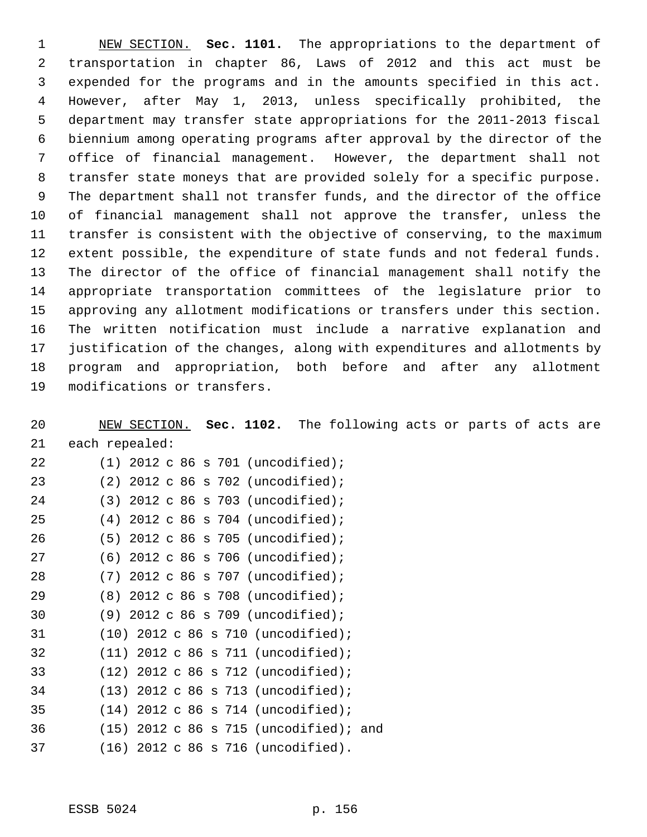NEW SECTION. **Sec. 1101.** The appropriations to the department of transportation in chapter 86, Laws of 2012 and this act must be expended for the programs and in the amounts specified in this act. However, after May 1, 2013, unless specifically prohibited, the department may transfer state appropriations for the 2011-2013 fiscal biennium among operating programs after approval by the director of the office of financial management. However, the department shall not transfer state moneys that are provided solely for a specific purpose. The department shall not transfer funds, and the director of the office of financial management shall not approve the transfer, unless the transfer is consistent with the objective of conserving, to the maximum extent possible, the expenditure of state funds and not federal funds. The director of the office of financial management shall notify the appropriate transportation committees of the legislature prior to approving any allotment modifications or transfers under this section. The written notification must include a narrative explanation and justification of the changes, along with expenditures and allotments by program and appropriation, both before and after any allotment modifications or transfers.

 NEW SECTION. **Sec. 1102.** The following acts or parts of acts are each repealed: (1) 2012 c 86 s 701 (uncodified); (2) 2012 c 86 s 702 (uncodified); (3) 2012 c 86 s 703 (uncodified); (4) 2012 c 86 s 704 (uncodified); (5) 2012 c 86 s 705 (uncodified); (6) 2012 c 86 s 706 (uncodified); (7) 2012 c 86 s 707 (uncodified); (8) 2012 c 86 s 708 (uncodified); (9) 2012 c 86 s 709 (uncodified); (10) 2012 c 86 s 710 (uncodified); (11) 2012 c 86 s 711 (uncodified); (12) 2012 c 86 s 712 (uncodified); (13) 2012 c 86 s 713 (uncodified); (14) 2012 c 86 s 714 (uncodified); (15) 2012 c 86 s 715 (uncodified); and (16) 2012 c 86 s 716 (uncodified).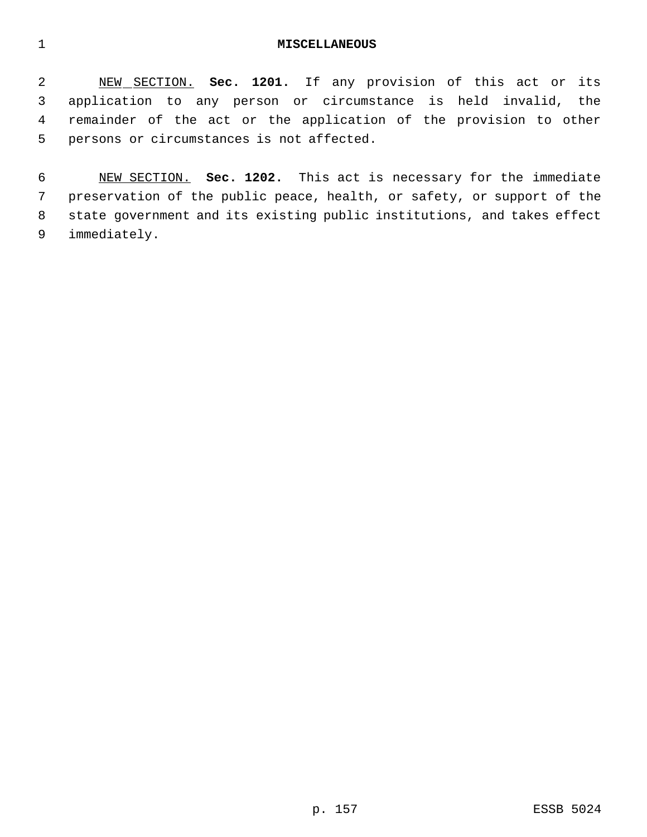## **MISCELLANEOUS**

 NEW SECTION. **Sec. 1201.** If any provision of this act or its application to any person or circumstance is held invalid, the remainder of the act or the application of the provision to other persons or circumstances is not affected.

 NEW SECTION. **Sec. 1202.** This act is necessary for the immediate preservation of the public peace, health, or safety, or support of the state government and its existing public institutions, and takes effect immediately.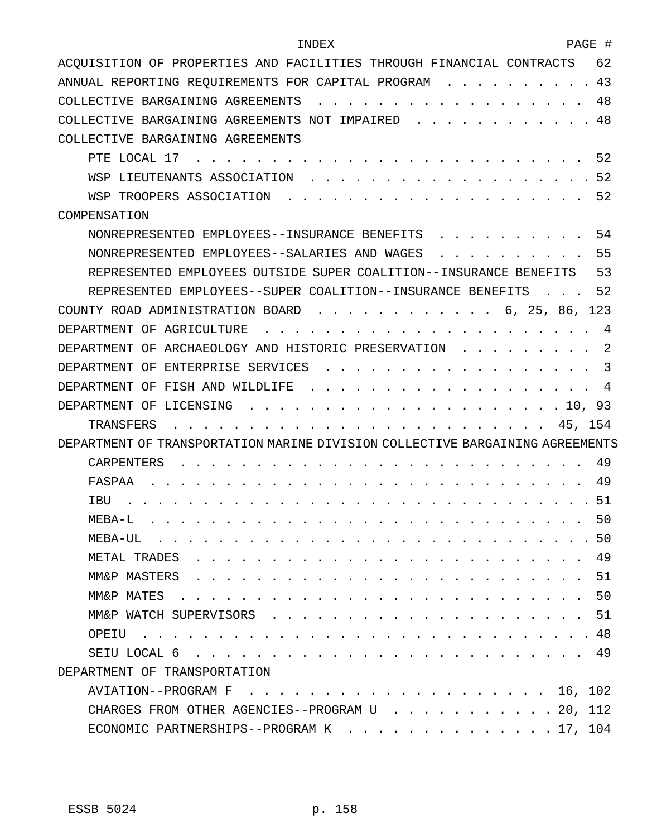| PAGE #<br>INDEX                                                                                                                                                                                                                                         |
|---------------------------------------------------------------------------------------------------------------------------------------------------------------------------------------------------------------------------------------------------------|
| ACOUISITION OF PROPERTIES AND FACILITIES THROUGH FINANCIAL CONTRACTS<br>62                                                                                                                                                                              |
| 43<br>ANNUAL REPORTING REQUIREMENTS FOR CAPITAL PROGRAM                                                                                                                                                                                                 |
| 48<br>COLLECTIVE BARGAINING AGREEMENTS                                                                                                                                                                                                                  |
| 48<br>COLLECTIVE BARGAINING AGREEMENTS NOT IMPAIRED                                                                                                                                                                                                     |
| COLLECTIVE BARGAINING AGREEMENTS                                                                                                                                                                                                                        |
| 52<br>PTE LOCAL 17                                                                                                                                                                                                                                      |
| 52<br>WSP<br>LIEUTENANTS ASSOCIATION                                                                                                                                                                                                                    |
| 52<br>WSP TROOPERS ASSOCIATION                                                                                                                                                                                                                          |
| COMPENSATION                                                                                                                                                                                                                                            |
| 54<br>NONREPRESENTED EMPLOYEES--INSURANCE BENEFITS                                                                                                                                                                                                      |
| 55<br>NONREPRESENTED EMPLOYEES--SALARIES AND WAGES                                                                                                                                                                                                      |
| 53<br>REPRESENTED EMPLOYEES OUTSIDE SUPER COALITION--INSURANCE BENEFITS                                                                                                                                                                                 |
| 52<br>REPRESENTED EMPLOYEES--SUPER COALITION--INSURANCE BENEFITS                                                                                                                                                                                        |
| 123<br>COUNTY ROAD ADMINISTRATION BOARD<br>6, 25, 86,                                                                                                                                                                                                   |
| DEPARTMENT OF<br>AGRICULTURE<br>4                                                                                                                                                                                                                       |
| 2<br>ARCHAEOLOGY AND HISTORIC PRESERVATION<br>DEPARTMENT<br>OF                                                                                                                                                                                          |
| 3<br>ENTERPRISE SERVICES<br>DEPARTMENT<br>ΟF                                                                                                                                                                                                            |
| DEPARTMENT<br>OF<br>FISH AND WILDLIFE<br>4                                                                                                                                                                                                              |
| DEPARTMENT<br>ΟF<br>LICENSING<br>93<br>10.                                                                                                                                                                                                              |
| 45, 154<br>TRANSFERS                                                                                                                                                                                                                                    |
| DEPARTMENT OF TRANSPORTATION MARINE DIVISION COLLECTIVE BARGAINING AGREEMENTS                                                                                                                                                                           |
| <b>CARPENTERS</b><br>49                                                                                                                                                                                                                                 |
| FASPAA<br>49                                                                                                                                                                                                                                            |
| 51<br>IBU                                                                                                                                                                                                                                               |
| . 50<br>MEBA-L.                                                                                                                                                                                                                                         |
|                                                                                                                                                                                                                                                         |
|                                                                                                                                                                                                                                                         |
| 51<br>MM&P MASTERS<br>$\mathbf{1}$ , and a set of the set of the set of the set of the set of the set of the set of the set of the set of the set of the set of the set of the set of the set of the set of the set of the set of the set of the set of |
| .50                                                                                                                                                                                                                                                     |
| MM&P WATCH SUPERVISORS<br>. 51                                                                                                                                                                                                                          |
|                                                                                                                                                                                                                                                         |
|                                                                                                                                                                                                                                                         |
| DEPARTMENT OF TRANSPORTATION                                                                                                                                                                                                                            |
|                                                                                                                                                                                                                                                         |
| CHARGES FROM OTHER AGENCIES--PROGRAM U 20, 112                                                                                                                                                                                                          |
| ECONOMIC PARTNERSHIPS--PROGRAM K 17, 104                                                                                                                                                                                                                |